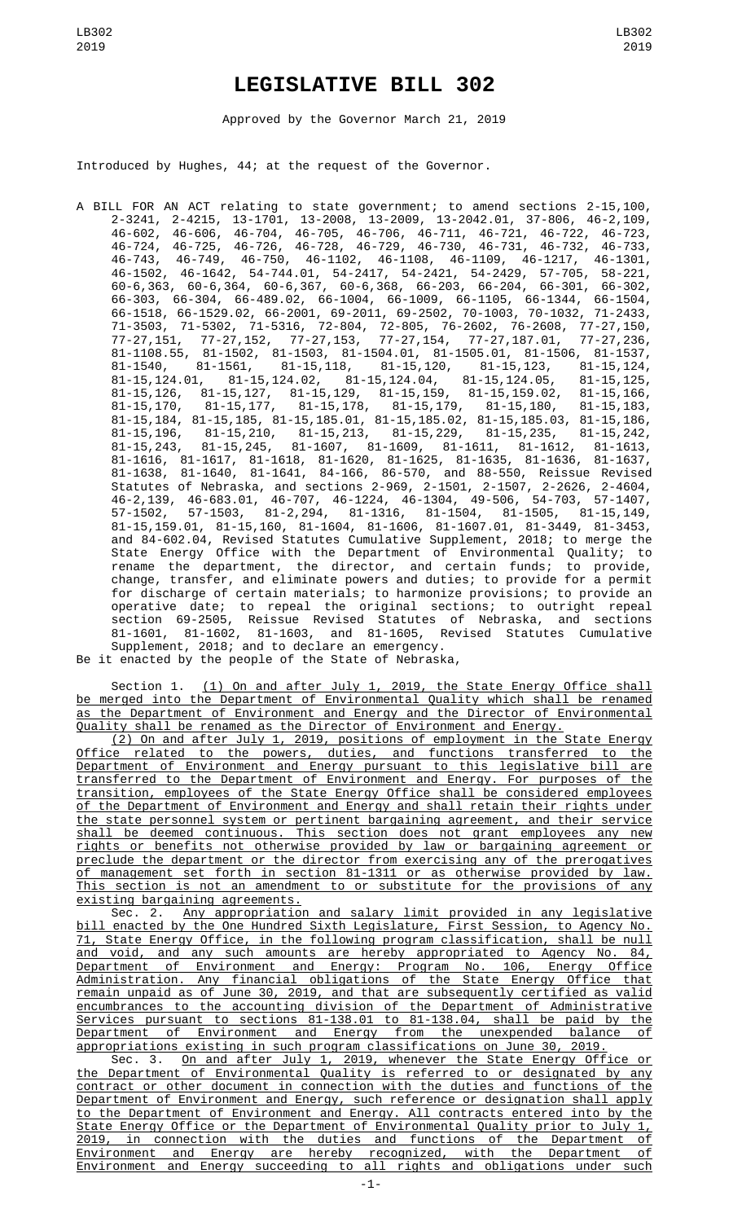## **LEGISLATIVE BILL 302**

Approved by the Governor March 21, 2019

Introduced by Hughes, 44; at the request of the Governor.

A BILL FOR AN ACT relating to state government; to amend sections 2-15,100, 2-3241, 2-4215, 13-1701, 13-2008, 13-2009, 13-2042.01, 37-806, 46-2,109, 46-602, 46-606, 46-704, 46-705, 46-706, 46-711, 46-721, 46-722, 46-723, 46-724, 46-725, 46-726, 46-728, 46-729, 46-730, 46-731, 46-732, 46-733, 46-743, 46-749, 46-750, 46-1102, 46-1108, 46-1109, 46-1217, 46-1301, 46-1502, 46-1642, 54-744.01, 54-2417, 54-2421, 54-2429, 57-705, 58-221, 60-6,363, 60-6,364, 60-6,367, 60-6,368, 66-203, 66-204, 66-301, 66-302, 66-303, 66-304, 66-489.02, 66-1004, 66-1009, 66-1105, 66-1344, 66-1504, 66-1518, 66-1529.02, 66-2001, 69-2011, 69-2502, 70-1003, 70-1032, 71-2433, 71-3503, 71-5302, 71-5316, 72-804, 72-805, 76-2602, 76-2608, 77-27,150, 77-27,151, 77-27,152, 77-27,153, 77-27,154, 77-27,187.01, 77-27,236, 81-1108.55, 81-1502, 81-1503, 81-1504.01, 81-1505.01, 81-1506, 81-1537, 81-1540, 81-1561, 81-15,118, 81-15,120, 81-15,123, 81-15,124, 81-15,124.01, 81-15,124.02, 81-15,124.04, 81-15,124.05, 81-15,125, 81-15,126, 81-15,127, 81-15,129, 81-15,159, 81-15,159.02, 81-15,166, 81-15,170, 81-15,177, 81-15,178, 81-15,179, 81-15,180, 81-15,183, 81-15,184, 81-15,185, 81-15,185.01, 81-15,185.02, 81-15,185.03, 81-15,186, 81-15,196, 81-15,210, 81-15,213, 81-15,229, 81-15,235, 81-15,242, 81-15,243, 81-15,245, 81-1607, 81-1609, 81-1611, 81-1612, 81-1613, 81-1616, 81-1617, 81-1618, 81-1620, 81-1625, 81-1635, 81-1636, 81-1637, 81-1638, 81-1640, 81-1641, 84-166, 86-570, and 88-550, Reissue Revised Statutes of Nebraska, and sections 2-969, 2-1501, 2-1507, 2-2626, 2-4604, 46-2,139, 46-683.01, 46-707, 46-1224, 46-1304, 49-506, 54-703, 57-1407, 57-1502, 57-1503, 81-2,294, 81-1316, 81-1504, 81-1505, 81-15,149, 81-15,159.01, 81-15,160, 81-1604, 81-1606, 81-1607.01, 81-3449, 81-3453, and 84-602.04, Revised Statutes Cumulative Supplement, 2018; to merge the State Energy Office with the Department of Environmental Quality; to rename the department, the director, and certain funds; to provide, change, transfer, and eliminate powers and duties; to provide for a permit for discharge of certain materials; to harmonize provisions; to provide an operative date; to repeal the original sections; to outright repeal section 69-2505, Reissue Revised Statutes of Nebraska, and sections 81-1601, 81-1602, 81-1603, and 81-1605, Revised Statutes Cumulative Supplement, 2018; and to declare an emergency.

Be it enacted by the people of the State of Nebraska,

Section 1. <u>(1) On and after July 1, 2019, the State Energy Office shall</u> be merged into the Department of Environmental Quality which shall be renamed as the Department of Environment and Energy and the Director of Environmental Quality shall be renamed as the Director of Environment and Energy.

(2) On and after July 1, 2019, positions of employment in the State Energy Office related to the powers, duties, and functions transferred to the Department of Environment and Energy pursuant to this legislative bill are transferred to the Department of Environment and Energy. For purposes of the transition, employees of the State Energy Office shall be considered employees of the Department of Environment and Energy and shall retain their rights under the state personnel system or pertinent bargaining agreement, and their service shall be deemed continuous. This section does not grant employees any new rights or benefits not otherwise provided by law or bargaining agreement or preclude the department or the director from exercising any of the prerogatives of management set forth in section 81-1311 or as otherwise provided by law. This section is not an amendment to or substitute for the provisions of any existing bargaining agreements.

Sec. 2. Any appropriation and salary limit provided in any legislative bill enacted by the One Hundred Sixth Legislature, First Session, to Agency No. 71, State Energy Office, in the following program classification, shall be null and void, and any such amounts are hereby appropriated to Agency No. 84, Department of Environment and Energy: Program No. 106, Energy Office Administration. Any financial obligations of the State Energy Office that remain unpaid as of June 30, 2019, and that are subsequently certified as valid encumbrances to the accounting division of the Department of Administrative Services pursuant to sections 81-138.01 to 81-138.04, shall be paid by the Department of Environment and Energy from the unexpended balance of appropriations existing in such program classifications on June 30, 2019.

Sec. 3. On and after July 1, 2019, whenever the State Energy Office or the Department of Environmental Quality is referred to or designated by any contract or other document in connection with the duties and functions of the Department of Environment and Energy, such reference or designation shall apply to the Department of Environment and Energy. All contracts entered into by the State Energy Office or the Department of Environmental Quality prior to July 1, 2019, in connection with the duties and functions of the Department of Environment and Energy are hereby recognized, with the Department of Environment and Energy succeeding to all rights and obligations under such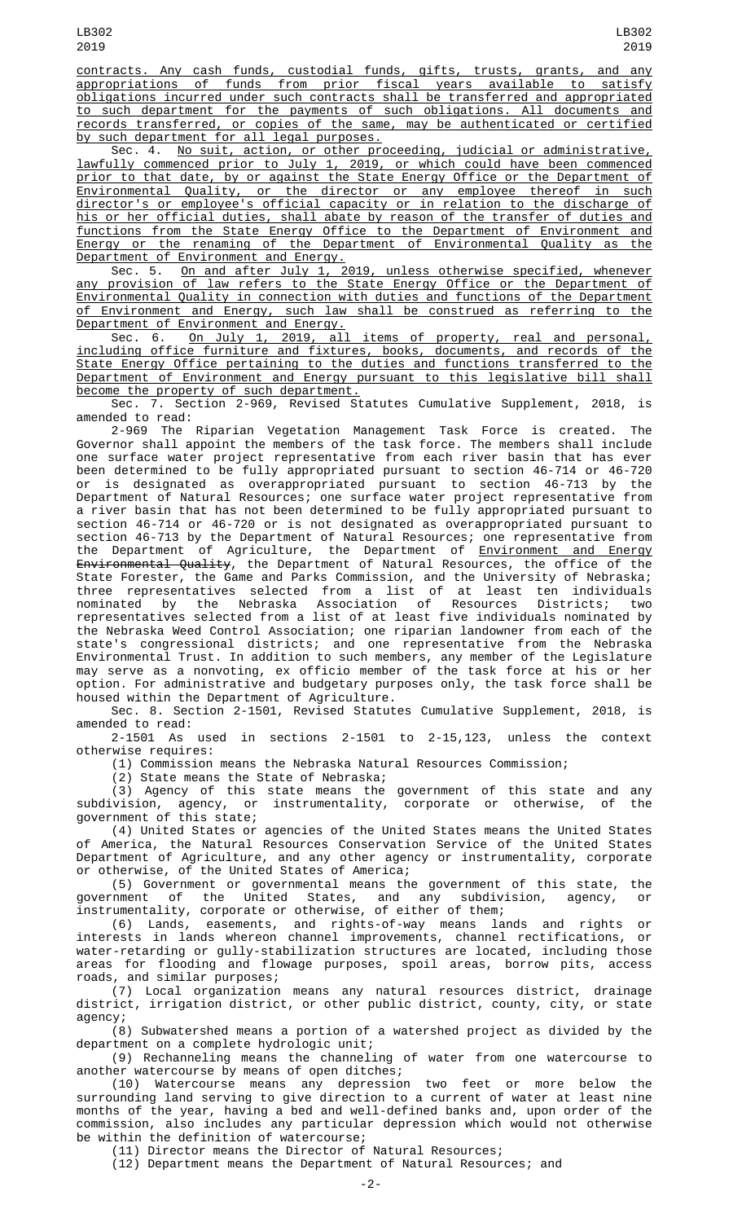contracts. Any cash funds, custodial funds, gifts, trusts, grants, and any appropriations of funds from prior fiscal years available to satisfy obligations incurred under such contracts shall be transferred and appropriated to such department for the payments of such obligations. All documents and records transferred, or copies of the same, may be authenticated or certified by such department for all legal purposes.

Sec. 4. No suit, action, or other proceeding, judicial or administrative, lawfully commenced prior to July 1, 2019, or which could have been commenced prior to that date, by or against the State Energy Office or the Department of Environmental Quality, or the director or any employee thereof in such director's or employee's official capacity or in relation to the discharge of his or her official duties, shall abate by reason of the transfer of duties and functions from the State Energy Office to the Department of Environment and Energy or the renaming of the Department of Environmental Quality as the Department of Environment and Energy.

Sec. 5. On and after July 1, 2019, unless otherwise specified, whenever any provision of law refers to the State Energy Office or the Department of Environmental Quality in connection with duties and functions of the Department of Environment and Energy, such law shall be construed as referring to the Department of Environment and Energy.

Sec. 6. On July 1, 2019, all items of property, real and personal, including office furniture and fixtures, books, documents, and records of the State Energy Office pertaining to the duties and functions transferred to the Department of Environment and Energy pursuant to this legislative bill shall become the property of such department.

Sec. 7. Section 2-969, Revised Statutes Cumulative Supplement, 2018, is amended to read:

2-969 The Riparian Vegetation Management Task Force is created. The Governor shall appoint the members of the task force. The members shall include one surface water project representative from each river basin that has ever been determined to be fully appropriated pursuant to section 46-714 or 46-720 or is designated as overappropriated pursuant to section 46-713 by the Department of Natural Resources; one surface water project representative from a river basin that has not been determined to be fully appropriated pursuant to section 46-714 or 46-720 or is not designated as overappropriated pursuant to section 46-713 by the Department of Natural Resources; one representative from the Department of Agriculture, the Department of <u>Environment and Energy</u> <del>Environmental Quality</del>, the Department of Natural Resources, the office of the State Forester, the Game and Parks Commission, and the University of Nebraska; three representatives selected from a list of at least ten individuals nominated by the Nebraska Association of Resources Districts; two representatives selected from a list of at least five individuals nominated by the Nebraska Weed Control Association; one riparian landowner from each of the state's congressional districts; and one representative from the Nebraska Environmental Trust. In addition to such members, any member of the Legislature may serve as a nonvoting, ex officio member of the task force at his or her option. For administrative and budgetary purposes only, the task force shall be housed within the Department of Agriculture.

Sec. 8. Section 2-1501, Revised Statutes Cumulative Supplement, 2018, is amended to read:

2-1501 As used in sections 2-1501 to 2-15,123, unless the context otherwise requires:

(1) Commission means the Nebraska Natural Resources Commission;

(2) State means the State of Nebraska;

(3) Agency of this state means the government of this state and any subdivision, agency, or instrumentality, corporate or otherwise, of the subdivision, agency, or<br>government of this state;

(4) United States or agencies of the United States means the United States of America, the Natural Resources Conservation Service of the United States Department of Agriculture, and any other agency or instrumentality, corporate or otherwise, of the United States of America;

(5) Government or governmental means the government of this state, the government of the United States, and any subdivision, agency, or instrumentality, corporate or otherwise, of either of them;

(6) Lands, easements, and rights-of-way means lands and rights or interests in lands whereon channel improvements, channel rectifications, or water-retarding or gully-stabilization structures are located, including those areas for flooding and flowage purposes, spoil areas, borrow pits, access and similar purposes;

(7) Local organization means any natural resources district, drainage district, irrigation district, or other public district, county, city, or state agency;

(8) Subwatershed means a portion of a watershed project as divided by the department on a complete hydrologic unit;

(9) Rechanneling means the channeling of water from one watercourse to another watercourse by means of open ditches;

(10) Watercourse means any depression two feet or more below the surrounding land serving to give direction to a current of water at least nine months of the year, having a bed and well-defined banks and, upon order of the commission, also includes any particular depression which would not otherwise be within the definition of watercourse;

(11) Director means the Director of Natural Resources;

(12) Department means the Department of Natural Resources; and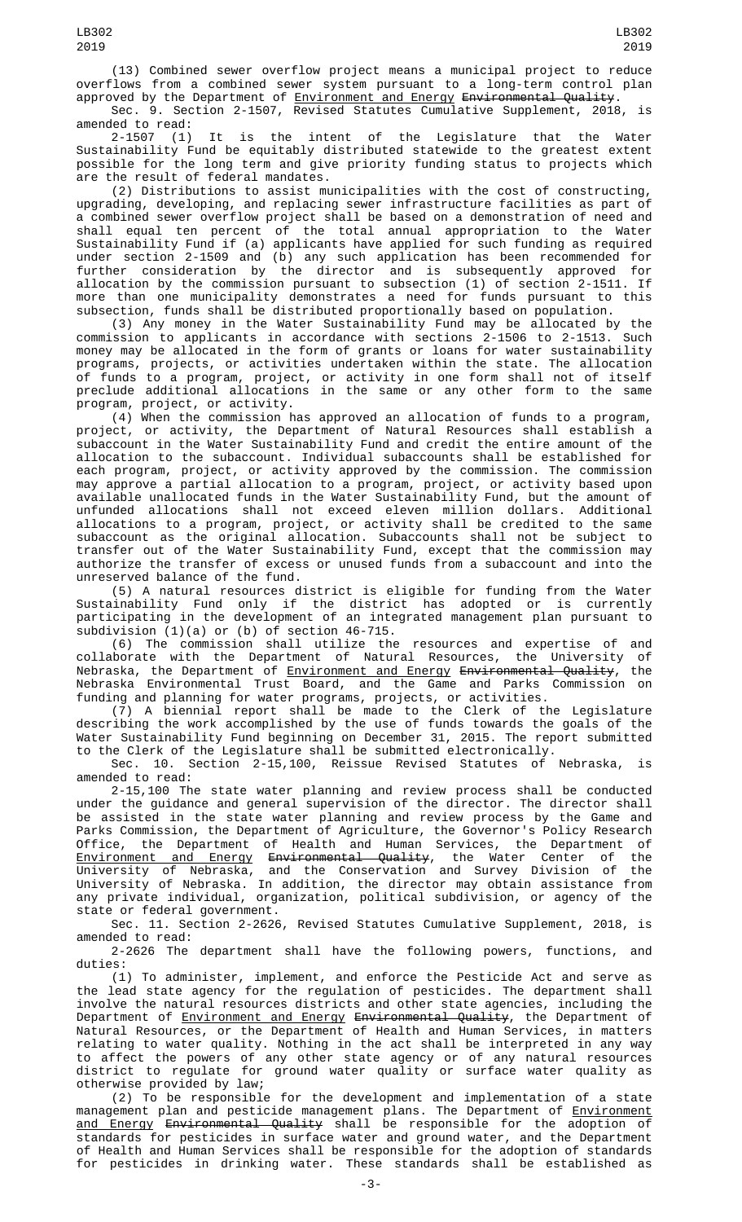(13) Combined sewer overflow project means a municipal project to reduce overflows from a combined sewer system pursuant to a long-term control plan approved by the Department of <u>Environment and Energy</u> <del>Environmental Quality</del>.

Sec. 9. Section 2-1507, Revised Statutes Cumulative Supplement, 2018, amended to read:<br>2-1507 (1)

It is the intent of the Legislature that the Water Sustainability Fund be equitably distributed statewide to the greatest extent possible for the long term and give priority funding status to projects which are the result of federal mandates.

(2) Distributions to assist municipalities with the cost of constructing, upgrading, developing, and replacing sewer infrastructure facilities as part of a combined sewer overflow project shall be based on a demonstration of need and shall equal ten percent of the total annual appropriation to the Water Sustainability Fund if (a) applicants have applied for such funding as required under section 2-1509 and (b) any such application has been recommended for further consideration by the director and is subsequently approved for allocation by the commission pursuant to subsection (1) of section 2-1511. If more than one municipality demonstrates a need for funds pursuant to this subsection, funds shall be distributed proportionally based on population.

(3) Any money in the Water Sustainability Fund may be allocated by the commission to applicants in accordance with sections 2-1506 to 2-1513. Such money may be allocated in the form of grants or loans for water sustainability programs, projects, or activities undertaken within the state. The allocation of funds to a program, project, or activity in one form shall not of itself preclude additional allocations in the same or any other form to the same program, project, or activity.

(4) When the commission has approved an allocation of funds to a program, project, or activity, the Department of Natural Resources shall establish a subaccount in the Water Sustainability Fund and credit the entire amount of the allocation to the subaccount. Individual subaccounts shall be established for each program, project, or activity approved by the commission. The commission may approve a partial allocation to a program, project, or activity based upon available unallocated funds in the Water Sustainability Fund, but the amount of unfunded allocations shall not exceed eleven million dollars. Additional allocations to a program, project, or activity shall be credited to the same subaccount as the original allocation. Subaccounts shall not be subject to transfer out of the Water Sustainability Fund, except that the commission may authorize the transfer of excess or unused funds from a subaccount and into the unreserved balance of the fund.

(5) A natural resources district is eligible for funding from the Water Sustainability Fund only if the district has adopted or is currently participating in the development of an integrated management plan pursuant to subdivision  $(1)(a)$  or  $(b)$  of section 46-715.

(6) The commission shall utilize the resources and expertise of and collaborate with the Department of Natural Resources, the University of Nebraska, the Department of <u>Environment and Energy</u> <del>Environmental Quality</del>, the Nebraska Environmental Trust Board, and the Game and Parks Commission on funding and planning for water programs, projects, or activities.

(7) A biennial report shall be made to the Clerk of the Legislature describing the work accomplished by the use of funds towards the goals of the Water Sustainability Fund beginning on December 31, 2015. The report submitted to the Clerk of the Legislature shall be submitted electronically.

Sec. 10. Section 2-15,100, Reissue Revised Statutes of Nebraska, is amended to read:

2-15,100 The state water planning and review process shall be conducted under the guidance and general supervision of the director. The director shall be assisted in the state water planning and review process by the Game and Parks Commission, the Department of Agriculture, the Governor's Policy Research Office, the Department of Health and Human Services, the Department of Environment and Energy Environmental Quality, the Water Center of the University of Nebraska, and the Conservation and Survey Division of the University of Nebraska. In addition, the director may obtain assistance from any private individual, organization, political subdivision, or agency of the state or federal government.

Sec. 11. Section 2-2626, Revised Statutes Cumulative Supplement, 2018, is amended to read:

2-2626 The department shall have the following powers, functions, and duties:

(1) To administer, implement, and enforce the Pesticide Act and serve as the lead state agency for the regulation of pesticides. The department shall involve the natural resources districts and other state agencies, including the Department of <u>Environment and Energy</u> <del>Environmental Quality</del>, the Department of Natural Resources, or the Department of Health and Human Services, in matters relating to water quality. Nothing in the act shall be interpreted in any way to affect the powers of any other state agency or of any natural resources district to regulate for ground water quality or surface water quality as otherwise provided by law;

(2) To be responsible for the development and implementation of a state management plan and pesticide management plans. The Department of <u>Environment</u> <u>and Energy</u> <del>Environmental Quality</del> shall be responsible for the adoption of standards for pesticides in surface water and ground water, and the Department of Health and Human Services shall be responsible for the adoption of standards for pesticides in drinking water. These standards shall be established as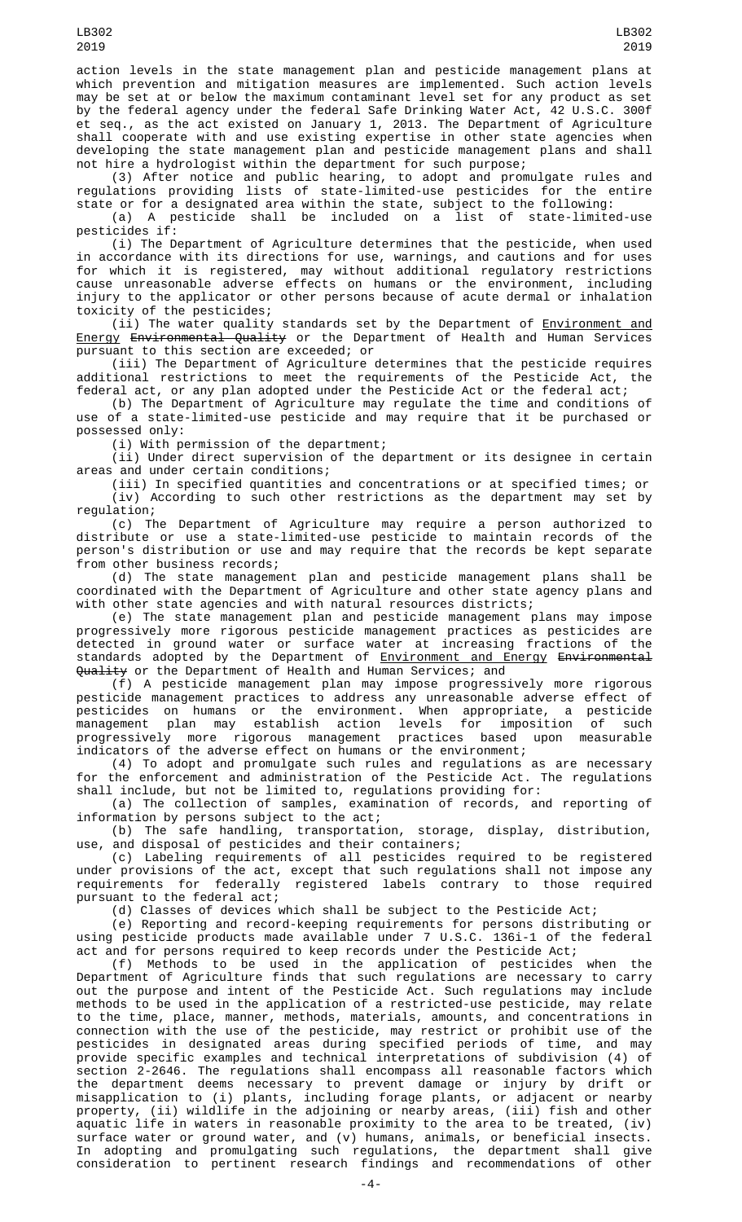action levels in the state management plan and pesticide management plans at which prevention and mitigation measures are implemented. Such action levels may be set at or below the maximum contaminant level set for any product as set by the federal agency under the federal Safe Drinking Water Act, 42 U.S.C. 300f et seq., as the act existed on January 1, 2013. The Department of Agriculture shall cooperate with and use existing expertise in other state agencies when developing the state management plan and pesticide management plans and shall not hire a hydrologist within the department for such purpose;

(3) After notice and public hearing, to adopt and promulgate rules and regulations providing lists of state-limited-use pesticides for the entire state or for a designated area within the state, subject to the following:

(a) A pesticide shall be included on a list of state-limited-use pesticides if:

(i) The Department of Agriculture determines that the pesticide, when used in accordance with its directions for use, warnings, and cautions and for uses for which it is registered, may without additional regulatory restrictions cause unreasonable adverse effects on humans or the environment, including injury to the applicator or other persons because of acute dermal or inhalation toxicity of the pesticides;

(ii) The water quality standards set by the Department of <u>Environment and</u> Energy Environmental Quality or the Department of Health and Human Services pursuant to this section are exceeded; or

(iii) The Department of Agriculture determines that the pesticide requires additional restrictions to meet the requirements of the Pesticide Act, federal act, or any plan adopted under the Pesticide Act or the federal act;

(b) The Department of Agriculture may regulate the time and conditions of use of a state-limited-use pesticide and may require that it be purchased or possessed only:

(i) With permission of the department;

(ii) Under direct supervision of the department or its designee in certain areas and under certain conditions;

(iii) In specified quantities and concentrations or at specified times; or (iv) According to such other restrictions as the department may set by regulation;

(c) The Department of Agriculture may require a person authorized to distribute or use a state-limited-use pesticide to maintain records of the person's distribution or use and may require that the records be kept separate from other business records;

(d) The state management plan and pesticide management plans shall be coordinated with the Department of Agriculture and other state agency plans and with other state agencies and with natural resources districts;

(e) The state management plan and pesticide management plans may impose progressively more rigorous pesticide management practices as pesticides are detected in ground water or surface water at increasing fractions of the standards adopted by the Department of <u>Environment and Energy</u> <del>Environmental</del> Quality or the Department of Health and Human Services; and

(f) A pesticide management plan may impose progressively more rigorous pesticide management practices to address any unreasonable adverse effect of pesticides on humans or the environment. When appropriate, a pesticide management plan may establish action levels for imposition of such progressively more rigorous management practices based upon measurable indicators of the adverse effect on humans or the environment;

(4) To adopt and promulgate such rules and regulations as are necessary for the enforcement and administration of the Pesticide Act. The regulations shall include, but not be limited to, regulations providing for:

(a) The collection of samples, examination of records, and reporting of information by persons subject to the act;

(b) The safe handling, transportation, storage, display, distribution, use, and disposal of pesticides and their containers;

(c) Labeling requirements of all pesticides required to be registered under provisions of the act, except that such regulations shall not impose any requirements for federally registered labels contrary to those required pursuant to the federal act;

(d) Classes of devices which shall be subject to the Pesticide Act;

(e) Reporting and record-keeping requirements for persons distributing or using pesticide products made available under 7 U.S.C. 136i-1 of the federal act and for persons required to keep records under the Pesticide Act;

(f) Methods to be used in the application of pesticides when the Department of Agriculture finds that such regulations are necessary to carry out the purpose and intent of the Pesticide Act. Such regulations may include methods to be used in the application of a restricted-use pesticide, may relate to the time, place, manner, methods, materials, amounts, and concentrations in connection with the use of the pesticide, may restrict or prohibit use of the pesticides in designated areas during specified periods of time, and may provide specific examples and technical interpretations of subdivision (4) of section 2-2646. The regulations shall encompass all reasonable factors which the department deems necessary to prevent damage or injury by drift or misapplication to (i) plants, including forage plants, or adjacent or nearby property, (ii) wildlife in the adjoining or nearby areas, (iii) fish and other aquatic life in waters in reasonable proximity to the area to be treated, (iv) surface water or ground water, and (v) humans, animals, or beneficial insects. In adopting and promulgating such regulations, the department shall give consideration to pertinent research findings and recommendations of other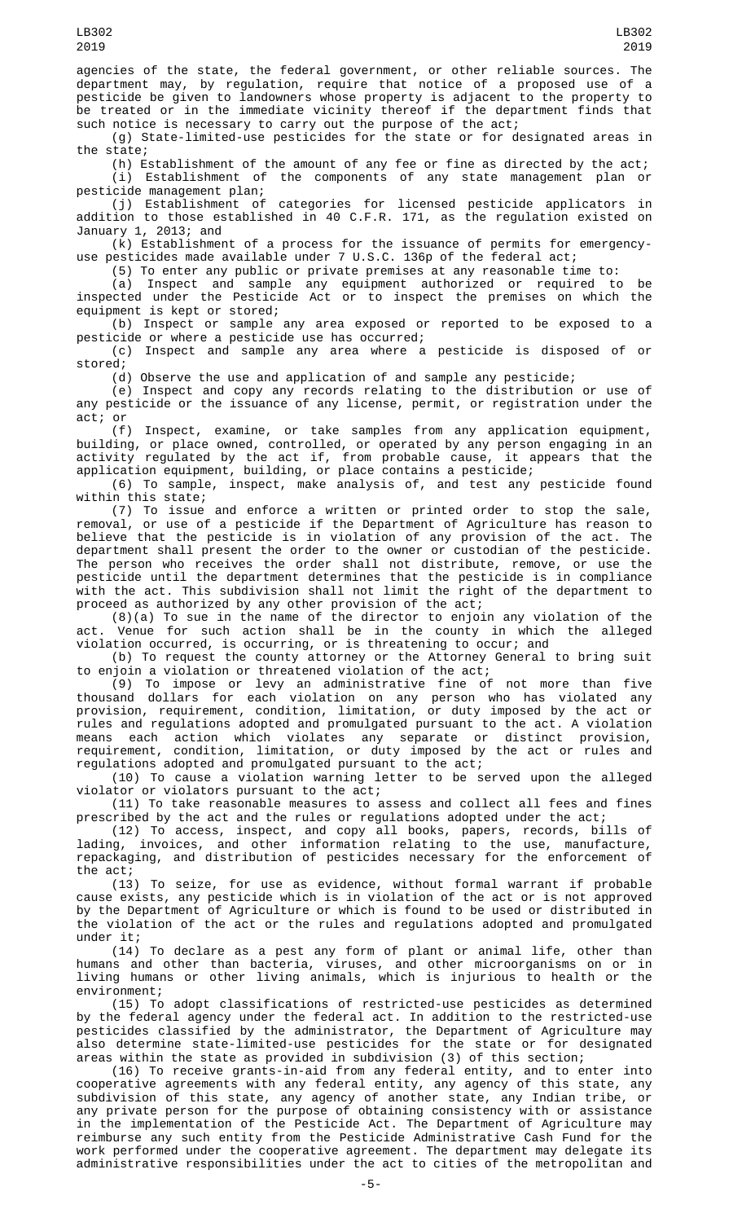agencies of the state, the federal government, or other reliable sources. The department may, by regulation, require that notice of a proposed use of a pesticide be given to landowners whose property is adjacent to the property to be treated or in the immediate vicinity thereof if the department finds that such notice is necessary to carry out the purpose of the act;

(g) State-limited-use pesticides for the state or for designated areas in the state;

(h) Establishment of the amount of any fee or fine as directed by the act; (i) Establishment of the components of any state management plan or

pesticide management plan; (j) Establishment of categories for licensed pesticide applicators in addition to those established in 40 C.F.R. 171, as the regulation existed on January 1, 2013; and

(k) Establishment of a process for the issuance of permits for emergencyuse pesticides made available under 7 U.S.C. 136p of the federal act;

(5) To enter any public or private premises at any reasonable time to:

(a) Inspect and sample any equipment authorized or required to be inspected under the Pesticide Act or to inspect the premises on which the equipment is kept or stored;

(b) Inspect or sample any area exposed or reported to be exposed to a pesticide or where a pesticide use has occurred;

(c) Inspect and sample any area where a pesticide is disposed of or stored;

(d) Observe the use and application of and sample any pesticide;

(e) Inspect and copy any records relating to the distribution or use of any pesticide or the issuance of any license, permit, or registration under the act; or

(f) Inspect, examine, or take samples from any application equipment, building, or place owned, controlled, or operated by any person engaging in an activity regulated by the act if, from probable cause, it appears that the application equipment, building, or place contains a pesticide;

(6) To sample, inspect, make analysis of, and test any pesticide found within this state;

(7) To issue and enforce a written or printed order to stop the sale, removal, or use of a pesticide if the Department of Agriculture has reason to believe that the pesticide is in violation of any provision of the act. The department shall present the order to the owner or custodian of the pesticide. The person who receives the order shall not distribute, remove, or use the pesticide until the department determines that the pesticide is in compliance with the act. This subdivision shall not limit the right of the department to proceed as authorized by any other provision of the act;

(8)(a) To sue in the name of the director to enjoin any violation of the act. Venue for such action shall be in the county in which the alleged violation occurred, is occurring, or is threatening to occur; and

(b) To request the county attorney or the Attorney General to bring suit to enjoin a violation or threatened violation of the act;

(9) To impose or levy an administrative fine of not more than five thousand dollars for each violation on any person who has violated any provision, requirement, condition, limitation, or duty imposed by the act or rules and regulations adopted and promulgated pursuant to the act. A violation means each action which violates any separate or distinct provision, requirement, condition, limitation, or duty imposed by the act or rules and regulations adopted and promulgated pursuant to the act;

(10) To cause a violation warning letter to be served upon the alleged violator or violators pursuant to the act;

(11) To take reasonable measures to assess and collect all fees and fines prescribed by the act and the rules or regulations adopted under the act;

(12) To access, inspect, and copy all books, papers, records, bills of lading, invoices, and other information relating to the use, manufacture, repackaging, and distribution of pesticides necessary for the enforcement of the act;

(13) To seize, for use as evidence, without formal warrant if probable cause exists, any pesticide which is in violation of the act or is not approved by the Department of Agriculture or which is found to be used or distributed in the violation of the act or the rules and regulations adopted and promulgated under it;

(14) To declare as a pest any form of plant or animal life, other than humans and other than bacteria, viruses, and other microorganisms on or in living humans or other living animals, which is injurious to health or the environment;

(15) To adopt classifications of restricted-use pesticides as determined by the federal agency under the federal act. In addition to the restricted-use pesticides classified by the administrator, the Department of Agriculture may also determine state-limited-use pesticides for the state or for designated areas within the state as provided in subdivision (3) of this section;

(16) To receive grants-in-aid from any federal entity, and to enter into cooperative agreements with any federal entity, any agency of this state, any subdivision of this state, any agency of another state, any Indian tribe, or any private person for the purpose of obtaining consistency with or assistance in the implementation of the Pesticide Act. The Department of Agriculture may reimburse any such entity from the Pesticide Administrative Cash Fund for the work performed under the cooperative agreement. The department may delegate its administrative responsibilities under the act to cities of the metropolitan and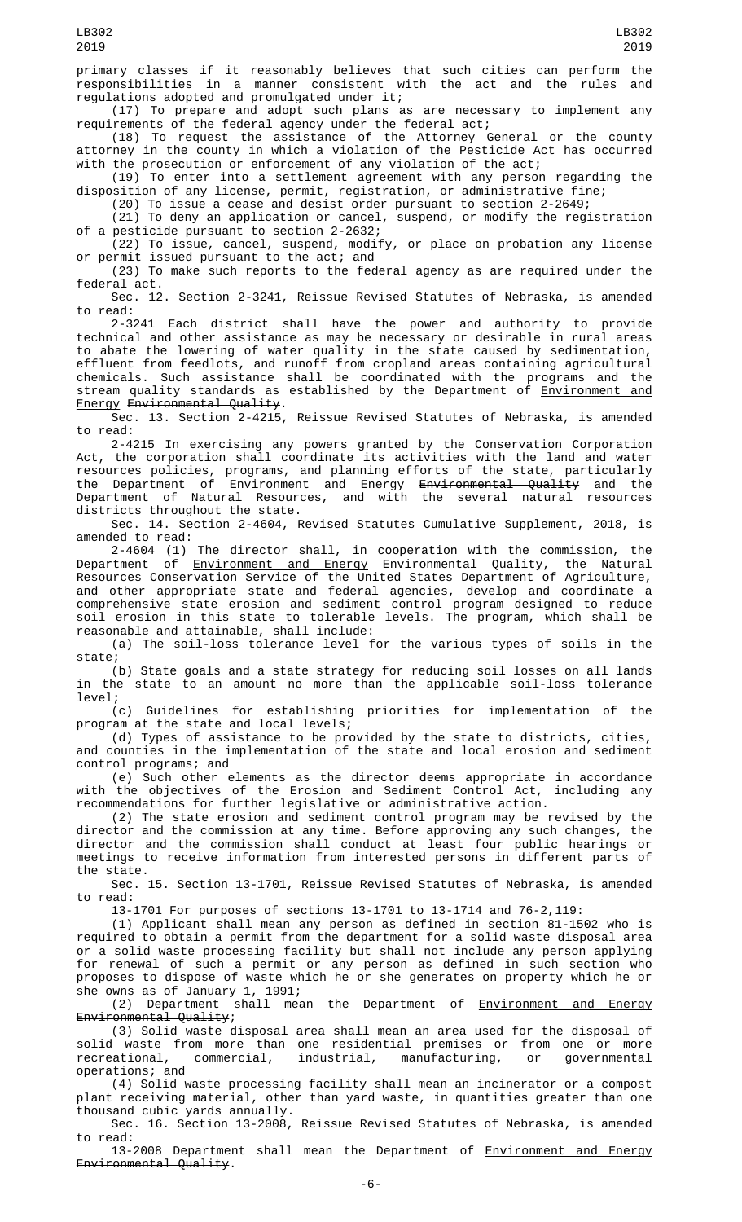primary classes if it reasonably believes that such cities can perform the responsibilities in a manner consistent with the act and the rules and regulations adopted and promulgated under it;

(17) To prepare and adopt such plans as are necessary to implement any requirements of the federal agency under the federal act;

(18) To request the assistance of the Attorney General or the county attorney in the county in which a violation of the Pesticide Act has occurred with the prosecution or enforcement of any violation of the act;

(19) To enter into a settlement agreement with any person regarding the disposition of any license, permit, registration, or administrative fine;

(20) To issue a cease and desist order pursuant to section 2-2649;

(21) To deny an application or cancel, suspend, or modify the registration of a pesticide pursuant to section 2-2632;

(22) To issue, cancel, suspend, modify, or place on probation any license or permit issued pursuant to the act; and

(23) To make such reports to the federal agency as are required under the federal act.

Sec. 12. Section 2-3241, Reissue Revised Statutes of Nebraska, is amended to read:

2-3241 Each district shall have the power and authority to provide technical and other assistance as may be necessary or desirable in rural areas to abate the lowering of water quality in the state caused by sedimentation, effluent from feedlots, and runoff from cropland areas containing agricultural chemicals. Such assistance shall be coordinated with the programs and the stream quality standards as established by the Department of Environment and Energy Environmental Quality.

Sec. 13. Section 2-4215, Reissue Revised Statutes of Nebraska, is amended to read:

2-4215 In exercising any powers granted by the Conservation Corporation Act, the corporation shall coordinate its activities with the land and water resources policies, programs, and planning efforts of the state, particularly the Department of <u>Environment and Energy</u> <del>Environmental Quality</del> and the Department of Natural Resources, and with the several natural resources districts throughout the state.

Sec. 14. Section 2-4604, Revised Statutes Cumulative Supplement, 2018, is amended to read:

2-4604 (1) The director shall, in cooperation with the commission, the Department of <u>Environment and Energy</u> <del>Environmental Quality</del>, the Natural Resources Conservation Service of the United States Department of Agriculture, and other appropriate state and federal agencies, develop and coordinate a comprehensive state erosion and sediment control program designed to reduce soil erosion in this state to tolerable levels. The program, which shall be reasonable and attainable, shall include:

(a) The soil-loss tolerance level for the various types of soils in the state;

(b) State goals and a state strategy for reducing soil losses on all lands in the state to an amount no more than the applicable soil-loss tolerance level;

(c) Guidelines for establishing priorities for implementation of the program at the state and local levels;

(d) Types of assistance to be provided by the state to districts, cities, and counties in the implementation of the state and local erosion and sediment control programs; and

(e) Such other elements as the director deems appropriate in accordance with the objectives of the Erosion and Sediment Control Act, including any recommendations for further legislative or administrative action.

(2) The state erosion and sediment control program may be revised by the director and the commission at any time. Before approving any such changes, the director and the commission shall conduct at least four public hearings or meetings to receive information from interested persons in different parts of the state.

Sec. 15. Section 13-1701, Reissue Revised Statutes of Nebraska, is amended to read:

13-1701 For purposes of sections 13-1701 to 13-1714 and 76-2,119:

(1) Applicant shall mean any person as defined in section 81-1502 who is required to obtain a permit from the department for a solid waste disposal area or a solid waste processing facility but shall not include any person applying for renewal of such a permit or any person as defined in such section who proposes to dispose of waste which he or she generates on property which he or she owns as of January 1, 1991;

(2) Department shall mean the Department of **Environment and Energy** Environmental Quality;

(3) Solid waste disposal area shall mean an area used for the disposal of solid waste from more than one residential premises or from one or more recreational, commercial, industrial, manufacturing, or governmental operations; and

(4) Solid waste processing facility shall mean an incinerator or a compost plant receiving material, other than yard waste, in quantities greater than one thousand cubic yards annually.

Sec. 16. Section 13-2008, Reissue Revised Statutes of Nebraska, is amended to read:

13-2008 Department shall mean the Department of Environment and Energy Environmental Quality.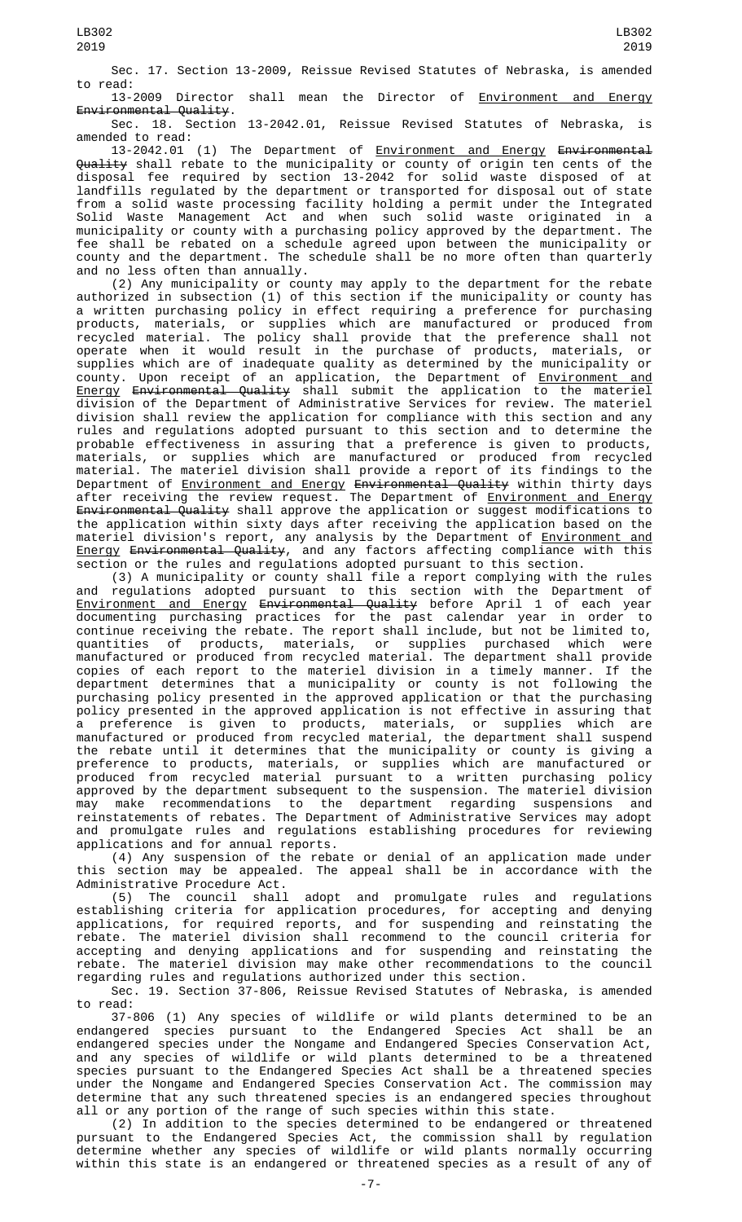Sec. 17. Section 13-2009, Reissue Revised Statutes of Nebraska, is amended to read:

13-2009 Director shall mean the Director of Environment and Energy Environmental Quality.

Sec. 18. Section 13-2042.01, Reissue Revised Statutes of Nebraska, is amended to read:

13-2042.01 (1) The Department of <u>Environment and Energy</u> Environmental Quality shall rebate to the municipality or county of origin ten cents of the disposal fee required by section 13-2042 for solid waste disposed of at landfills regulated by the department or transported for disposal out of state from a solid waste processing facility holding a permit under the Integrated Solid Waste Management Act and when such solid waste originated in a municipality or county with a purchasing policy approved by the department. The fee shall be rebated on a schedule agreed upon between the municipality or county and the department. The schedule shall be no more often than quarterly and no less often than annually.

(2) Any municipality or county may apply to the department for the rebate authorized in subsection (1) of this section if the municipality or county has a written purchasing policy in effect requiring a preference for purchasing products, materials, or supplies which are manufactured or produced from recycled material. The policy shall provide that the preference shall not operate when it would result in the purchase of products, materials, or supplies which are of inadequate quality as determined by the municipality or county. Upon receipt of an application, the Department of <u>Environment and</u> Energy Environmental Quality shall submit the application to the materiel division of the Department of Administrative Services for review. The materiel division shall review the application for compliance with this section and any rules and regulations adopted pursuant to this section and to determine the probable effectiveness in assuring that a preference is given to products, materials, or supplies which are manufactured or produced from recycled material. The materiel division shall provide a report of its findings to the Department of <u>Environment and Energy</u> Environmental Quality within thirty days<br>after receiving the review request. The Department of <u>Environment and Energy</u> after receiving the review request. The Department of <u>Environment and Energy</u> Environmental Quality shall approve the application or suggest modifications to the application within sixty days after receiving the application based on the materiel division's report, any analysis by the Department of *Environment and* Energy Environmental Quality, and any factors affecting compliance with this section or the rules and regulations adopted pursuant to this section.

(3) A municipality or county shall file a report complying with the rules regulations adopted pursuant to this section with the Department of <u>Environment and Energy</u> <del>Environmental Quality</del> before April 1 of each year documenting purchasing practices for the past calendar year in order to continue receiving the rebate. The report shall include, but not be limited to, quantities of products, materials, or supplies purchased which were manufactured or produced from recycled material. The department shall provide copies of each report to the materiel division in a timely manner. If the department determines that a municipality or county is not following the purchasing policy presented in the approved application or that the purchasing policy presented in the approved application is not effective in assuring that a preference is given to products, materials, or supplies which are manufactured or produced from recycled material, the department shall suspend the rebate until it determines that the municipality or county is giving a preference to products, materials, or supplies which are manufactured or produced from recycled material pursuant to a written purchasing policy approved by the department subsequent to the suspension. The materiel division may make recommendations to the department regarding suspensions and reinstatements of rebates. The Department of Administrative Services may adopt and promulgate rules and regulations establishing procedures for reviewing applications and for annual reports.

(4) Any suspension of the rebate or denial of an application made under this section may be appealed. The appeal shall be in accordance with the Administrative Procedure Act.

(5) The council shall adopt and promulgate rules and regulations establishing criteria for application procedures, for accepting and denying applications, for required reports, and for suspending and reinstating the rebate. The materiel division shall recommend to the council criteria for accepting and denying applications and for suspending and reinstating the rebate. The materiel division may make other recommendations to the council regarding rules and regulations authorized under this section.

Sec. 19. Section 37-806, Reissue Revised Statutes of Nebraska, is amended to read:

37-806 (1) Any species of wildlife or wild plants determined to be an endangered species pursuant to the Endangered Species Act shall be an endangered species under the Nongame and Endangered Species Conservation Act, and any species of wildlife or wild plants determined to be a threatened species pursuant to the Endangered Species Act shall be a threatened species under the Nongame and Endangered Species Conservation Act. The commission may determine that any such threatened species is an endangered species throughout all or any portion of the range of such species within this state.

(2) In addition to the species determined to be endangered or threatened pursuant to the Endangered Species Act, the commission shall by regulation determine whether any species of wildlife or wild plants normally occurring within this state is an endangered or threatened species as a result of any of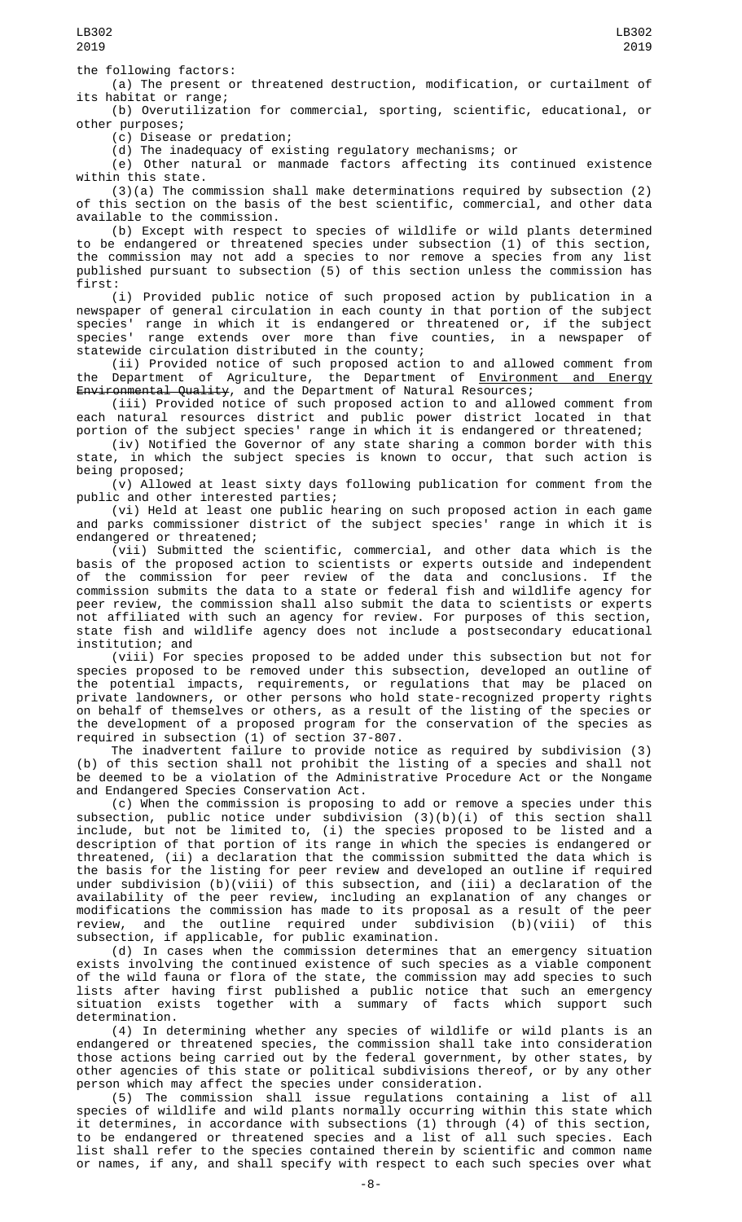LB302 2019

the following factors:

(a) The present or threatened destruction, modification, or curtailment of its habitat or range;

(b) Overutilization for commercial, sporting, scientific, educational, or other purposes;

(c) Disease or predation;

(d) The inadequacy of existing regulatory mechanisms; or

(e) Other natural or manmade factors affecting its continued existence within this state.

(3)(a) The commission shall make determinations required by subsection (2) of this section on the basis of the best scientific, commercial, and other data available to the commission.

(b) Except with respect to species of wildlife or wild plants determined to be endangered or threatened species under subsection (1) of this section, the commission may not add a species to nor remove a species from any list published pursuant to subsection (5) of this section unless the commission has first:

(i) Provided public notice of such proposed action by publication in a newspaper of general circulation in each county in that portion of the subject species' range in which it is endangered or threatened or, if the subject species' range extends over more than five counties, in a newspaper of statewide circulation distributed in the county;

(ii) Provided notice of such proposed action to and allowed comment from the Department of Agriculture, the Department of <u>Environment and Energy</u> Environmental Quality, and the Department of Natural Resources;

(iii) Provided notice of such proposed action to and allowed comment from each natural resources district and public power district located in that portion of the subject species' range in which it is endangered or threatened;

(iv) Notified the Governor of any state sharing a common border with this state, in which the subject species is known to occur, that such action is being proposed;

(v) Allowed at least sixty days following publication for comment from the public and other interested parties;

(vi) Held at least one public hearing on such proposed action in each game and parks commissioner district of the subject species' range in which it is endangered or threatened;

(vii) Submitted the scientific, commercial, and other data which is the basis of the proposed action to scientists or experts outside and independent of the commission for peer review of the data and conclusions. If the commission submits the data to a state or federal fish and wildlife agency for peer review, the commission shall also submit the data to scientists or experts not affiliated with such an agency for review. For purposes of this section, state fish and wildlife agency does not include a postsecondary educational institution; and

(viii) For species proposed to be added under this subsection but not for species proposed to be removed under this subsection, developed an outline of the potential impacts, requirements, or regulations that may be placed on private landowners, or other persons who hold state-recognized property rights on behalf of themselves or others, as a result of the listing of the species or the development of a proposed program for the conservation of the species as required in subsection (1) of section 37-807.

The inadvertent failure to provide notice as required by subdivision (3) (b) of this section shall not prohibit the listing of a species and shall not be deemed to be a violation of the Administrative Procedure Act or the Nongame and Endangered Species Conservation Act.

(c) When the commission is proposing to add or remove a species under this subsection, public notice under subdivision (3)(b)(i) of this section shall include, but not be limited to, (i) the species proposed to be listed and a description of that portion of its range in which the species is endangered or threatened, (ii) a declaration that the commission submitted the data which is the basis for the listing for peer review and developed an outline if required under subdivision (b)(viii) of this subsection, and (iii) a declaration of the availability of the peer review, including an explanation of any changes or modifications the commission has made to its proposal as a result of the peer review, and the outline required under subdivision (b)(viii) of this subsection, if applicable, for public examination.

(d) In cases when the commission determines that an emergency situation exists involving the continued existence of such species as a viable component of the wild fauna or flora of the state, the commission may add species to such lists after having first published a public notice that such an emergency situation exists together with a summary of facts which support such determination.

(4) In determining whether any species of wildlife or wild plants is an endangered or threatened species, the commission shall take into consideration those actions being carried out by the federal government, by other states, by other agencies of this state or political subdivisions thereof, or by any other person which may affect the species under consideration.

(5) The commission shall issue regulations containing a list of all species of wildlife and wild plants normally occurring within this state which it determines, in accordance with subsections (1) through (4) of this section, to be endangered or threatened species and a list of all such species. Each list shall refer to the species contained therein by scientific and common name or names, if any, and shall specify with respect to each such species over what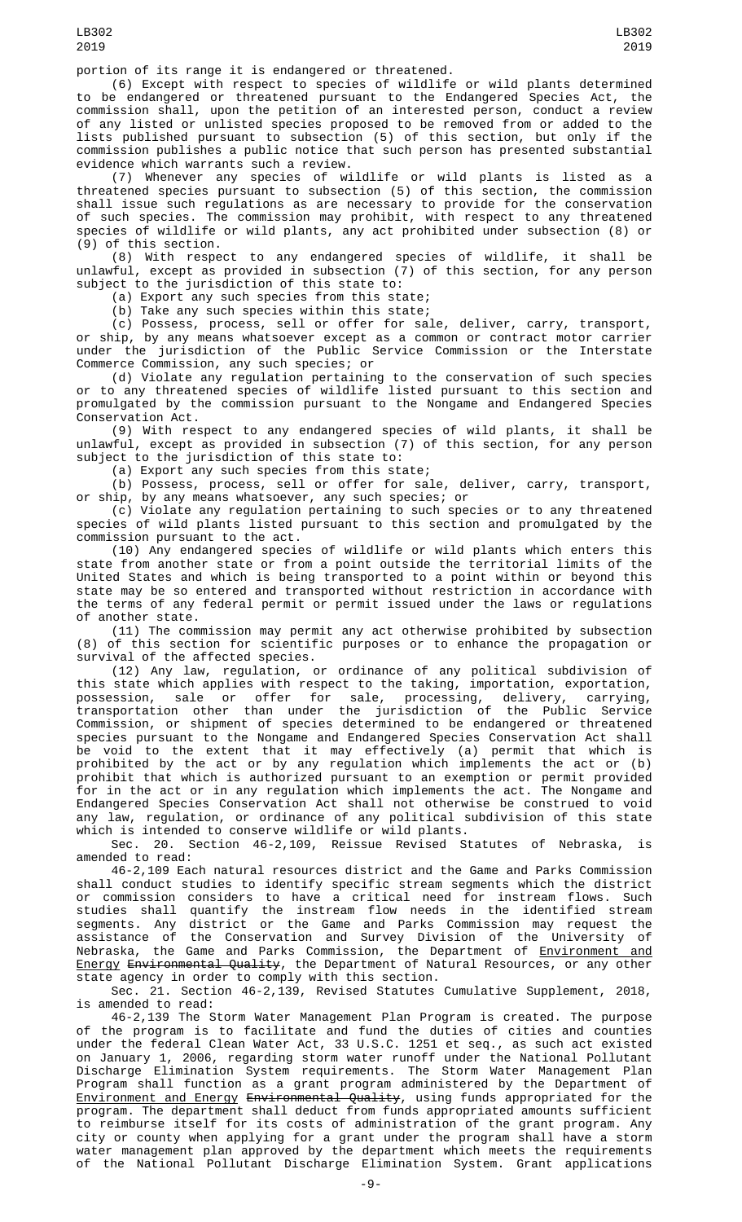portion of its range it is endangered or threatened.

(6) Except with respect to species of wildlife or wild plants determined to be endangered or threatened pursuant to the Endangered Species Act, the commission shall, upon the petition of an interested person, conduct a review of any listed or unlisted species proposed to be removed from or added to the lists published pursuant to subsection (5) of this section, but only if the commission publishes a public notice that such person has presented substantial evidence which warrants such a review.

(7) Whenever any species of wildlife or wild plants is listed as a threatened species pursuant to subsection (5) of this section, the commission shall issue such regulations as are necessary to provide for the conservation of such species. The commission may prohibit, with respect to any threatened species of wildlife or wild plants, any act prohibited under subsection (8) or (9) of this section.

(8) With respect to any endangered species of wildlife, it shall be unlawful, except as provided in subsection (7) of this section, for any person subject to the jurisdiction of this state to:

(a) Export any such species from this state;

(b) Take any such species within this state;

(c) Possess, process, sell or offer for sale, deliver, carry, transport, or ship, by any means whatsoever except as a common or contract motor carrier under the jurisdiction of the Public Service Commission or the Interstate Commerce Commission, any such species; or

(d) Violate any regulation pertaining to the conservation of such species or to any threatened species of wildlife listed pursuant to this section and promulgated by the commission pursuant to the Nongame and Endangered Species Conservation Act.

(9) With respect to any endangered species of wild plants, it shall be unlawful, except as provided in subsection (7) of this section, for any person subject to the jurisdiction of this state to:

(a) Export any such species from this state;

(b) Possess, process, sell or offer for sale, deliver, carry, transport, or ship, by any means whatsoever, any such species; or

(c) Violate any regulation pertaining to such species or to any threatened species of wild plants listed pursuant to this section and promulgated by the commission pursuant to the act.

(10) Any endangered species of wildlife or wild plants which enters this state from another state or from a point outside the territorial limits of the United States and which is being transported to a point within or beyond this state may be so entered and transported without restriction in accordance with the terms of any federal permit or permit issued under the laws or regulations of another state.

(11) The commission may permit any act otherwise prohibited by subsection (8) of this section for scientific purposes or to enhance the propagation or survival of the affected species.

(12) Any law, regulation, or ordinance of any political subdivision of this state which applies with respect to the taking, importation, exportation, possession, sale or offer for sale, processing, delivery, carrying, transportation other than under the jurisdiction of the Public Service Commission, or shipment of species determined to be endangered or threatened species pursuant to the Nongame and Endangered Species Conservation Act shall be void to the extent that it may effectively (a) permit that which is prohibited by the act or by any regulation which implements the act or (b) prohibit that which is authorized pursuant to an exemption or permit provided for in the act or in any regulation which implements the act. The Nongame and Endangered Species Conservation Act shall not otherwise be construed to void any law, regulation, or ordinance of any political subdivision of this state which is intended to conserve wildlife or wild plants.

Sec. 20. Section 46-2,109, Reissue Revised Statutes of Nebraska, is amended to read:

46-2,109 Each natural resources district and the Game and Parks Commission shall conduct studies to identify specific stream segments which the district or commission considers to have a critical need for instream flows. Such studies shall quantify the instream flow needs in the identified stream segments. Any district or the Game and Parks Commission may request the assistance of the Conservation and Survey Division of the University of Nebraska, the Game and Parks Commission, the Department of <u>Environment and</u> <u>Energy</u> <del>Environmental Quality</del>, the Department of Natural Resources, or any other state agency in order to comply with this section.

Sec. 21. Section 46-2,139, Revised Statutes Cumulative Supplement, 2018, is amended to read:

46-2,139 The Storm Water Management Plan Program is created. The purpose of the program is to facilitate and fund the duties of cities and counties under the federal Clean Water Act, 33 U.S.C. 1251 et seq., as such act existed on January 1, 2006, regarding storm water runoff under the National Pollutant Discharge Elimination System requirements. The Storm Water Management Plan Program shall function as a grant program administered by the Department of <u>Environment and Energy</u> <del>Environmental Quality</del>, using funds appropriated for the program. The department shall deduct from funds appropriated amounts sufficient to reimburse itself for its costs of administration of the grant program. Any city or county when applying for a grant under the program shall have a storm water management plan approved by the department which meets the requirements of the National Pollutant Discharge Elimination System. Grant applications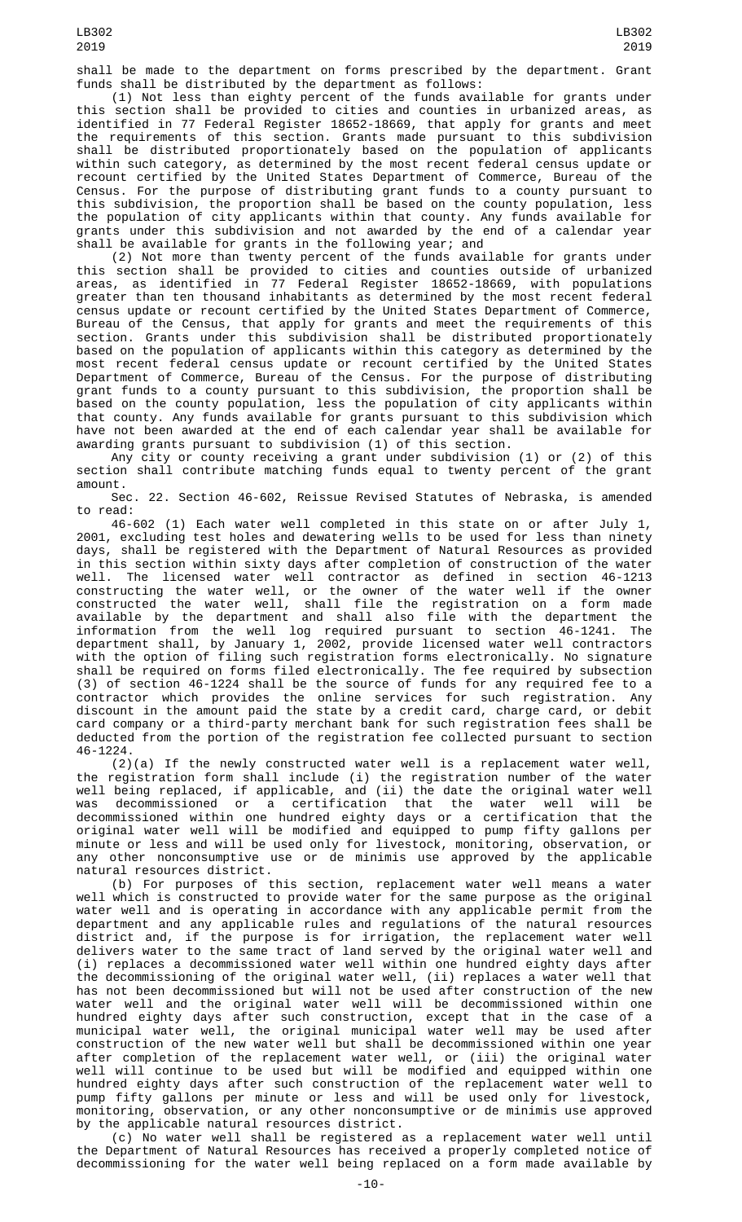shall be made to the department on forms prescribed by the department. Grant funds shall be distributed by the department as follows:

(1) Not less than eighty percent of the funds available for grants under this section shall be provided to cities and counties in urbanized areas, as identified in 77 Federal Register 18652-18669, that apply for grants and meet the requirements of this section. Grants made pursuant to this subdivision shall be distributed proportionately based on the population of applicants within such category, as determined by the most recent federal census update or recount certified by the United States Department of Commerce, Bureau of the Census. For the purpose of distributing grant funds to a county pursuant to this subdivision, the proportion shall be based on the county population, less the population of city applicants within that county. Any funds available for grants under this subdivision and not awarded by the end of a calendar year shall be available for grants in the following year; and

(2) Not more than twenty percent of the funds available for grants under this section shall be provided to cities and counties outside of urbanized areas, as identified in 77 Federal Register 18652-18669, with populations greater than ten thousand inhabitants as determined by the most recent federal census update or recount certified by the United States Department of Commerce, Bureau of the Census, that apply for grants and meet the requirements of this section. Grants under this subdivision shall be distributed proportionately based on the population of applicants within this category as determined by the most recent federal census update or recount certified by the United States Department of Commerce, Bureau of the Census. For the purpose of distributing grant funds to a county pursuant to this subdivision, the proportion shall be based on the county population, less the population of city applicants within that county. Any funds available for grants pursuant to this subdivision which have not been awarded at the end of each calendar year shall be available for awarding grants pursuant to subdivision (1) of this section.

Any city or county receiving a grant under subdivision (1) or (2) of this section shall contribute matching funds equal to twenty percent of the grant amount.

Sec. 22. Section 46-602, Reissue Revised Statutes of Nebraska, is amended to read:

46-602 (1) Each water well completed in this state on or after July 1, 2001, excluding test holes and dewatering wells to be used for less than ninety days, shall be registered with the Department of Natural Resources as provided in this section within sixty days after completion of construction of the water well. The licensed water well contractor as defined in section 46-1213 constructing the water well, or the owner of the water well if the owner constructed the water well, shall file the registration on a form made available by the department and shall also file with the department the information from the well log required pursuant to section 46-1241. The department shall, by January 1, 2002, provide licensed water well contractors with the option of filing such registration forms electronically. No signature shall be required on forms filed electronically. The fee required by subsection (3) of section 46-1224 shall be the source of funds for any required fee to a contractor which provides the online services for such registration. Any discount in the amount paid the state by a credit card, charge card, or debit card company or a third-party merchant bank for such registration fees shall be deducted from the portion of the registration fee collected pursuant to section 46-1224.

(2)(a) If the newly constructed water well is a replacement water well, the registration form shall include (i) the registration number of the water well being replaced, if applicable, and (ii) the date the original water well was decommissioned or a certification that the water well will be decommissioned within one hundred eighty days or a certification that the original water well will be modified and equipped to pump fifty gallons per minute or less and will be used only for livestock, monitoring, observation, or any other nonconsumptive use or de minimis use approved by the applicable natural resources district.

(b) For purposes of this section, replacement water well means a water well which is constructed to provide water for the same purpose as the original water well and is operating in accordance with any applicable permit from the department and any applicable rules and regulations of the natural resources district and, if the purpose is for irrigation, the replacement water well delivers water to the same tract of land served by the original water well and (i) replaces a decommissioned water well within one hundred eighty days after the decommissioning of the original water well, (ii) replaces a water well that has not been decommissioned but will not be used after construction of the new water well and the original water well will be decommissioned within one hundred eighty days after such construction, except that in the case of a municipal water well, the original municipal water well may be used after construction of the new water well but shall be decommissioned within one year after completion of the replacement water well, or (iii) the original water well will continue to be used but will be modified and equipped within one hundred eighty days after such construction of the replacement water well to pump fifty gallons per minute or less and will be used only for livestock, monitoring, observation, or any other nonconsumptive or de minimis use approved by the applicable natural resources district.

 $(c)$  No water well shall be registered as a replacement water well until the Department of Natural Resources has received a properly completed notice of decommissioning for the water well being replaced on a form made available by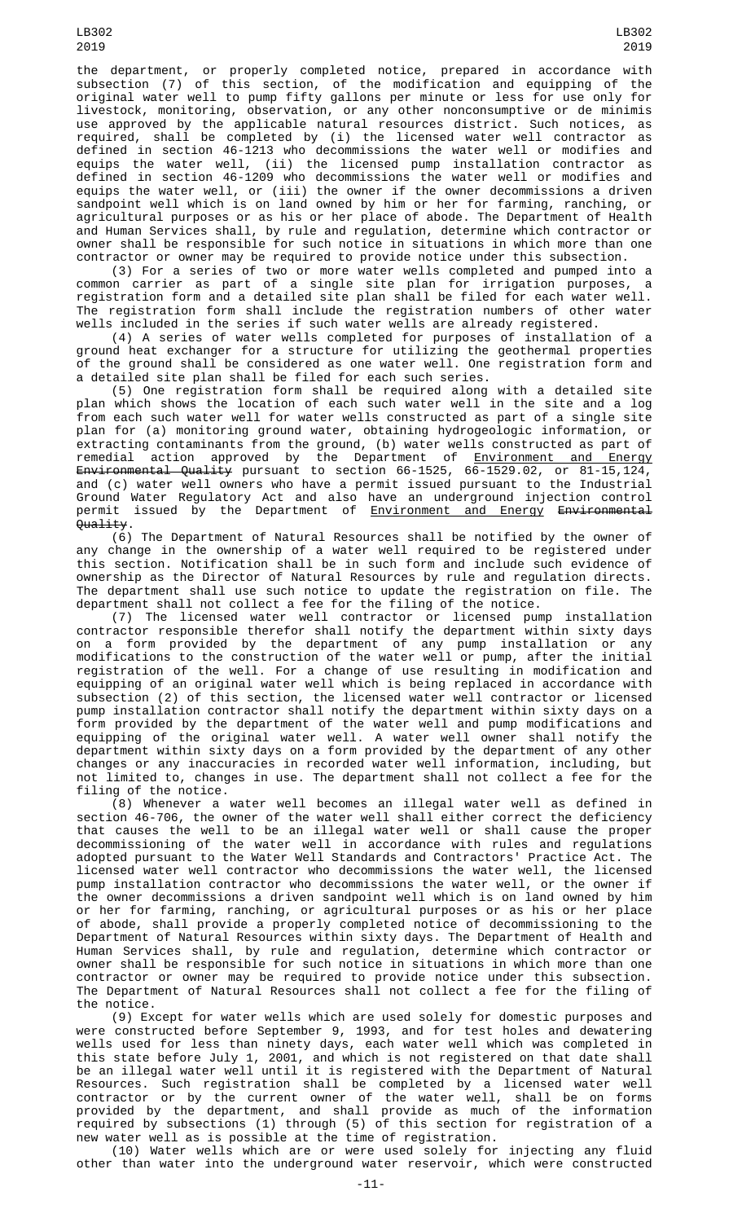the department, or properly completed notice, prepared in accordance with subsection (7) of this section, of the modification and equipping of the original water well to pump fifty gallons per minute or less for use only for livestock, monitoring, observation, or any other nonconsumptive or de minimis use approved by the applicable natural resources district. Such notices, as required, shall be completed by (i) the licensed water well contractor as defined in section 46-1213 who decommissions the water well or modifies and equips the water well, (ii) the licensed pump installation contractor as defined in section 46-1209 who decommissions the water well or modifies and equips the water well, or (iii) the owner if the owner decommissions a driven sandpoint well which is on land owned by him or her for farming, ranching, or agricultural purposes or as his or her place of abode. The Department of Health and Human Services shall, by rule and regulation, determine which contractor or owner shall be responsible for such notice in situations in which more than one contractor or owner may be required to provide notice under this subsection.

(3) For a series of two or more water wells completed and pumped into a common carrier as part of a single site plan for irrigation purposes, a registration form and a detailed site plan shall be filed for each water well. The registration form shall include the registration numbers of other water wells included in the series if such water wells are already registered.

(4) A series of water wells completed for purposes of installation of a ground heat exchanger for a structure for utilizing the geothermal properties of the ground shall be considered as one water well. One registration form and a detailed site plan shall be filed for each such series.

(5) One registration form shall be required along with a detailed site plan which shows the location of each such water well in the site and a log from each such water well for water wells constructed as part of a single site plan for (a) monitoring ground water, obtaining hydrogeologic information, or extracting contaminants from the ground, (b) water wells constructed as part of remedial action approved by the Department of <u>Environment and Energy</u> Environmental Quality pursuant to section 66-1525, 66-1529.02, or 81-15,124, and (c) water well owners who have a permit issued pursuant to the Industrial Ground Water Regulatory Act and also have an underground injection control permit issued by the Department of <u>Environment and Energy</u> <del>Environmental</del> Quality.

(6) The Department of Natural Resources shall be notified by the owner of any change in the ownership of a water well required to be registered under this section. Notification shall be in such form and include such evidence of ownership as the Director of Natural Resources by rule and regulation directs. The department shall use such notice to update the registration on file. The department shall not collect a fee for the filing of the notice.

(7) The licensed water well contractor or licensed pump installation contractor responsible therefor shall notify the department within sixty days on a form provided by the department of any pump installation or any modifications to the construction of the water well or pump, after the initial registration of the well. For a change of use resulting in modification and equipping of an original water well which is being replaced in accordance with subsection (2) of this section, the licensed water well contractor or licensed pump installation contractor shall notify the department within sixty days on a form provided by the department of the water well and pump modifications and equipping of the original water well. A water well owner shall notify the department within sixty days on a form provided by the department of any other changes or any inaccuracies in recorded water well information, including, but not limited to, changes in use. The department shall not collect a fee for the filing of the notice.

(8) Whenever a water well becomes an illegal water well as defined in section 46-706, the owner of the water well shall either correct the deficiency that causes the well to be an illegal water well or shall cause the proper decommissioning of the water well in accordance with rules and regulations adopted pursuant to the Water Well Standards and Contractors' Practice Act. The licensed water well contractor who decommissions the water well, the licensed pump installation contractor who decommissions the water well, or the owner if the owner decommissions a driven sandpoint well which is on land owned by him or her for farming, ranching, or agricultural purposes or as his or her place of abode, shall provide a properly completed notice of decommissioning to the Department of Natural Resources within sixty days. The Department of Health and Human Services shall, by rule and regulation, determine which contractor or owner shall be responsible for such notice in situations in which more than one contractor or owner may be required to provide notice under this subsection. The Department of Natural Resources shall not collect a fee for the filing of the notice.

(9) Except for water wells which are used solely for domestic purposes and were constructed before September 9, 1993, and for test holes and dewatering wells used for less than ninety days, each water well which was completed in this state before July 1, 2001, and which is not registered on that date shall be an illegal water well until it is registered with the Department of Natural Resources. Such registration shall be completed by a licensed water well contractor or by the current owner of the water well, shall be on forms provided by the department, and shall provide as much of the information required by subsections (1) through (5) of this section for registration of a new water well as is possible at the time of registration.

(10) Water wells which are or were used solely for injecting any fluid other than water into the underground water reservoir, which were constructed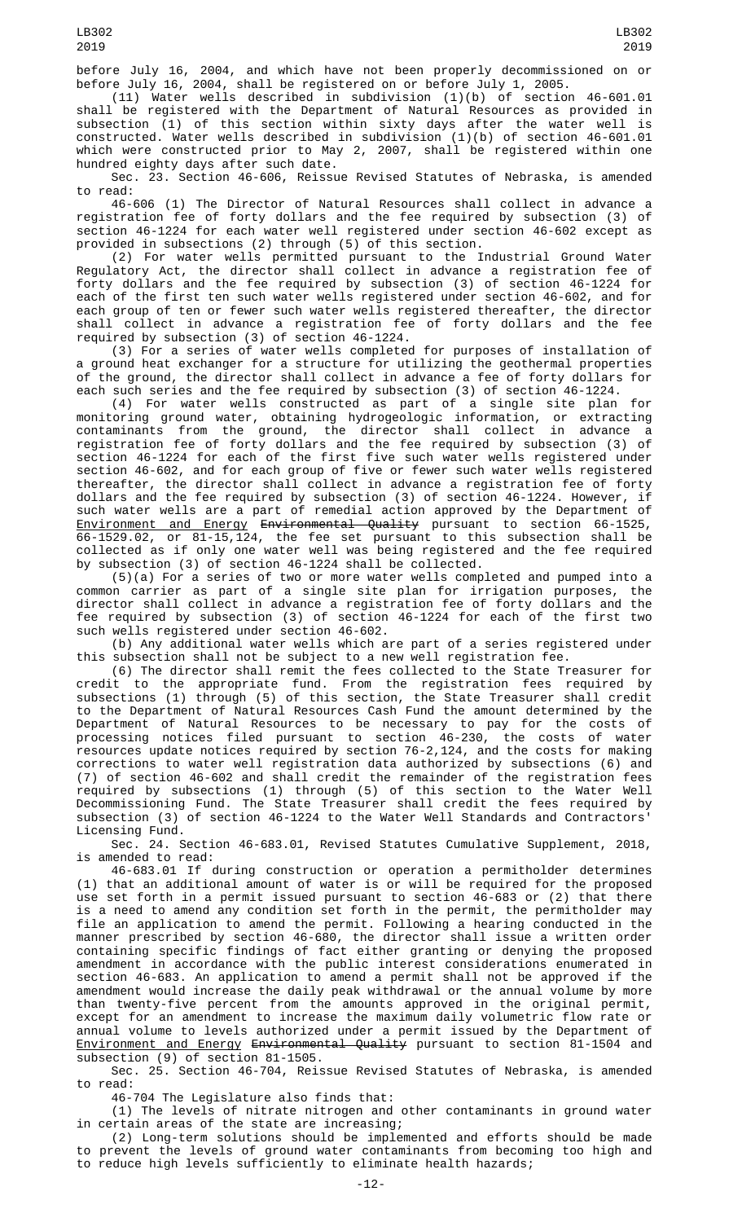(11) Water wells described in subdivision (1)(b) of section 46-601.01 shall be registered with the Department of Natural Resources as provided in subsection (1) of this section within sixty days after the water well is constructed. Water wells described in subdivision (1)(b) of section 46-601.01 which were constructed prior to May 2, 2007, shall be registered within one hundred eighty days after such date.

Sec. 23. Section 46-606, Reissue Revised Statutes of Nebraska, is amended to read:

46-606 (1) The Director of Natural Resources shall collect in advance a registration fee of forty dollars and the fee required by subsection (3) of section 46-1224 for each water well registered under section 46-602 except as provided in subsections (2) through (5) of this section.

(2) For water wells permitted pursuant to the Industrial Ground Water Regulatory Act, the director shall collect in advance a registration fee of forty dollars and the fee required by subsection (3) of section 46-1224 for each of the first ten such water wells registered under section 46-602, and for each group of ten or fewer such water wells registered thereafter, the director shall collect in advance a registration fee of forty dollars and the fee required by subsection (3) of section 46-1224.

(3) For a series of water wells completed for purposes of installation of a ground heat exchanger for a structure for utilizing the geothermal properties of the ground, the director shall collect in advance a fee of forty dollars for each such series and the fee required by subsection (3) of section 46-1224.

(4) For water wells constructed as part of a single site plan for monitoring ground water, obtaining hydrogeologic information, or extracting contaminants from the ground, the director shall collect in advance a registration fee of forty dollars and the fee required by subsection (3) of section 46-1224 for each of the first five such water wells registered under section 46-602, and for each group of five or fewer such water wells registered thereafter, the director shall collect in advance a registration fee of forty dollars and the fee required by subsection (3) of section 46-1224. However, if such water wells are a part of remedial action approved by the Department of Environment and Energy Environmental Quality pursuant to section 66-1525, 66-1529.02, or 81-15,124, the fee set pursuant to this subsection shall be collected as if only one water well was being registered and the fee required by subsection (3) of section 46-1224 shall be collected.

(5)(a) For a series of two or more water wells completed and pumped into a common carrier as part of a single site plan for irrigation purposes, the director shall collect in advance a registration fee of forty dollars and the fee required by subsection (3) of section 46-1224 for each of the first two such wells registered under section 46-602.

(b) Any additional water wells which are part of a series registered under this subsection shall not be subject to a new well registration fee.

(6) The director shall remit the fees collected to the State Treasurer for credit to the appropriate fund. From the registration fees required by subsections (1) through (5) of this section, the State Treasurer shall credit to the Department of Natural Resources Cash Fund the amount determined by the Department of Natural Resources to be necessary to pay for the costs of processing notices filed pursuant to section 46-230, the costs of water resources update notices required by section 76-2,124, and the costs for making corrections to water well registration data authorized by subsections (6) and (7) of section 46-602 and shall credit the remainder of the registration fees required by subsections (1) through (5) of this section to the Water Well Decommissioning Fund. The State Treasurer shall credit the fees required by subsection (3) of section 46-1224 to the Water Well Standards and Contractors' Licensing Fund.

Sec. 24. Section 46-683.01, Revised Statutes Cumulative Supplement, 2018, is amended to read:

46-683.01 If during construction or operation a permitholder determines (1) that an additional amount of water is or will be required for the proposed use set forth in a permit issued pursuant to section 46-683 or (2) that there is a need to amend any condition set forth in the permit, the permitholder may file an application to amend the permit. Following a hearing conducted in the manner prescribed by section 46-680, the director shall issue a written order containing specific findings of fact either granting or denying the proposed amendment in accordance with the public interest considerations enumerated in section 46-683. An application to amend a permit shall not be approved if the amendment would increase the daily peak withdrawal or the annual volume by more than twenty-five percent from the amounts approved in the original permit, except for an amendment to increase the maximum daily volumetric flow rate or annual volume to levels authorized under a permit issued by the Department of <u>Environment and Energy</u> <del>Environmental Quality</del> pursuant to section 81-1504 and subsection (9) of section 81-1505.

Sec. 25. Section 46-704, Reissue Revised Statutes of Nebraska, is amended to read:

46-704 The Legislature also finds that:

(1) The levels of nitrate nitrogen and other contaminants in ground water in certain areas of the state are increasing;

(2) Long-term solutions should be implemented and efforts should be made to prevent the levels of ground water contaminants from becoming too high and to reduce high levels sufficiently to eliminate health hazards;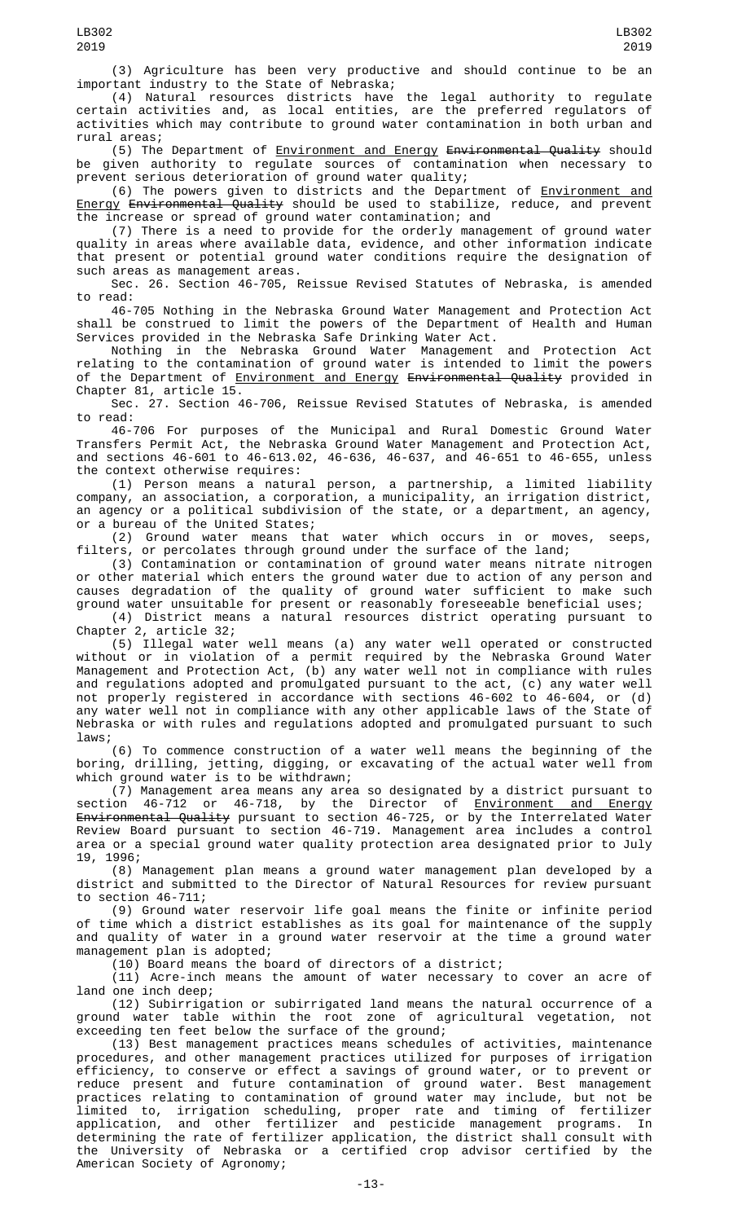(3) Agriculture has been very productive and should continue to be an important industry to the State of Nebraska;

(4) Natural resources districts have the legal authority to regulate certain activities and, as local entities, are the preferred regulators of activities which may contribute to ground water contamination in both urban and rural areas;

(5) The Department of Environment and Energy Environmental Quality should be given authority to regulate sources of contamination when necessary to prevent serious deterioration of ground water quality;

(6) The powers given to districts and the Department of Environment and Energy Environmental Quality should be used to stabilize, reduce, and prevent the increase or spread of ground water contamination; and

(7) There is a need to provide for the orderly management of ground water quality in areas where available data, evidence, and other information indicate that present or potential ground water conditions require the designation of such areas as management areas.

Sec. 26. Section 46-705, Reissue Revised Statutes of Nebraska, is amended to read:

46-705 Nothing in the Nebraska Ground Water Management and Protection Act shall be construed to limit the powers of the Department of Health and Human Services provided in the Nebraska Safe Drinking Water Act.

Nothing in the Nebraska Ground Water Management and Protection Act relating to the contamination of ground water is intended to limit the powers of the Department of <u>Environment and Energy</u> <del>Environmental Quality</del> provided in Chapter 81, article 15.

Sec. 27. Section 46-706, Reissue Revised Statutes of Nebraska, is amended to read:

46-706 For purposes of the Municipal and Rural Domestic Ground Water Transfers Permit Act, the Nebraska Ground Water Management and Protection Act, and sections 46-601 to 46-613.02, 46-636, 46-637, and 46-651 to 46-655, unless the context otherwise requires:

(1) Person means a natural person, a partnership, a limited liability company, an association, a corporation, a municipality, an irrigation district, an agency or a political subdivision of the state, or a department, an agency, or a bureau of the United States;

(2) Ground water means that water which occurs in or moves, seeps, filters, or percolates through ground under the surface of the land;

(3) Contamination or contamination of ground water means nitrate nitrogen or other material which enters the ground water due to action of any person and causes degradation of the quality of ground water sufficient to make such ground water unsuitable for present or reasonably foreseeable beneficial uses;

(4) District means a natural resources district operating pursuant to Chapter 2, article 32;

(5) Illegal water well means (a) any water well operated or constructed without or in violation of a permit required by the Nebraska Ground Water Management and Protection Act, (b) any water well not in compliance with rules and regulations adopted and promulgated pursuant to the act, (c) any water well not properly registered in accordance with sections 46-602 to 46-604, or (d) any water well not in compliance with any other applicable laws of the State of Nebraska or with rules and regulations adopted and promulgated pursuant to such laws;

(6) To commence construction of a water well means the beginning of the boring, drilling, jetting, digging, or excavating of the actual water well from which ground water is to be withdrawn;

(7) Management area means any area so designated by a district pursuant to section 46-712 or 46-718, by the Director of <u>Environment and Energy</u> <del>Environmental Quality</del> pursuant to section 46-725, or by the Interrelated Water Review Board pursuant to section 46-719. Management area includes a control area or a special ground water quality protection area designated prior to July 19, 1996;

(8) Management plan means a ground water management plan developed by a district and submitted to the Director of Natural Resources for review pursuant to section 46-711;

(9) Ground water reservoir life goal means the finite or infinite period of time which a district establishes as its goal for maintenance of the supply and quality of water in a ground water reservoir at the time a ground water management plan is adopted;

(10) Board means the board of directors of a district;

(11) Acre-inch means the amount of water necessary to cover an acre of land one inch deep;

(12) Subirrigation or subirrigated land means the natural occurrence of a ground water table within the root zone of agricultural vegetation, not exceeding ten feet below the surface of the ground;

(13) Best management practices means schedules of activities, maintenance procedures, and other management practices utilized for purposes of irrigation efficiency, to conserve or effect a savings of ground water, or to prevent or reduce present and future contamination of ground water. Best management practices relating to contamination of ground water may include, but not be limited to, irrigation scheduling, proper rate and timing of fertilizer application, and other fertilizer and pesticide management programs. In determining the rate of fertilizer application, the district shall consult with the University of Nebraska or a certified crop advisor certified by the American Society of Agronomy;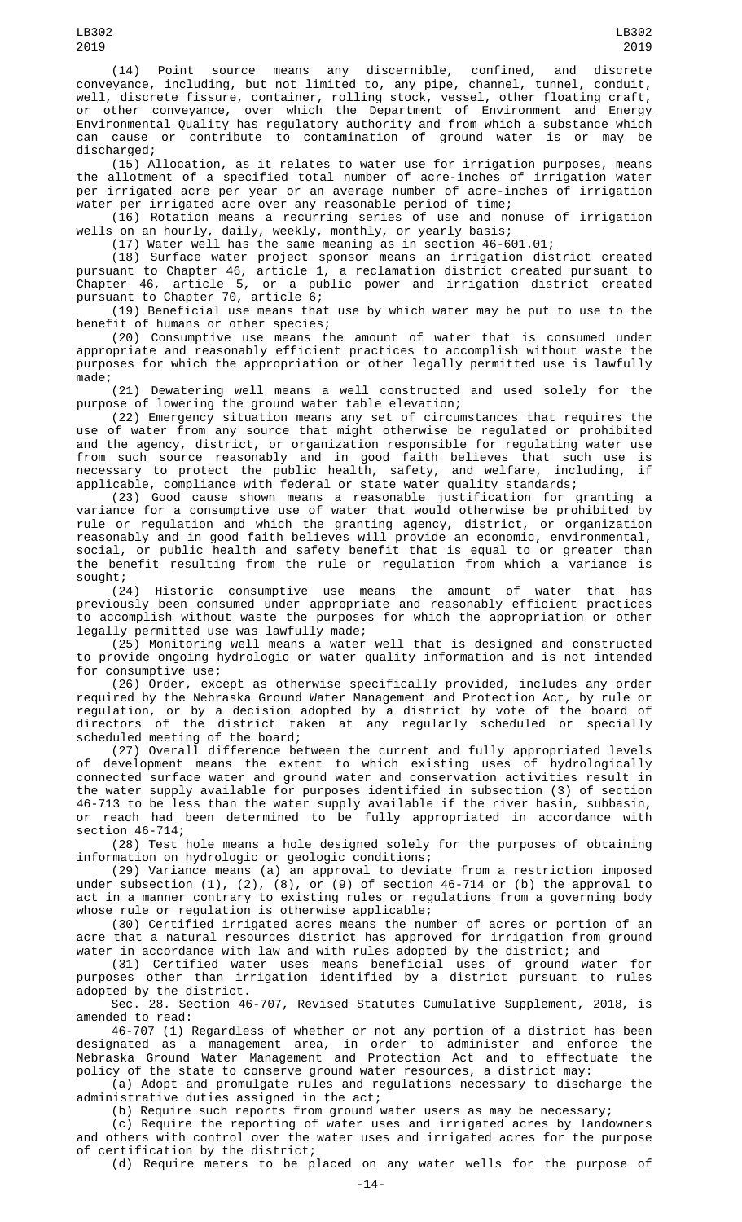LB302 2019

(14) Point source means any discernible, confined, and discrete conveyance, including, but not limited to, any pipe, channel, tunnel, conduit, well, discrete fissure, container, rolling stock, vessel, other floating craft, or other conveyance, over which the Department of <u>Environment and Energy</u> <del>Environmental Quality</del> has regulatory authority and from which a substance which can cause or contribute to contamination of ground water is or may be discharged;

(15) Allocation, as it relates to water use for irrigation purposes, means the allotment of a specified total number of acre-inches of irrigation water per irrigated acre per year or an average number of acre-inches of irrigation water per irrigated acre over any reasonable period of time;

(16) Rotation means a recurring series of use and nonuse of irrigation wells on an hourly, daily, weekly, monthly, or yearly basis;

(17) Water well has the same meaning as in section 46-601.01;

(18) Surface water project sponsor means an irrigation district created pursuant to Chapter 46, article 1, a reclamation district created pursuant to Chapter 46, article 5, or a public power and irrigation district created pursuant to Chapter 70, article 6;

(19) Beneficial use means that use by which water may be put to use to the benefit of humans or other species;

(20) Consumptive use means the amount of water that is consumed under appropriate and reasonably efficient practices to accomplish without waste the purposes for which the appropriation or other legally permitted use is lawfully made;

(21) Dewatering well means a well constructed and used solely for the purpose of lowering the ground water table elevation;

(22) Emergency situation means any set of circumstances that requires the use of water from any source that might otherwise be regulated or prohibited and the agency, district, or organization responsible for regulating water use from such source reasonably and in good faith believes that such use is necessary to protect the public health, safety, and welfare, including, if applicable, compliance with federal or state water quality standards;

(23) Good cause shown means a reasonable justification for granting a variance for a consumptive use of water that would otherwise be prohibited by rule or regulation and which the granting agency, district, or organization reasonably and in good faith believes will provide an economic, environmental, social, or public health and safety benefit that is equal to or greater than the benefit resulting from the rule or regulation from which a variance is sought;

(24) Historic consumptive use means the amount of water that has previously been consumed under appropriate and reasonably efficient practices to accomplish without waste the purposes for which the appropriation or other legally permitted use was lawfully made;

(25) Monitoring well means a water well that is designed and constructed to provide ongoing hydrologic or water quality information and is not intended for consumptive use;

(26) Order, except as otherwise specifically provided, includes any order required by the Nebraska Ground Water Management and Protection Act, by rule or regulation, or by a decision adopted by a district by vote of the board of directors of the district taken at any regularly scheduled or specially scheduled meeting of the board;

(27) Overall difference between the current and fully appropriated levels of development means the extent to which existing uses of hydrologically connected surface water and ground water and conservation activities result in the water supply available for purposes identified in subsection (3) of section 46-713 to be less than the water supply available if the river basin, subbasin, or reach had been determined to be fully appropriated in accordance with section 46-714;

(28) Test hole means a hole designed solely for the purposes of obtaining information on hydrologic or geologic conditions;

(29) Variance means (a) an approval to deviate from a restriction imposed under subsection (1), (2), (8), or (9) of section 46-714 or (b) the approval to act in a manner contrary to existing rules or regulations from a governing body whose rule or regulation is otherwise applicable;

(30) Certified irrigated acres means the number of acres or portion of an acre that a natural resources district has approved for irrigation from ground water in accordance with law and with rules adopted by the district; and

(31) Certified water uses means beneficial uses of ground water for purposes other than irrigation identified by a district pursuant to rules adopted by the district.

Sec. 28. Section 46-707, Revised Statutes Cumulative Supplement, 2018, is amended to read:

46-707 (1) Regardless of whether or not any portion of a district has been designated as a management area, in order to administer and enforce the Nebraska Ground Water Management and Protection Act and to effectuate the policy of the state to conserve ground water resources, a district may:

(a) Adopt and promulgate rules and regulations necessary to discharge the administrative duties assigned in the act;

(b) Require such reports from ground water users as may be necessary;

(c) Require the reporting of water uses and irrigated acres by landowners and others with control over the water uses and irrigated acres for the purpose of certification by the district;

(d) Require meters to be placed on any water wells for the purpose of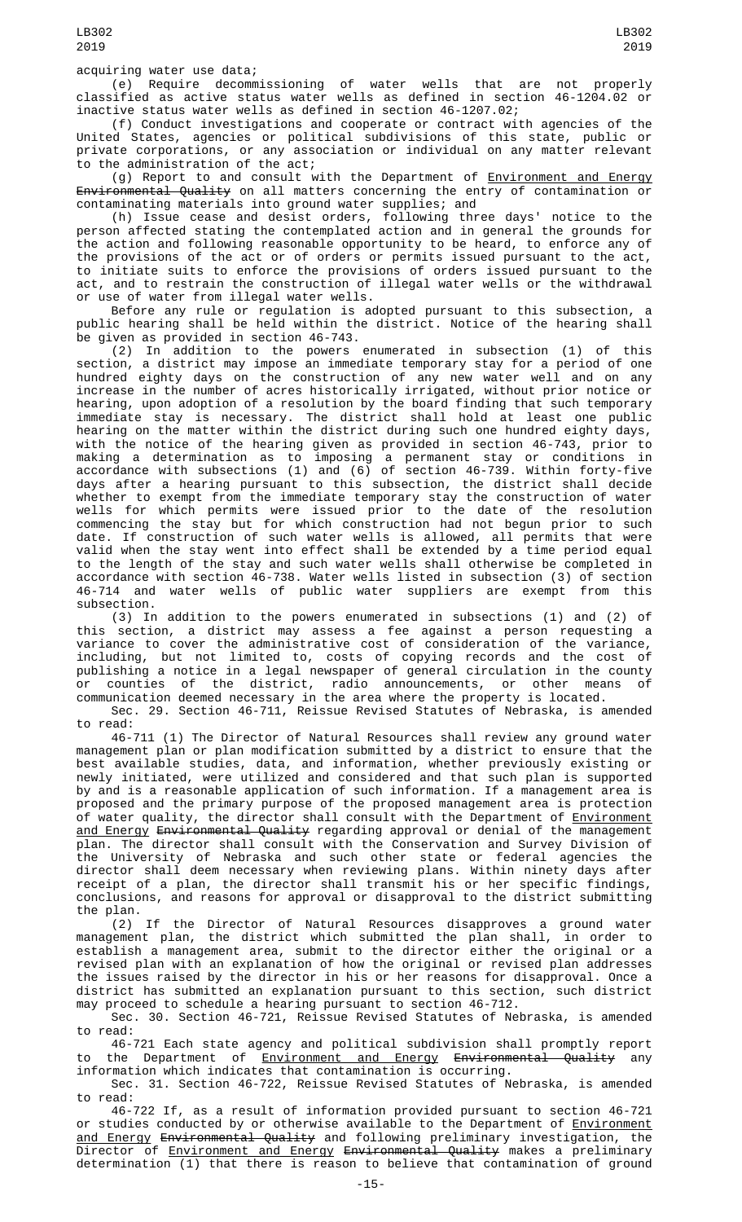(e) Require decommissioning of water wells that are not properly classified as active status water wells as defined in section 46-1204.02 or inactive status water wells as defined in section 46-1207.02;

(f) Conduct investigations and cooperate or contract with agencies of the United States, agencies or political subdivisions of this state, public or private corporations, or any association or individual on any matter relevant to the administration of the act;

(g) Report to and consult with the Department of Environment and Energy Environmental Quality on all matters concerning the entry of contamination or contaminating materials into ground water supplies; and

(h) Issue cease and desist orders, following three days' notice to the person affected stating the contemplated action and in general the grounds for the action and following reasonable opportunity to be heard, to enforce any of the provisions of the act or of orders or permits issued pursuant to the act, to initiate suits to enforce the provisions of orders issued pursuant to the act, and to restrain the construction of illegal water wells or the withdrawal or use of water from illegal water wells.

Before any rule or regulation is adopted pursuant to this subsection, a public hearing shall be held within the district. Notice of the hearing shall be given as provided in section 46-743.

(2) In addition to the powers enumerated in subsection (1) of this section, a district may impose an immediate temporary stay for a period of one hundred eighty days on the construction of any new water well and on any increase in the number of acres historically irrigated, without prior notice or hearing, upon adoption of a resolution by the board finding that such temporary immediate stay is necessary. The district shall hold at least one public hearing on the matter within the district during such one hundred eighty days, with the notice of the hearing given as provided in section 46-743, prior to making a determination as to imposing a permanent stay or conditions in accordance with subsections (1) and (6) of section 46-739. Within forty-five days after a hearing pursuant to this subsection, the district shall decide whether to exempt from the immediate temporary stay the construction of water wells for which permits were issued prior to the date of the resolution commencing the stay but for which construction had not begun prior to such date. If construction of such water wells is allowed, all permits that were valid when the stay went into effect shall be extended by a time period equal to the length of the stay and such water wells shall otherwise be completed in accordance with section 46-738. Water wells listed in subsection (3) of section 46-714 and water wells of public water suppliers are exempt from this subsection.

(3) In addition to the powers enumerated in subsections (1) and (2) of this section, a district may assess a fee against a person requesting a variance to cover the administrative cost of consideration of the variance, including, but not limited to, costs of copying records and the cost of publishing a notice in a legal newspaper of general circulation in the county or counties of the district, radio announcements, or other means of communication deemed necessary in the area where the property is located.

Sec. 29. Section 46-711, Reissue Revised Statutes of Nebraska, is amended to read:

46-711 (1) The Director of Natural Resources shall review any ground water management plan or plan modification submitted by a district to ensure that the best available studies, data, and information, whether previously existing or newly initiated, were utilized and considered and that such plan is supported by and is a reasonable application of such information. If a management area is proposed and the primary purpose of the proposed management area is protection of water quality, the director shall consult with the Department of <u>Environment</u> and Energy Environmental Quality regarding approval or denial of the management plan. The director shall consult with the Conservation and Survey Division of the University of Nebraska and such other state or federal agencies the director shall deem necessary when reviewing plans. Within ninety days after receipt of a plan, the director shall transmit his or her specific findings, conclusions, and reasons for approval or disapproval to the district submitting the plan.

(2) If the Director of Natural Resources disapproves a ground water management plan, the district which submitted the plan shall, in order to establish a management area, submit to the director either the original or a revised plan with an explanation of how the original or revised plan addresses the issues raised by the director in his or her reasons for disapproval. Once a district has submitted an explanation pursuant to this section, such district may proceed to schedule a hearing pursuant to section 46-712.

Sec. 30. Section 46-721, Reissue Revised Statutes of Nebraska, is amended to read:

46-721 Each state agency and political subdivision shall promptly report to the Department of <u>Environment and Energy</u> <del>Environmental Quality</del> any information which indicates that contamination is occurring.

Sec. 31. Section 46-722, Reissue Revised Statutes of Nebraska, is amended to read:

46-722 If, as a result of information provided pursuant to section 46-721 or studies conducted by or otherwise available to the Department of Environment and Energy Environmental Quality and following preliminary investigation, the Director of Environment and Energy Environmental Quality makes a preliminary determination (1) that there is reason to believe that contamination of ground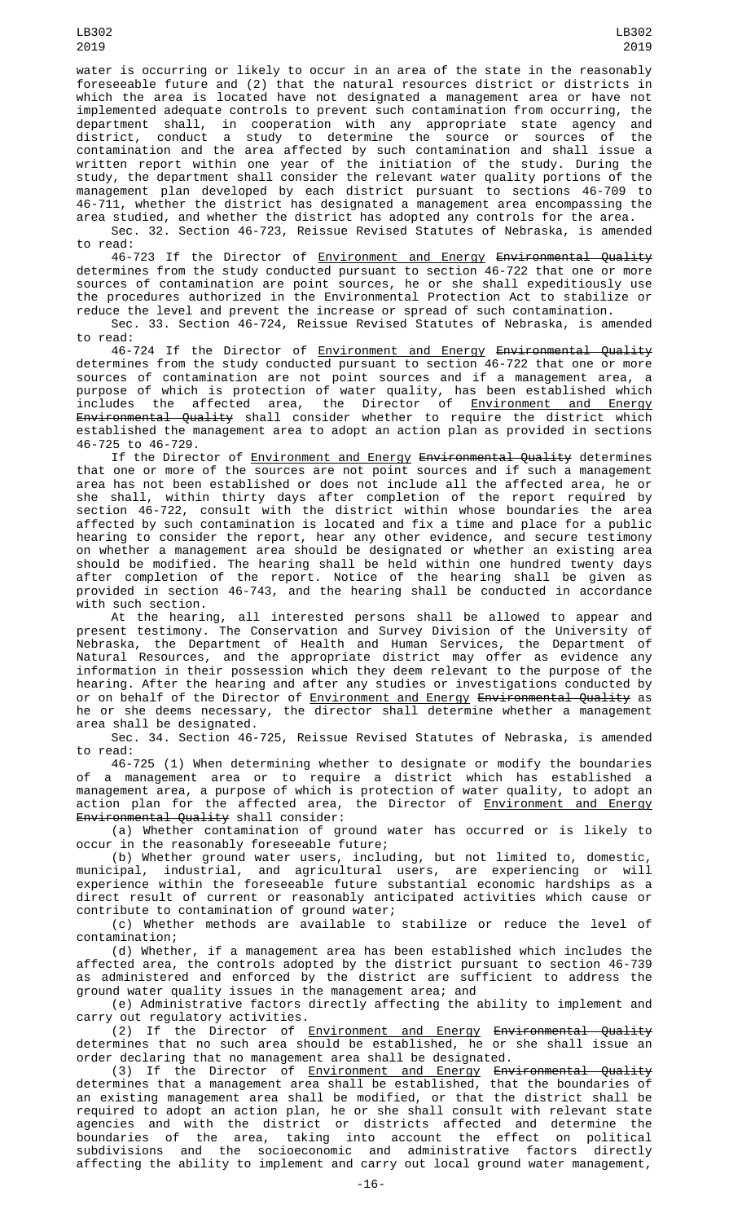water is occurring or likely to occur in an area of the state in the reasonably foreseeable future and (2) that the natural resources district or districts in which the area is located have not designated a management area or have not implemented adequate controls to prevent such contamination from occurring, the department shall, in cooperation with any appropriate state agency and district, conduct a study to determine the source or sources of the contamination and the area affected by such contamination and shall issue a written report within one year of the initiation of the study. During the study, the department shall consider the relevant water quality portions of the management plan developed by each district pursuant to sections 46-709 to 46-711, whether the district has designated a management area encompassing the area studied, and whether the district has adopted any controls for the area.

Sec. 32. Section 46-723, Reissue Revised Statutes of Nebraska, is amended to read:

46-723 If the Director of Environment and Energy Environmental Quality determines from the study conducted pursuant to section 46-722 that one or more sources of contamination are point sources, he or she shall expeditiously use the procedures authorized in the Environmental Protection Act to stabilize or reduce the level and prevent the increase or spread of such contamination.

Sec. 33. Section 46-724, Reissue Revised Statutes of Nebraska, is amended to read:

46-724 If the Director of <u>Environment and Energy</u> <del>Environmental Quality</del> determines from the study conducted pursuant to section 46-722 that one or more sources of contamination are not point sources and if a management area, a purpose of which is protection of water quality, has been established which includes the affected area, the Director of <u>Environment and Energy</u> <del>Environmental Quality</del> shall consider whether to require the district which established the management area to adopt an action plan as provided in sections 46-725 to 46-729.

If the Director of <u>Environment and Energy</u> <del>Environmental Quality</del> determines that one or more of the sources are not point sources and if such a management area has not been established or does not include all the affected area, he or she shall, within thirty days after completion of the report required by section 46-722, consult with the district within whose boundaries the area affected by such contamination is located and fix a time and place for a public hearing to consider the report, hear any other evidence, and secure testimony on whether a management area should be designated or whether an existing area should be modified. The hearing shall be held within one hundred twenty days after completion of the report. Notice of the hearing shall be given as provided in section 46-743, and the hearing shall be conducted in accordance with such section.

At the hearing, all interested persons shall be allowed to appear and present testimony. The Conservation and Survey Division of the University of Nebraska, the Department of Health and Human Services, the Department of Natural Resources, and the appropriate district may offer as evidence any information in their possession which they deem relevant to the purpose of the hearing. After the hearing and after any studies or investigations conducted by or on behalf of the Director of <u>Environment and Energy</u> <del>Environmental Quality</del> as he or she deems necessary, the director shall determine whether a management area shall be designated.

Sec. 34. Section 46-725, Reissue Revised Statutes of Nebraska, is amended to read:

46-725 (1) When determining whether to designate or modify the boundaries of a management area or to require a district which has established a management area, a purpose of which is protection of water quality, to adopt an action plan for the affected area, the Director of <u>Environment and Energy</u> Environmental Quality shall consider:

(a) Whether contamination of ground water has occurred or is likely to occur in the reasonably foreseeable future;

(b) Whether ground water users, including, but not limited to, domestic, municipal, industrial, and agricultural users, are experiencing or will experience within the foreseeable future substantial economic hardships as a direct result of current or reasonably anticipated activities which cause or contribute to contamination of ground water;

(c) Whether methods are available to stabilize or reduce the level of contamination;

(d) Whether, if a management area has been established which includes the affected area, the controls adopted by the district pursuant to section 46-739 as administered and enforced by the district are sufficient to address the ground water quality issues in the management area; and

(e) Administrative factors directly affecting the ability to implement and carry out regulatory activities.

(2) If the Director of Environment and Energy Environmental Quality determines that no such area should be established, he or she shall issue an order declaring that no management area shall be designated.

(3) If the Director of Environment and Energy Environmental Quality determines that a management area shall be established, that the boundaries of an existing management area shall be modified, or that the district shall be required to adopt an action plan, he or she shall consult with relevant state agencies and with the district or districts affected and determine the boundaries of the area, taking into account the effect on political subdivisions and the socioeconomic and administrative factors directly affecting the ability to implement and carry out local ground water management,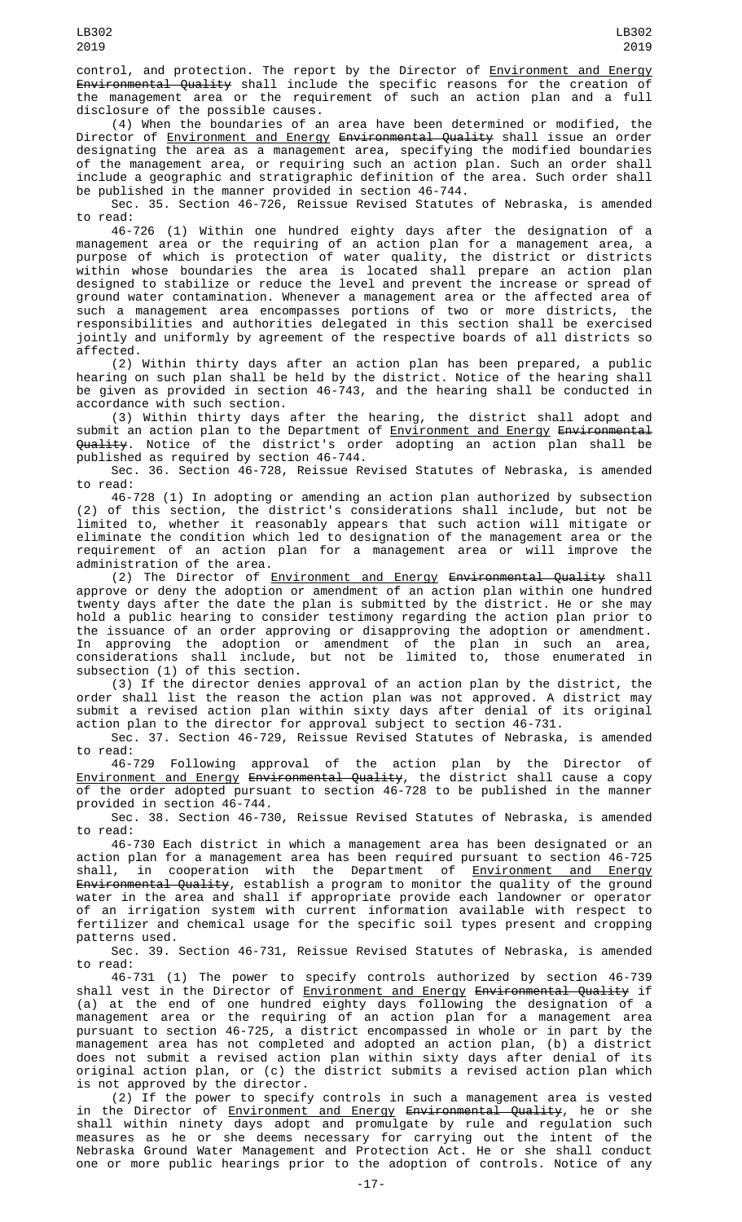control, and protection. The report by the Director of Environment and Energy Environmental Quality shall include the specific reasons for the creation of the management area or the requirement of such an action plan and a full disclosure of the possible causes.

(4) When the boundaries of an area have been determined or modified, the Director of <u>Environment and Energy</u> <del>Environmental Quality</del> shall issue an order designating the area as a management area, specifying the modified boundaries of the management area, or requiring such an action plan. Such an order shall include a geographic and stratigraphic definition of the area. Such order shall be published in the manner provided in section 46-744.

Sec. 35. Section 46-726, Reissue Revised Statutes of Nebraska, is amended to read:

46-726 (1) Within one hundred eighty days after the designation of a management area or the requiring of an action plan for a management area, a purpose of which is protection of water quality, the district or districts within whose boundaries the area is located shall prepare an action plan designed to stabilize or reduce the level and prevent the increase or spread of ground water contamination. Whenever a management area or the affected area of such a management area encompasses portions of two or more districts, the responsibilities and authorities delegated in this section shall be exercised jointly and uniformly by agreement of the respective boards of all districts so affected.

(2) Within thirty days after an action plan has been prepared, a public hearing on such plan shall be held by the district. Notice of the hearing shall be given as provided in section 46-743, and the hearing shall be conducted in accordance with such section.

(3) Within thirty days after the hearing, the district shall adopt and submit an action plan to the Department of <u>Environment and Energy</u> <del>Environmental</del> <del>Quality</del>. Notice of the district's order adopting an action plan shall be published as required by section 46-744.

Sec. 36. Section 46-728, Reissue Revised Statutes of Nebraska, is amended to read:

46-728 (1) In adopting or amending an action plan authorized by subsection (2) of this section, the district's considerations shall include, but not be limited to, whether it reasonably appears that such action will mitigate or eliminate the condition which led to designation of the management area or the requirement of an action plan for a management area or will improve the administration of the area.

(2) The Director of Environment and Energy Environmental Quality shall approve or deny the adoption or amendment of an action plan within one hundred twenty days after the date the plan is submitted by the district. He or she may hold a public hearing to consider testimony regarding the action plan prior to the issuance of an order approving or disapproving the adoption or amendment. In approving the adoption or amendment of the plan in such an area, considerations shall include, but not be limited to, those enumerated in subsection (1) of this section.

(3) If the director denies approval of an action plan by the district, the order shall list the reason the action plan was not approved. A district may submit a revised action plan within sixty days after denial of its original action plan to the director for approval subject to section 46-731.

Sec. 37. Section 46-729, Reissue Revised Statutes of Nebraska, is amended to read:

46-729 Following approval of the action plan by the Director of Environment and Energy Environmental Quality, the district shall cause a copy of the order adopted pursuant to section 46-728 to be published in the manner provided in section 46-744.

Sec. 38. Section 46-730, Reissue Revised Statutes of Nebraska, is amended to read:

46-730 Each district in which a management area has been designated or an action plan for a management area has been required pursuant to section 46-725<br>shall, in cooperation with the Department of <u>Environment and Energy</u> shall, in cooperation with the Department of <u>Environment and Energy</u> <del>Environmental Quality</del>, establish a program to monitor the quality of the ground water in the area and shall if appropriate provide each landowner or operator of an irrigation system with current information available with respect to fertilizer and chemical usage for the specific soil types present and cropping patterns used.

Sec. 39. Section 46-731, Reissue Revised Statutes of Nebraska, is amended to read:

46-731 (1) The power to specify controls authorized by section 46-739 shall vest in the Director of <u>Environment and Energy</u> <del>Environmental Quality</del> if (a) at the end of one hundred eighty days following the designation of a management area or the requiring of an action plan for a management area pursuant to section 46-725, a district encompassed in whole or in part by the management area has not completed and adopted an action plan, (b) a district does not submit a revised action plan within sixty days after denial of its original action plan, or (c) the district submits a revised action plan which is not approved by the director.

(2) If the power to specify controls in such a management area is vested in the Director of <u>Environment and Energy</u> <del>Environmental Quality</del>, he or she shall within ninety days adopt and promulgate by rule and regulation such measures as he or she deems necessary for carrying out the intent of the Nebraska Ground Water Management and Protection Act. He or she shall conduct one or more public hearings prior to the adoption of controls. Notice of any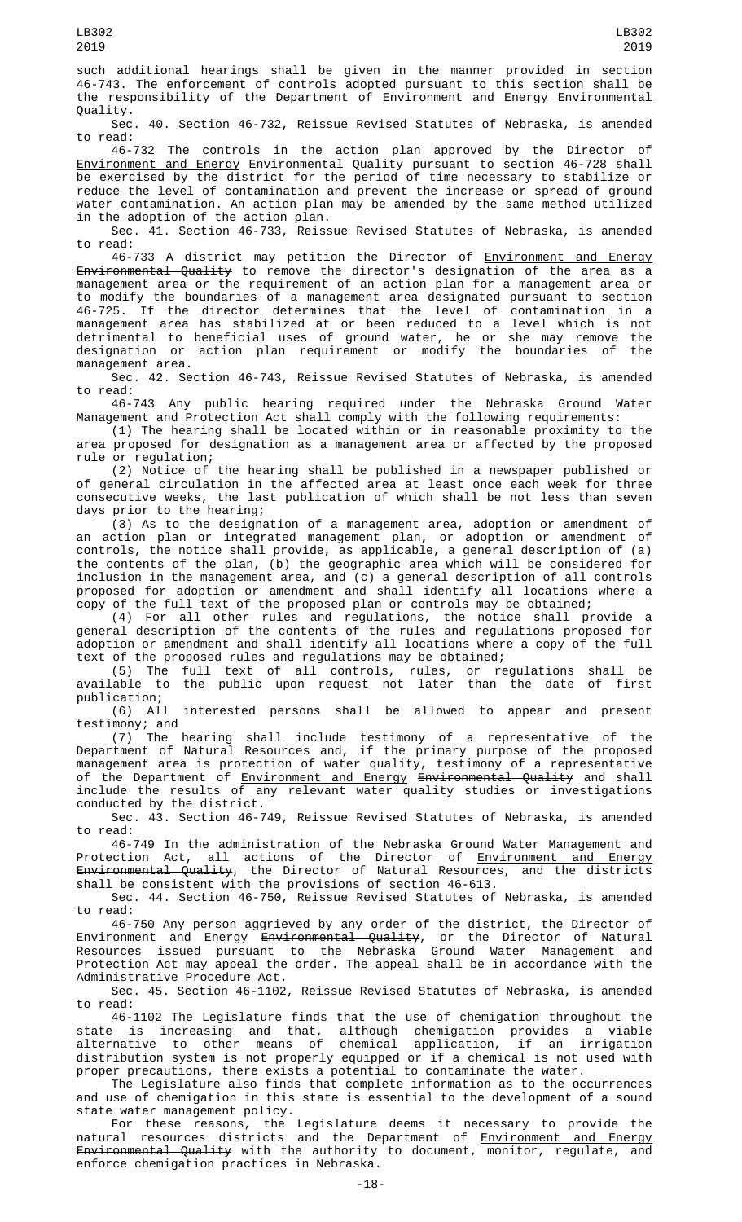such additional hearings shall be given in the manner provided in section 46-743. The enforcement of controls adopted pursuant to this section shall be the responsibility of the Department of Environment and Energy Environmental Quality.

Sec. 40. Section 46-732, Reissue Revised Statutes of Nebraska, is amended to read:

46-732 The controls in the action plan approved by the Director of Environment and Energy Environmental Quality pursuant to section 46-728 shall be exercised by the district for the period of time necessary to stabilize or reduce the level of contamination and prevent the increase or spread of ground water contamination. An action plan may be amended by the same method utilized in the adoption of the action plan.

Sec. 41. Section 46-733, Reissue Revised Statutes of Nebraska, is amended to read:

46-733 A district may petition the Director of Environment and Energy Environmental Quality to remove the director's designation of the area as a management area or the requirement of an action plan for a management area or to modify the boundaries of a management area designated pursuant to section 46-725. If the director determines that the level of contamination in a management area has stabilized at or been reduced to a level which is not detrimental to beneficial uses of ground water, he or she may remove the designation or action plan requirement or modify the boundaries of the management area.

Sec. 42. Section 46-743, Reissue Revised Statutes of Nebraska, is amended to read:

46-743 Any public hearing required under the Nebraska Ground Water Management and Protection Act shall comply with the following requirements:

(1) The hearing shall be located within or in reasonable proximity to the area proposed for designation as a management area or affected by the proposed rule or regulation;

(2) Notice of the hearing shall be published in a newspaper published or of general circulation in the affected area at least once each week for three consecutive weeks, the last publication of which shall be not less than seven days prior to the hearing;

(3) As to the designation of a management area, adoption or amendment of an action plan or integrated management plan, or adoption or amendment of controls, the notice shall provide, as applicable, a general description of (a) the contents of the plan, (b) the geographic area which will be considered for inclusion in the management area, and (c) a general description of all controls proposed for adoption or amendment and shall identify all locations where a copy of the full text of the proposed plan or controls may be obtained;

(4) For all other rules and regulations, the notice shall provide a general description of the contents of the rules and regulations proposed for adoption or amendment and shall identify all locations where a copy of the full text of the proposed rules and regulations may be obtained;

(5) The full text of all controls, rules, or regulations shall be available to the public upon request not later than the date of first

publication;<br>(6) All interested persons shall be allowed to appear and present testimony; and

(7) The hearing shall include testimony of a representative of the Department of Natural Resources and, if the primary purpose of the proposed management area is protection of water quality, testimony of a representative of the Department of <u>Environment and Energy</u> <del>Environmental Quality</del> and shall include the results of any relevant water quality studies or investigations conducted by the district.

Sec. 43. Section 46-749, Reissue Revised Statutes of Nebraska, is amended to read:

46-749 In the administration of the Nebraska Ground Water Management and Protection Act, all actions of the Director of <u>Environment and Energy</u> Environmental Quality, the Director of Natural Resources, and the districts shall be consistent with the provisions of section 46-613.

Sec. 44. Section 46-750, Reissue Revised Statutes of Nebraska, is amended to read:

46-750 Any person aggrieved by any order of the district, the Director of Environment and Energy Environmental Quality, or the Director of Natural Resources issued pursuant to the Nebraska Ground Water Management and Protection Act may appeal the order. The appeal shall be in accordance with the Administrative Procedure Act.

Sec. 45. Section 46-1102, Reissue Revised Statutes of Nebraska, is amended to read:

46-1102 The Legislature finds that the use of chemigation throughout the state is increasing and that, although chemigation provides a viable alternative to other means of chemical application, if an irrigation distribution system is not properly equipped or if a chemical is not used with proper precautions, there exists a potential to contaminate the water.

The Legislature also finds that complete information as to the occurrences and use of chemigation in this state is essential to the development of a sound state water management policy.

For these reasons, the Legislature deems it necessary to provide the natural resources districts and the Department of <u>Environment and Energy</u> <del>Environmental Quality</del> with the authority to document, monitor, regulate, and enforce chemigation practices in Nebraska.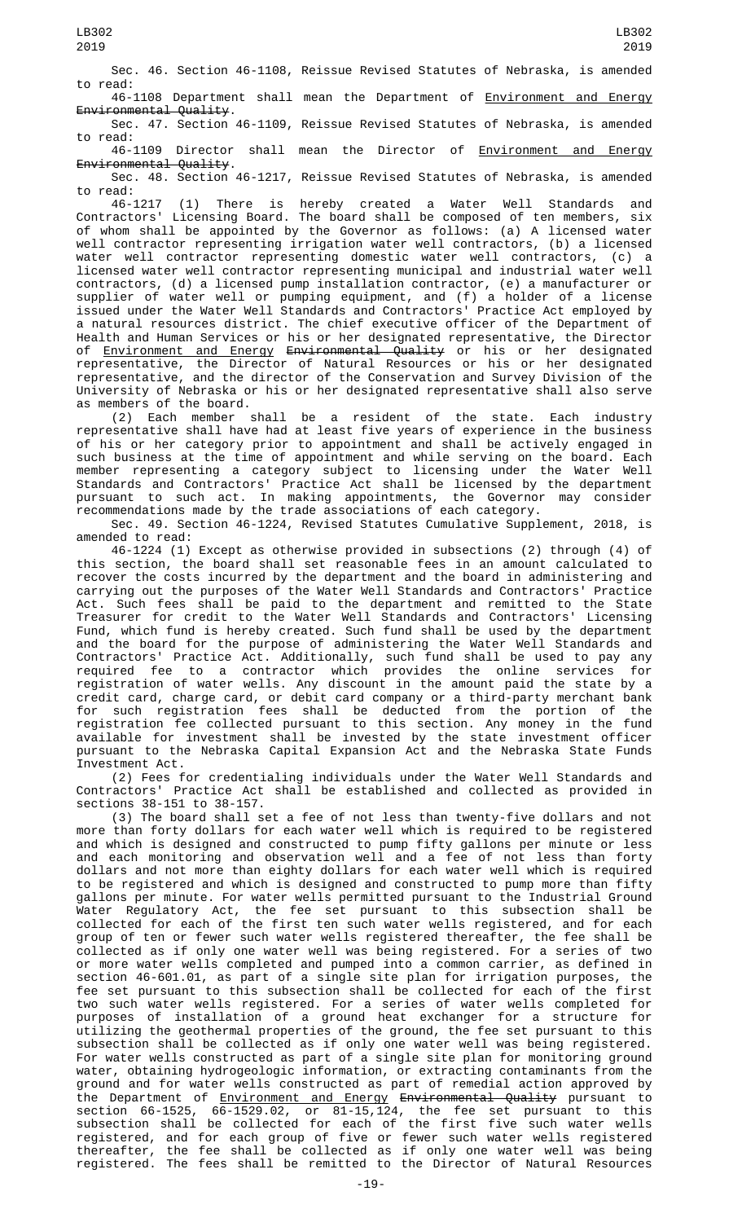Sec. 46. Section 46-1108, Reissue Revised Statutes of Nebraska, is amended to read:

46-1108 Department shall mean the Department of Environment and Energy Environmental Quality.

Sec. 47. Section 46-1109, Reissue Revised Statutes of Nebraska, is amended to read: 46-1109 Director shall mean the Director of **Environment** and Energy

Environmental Quality. Sec. 48. Section 46-1217, Reissue Revised Statutes of Nebraska, is amended

to read:

46-1217 (1) There is hereby created a Water Well Standards and Contractors' Licensing Board. The board shall be composed of ten members, six of whom shall be appointed by the Governor as follows: (a) A licensed water well contractor representing irrigation water well contractors, (b) a licensed water well contractor representing domestic water well contractors, (c) a licensed water well contractor representing municipal and industrial water well contractors, (d) a licensed pump installation contractor, (e) a manufacturer or supplier of water well or pumping equipment, and (f) a holder of a license issued under the Water Well Standards and Contractors' Practice Act employed by a natural resources district. The chief executive officer of the Department of Health and Human Services or his or her designated representative, the Director of <u>Environment and Energy</u> <del>Environmental Quality</del> or his or her designated representative, the Director of Natural Resources or his or her designated representative, and the director of the Conservation and Survey Division of the University of Nebraska or his or her designated representative shall also serve as members of the board.

(2) Each member shall be a resident of the state. Each industry representative shall have had at least five years of experience in the business of his or her category prior to appointment and shall be actively engaged in such business at the time of appointment and while serving on the board. Each member representing a category subject to licensing under the Water Well Standards and Contractors' Practice Act shall be licensed by the department pursuant to such act. In making appointments, the Governor may consider recommendations made by the trade associations of each category.

Sec. 49. Section 46-1224, Revised Statutes Cumulative Supplement, 2018, is amended to read:

46-1224 (1) Except as otherwise provided in subsections (2) through (4) of this section, the board shall set reasonable fees in an amount calculated to recover the costs incurred by the department and the board in administering and carrying out the purposes of the Water Well Standards and Contractors' Practice Act. Such fees shall be paid to the department and remitted to the State Treasurer for credit to the Water Well Standards and Contractors' Licensing Fund, which fund is hereby created. Such fund shall be used by the department and the board for the purpose of administering the Water Well Standards and Contractors' Practice Act. Additionally, such fund shall be used to pay any required fee to a contractor which provides the online services for registration of water wells. Any discount in the amount paid the state by a credit card, charge card, or debit card company or a third-party merchant bank for such registration fees shall be deducted from the portion of the registration fee collected pursuant to this section. Any money in the fund available for investment shall be invested by the state investment officer pursuant to the Nebraska Capital Expansion Act and the Nebraska State Funds Investment Act.

(2) Fees for credentialing individuals under the Water Well Standards and Contractors' Practice Act shall be established and collected as provided in sections 38-151 to 38-157.

(3) The board shall set a fee of not less than twenty-five dollars and not more than forty dollars for each water well which is required to be registered and which is designed and constructed to pump fifty gallons per minute or less and each monitoring and observation well and a fee of not less than forty dollars and not more than eighty dollars for each water well which is required to be registered and which is designed and constructed to pump more than fifty gallons per minute. For water wells permitted pursuant to the Industrial Ground Water Regulatory Act, the fee set pursuant to this subsection shall be collected for each of the first ten such water wells registered, and for each group of ten or fewer such water wells registered thereafter, the fee shall be collected as if only one water well was being registered. For a series of two or more water wells completed and pumped into a common carrier, as defined in section 46-601.01, as part of a single site plan for irrigation purposes, the fee set pursuant to this subsection shall be collected for each of the first two such water wells registered. For a series of water wells completed for purposes of installation of a ground heat exchanger for a structure for utilizing the geothermal properties of the ground, the fee set pursuant to this subsection shall be collected as if only one water well was being registered. For water wells constructed as part of a single site plan for monitoring ground water, obtaining hydrogeologic information, or extracting contaminants from the ground and for water wells constructed as part of remedial action approved by the Department of <u>Environment and Energy</u> <del>Environmental Quality</del> pursuant to section 66-1525, 66-1529.02, or 81-15,124, the fee set pursuant to this subsection shall be collected for each of the first five such water wells registered, and for each group of five or fewer such water wells registered thereafter, the fee shall be collected as if only one water well was being registered. The fees shall be remitted to the Director of Natural Resources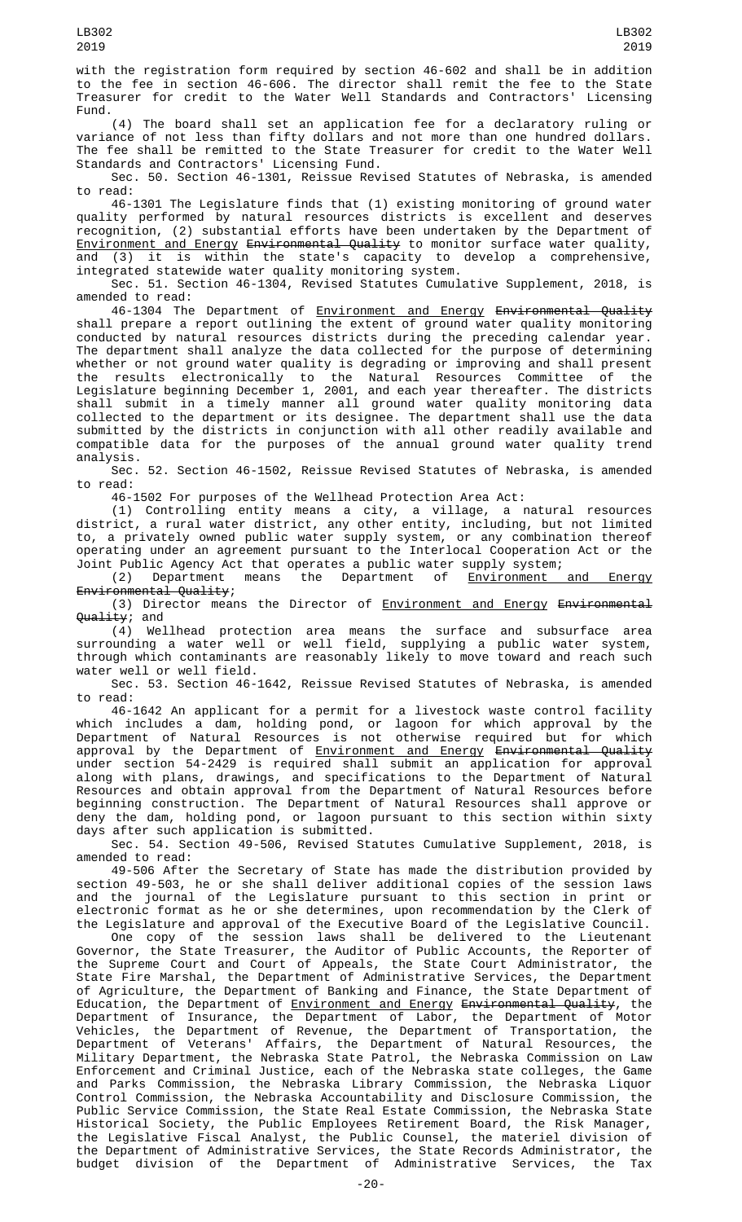with the registration form required by section 46-602 and shall be in addition to the fee in section 46-606. The director shall remit the fee to the State Treasurer for credit to the Water Well Standards and Contractors' Licensing Fund.

(4) The board shall set an application fee for a declaratory ruling or variance of not less than fifty dollars and not more than one hundred dollars. The fee shall be remitted to the State Treasurer for credit to the Water Well Standards and Contractors' Licensing Fund.

Sec. 50. Section 46-1301, Reissue Revised Statutes of Nebraska, is amended to read:

46-1301 The Legislature finds that (1) existing monitoring of ground water quality performed by natural resources districts is excellent and deserves recognition, (2) substantial efforts have been undertaken by the Department of <u>Environment and Energy</u> <del>Environmental Quality</del> to monitor surface water quality, and (3) it is within the state's capacity to develop a comprehensive, integrated statewide water quality monitoring system.

Sec. 51. Section 46-1304, Revised Statutes Cumulative Supplement, 2018, is amended to read:

46-1304 The Department of <u>Environment and Energy</u> <del>Environmental Quality</del> shall prepare a report outlining the extent of ground water quality monitoring conducted by natural resources districts during the preceding calendar year. The department shall analyze the data collected for the purpose of determining whether or not ground water quality is degrading or improving and shall present the results electronically to the Natural Resources Committee of the Legislature beginning December 1, 2001, and each year thereafter. The districts shall submit in a timely manner all ground water quality monitoring data collected to the department or its designee. The department shall use the data submitted by the districts in conjunction with all other readily available and compatible data for the purposes of the annual ground water quality trend analysis.

Sec. 52. Section 46-1502, Reissue Revised Statutes of Nebraska, is amended to read:

46-1502 For purposes of the Wellhead Protection Area Act:

(1) Controlling entity means a city, a village, a natural resources district, a rural water district, any other entity, including, but not limited to, a privately owned public water supply system, or any combination thereof operating under an agreement pursuant to the Interlocal Cooperation Act or the Joint Public Agency Act that operates a public water supply system;

(2) Department means the Department of <u>Environment and Energy</u> Environmental Quality;

(3) Director means the Director of Environment and Energy Environmental Quality; and

(4) Wellhead protection area means the surface and subsurface area surrounding a water well or well field, supplying a public water system, through which contaminants are reasonably likely to move toward and reach such water well or well field.

Sec. 53. Section 46-1642, Reissue Revised Statutes of Nebraska, is amended to read:

46-1642 An applicant for a permit for a livestock waste control facility which includes a dam, holding pond, or lagoon for which approval by the Department of Natural Resources is not otherwise required but for which approval by the Department of <u>Environment and Energy</u> <del>Environmental Quality</del> under section 54-2429 is required shall submit an application for approval along with plans, drawings, and specifications to the Department of Natural Resources and obtain approval from the Department of Natural Resources before beginning construction. The Department of Natural Resources shall approve or deny the dam, holding pond, or lagoon pursuant to this section within sixty days after such application is submitted.

Sec. 54. Section 49-506, Revised Statutes Cumulative Supplement, 2018, is amended to read:

49-506 After the Secretary of State has made the distribution provided by section 49-503, he or she shall deliver additional copies of the session laws and the journal of the Legislature pursuant to this section in print or electronic format as he or she determines, upon recommendation by the Clerk of the Legislature and approval of the Executive Board of the Legislative Council.

One copy of the session laws shall be delivered to the Lieutenant Governor, the State Treasurer, the Auditor of Public Accounts, the Reporter of the Supreme Court and Court of Appeals, the State Court Administrator, the State Fire Marshal, the Department of Administrative Services, the Department of Agriculture, the Department of Banking and Finance, the State Department of Education, the Department of <u>Environment and Energy</u> <del>Environmental Quality</del>, the Department of Insurance, the Department of Labor, the Department of Motor Vehicles, the Department of Revenue, the Department of Transportation, the Department of Veterans' Affairs, the Department of Natural Resources, the Military Department, the Nebraska State Patrol, the Nebraska Commission on Law Enforcement and Criminal Justice, each of the Nebraska state colleges, the Game and Parks Commission, the Nebraska Library Commission, the Nebraska Liquor Control Commission, the Nebraska Accountability and Disclosure Commission, the Public Service Commission, the State Real Estate Commission, the Nebraska State Historical Society, the Public Employees Retirement Board, the Risk Manager, the Legislative Fiscal Analyst, the Public Counsel, the materiel division of the Department of Administrative Services, the State Records Administrator, the budget division of the Department of Administrative Services, the Tax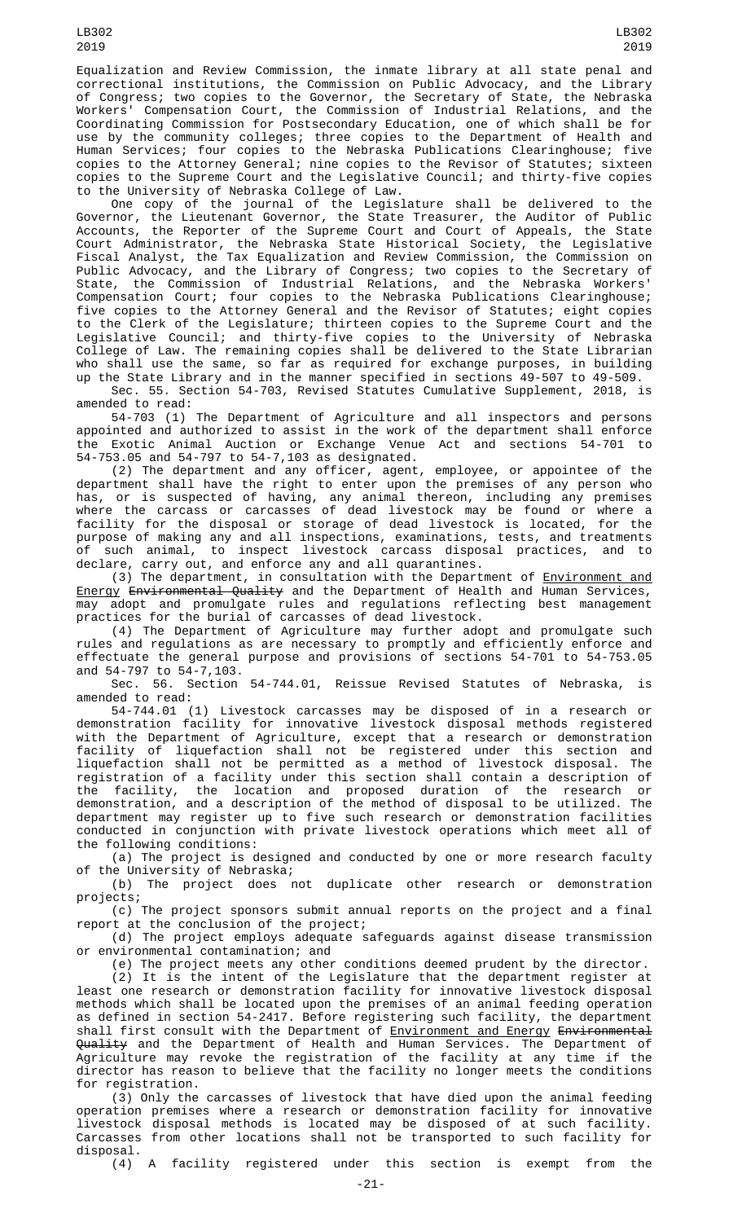Equalization and Review Commission, the inmate library at all state penal and correctional institutions, the Commission on Public Advocacy, and the Library of Congress; two copies to the Governor, the Secretary of State, the Nebraska Workers' Compensation Court, the Commission of Industrial Relations, and the Coordinating Commission for Postsecondary Education, one of which shall be for use by the community colleges; three copies to the Department of Health and Human Services; four copies to the Nebraska Publications Clearinghouse; five copies to the Attorney General; nine copies to the Revisor of Statutes; sixteen copies to the Supreme Court and the Legislative Council; and thirty-five copies to the University of Nebraska College of Law.

One copy of the journal of the Legislature shall be delivered to the Governor, the Lieutenant Governor, the State Treasurer, the Auditor of Public Accounts, the Reporter of the Supreme Court and Court of Appeals, the State Court Administrator, the Nebraska State Historical Society, the Legislative Fiscal Analyst, the Tax Equalization and Review Commission, the Commission on Public Advocacy, and the Library of Congress; two copies to the Secretary of State, the Commission of Industrial Relations, and the Nebraska Workers' Compensation Court; four copies to the Nebraska Publications Clearinghouse; five copies to the Attorney General and the Revisor of Statutes; eight copies to the Clerk of the Legislature; thirteen copies to the Supreme Court and the Legislative Council; and thirty-five copies to the University of Nebraska College of Law. The remaining copies shall be delivered to the State Librarian who shall use the same, so far as required for exchange purposes, in building up the State Library and in the manner specified in sections 49-507 to 49-509.

Sec. 55. Section 54-703, Revised Statutes Cumulative Supplement, 2018, is amended to read:

54-703 (1) The Department of Agriculture and all inspectors and persons appointed and authorized to assist in the work of the department shall enforce the Exotic Animal Auction or Exchange Venue Act and sections 54-701 to 54-753.05 and 54-797 to 54-7,103 as designated.

(2) The department and any officer, agent, employee, or appointee of the department shall have the right to enter upon the premises of any person who has, or is suspected of having, any animal thereon, including any premises where the carcass or carcasses of dead livestock may be found or where a facility for the disposal or storage of dead livestock is located, for the purpose of making any and all inspections, examinations, tests, and treatments of such animal, to inspect livestock carcass disposal practices, and to declare, carry out, and enforce any and all quarantines.

(3) The department, in consultation with the Department of <u>Environment and</u> Energy Environmental Quality and the Department of Health and Human Services, may adopt and promulgate rules and regulations reflecting best management practices for the burial of carcasses of dead livestock.

(4) The Department of Agriculture may further adopt and promulgate such rules and regulations as are necessary to promptly and efficiently enforce and effectuate the general purpose and provisions of sections 54-701 to 54-753.05 and 54-797 to 54-7,103.

Sec. 56. Section 54-744.01, Reissue Revised Statutes of Nebraska, is amended to read:

54-744.01 (1) Livestock carcasses may be disposed of in a research or demonstration facility for innovative livestock disposal methods registered with the Department of Agriculture, except that a research or demonstration facility of liquefaction shall not be registered under this section and liquefaction shall not be permitted as a method of livestock disposal. The registration of a facility under this section shall contain a description of the facility, the location and proposed duration of the research or demonstration, and a description of the method of disposal to be utilized. The department may register up to five such research or demonstration facilities conducted in conjunction with private livestock operations which meet all of the following conditions:

(a) The project is designed and conducted by one or more research faculty of the University of Nebraska;

(b) The project does not duplicate other research or demonstration projects;

(c) The project sponsors submit annual reports on the project and a final report at the conclusion of the project;

(d) The project employs adequate safeguards against disease transmission or environmental contamination; and

(e) The project meets any other conditions deemed prudent by the director.

(2) It is the intent of the Legislature that the department register at least one research or demonstration facility for innovative livestock disposal methods which shall be located upon the premises of an animal feeding operation as defined in section 54-2417. Before registering such facility, the department shall first consult with the Department of <u>Environment and Energy</u> <del>Environmental</del> <del>Quality</del> and the Department of Health and Human Services. The Department of Agriculture may revoke the registration of the facility at any time if the director has reason to believe that the facility no longer meets the conditions for registration.

(3) Only the carcasses of livestock that have died upon the animal feeding operation premises where a research or demonstration facility for innovative livestock disposal methods is located may be disposed of at such facility. Carcasses from other locations shall not be transported to such facility for disposal.

(4) A facility registered under this section is exempt from the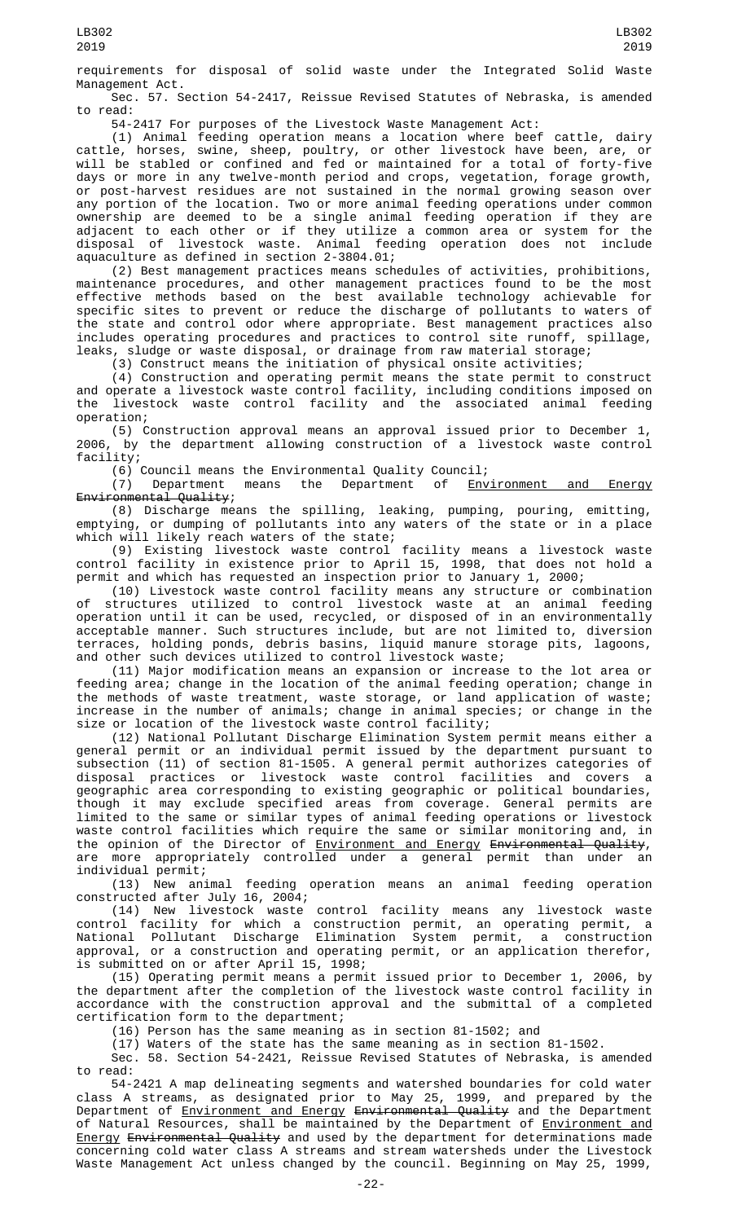requirements for disposal of solid waste under the Integrated Solid Waste Management Act.

Sec. 57. Section 54-2417, Reissue Revised Statutes of Nebraska, is amended to read:

54-2417 For purposes of the Livestock Waste Management Act:

(1) Animal feeding operation means a location where beef cattle, dairy cattle, horses, swine, sheep, poultry, or other livestock have been, are, or will be stabled or confined and fed or maintained for a total of forty-five days or more in any twelve-month period and crops, vegetation, forage growth, or post-harvest residues are not sustained in the normal growing season over any portion of the location. Two or more animal feeding operations under common ownership are deemed to be a single animal feeding operation if they are adjacent to each other or if they utilize a common area or system for the disposal of livestock waste. Animal feeding operation does not include aquaculture as defined in section 2-3804.01;

(2) Best management practices means schedules of activities, prohibitions, maintenance procedures, and other management practices found to be the most effective methods based on the best available technology achievable for specific sites to prevent or reduce the discharge of pollutants to waters of the state and control odor where appropriate. Best management practices also includes operating procedures and practices to control site runoff, spillage, leaks, sludge or waste disposal, or drainage from raw material storage;

(3) Construct means the initiation of physical onsite activities;

(4) Construction and operating permit means the state permit to construct and operate a livestock waste control facility, including conditions imposed on the livestock waste control facility and the associated animal feeding operation;

(5) Construction approval means an approval issued prior to December 1, by the department allowing construction of a livestock waste control facility;

 $(6)$  Council means the Environmental Quality Council;<br>(7) Department means the Department of <u>Env</u>

Department means the Department of Environment and Energy Environmental Quality;

(8) Discharge means the spilling, leaking, pumping, pouring, emitting, emptying, or dumping of pollutants into any waters of the state or in a place which will likely reach waters of the state;

(9) Existing livestock waste control facility means a livestock waste control facility in existence prior to April 15, 1998, that does not hold a permit and which has requested an inspection prior to January 1, 2000;

(10) Livestock waste control facility means any structure or combination of structures utilized to control livestock waste at an animal feeding operation until it can be used, recycled, or disposed of in an environmentally acceptable manner. Such structures include, but are not limited to, diversion terraces, holding ponds, debris basins, liquid manure storage pits, lagoons, and other such devices utilized to control livestock waste;

(11) Major modification means an expansion or increase to the lot area or feeding area; change in the location of the animal feeding operation; change in the methods of waste treatment, waste storage, or land application of waste; increase in the number of animals; change in animal species; or change in the size or location of the livestock waste control facility;

(12) National Pollutant Discharge Elimination System permit means either a general permit or an individual permit issued by the department pursuant to subsection (11) of section 81-1505. A general permit authorizes categories of disposal practices or livestock waste control facilities and covers a geographic area corresponding to existing geographic or political boundaries, though it may exclude specified areas from coverage. General permits are limited to the same or similar types of animal feeding operations or livestock waste control facilities which require the same or similar monitoring and, in the opinion of the Director of Environment and Energy Environmental Quality, are more appropriately controlled under a general permit than under an individual permit;

(13) New animal feeding operation means an animal feeding operation constructed after July 16, 2004;

(14) New livestock waste control facility means any livestock waste control facility for which a construction permit, an operating permit, a National Pollutant Discharge Elimination System permit, a construction approval, or a construction and operating permit, or an application therefor, is submitted on or after April 15, 1998;

(15) Operating permit means a permit issued prior to December 1, 2006, by the department after the completion of the livestock waste control facility in accordance with the construction approval and the submittal of a completed certification form to the department;

(16) Person has the same meaning as in section 81-1502; and

(17) Waters of the state has the same meaning as in section 81-1502.

Sec. 58. Section 54-2421, Reissue Revised Statutes of Nebraska, is amended to read:

54-2421 A map delineating segments and watershed boundaries for cold water class A streams, as designated prior to May 25, 1999, and prepared by the Department of Environment and Energy Environmental Quality and the Department of Natural Resources, shall be maintained by the Department of <u>Environment and</u> <u>Energy <del>Environmental Quality</del> and used by the department for determinations made</u> concerning cold water class A streams and stream watersheds under the Livestock Waste Management Act unless changed by the council. Beginning on May 25, 1999,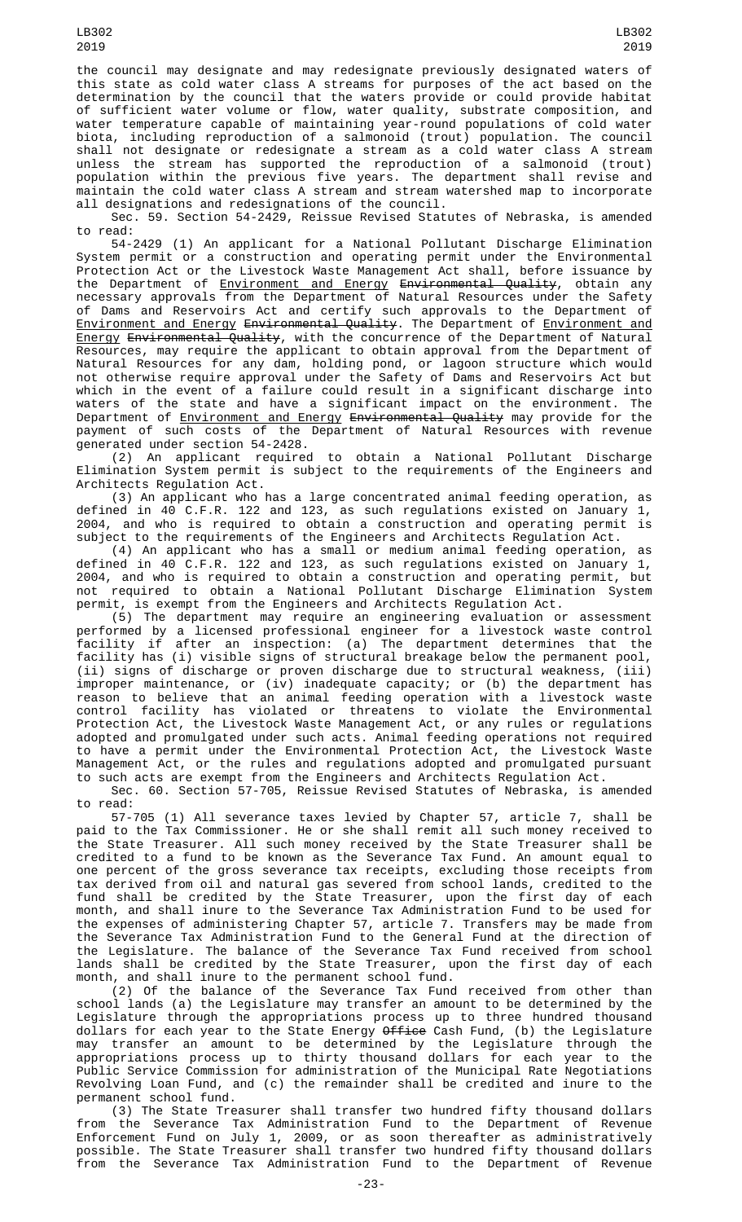the council may designate and may redesignate previously designated waters of this state as cold water class A streams for purposes of the act based on the determination by the council that the waters provide or could provide habitat of sufficient water volume or flow, water quality, substrate composition, and water temperature capable of maintaining year-round populations of cold water biota, including reproduction of a salmonoid (trout) population. The council shall not designate or redesignate a stream as a cold water class A stream unless the stream has supported the reproduction of a salmonoid (trout) population within the previous five years. The department shall revise and maintain the cold water class A stream and stream watershed map to incorporate all designations and redesignations of the council.

Sec. 59. Section 54-2429, Reissue Revised Statutes of Nebraska, is amended to read:

54-2429 (1) An applicant for a National Pollutant Discharge Elimination System permit or a construction and operating permit under the Environmental Protection Act or the Livestock Waste Management Act shall, before issuance by the Department of <u>Environment and Energy</u> <del>Environmental Quality</del>, obtain any necessary approvals from the Department of Natural Resources under the Safety of Dams and Reservoirs Act and certify such approvals to the Department of <u>Environment and Energy</u> <del>Environmental Quality</del>. The Department of <u>Environment and</u> Energy Environmental Quality, with the concurrence of the Department of Natural Resources, may require the applicant to obtain approval from the Department of Natural Resources for any dam, holding pond, or lagoon structure which would not otherwise require approval under the Safety of Dams and Reservoirs Act but which in the event of a failure could result in a significant discharge into waters of the state and have a significant impact on the environment. The Department of <u>Environment and Energy</u> <del>Environmental Quality</del> may provide for the payment of such costs of the Department of Natural Resources with revenue generated under section 54-2428.

(2) An applicant required to obtain a National Pollutant Discharge Elimination System permit is subject to the requirements of the Engineers and Architects Regulation Act.

(3) An applicant who has a large concentrated animal feeding operation, as defined in 40 C.F.R. 122 and 123, as such regulations existed on January 1, 2004, and who is required to obtain a construction and operating permit is subject to the requirements of the Engineers and Architects Regulation Act.

(4) An applicant who has a small or medium animal feeding operation, as defined in 40 C.F.R. 122 and 123, as such regulations existed on January 1, 2004, and who is required to obtain a construction and operating permit, but not required to obtain a National Pollutant Discharge Elimination System permit, is exempt from the Engineers and Architects Regulation Act.

(5) The department may require an engineering evaluation or assessment performed by a licensed professional engineer for a livestock waste control facility if after an inspection: (a) The department determines that the facility has (i) visible signs of structural breakage below the permanent pool, (ii) signs of discharge or proven discharge due to structural weakness, (iii) improper maintenance, or (iv) inadequate capacity; or (b) the department has reason to believe that an animal feeding operation with a livestock waste control facility has violated or threatens to violate the Environmental Protection Act, the Livestock Waste Management Act, or any rules or regulations adopted and promulgated under such acts. Animal feeding operations not required to have a permit under the Environmental Protection Act, the Livestock Waste Management Act, or the rules and regulations adopted and promulgated pursuant to such acts are exempt from the Engineers and Architects Regulation Act.

Sec. 60. Section 57-705, Reissue Revised Statutes of Nebraska, is amended to read:

57-705 (1) All severance taxes levied by Chapter 57, article 7, shall be paid to the Tax Commissioner. He or she shall remit all such money received to the State Treasurer. All such money received by the State Treasurer shall be credited to a fund to be known as the Severance Tax Fund. An amount equal to one percent of the gross severance tax receipts, excluding those receipts from tax derived from oil and natural gas severed from school lands, credited to the fund shall be credited by the State Treasurer, upon the first day of each month, and shall inure to the Severance Tax Administration Fund to be used for the expenses of administering Chapter 57, article 7. Transfers may be made from the Severance Tax Administration Fund to the General Fund at the direction of the Legislature. The balance of the Severance Tax Fund received from school lands shall be credited by the State Treasurer, upon the first day of each month, and shall inure to the permanent school fund.

(2) Of the balance of the Severance Tax Fund received from other than school lands (a) the Legislature may transfer an amount to be determined by the Legislature through the appropriations process up to three hundred thousand dollars for each year to the State Energy Office Cash Fund, (b) the Legislature may transfer an amount to be determined by the Legislature through the appropriations process up to thirty thousand dollars for each year to the Public Service Commission for administration of the Municipal Rate Negotiations Revolving Loan Fund, and (c) the remainder shall be credited and inure to the permanent school fund.

(3) The State Treasurer shall transfer two hundred fifty thousand dollars from the Severance Tax Administration Fund to the Department of Revenue Enforcement Fund on July 1, 2009, or as soon thereafter as administratively possible. The State Treasurer shall transfer two hundred fifty thousand dollars from the Severance Tax Administration Fund to the Department of Revenue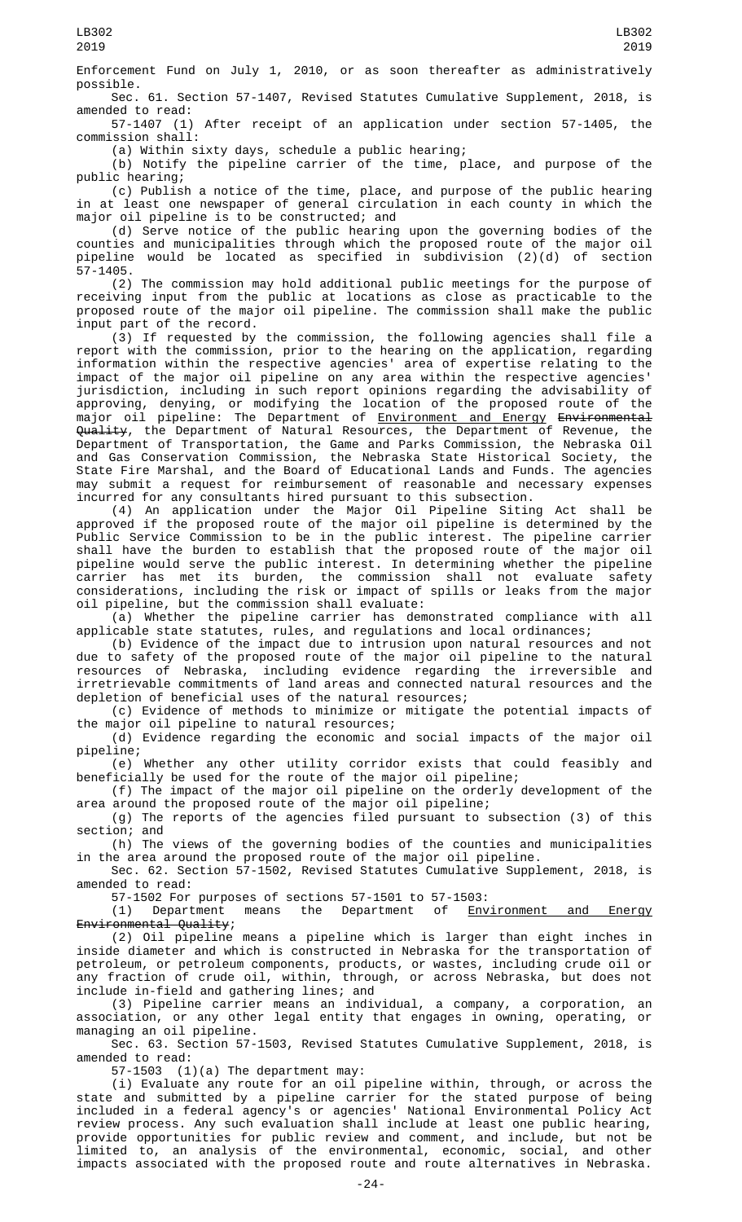Enforcement Fund on July 1, 2010, or as soon thereafter as administratively possible.

Sec. 61. Section 57-1407, Revised Statutes Cumulative Supplement, 2018, is amended to read:

57-1407 (1) After receipt of an application under section 57-1405, the commission shall:

(a) Within sixty days, schedule a public hearing;

(b) Notify the pipeline carrier of the time, place, and purpose of the public hearing;

(c) Publish a notice of the time, place, and purpose of the public hearing in at least one newspaper of general circulation in each county in which the major oil pipeline is to be constructed; and

(d) Serve notice of the public hearing upon the governing bodies of the counties and municipalities through which the proposed route of the major oil pipeline would be located as specified in subdivision (2)(d) of section 57-1405.

(2) The commission may hold additional public meetings for the purpose of receiving input from the public at locations as close as practicable to the proposed route of the major oil pipeline. The commission shall make the public input part of the record.

(3) If requested by the commission, the following agencies shall file a report with the commission, prior to the hearing on the application, regarding information within the respective agencies' area of expertise relating to the impact of the major oil pipeline on any area within the respective agencies' jurisdiction, including in such report opinions regarding the advisability of approving, denying, or modifying the location of the proposed route of the major oil pipeline: The Department of <u>Environment and Energy</u> <del>Environmental</del> Quality, the Department of Natural Resources, the Department of Revenue, the Department of Transportation, the Game and Parks Commission, the Nebraska Oil and Gas Conservation Commission, the Nebraska State Historical Society, the State Fire Marshal, and the Board of Educational Lands and Funds. The agencies may submit a request for reimbursement of reasonable and necessary expenses incurred for any consultants hired pursuant to this subsection.

(4) An application under the Major Oil Pipeline Siting Act shall be approved if the proposed route of the major oil pipeline is determined by the Public Service Commission to be in the public interest. The pipeline carrier shall have the burden to establish that the proposed route of the major oil pipeline would serve the public interest. In determining whether the pipeline carrier has met its burden, the commission shall not evaluate safety considerations, including the risk or impact of spills or leaks from the major oil pipeline, but the commission shall evaluate:

(a) Whether the pipeline carrier has demonstrated compliance with all applicable state statutes, rules, and regulations and local ordinances;

(b) Evidence of the impact due to intrusion upon natural resources and not due to safety of the proposed route of the major oil pipeline to the natural resources of Nebraska, including evidence regarding the irreversible and irretrievable commitments of land areas and connected natural resources and the depletion of beneficial uses of the natural resources;

(c) Evidence of methods to minimize or mitigate the potential impacts of the major oil pipeline to natural resources;

(d) Evidence regarding the economic and social impacts of the major oil pipeline;

(e) Whether any other utility corridor exists that could feasibly and beneficially be used for the route of the major oil pipeline;

(f) The impact of the major oil pipeline on the orderly development of the area around the proposed route of the major oil pipeline;

(g) The reports of the agencies filed pursuant to subsection (3) of this section; and

(h) The views of the governing bodies of the counties and municipalities in the area around the proposed route of the major oil pipeline.

Sec. 62. Section 57-1502, Revised Statutes Cumulative Supplement, 2018, is amended to read:

57-1502 For purposes of sections 57-1501 to 57-1503:<br>(1) Department means the Department of <u>Env</u>

Environment and Energy Environmental Quality;

(2) Oil pipeline means a pipeline which is larger than eight inches in inside diameter and which is constructed in Nebraska for the transportation of petroleum, or petroleum components, products, or wastes, including crude oil or any fraction of crude oil, within, through, or across Nebraska, but does not include in-field and gathering lines; and

(3) Pipeline carrier means an individual, a company, a corporation, an association, or any other legal entity that engages in owning, operating, or managing an oil pipeline.

Sec. 63. Section 57-1503, Revised Statutes Cumulative Supplement, 2018, is amended to read:

57-1503 (1)(a) The department may:

(i) Evaluate any route for an oil pipeline within, through, or across the state and submitted by a pipeline carrier for the stated purpose of being included in a federal agency's or agencies' National Environmental Policy Act review process. Any such evaluation shall include at least one public hearing, provide opportunities for public review and comment, and include, but not be limited to, an analysis of the environmental, economic, social, and other impacts associated with the proposed route and route alternatives in Nebraska.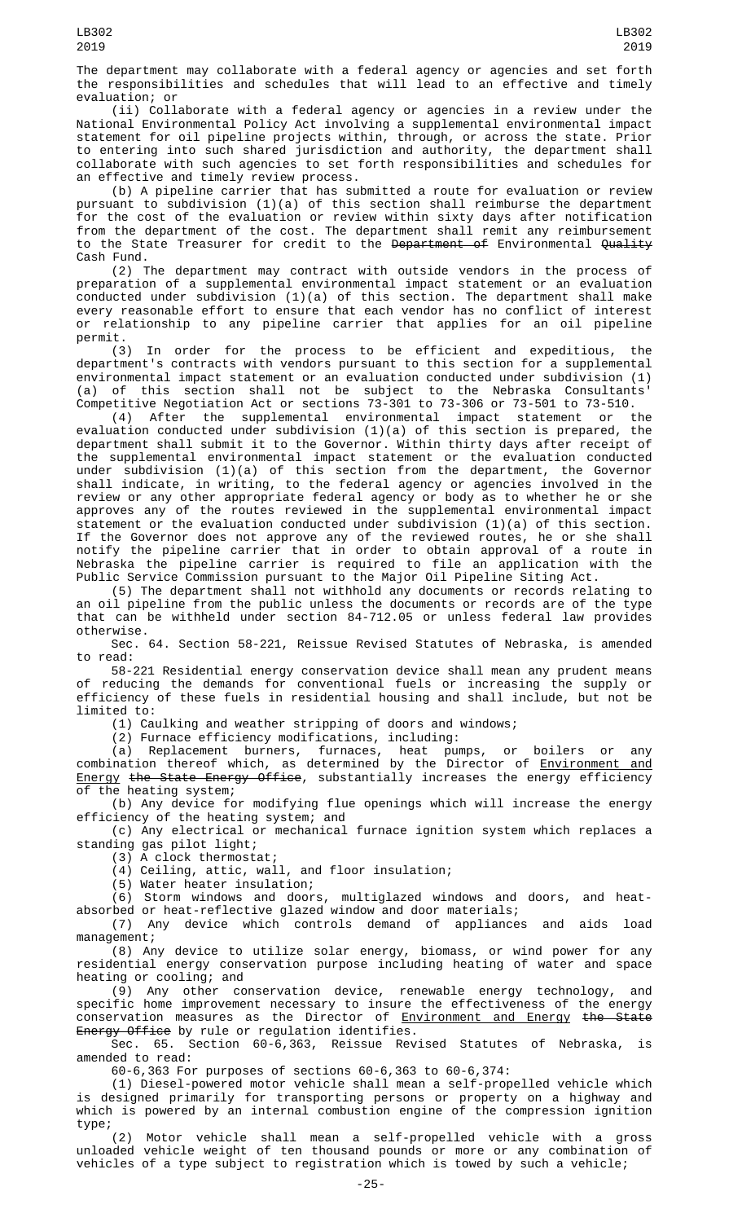The department may collaborate with a federal agency or agencies and set forth the responsibilities and schedules that will lead to an effective and timely evaluation; or

(ii) Collaborate with a federal agency or agencies in a review under the National Environmental Policy Act involving a supplemental environmental impact statement for oil pipeline projects within, through, or across the state. Prior to entering into such shared jurisdiction and authority, the department shall collaborate with such agencies to set forth responsibilities and schedules for an effective and timely review process.

(b) A pipeline carrier that has submitted a route for evaluation or review pursuant to subdivision (1)(a) of this section shall reimburse the department for the cost of the evaluation or review within sixty days after notification from the department of the cost. The department shall remit any reimbursement to the State Treasurer for credit to the <del>Department of</del> Environmental <del>Quality</del> Cash Fund.

(2) The department may contract with outside vendors in the process of preparation of a supplemental environmental impact statement or an evaluation conducted under subdivision (1)(a) of this section. The department shall make every reasonable effort to ensure that each vendor has no conflict of interest or relationship to any pipeline carrier that applies for an oil pipeline permit.

(3) In order for the process to be efficient and expeditious, the department's contracts with vendors pursuant to this section for a supplemental environmental impact statement or an evaluation conducted under subdivision (1) (a) of this section shall not be subject to the Nebraska Consultants' Competitive Negotiation Act or sections 73-301 to 73-306 or 73-501 to 73-510.

(4) After the supplemental environmental impact statement or the evaluation conducted under subdivision (1)(a) of this section is prepared, the department shall submit it to the Governor. Within thirty days after receipt of the supplemental environmental impact statement or the evaluation conducted under subdivision (1)(a) of this section from the department, the Governor shall indicate, in writing, to the federal agency or agencies involved in the review or any other appropriate federal agency or body as to whether he or she approves any of the routes reviewed in the supplemental environmental impact statement or the evaluation conducted under subdivision (1)(a) of this section. If the Governor does not approve any of the reviewed routes, he or she shall notify the pipeline carrier that in order to obtain approval of a route in Nebraska the pipeline carrier is required to file an application with the Public Service Commission pursuant to the Major Oil Pipeline Siting Act.

(5) The department shall not withhold any documents or records relating to an oil pipeline from the public unless the documents or records are of the type that can be withheld under section 84-712.05 or unless federal law provides otherwise.

Sec. 64. Section 58-221, Reissue Revised Statutes of Nebraska, is amended to read:

58-221 Residential energy conservation device shall mean any prudent means of reducing the demands for conventional fuels or increasing the supply or efficiency of these fuels in residential housing and shall include, but not be limited to:

(1) Caulking and weather stripping of doors and windows;

(2) Furnace efficiency modifications, including:

(a) Replacement burners, furnaces, heat pumps, or boilers or any combination thereof which, as determined by the Director of <u>Environment and</u> Energy the State Energy Office, substantially increases the energy efficiency of the heating system;

(b) Any device for modifying flue openings which will increase the energy efficiency of the heating system; and

(c) Any electrical or mechanical furnace ignition system which replaces a standing gas pilot light;

(3) A clock thermostat;

(4) Ceiling, attic, wall, and floor insulation;

(5) Water heater insulation;

(6) Storm windows and doors, multiglazed windows and doors, and heatabsorbed or heat-reflective glazed window and door materials;

(7) Any device which controls demand of appliances and aids load management;

(8) Any device to utilize solar energy, biomass, or wind power for any residential energy conservation purpose including heating of water and space heating or cooling; and

(9) Any other conservation device, renewable energy technology, and specific home improvement necessary to insure the effectiveness of the energy conservation measures as the Director of <u>Environment and Energy</u> <del>the State</del> Energy Office by rule or regulation identifies.

Sec. 65. Section 60-6,363, Reissue Revised Statutes of Nebraska, is amended to read:

60-6,363 For purposes of sections 60-6,363 to 60-6,374:

(1) Diesel-powered motor vehicle shall mean a self-propelled vehicle which is designed primarily for transporting persons or property on a highway and which is powered by an internal combustion engine of the compression ignition type;<br> $(2)$ 

Motor vehicle shall mean a self-propelled vehicle with a gross unloaded vehicle weight of ten thousand pounds or more or any combination of vehicles of a type subject to registration which is towed by such a vehicle;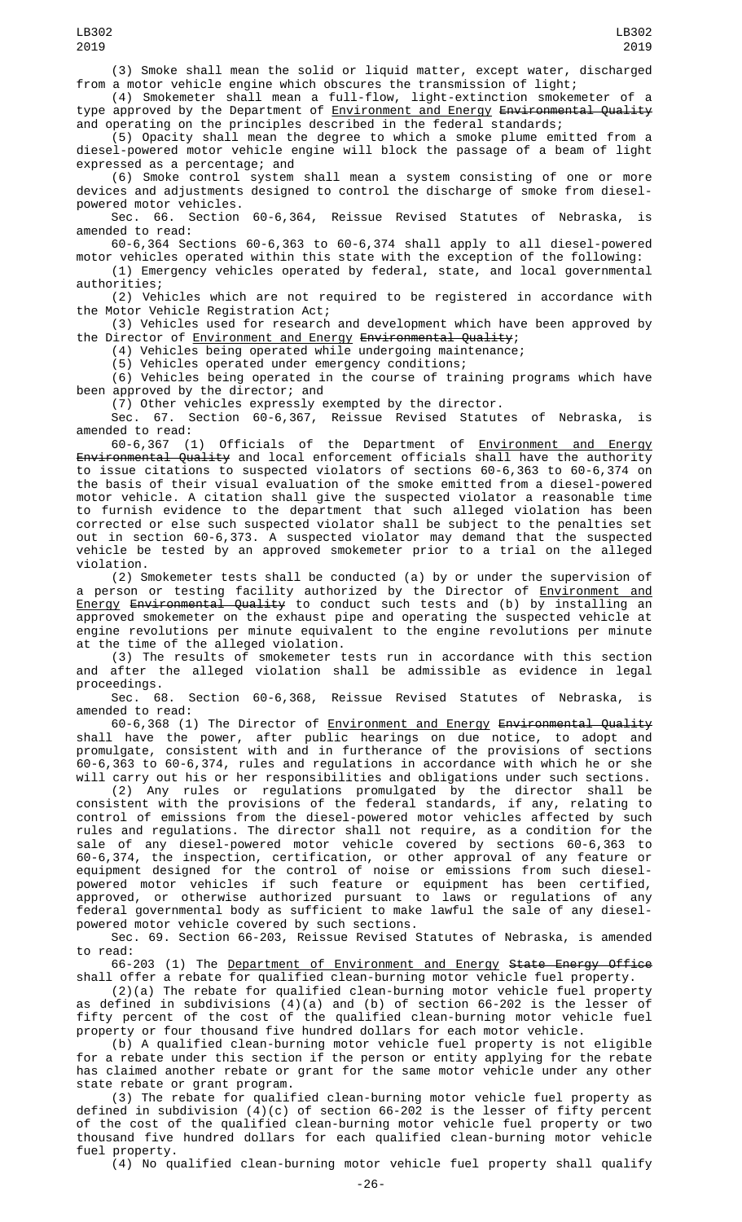(3) Smoke shall mean the solid or liquid matter, except water, discharged from a motor vehicle engine which obscures the transmission of light;

(4) Smokemeter shall mean a full-flow, light-extinction smokemeter of a type approved by the Department of <u>Environment and Energy</u> <del>Environmental Quality</del> and operating on the principles described in the federal standards;

(5) Opacity shall mean the degree to which a smoke plume emitted from a diesel-powered motor vehicle engine will block the passage of a beam of light expressed as a percentage; and

(6) Smoke control system shall mean a system consisting of one or more devices and adjustments designed to control the discharge of smoke from dieselpowered motor vehicles.

Sec. 66. Section 60-6,364, Reissue Revised Statutes of Nebraska, is amended to read:

60-6,364 Sections 60-6,363 to 60-6,374 shall apply to all diesel-powered motor vehicles operated within this state with the exception of the following: (1) Emergency vehicles operated by federal, state, and local governmental

authorities; (2) Vehicles which are not required to be registered in accordance with the Motor Vehicle Registration Act;

(3) Vehicles used for research and development which have been approved by the Director of Environment and Energy Environmental Quality;

(4) Vehicles being operated while undergoing maintenance;

(5) Vehicles operated under emergency conditions;

(6) Vehicles being operated in the course of training programs which have been approved by the director; and

(7) Other vehicles expressly exempted by the director.

Sec. 67. Section 60-6,367, Reissue Revised Statutes of Nebraska, is amended to read:<br>60-6,367 (1)

Officials of the Department of Environment and Energy <del>Environmental Quality</del> and local enforcement officials shall have the authority to issue citations to suspected violators of sections 60-6,363 to 60-6,374 on the basis of their visual evaluation of the smoke emitted from a diesel-powered motor vehicle. A citation shall give the suspected violator a reasonable time to furnish evidence to the department that such alleged violation has been corrected or else such suspected violator shall be subject to the penalties set out in section 60-6,373. A suspected violator may demand that the suspected vehicle be tested by an approved smokemeter prior to a trial on the alleged violation.

(2) Smokemeter tests shall be conducted (a) by or under the supervision of a person or testing facility authorized by the Director of Environment and <u>Energy</u> <del>Environmental Quality</del> to conduct such tests and (b) by installing an approved smokemeter on the exhaust pipe and operating the suspected vehicle at engine revolutions per minute equivalent to the engine revolutions per minute at the time of the alleged violation.

(3) The results of smokemeter tests run in accordance with this section and after the alleged violation shall be admissible as evidence in legal proceedings.<br>Sec. 68.

Section 60-6,368, Reissue Revised Statutes of Nebraska, is amended to read:

60-6,368 (1) The Director of Environment and Energy Environmental Quality shall have the power, after public hearings on due notice, to adopt and promulgate, consistent with and in furtherance of the provisions of sections 60-6,363 to 60-6,374, rules and regulations in accordance with which he or she will carry out his or her responsibilities and obligations under such sections.

(2) Any rules or regulations promulgated by the director shall be consistent with the provisions of the federal standards, if any, relating to control of emissions from the diesel-powered motor vehicles affected by such rules and regulations. The director shall not require, as a condition for the sale of any diesel-powered motor vehicle covered by sections 60-6,363 to 60-6,374, the inspection, certification, or other approval of any feature or equipment designed for the control of noise or emissions from such dieselpowered motor vehicles if such feature or equipment has been certified, approved, or otherwise authorized pursuant to laws or regulations of any federal governmental body as sufficient to make lawful the sale of any dieselpowered motor vehicle covered by such sections.

Sec. 69. Section 66-203, Reissue Revised Statutes of Nebraska, is amended to read:

66-203 (1) The Department of Environment and Energy State Energy Office shall offer a rebate for qualified clean-burning motor vehicle fuel property.

(2)(a) The rebate for qualified clean-burning motor vehicle fuel property as defined in subdivisions (4)(a) and (b) of section 66-202 is the lesser of fifty percent of the cost of the qualified clean-burning motor vehicle fuel property or four thousand five hundred dollars for each motor vehicle.

(b) A qualified clean-burning motor vehicle fuel property is not eligible for a rebate under this section if the person or entity applying for the rebate has claimed another rebate or grant for the same motor vehicle under any other state rebate or grant program.

(3) The rebate for qualified clean-burning motor vehicle fuel property as defined in subdivision (4)(c) of section 66-202 is the lesser of fifty percent of the cost of the qualified clean-burning motor vehicle fuel property or two thousand five hundred dollars for each qualified clean-burning motor vehicle fuel property.

(4) No qualified clean-burning motor vehicle fuel property shall qualify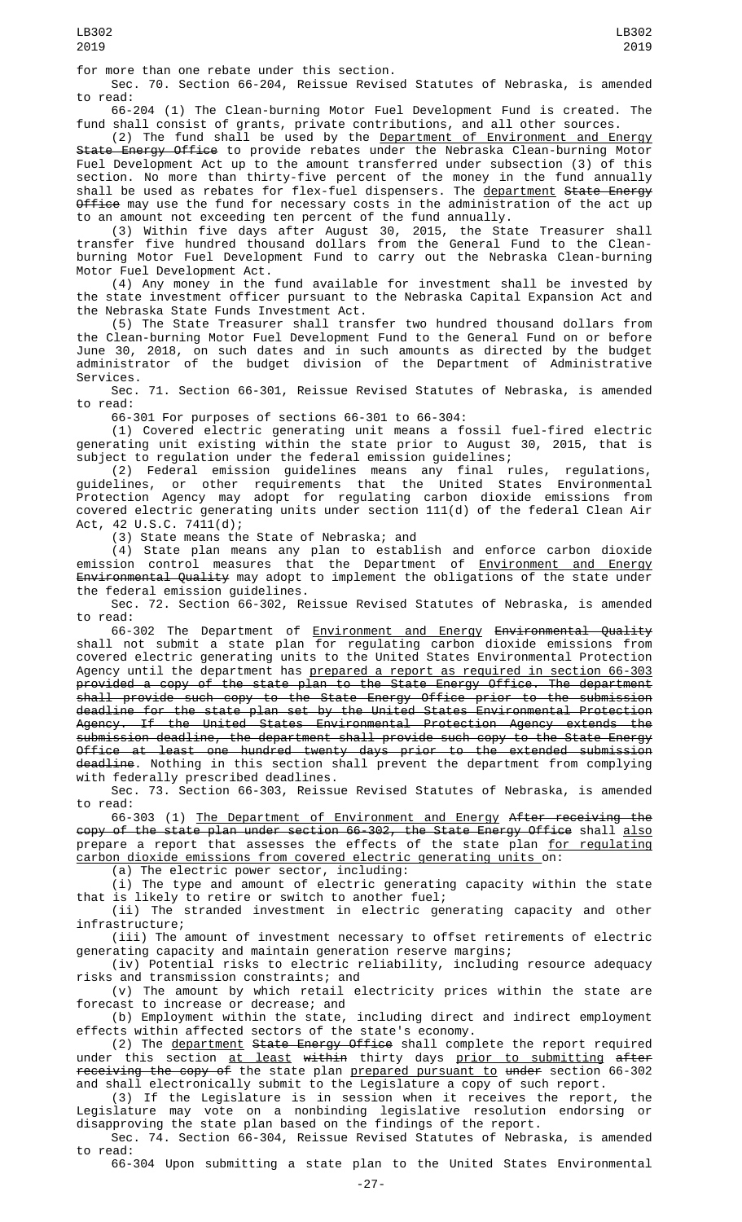for more than one rebate under this section.

Sec. 70. Section 66-204, Reissue Revised Statutes of Nebraska, is amended to read:

66-204 (1) The Clean-burning Motor Fuel Development Fund is created. The fund shall consist of grants, private contributions, and all other sources.

(2) The fund shall be used by the <u>Department of Environment and Energy</u> State Energy Office to provide rebates under the Nebraska Clean-burning Motor Fuel Development Act up to the amount transferred under subsection (3) of this section. No more than thirty-five percent of the money in the fund annually shall be used as rebates for flex-fuel dispensers. The department State Energy <del>Office</del> may use the fund for necessary costs in the administration of the act up to an amount not exceeding ten percent of the fund annually.

(3) Within five days after August 30, 2015, the State Treasurer shall transfer five hundred thousand dollars from the General Fund to the Cleanburning Motor Fuel Development Fund to carry out the Nebraska Clean-burning Motor Fuel Development Act.

(4) Any money in the fund available for investment shall be invested by the state investment officer pursuant to the Nebraska Capital Expansion Act and the Nebraska State Funds Investment Act.

(5) The State Treasurer shall transfer two hundred thousand dollars from the Clean-burning Motor Fuel Development Fund to the General Fund on or before June 30, 2018, on such dates and in such amounts as directed by the budget administrator of the budget division of the Department of Administrative Services.

Sec. 71. Section 66-301, Reissue Revised Statutes of Nebraska, is amended to read:

66-301 For purposes of sections 66-301 to 66-304:

(1) Covered electric generating unit means a fossil fuel-fired electric generating unit existing within the state prior to August 30, 2015, that is subject to regulation under the federal emission guidelines;

(2) Federal emission guidelines means any final rules, regulations, guidelines, or other requirements that the United States Environmental Protection Agency may adopt for regulating carbon dioxide emissions from covered electric generating units under section 111(d) of the federal Clean Air Act, 42 U.S.C. 7411(d);

(3) State means the State of Nebraska; and

(4) State plan means any plan to establish and enforce carbon dioxide emission control measures that the Department of <u>Environment and Energy</u> Environmental Quality may adopt to implement the obligations of the state under the federal emission guidelines.

Sec. 72. Section 66-302, Reissue Revised Statutes of Nebraska, is amended to read:

66-302 The Department of Environment and Energy Environmental Quality shall not submit a state plan for regulating carbon dioxide emissions from covered electric generating units to the United States Environmental Protection Agency until the department has <u>prepared a report as required in section 66-303</u> provided a copy of the state plan to the State Energy Office. The department shall provide such copy to the State Energy Office prior to the submission deadline for the state plan set by the United States Environmental Protection Agency. If the United States Environmental Protection Agency extends the submission deadline, the department shall provide such copy to the State Energy Office at least one hundred twenty days prior to the extended submission deadline. Nothing in this section shall prevent the department from complying with federally prescribed deadlines.

Sec. 73. Section 66-303, Reissue Revised Statutes of Nebraska, is amended to read:

66-303 (1) The Department of Environment and Energy After receiving the copy of the state plan under section 66-302, the State Energy Office shall also prepare a report that assesses the effects of the state plan <u>for regulating</u> carbon dioxide emissions from covered electric generating units on:

(a) The electric power sector, including:

(i) The type and amount of electric generating capacity within the state that is likely to retire or switch to another fuel;

(ii) The stranded investment in electric generating capacity and other infrastructure;

(iii) The amount of investment necessary to offset retirements of electric generating capacity and maintain generation reserve margins;

(iv) Potential risks to electric reliability, including resource adequacy risks and transmission constraints; and

(v) The amount by which retail electricity prices within the state are forecast to increase or decrease; and

(b) Employment within the state, including direct and indirect employment effects within affected sectors of the state's economy.

(2) The <u>department</u> <del>State Energy Office</del> shall complete the report required under this section <u>at least</u> <del>within</del> thirty days <u>prior to submitting</u> <del>after</del> receiving the copy of the state plan prepared pursuant to under section 66-302 and shall electronically submit to the Legislature a copy of such report.

(3) If the Legislature is in session when it receives the report, the Legislature may vote on a nonbinding legislative resolution endorsing or disapproving the state plan based on the findings of the report.

Sec. 74. Section 66-304, Reissue Revised Statutes of Nebraska, is amended to read:

66-304 Upon submitting a state plan to the United States Environmental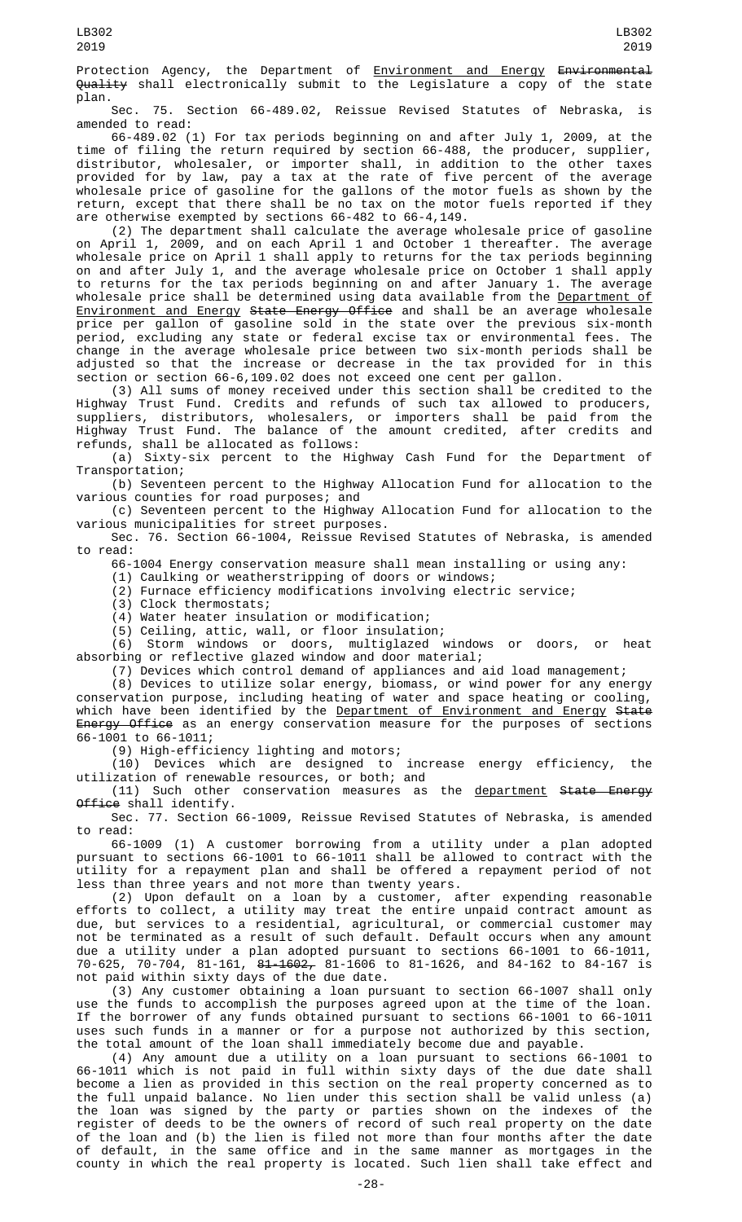Protection Agency, the Department of **Environment and Energy Environmental** Quality shall electronically submit to the Legislature a copy of the state plan.

Sec. 75. Section 66-489.02, Reissue Revised Statutes of Nebraska, is amended to read:

66-489.02 (1) For tax periods beginning on and after July 1, 2009, at the time of filing the return required by section 66-488, the producer, supplier, distributor, wholesaler, or importer shall, in addition to the other taxes provided for by law, pay a tax at the rate of five percent of the average wholesale price of gasoline for the gallons of the motor fuels as shown by the return, except that there shall be no tax on the motor fuels reported if they are otherwise exempted by sections 66-482 to 66-4,149.

(2) The department shall calculate the average wholesale price of gasoline on April 1, 2009, and on each April 1 and October 1 thereafter. The average wholesale price on April 1 shall apply to returns for the tax periods beginning on and after July 1, and the average wholesale price on October 1 shall apply to returns for the tax periods beginning on and after January 1. The average wholesale price shall be determined using data available from the <u>Department of</u> Environment and Energy State Energy Office and shall be an average wholesale price per gallon of gasoline sold in the state over the previous six-month period, excluding any state or federal excise tax or environmental fees. The change in the average wholesale price between two six-month periods shall be adjusted so that the increase or decrease in the tax provided for in this section or section 66-6,109.02 does not exceed one cent per gallon.

(3) All sums of money received under this section shall be credited to the Highway Trust Fund. Credits and refunds of such tax allowed to producers, suppliers, distributors, wholesalers, or importers shall be paid from the Highway Trust Fund. The balance of the amount credited, after credits and refunds, shall be allocated as follows:

(a) Sixty-six percent to the Highway Cash Fund for the Department of Transportation;

(b) Seventeen percent to the Highway Allocation Fund for allocation to the various counties for road purposes; and

(c) Seventeen percent to the Highway Allocation Fund for allocation to the various municipalities for street purposes.

Sec. 76. Section 66-1004, Reissue Revised Statutes of Nebraska, is amended to read:

66-1004 Energy conservation measure shall mean installing or using any:

(1) Caulking or weatherstripping of doors or windows;

(2) Furnace efficiency modifications involving electric service;

(3) Clock thermostats;

(4) Water heater insulation or modification;

(5) Ceiling, attic, wall, or floor insulation;

(6) Storm windows or doors, multiglazed windows or doors, or heat absorbing or reflective glazed window and door material;

(7) Devices which control demand of appliances and aid load management;

(8) Devices to utilize solar energy, biomass, or wind power for any energy conservation purpose, including heating of water and space heating or cooling, which have been identified by the Department of Environment and Energy State Energy Office as an energy conservation measure for the purposes of sections 66-1001 to 66-1011;

(9) High-efficiency lighting and motors;

(10) Devices which are designed to increase energy efficiency, the utilization of renewable resources, or both; and

(11) Such other conservation measures as the department State Energy Office shall identify.

Sec. 77. Section 66-1009, Reissue Revised Statutes of Nebraska, is amended to read:

66-1009 (1) A customer borrowing from a utility under a plan adopted pursuant to sections 66-1001 to 66-1011 shall be allowed to contract with the utility for a repayment plan and shall be offered a repayment period of not less than three years and not more than twenty years.

(2) Upon default on a loan by a customer, after expending reasonable efforts to collect, a utility may treat the entire unpaid contract amount as due, but services to a residential, agricultural, or commercial customer may not be terminated as a result of such default. Default occurs when any amount due a utility under a plan adopted pursuant to sections 66-1001 to 66-1011, 70-625, 70-704, 81-161, 81-1602, 81-1606 to 81-1626, and 84-162 to 84-167 is not paid within sixty days of the due date.

(3) Any customer obtaining a loan pursuant to section 66-1007 shall only use the funds to accomplish the purposes agreed upon at the time of the loan. If the borrower of any funds obtained pursuant to sections 66-1001 to 66-1011 uses such funds in a manner or for a purpose not authorized by this section, the total amount of the loan shall immediately become due and payable.

(4) Any amount due a utility on a loan pursuant to sections 66-1001 to 66-1011 which is not paid in full within sixty days of the due date shall become a lien as provided in this section on the real property concerned as to the full unpaid balance. No lien under this section shall be valid unless (a) the loan was signed by the party or parties shown on the indexes of the register of deeds to be the owners of record of such real property on the date of the loan and (b) the lien is filed not more than four months after the date of default, in the same office and in the same manner as mortgages in the county in which the real property is located. Such lien shall take effect and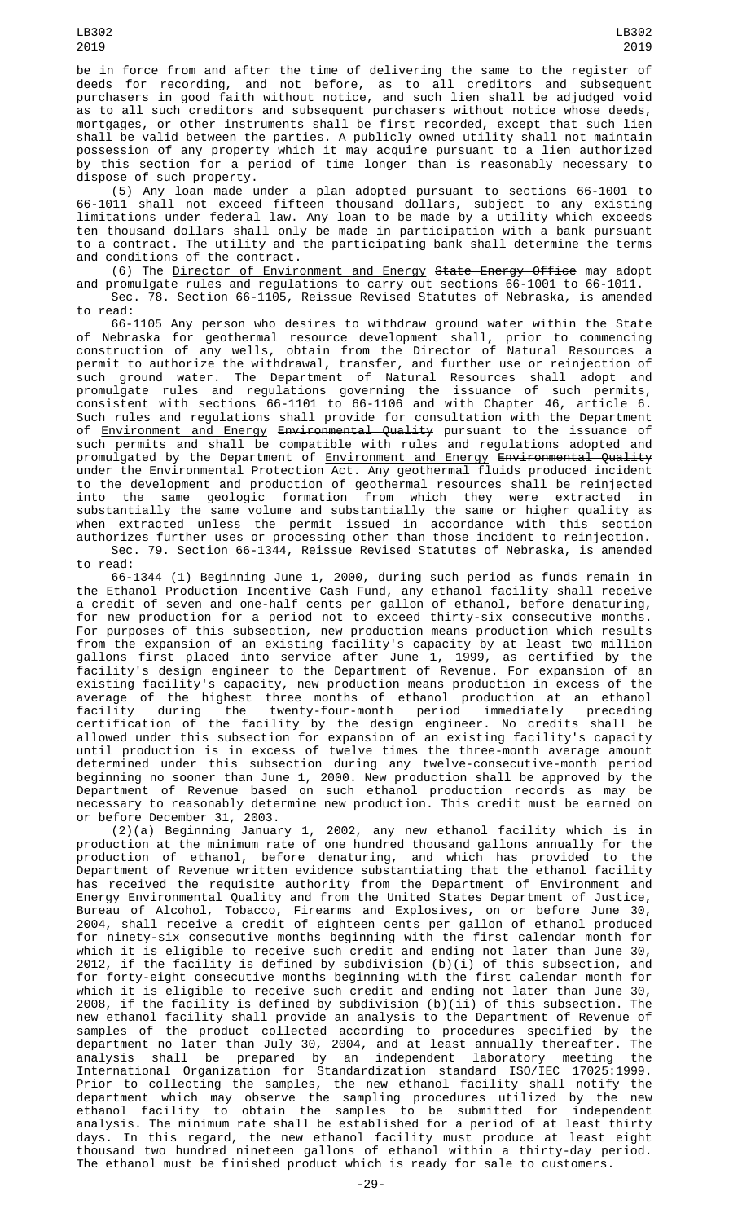be in force from and after the time of delivering the same to the register of deeds for recording, and not before, as to all creditors and subsequent purchasers in good faith without notice, and such lien shall be adjudged void as to all such creditors and subsequent purchasers without notice whose deeds, mortgages, or other instruments shall be first recorded, except that such lien shall be valid between the parties. A publicly owned utility shall not maintain possession of any property which it may acquire pursuant to a lien authorized by this section for a period of time longer than is reasonably necessary to dispose of such property.

(5) Any loan made under a plan adopted pursuant to sections 66-1001 to 66-1011 shall not exceed fifteen thousand dollars, subject to any existing limitations under federal law. Any loan to be made by a utility which exceeds ten thousand dollars shall only be made in participation with a bank pursuant to a contract. The utility and the participating bank shall determine the terms and conditions of the contract.

(6) The <u>Director of Environment and Energy</u> S<del>tate Energy Office</del> may adopt and promulgate rules and regulations to carry out sections 66-1001 to 66-1011. Sec. 78. Section 66-1105, Reissue Revised Statutes of Nebraska, is amended to read:

66-1105 Any person who desires to withdraw ground water within the State of Nebraska for geothermal resource development shall, prior to commencing construction of any wells, obtain from the Director of Natural Resources a permit to authorize the withdrawal, transfer, and further use or reinjection of such ground water. The Department of Natural Resources shall adopt and promulgate rules and regulations governing the issuance of such permits, consistent with sections 66-1101 to 66-1106 and with Chapter 46, article 6. Such rules and regulations shall provide for consultation with the Department of <u>Environment and Energy</u> <del>Environmental Quality</del> pursuant to the issuance of such permits and shall be compatible with rules and regulations adopted and promulgated by the Department of <u>Environment and Energy</u> <del>Environmental Quality</del> under the Environmental Protection Act. Any geothermal fluids produced incident to the development and production of geothermal resources shall be reinjected into the same geologic formation from which they were extracted in substantially the same volume and substantially the same or higher quality as when extracted unless the permit issued in accordance with this section authorizes further uses or processing other than those incident to reinjection.

Sec. 79. Section 66-1344, Reissue Revised Statutes of Nebraska, is amended to read:

66-1344 (1) Beginning June 1, 2000, during such period as funds remain in the Ethanol Production Incentive Cash Fund, any ethanol facility shall receive a credit of seven and one-half cents per gallon of ethanol, before denaturing, for new production for a period not to exceed thirty-six consecutive months. For purposes of this subsection, new production means production which results from the expansion of an existing facility's capacity by at least two million gallons first placed into service after June 1, 1999, as certified by the facility's design engineer to the Department of Revenue. For expansion of an existing facility's capacity, new production means production in excess of the average of the highest three months of ethanol production at an ethanol facility during the twenty-four-month period immediately preceding certification of the facility by the design engineer. No credits shall be allowed under this subsection for expansion of an existing facility's capacity until production is in excess of twelve times the three-month average amount determined under this subsection during any twelve-consecutive-month period beginning no sooner than June 1, 2000. New production shall be approved by the Department of Revenue based on such ethanol production records as may be necessary to reasonably determine new production. This credit must be earned on or before December 31, 2003.

(2)(a) Beginning January 1, 2002, any new ethanol facility which is in production at the minimum rate of one hundred thousand gallons annually for the production of ethanol, before denaturing, and which has provided to the Department of Revenue written evidence substantiating that the ethanol facility has received the requisite authority from the Department of <u>Environment and</u> Energy Environmental Quality and from the United States Department of Justice, Bureau of Alcohol, Tobacco, Firearms and Explosives, on or before June 30, 2004, shall receive a credit of eighteen cents per gallon of ethanol produced for ninety-six consecutive months beginning with the first calendar month for which it is eligible to receive such credit and ending not later than June 30, 2012, if the facility is defined by subdivision (b)(i) of this subsection, and for forty-eight consecutive months beginning with the first calendar month for which it is eligible to receive such credit and ending not later than June 30, 2008, if the facility is defined by subdivision (b)(ii) of this subsection. The new ethanol facility shall provide an analysis to the Department of Revenue of samples of the product collected according to procedures specified by the department no later than July 30, 2004, and at least annually thereafter. The analysis shall be prepared by an independent laboratory meeting the International Organization for Standardization standard ISO/IEC 17025:1999. Prior to collecting the samples, the new ethanol facility shall notify the department which may observe the sampling procedures utilized by the new ethanol facility to obtain the samples to be submitted for independent analysis. The minimum rate shall be established for a period of at least thirty days. In this regard, the new ethanol facility must produce at least eight thousand two hundred nineteen gallons of ethanol within a thirty-day period. The ethanol must be finished product which is ready for sale to customers.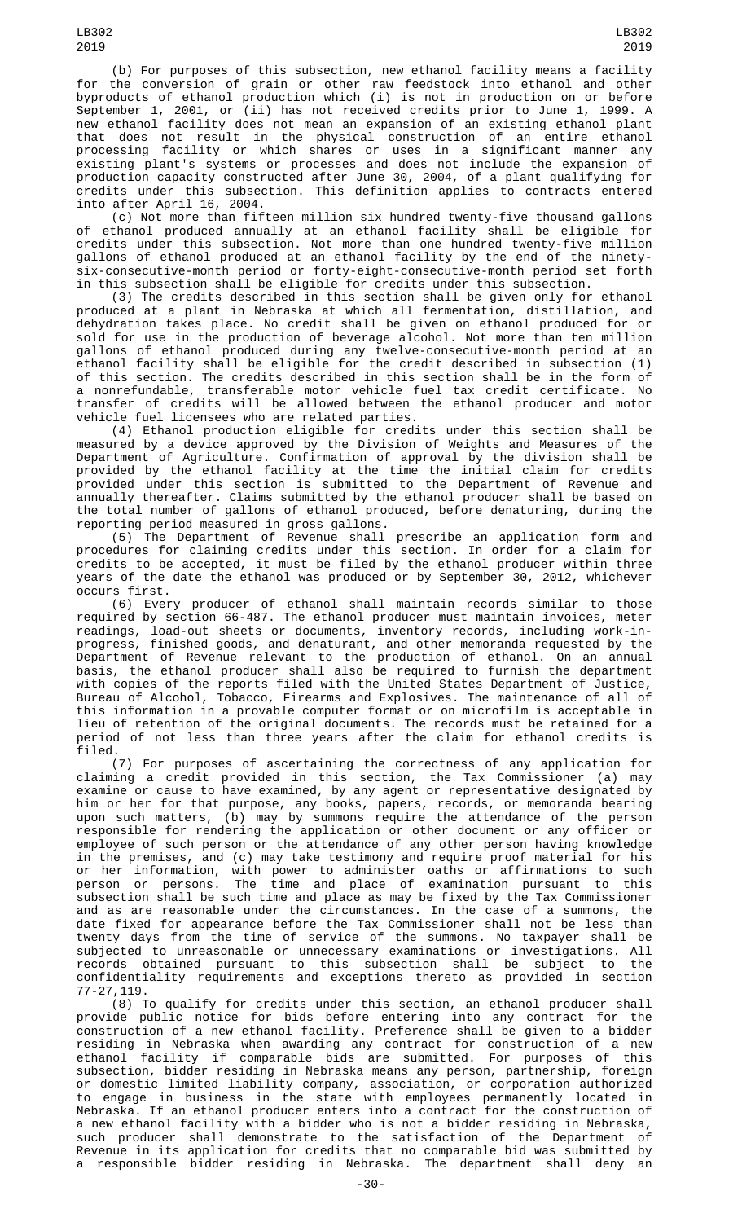(b) For purposes of this subsection, new ethanol facility means a facility for the conversion of grain or other raw feedstock into ethanol and other byproducts of ethanol production which (i) is not in production on or before September 1, 2001, or (ii) has not received credits prior to June 1, 1999. A new ethanol facility does not mean an expansion of an existing ethanol plant that does not result in the physical construction of an entire ethanol processing facility or which shares or uses in a significant manner any existing plant's systems or processes and does not include the expansion of production capacity constructed after June 30, 2004, of a plant qualifying for credits under this subsection. This definition applies to contracts entered into after April 16, 2004.

(c) Not more than fifteen million six hundred twenty-five thousand gallons of ethanol produced annually at an ethanol facility shall be eligible for credits under this subsection. Not more than one hundred twenty-five million gallons of ethanol produced at an ethanol facility by the end of the ninetysix-consecutive-month period or forty-eight-consecutive-month period set forth in this subsection shall be eligible for credits under this subsection.

(3) The credits described in this section shall be given only for ethanol produced at a plant in Nebraska at which all fermentation, distillation, and dehydration takes place. No credit shall be given on ethanol produced for or sold for use in the production of beverage alcohol. Not more than ten million gallons of ethanol produced during any twelve-consecutive-month period at an ethanol facility shall be eligible for the credit described in subsection (1) of this section. The credits described in this section shall be in the form of a nonrefundable, transferable motor vehicle fuel tax credit certificate. No transfer of credits will be allowed between the ethanol producer and motor vehicle fuel licensees who are related parties.

(4) Ethanol production eligible for credits under this section shall be measured by a device approved by the Division of Weights and Measures of the Department of Agriculture. Confirmation of approval by the division shall be provided by the ethanol facility at the time the initial claim for credits provided under this section is submitted to the Department of Revenue and annually thereafter. Claims submitted by the ethanol producer shall be based on the total number of gallons of ethanol produced, before denaturing, during the reporting period measured in gross gallons.

(5) The Department of Revenue shall prescribe an application form and procedures for claiming credits under this section. In order for a claim for credits to be accepted, it must be filed by the ethanol producer within three years of the date the ethanol was produced or by September 30, 2012, whichever occurs first.

(6) Every producer of ethanol shall maintain records similar to those required by section 66-487. The ethanol producer must maintain invoices, meter readings, load-out sheets or documents, inventory records, including work-inprogress, finished goods, and denaturant, and other memoranda requested by the Department of Revenue relevant to the production of ethanol. On an annual basis, the ethanol producer shall also be required to furnish the department with copies of the reports filed with the United States Department of Justice, Bureau of Alcohol, Tobacco, Firearms and Explosives. The maintenance of all of this information in a provable computer format or on microfilm is acceptable in lieu of retention of the original documents. The records must be retained for a period of not less than three years after the claim for ethanol credits is filed.

(7) For purposes of ascertaining the correctness of any application for claiming a credit provided in this section, the Tax Commissioner (a) may examine or cause to have examined, by any agent or representative designated by him or her for that purpose, any books, papers, records, or memoranda bearing upon such matters, (b) may by summons require the attendance of the person responsible for rendering the application or other document or any officer or employee of such person or the attendance of any other person having knowledge in the premises, and (c) may take testimony and require proof material for his or her information, with power to administer oaths or affirmations to such person or persons. The time and place of examination pursuant to this subsection shall be such time and place as may be fixed by the Tax Commissioner and as are reasonable under the circumstances. In the case of a summons, the date fixed for appearance before the Tax Commissioner shall not be less than twenty days from the time of service of the summons. No taxpayer shall be subjected to unreasonable or unnecessary examinations or investigations. All records obtained pursuant to this subsection shall be subject to the confidentiality requirements and exceptions thereto as provided in section 77-27,119.

(8) To qualify for credits under this section, an ethanol producer shall provide public notice for bids before entering into any contract for the construction of a new ethanol facility. Preference shall be given to a bidder residing in Nebraska when awarding any contract for construction of a new ethanol facility if comparable bids are submitted. For purposes of this subsection, bidder residing in Nebraska means any person, partnership, foreign or domestic limited liability company, association, or corporation authorized to engage in business in the state with employees permanently located in Nebraska. If an ethanol producer enters into a contract for the construction of a new ethanol facility with a bidder who is not a bidder residing in Nebraska, such producer shall demonstrate to the satisfaction of the Department of Revenue in its application for credits that no comparable bid was submitted by a responsible bidder residing in Nebraska. The department shall deny an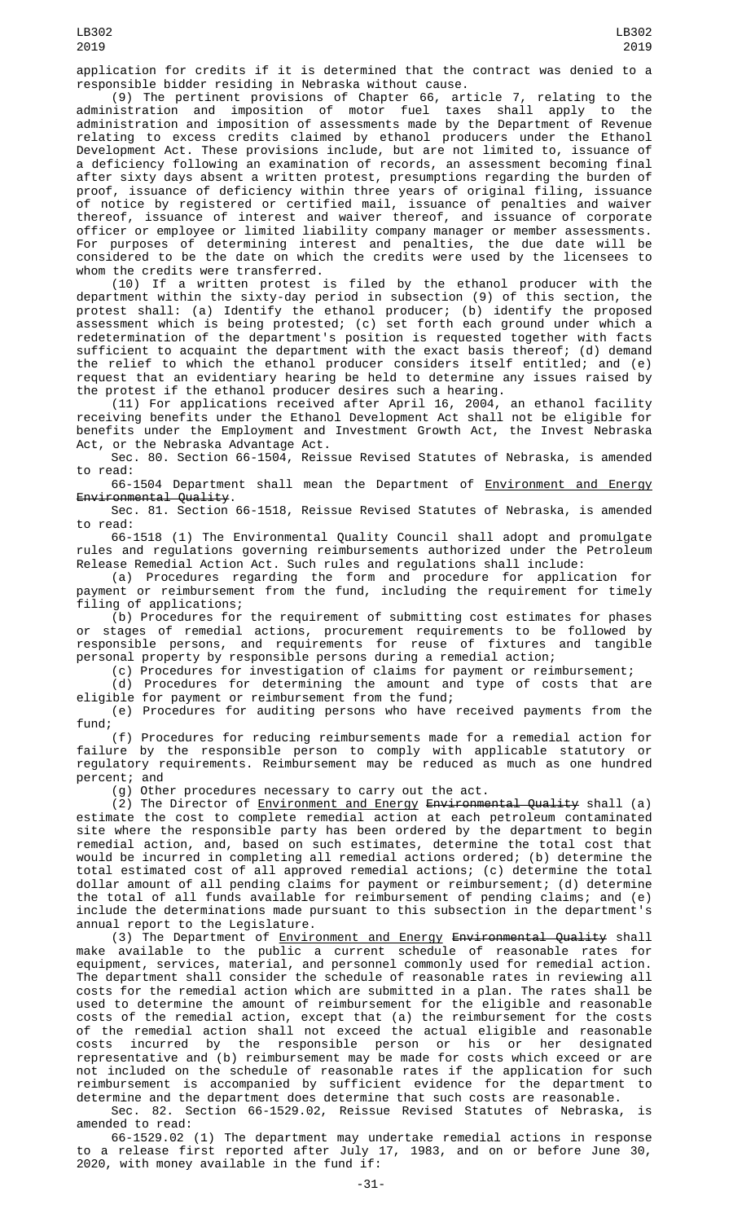application for credits if it is determined that the contract was denied to a responsible bidder residing in Nebraska without cause.

(9) The pertinent provisions of Chapter 66, article 7, relating to the administration and imposition of motor fuel taxes shall apply to the administration and imposition of assessments made by the Department of Revenue relating to excess credits claimed by ethanol producers under the Ethanol Development Act. These provisions include, but are not limited to, issuance of a deficiency following an examination of records, an assessment becoming final after sixty days absent a written protest, presumptions regarding the burden of proof, issuance of deficiency within three years of original filing, issuance of notice by registered or certified mail, issuance of penalties and waiver thereof, issuance of interest and waiver thereof, and issuance of corporate officer or employee or limited liability company manager or member assessments. For purposes of determining interest and penalties, the due date will be considered to be the date on which the credits were used by the licensees to whom the credits were transferred.

(10) If a written protest is filed by the ethanol producer with the department within the sixty-day period in subsection (9) of this section, the protest shall: (a) Identify the ethanol producer; (b) identify the proposed assessment which is being protested; (c) set forth each ground under which a redetermination of the department's position is requested together with facts sufficient to acquaint the department with the exact basis thereof; (d) demand the relief to which the ethanol producer considers itself entitled; and (e) request that an evidentiary hearing be held to determine any issues raised by the protest if the ethanol producer desires such a hearing.

(11) For applications received after April 16, 2004, an ethanol facility receiving benefits under the Ethanol Development Act shall not be eligible for benefits under the Employment and Investment Growth Act, the Invest Nebraska Act, or the Nebraska Advantage Act.

Sec. 80. Section 66-1504, Reissue Revised Statutes of Nebraska, is amended to read:

66-1504 Department shall mean the Department of Environment and Energy Environmental Quality.

Sec. 81. Section 66-1518, Reissue Revised Statutes of Nebraska, is amended to read:

66-1518 (1) The Environmental Quality Council shall adopt and promulgate rules and regulations governing reimbursements authorized under the Petroleum Release Remedial Action Act. Such rules and regulations shall include:

(a) Procedures regarding the form and procedure for application for payment or reimbursement from the fund, including the requirement for timely filing of applications;

(b) Procedures for the requirement of submitting cost estimates for phases stages of remedial actions, procurement requirements to be followed by responsible persons, and requirements for reuse of fixtures and tangible personal property by responsible persons during a remedial action;

(c) Procedures for investigation of claims for payment or reimbursement;

(d) Procedures for determining the amount and type of costs that are eligible for payment or reimbursement from the fund;

(e) Procedures for auditing persons who have received payments from the fund;

(f) Procedures for reducing reimbursements made for a remedial action for failure by the responsible person to comply with applicable statutory or regulatory requirements. Reimbursement may be reduced as much as one hundred percent; and

(g) Other procedures necessary to carry out the act.

(2) The Director of <u>Environment and Energy</u> <del>Environmental Quality</del> shall (a) estimate the cost to complete remedial action at each petroleum contaminated site where the responsible party has been ordered by the department to begin remedial action, and, based on such estimates, determine the total cost that would be incurred in completing all remedial actions ordered; (b) determine the total estimated cost of all approved remedial actions; (c) determine the total dollar amount of all pending claims for payment or reimbursement; (d) determine the total of all funds available for reimbursement of pending claims; and (e) include the determinations made pursuant to this subsection in the department's annual report to the Legislature.

(3) The Department of <u>Environment and Energy</u> <del>Environmental Quality</del> shall make available to the public a current schedule of reasonable rates for equipment, services, material, and personnel commonly used for remedial action. The department shall consider the schedule of reasonable rates in reviewing all costs for the remedial action which are submitted in a plan. The rates shall be used to determine the amount of reimbursement for the eligible and reasonable costs of the remedial action, except that (a) the reimbursement for the costs of the remedial action shall not exceed the actual eligible and reasonable costs incurred by the responsible person or his or her designated representative and (b) reimbursement may be made for costs which exceed or are not included on the schedule of reasonable rates if the application for such reimbursement is accompanied by sufficient evidence for the department to determine and the department does determine that such costs are reasonable.

Sec. 82. Section 66-1529.02, Reissue Revised Statutes of Nebraska, is amended to read:

66-1529.02 (1) The department may undertake remedial actions in response to a release first reported after July 17, 1983, and on or before June 30, 2020, with money available in the fund if: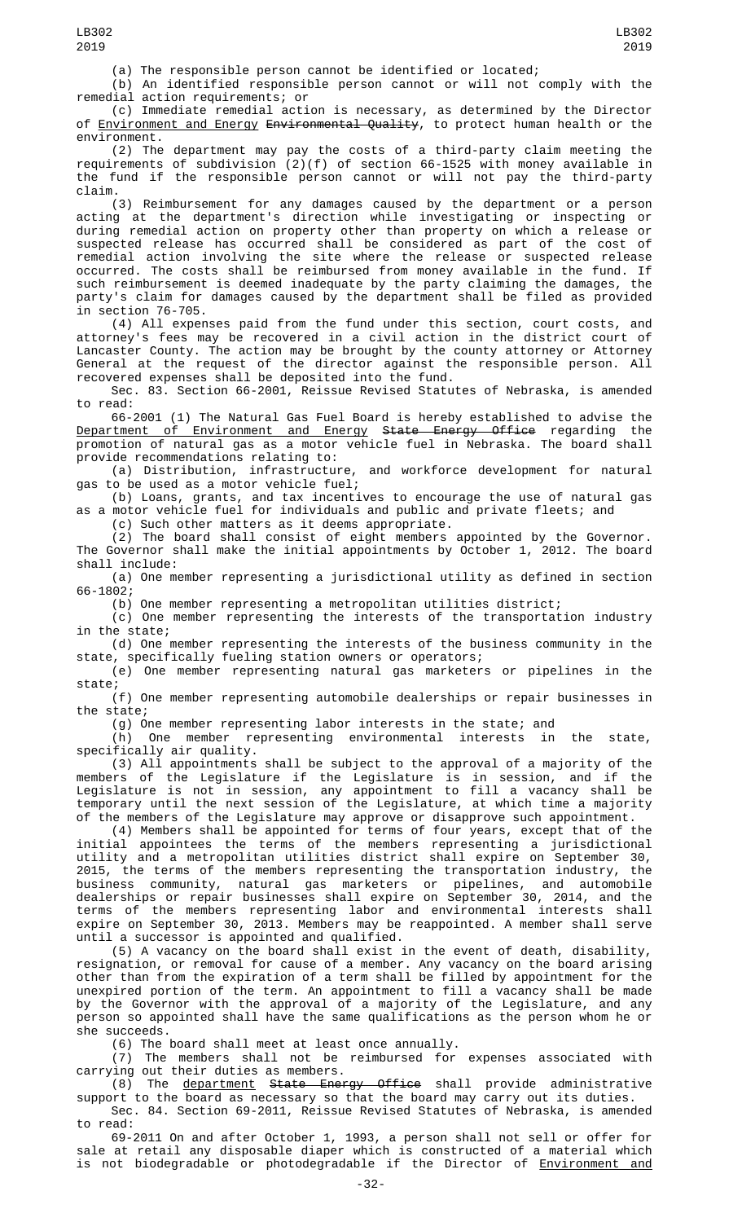(a) The responsible person cannot be identified or located;

(b) An identified responsible person cannot or will not comply with the remedial action requirements; or

(c) Immediate remedial action is necessary, as determined by the Director of Environment and Energy Environmental Quality, to protect human health or the environment.

(2) The department may pay the costs of a third-party claim meeting the requirements of subdivision (2)(f) of section 66-1525 with money available in the fund if the responsible person cannot or will not pay the third-party claim.

(3) Reimbursement for any damages caused by the department or a person acting at the department's direction while investigating or inspecting or during remedial action on property other than property on which a release or suspected release has occurred shall be considered as part of the cost of remedial action involving the site where the release or suspected release occurred. The costs shall be reimbursed from money available in the fund. If such reimbursement is deemed inadequate by the party claiming the damages, the party's claim for damages caused by the department shall be filed as provided in section 76-705.

(4) All expenses paid from the fund under this section, court costs, and attorney's fees may be recovered in a civil action in the district court of Lancaster County. The action may be brought by the county attorney or Attorney General at the request of the director against the responsible person. All recovered expenses shall be deposited into the fund.

Sec. 83. Section 66-2001, Reissue Revised Statutes of Nebraska, is amended to read:

66-2001 (1) The Natural Gas Fuel Board is hereby established to advise the <u>Department of Environment and Energy</u> <del>State Energy Office</del> regarding the promotion of natural gas as a motor vehicle fuel in Nebraska. The board shall provide recommendations relating to:

(a) Distribution, infrastructure, and workforce development for natural gas to be used as a motor vehicle fuel;

(b) Loans, grants, and tax incentives to encourage the use of natural gas as a motor vehicle fuel for individuals and public and private fleets; and

(c) Such other matters as it deems appropriate.

(2) The board shall consist of eight members appointed by the Governor. The Governor shall make the initial appointments by October 1, 2012. The board shall include:

(a) One member representing a jurisdictional utility as defined in section 66-1802;

(b) One member representing a metropolitan utilities district;

(c) One member representing the interests of the transportation industry in the state;

(d) One member representing the interests of the business community in the state, specifically fueling station owners or operators;

(e) One member representing natural gas marketers or pipelines in the state;

(f) One member representing automobile dealerships or repair businesses in the state;

(g) One member representing labor interests in the state; and<br>(h) One member representing environmental interests in

(h) One member representing environmental interests in the state, specifically air quality.

(3) All appointments shall be subject to the approval of a majority of the members of the Legislature if the Legislature is in session, and if the Legislature is not in session, any appointment to fill a vacancy shall be temporary until the next session of the Legislature, at which time a majority of the members of the Legislature may approve or disapprove such appointment.

(4) Members shall be appointed for terms of four years, except that of the initial appointees the terms of the members representing a jurisdictional utility and a metropolitan utilities district shall expire on September 30, 2015, the terms of the members representing the transportation industry, the business community, natural gas marketers or pipelines, and automobile dealerships or repair businesses shall expire on September 30, 2014, and the terms of the members representing labor and environmental interests shall expire on September 30, 2013. Members may be reappointed. A member shall serve until a successor is appointed and qualified.

(5) A vacancy on the board shall exist in the event of death, disability, resignation, or removal for cause of a member. Any vacancy on the board arising other than from the expiration of a term shall be filled by appointment for the unexpired portion of the term. An appointment to fill a vacancy shall be made by the Governor with the approval of a majority of the Legislature, and any person so appointed shall have the same qualifications as the person whom he or she succeeds.

(6) The board shall meet at least once annually.

(7) The members shall not be reimbursed for expenses associated with carrying out their duties as members.

(8) The <u>department</u> <del>State Energy Office</del> shall provide administrative support to the board as necessary so that the board may carry out its duties. Sec. 84. Section 69-2011, Reissue Revised Statutes of Nebraska, is amended

to read: 69-2011 On and after October 1, 1993, a person shall not sell or offer for sale at retail any disposable diaper which is constructed of a material which is not biodegradable or photodegradable if the Director of Environment and

LB302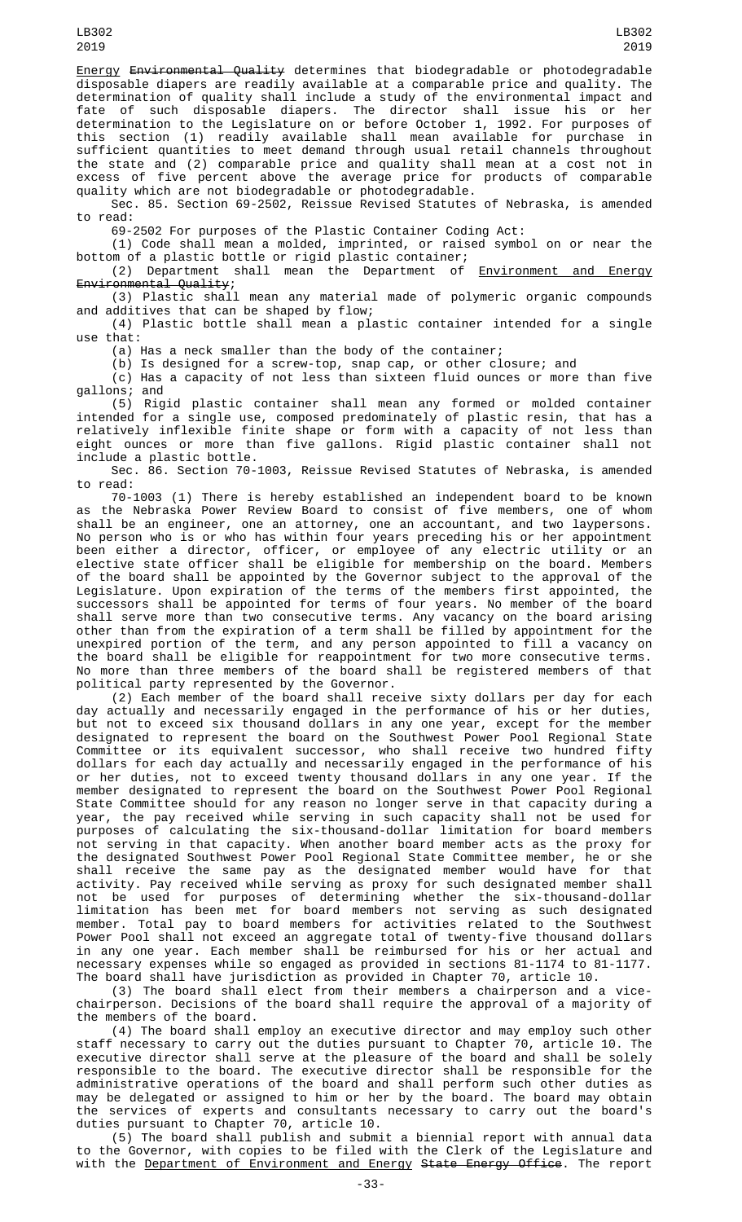Energy Environmental Quality determines that biodegradable or photodegradable disposable diapers are readily available at a comparable price and quality. The determination of quality shall include a study of the environmental impact and fate of such disposable diapers. The director shall issue his or her determination to the Legislature on or before October 1, 1992. For purposes of this section (1) readily available shall mean available for purchase in sufficient quantities to meet demand through usual retail channels throughout the state and (2) comparable price and quality shall mean at a cost not in excess of five percent above the average price for products of comparable quality which are not biodegradable or photodegradable.

Sec. 85. Section 69-2502, Reissue Revised Statutes of Nebraska, is amended to read:

69-2502 For purposes of the Plastic Container Coding Act:

(1) Code shall mean a molded, imprinted, or raised symbol on or near the bottom of a plastic bottle or rigid plastic container;

(2) Department shall mean the Department of **Environment and Energy** Environmental Quality;

(3) Plastic shall mean any material made of polymeric organic compounds and additives that can be shaped by flow;

(4) Plastic bottle shall mean a plastic container intended for a single use that:

(a) Has a neck smaller than the body of the container;

(b) Is designed for a screw-top, snap cap, or other closure; and

(c) Has a capacity of not less than sixteen fluid ounces or more than five gallons; and

(5) Rigid plastic container shall mean any formed or molded container intended for a single use, composed predominately of plastic resin, that has a relatively inflexible finite shape or form with a capacity of not less than eight ounces or more than five gallons. Rigid plastic container shall not include a plastic bottle.

Sec. 86. Section 70-1003, Reissue Revised Statutes of Nebraska, is amended to read:

70-1003 (1) There is hereby established an independent board to be known as the Nebraska Power Review Board to consist of five members, one of whom shall be an engineer, one an attorney, one an accountant, and two laypersons. No person who is or who has within four years preceding his or her appointment been either a director, officer, or employee of any electric utility or an elective state officer shall be eligible for membership on the board. Members of the board shall be appointed by the Governor subject to the approval of the Legislature. Upon expiration of the terms of the members first appointed, the successors shall be appointed for terms of four years. No member of the board shall serve more than two consecutive terms. Any vacancy on the board arising other than from the expiration of a term shall be filled by appointment for the unexpired portion of the term, and any person appointed to fill a vacancy on the board shall be eligible for reappointment for two more consecutive terms. No more than three members of the board shall be registered members of that political party represented by the Governor.

(2) Each member of the board shall receive sixty dollars per day for each day actually and necessarily engaged in the performance of his or her duties, but not to exceed six thousand dollars in any one year, except for the member designated to represent the board on the Southwest Power Pool Regional State Committee or its equivalent successor, who shall receive two hundred fifty dollars for each day actually and necessarily engaged in the performance of his or her duties, not to exceed twenty thousand dollars in any one year. If the member designated to represent the board on the Southwest Power Pool Regional State Committee should for any reason no longer serve in that capacity during a year, the pay received while serving in such capacity shall not be used for purposes of calculating the six-thousand-dollar limitation for board members not serving in that capacity. When another board member acts as the proxy for the designated Southwest Power Pool Regional State Committee member, he or she shall receive the same pay as the designated member would have for that activity. Pay received while serving as proxy for such designated member shall not be used for purposes of determining whether the six-thousand-dollar limitation has been met for board members not serving as such designated member. Total pay to board members for activities related to the Southwest Power Pool shall not exceed an aggregate total of twenty-five thousand dollars in any one year. Each member shall be reimbursed for his or her actual and necessary expenses while so engaged as provided in sections 81-1174 to 81-1177. The board shall have jurisdiction as provided in Chapter 70, article 10.

(3) The board shall elect from their members a chairperson and a vicechairperson. Decisions of the board shall require the approval of a majority of the members of the board.

(4) The board shall employ an executive director and may employ such other staff necessary to carry out the duties pursuant to Chapter 70, article 10. The executive director shall serve at the pleasure of the board and shall be solely responsible to the board. The executive director shall be responsible for the administrative operations of the board and shall perform such other duties as may be delegated or assigned to him or her by the board. The board may obtain the services of experts and consultants necessary to carry out the board's duties pursuant to Chapter 70, article 10.

(5) The board shall publish and submit a biennial report with annual data to the Governor, with copies to be filed with the Clerk of the Legislature and with the Department of Environment and Energy State Energy Office. The report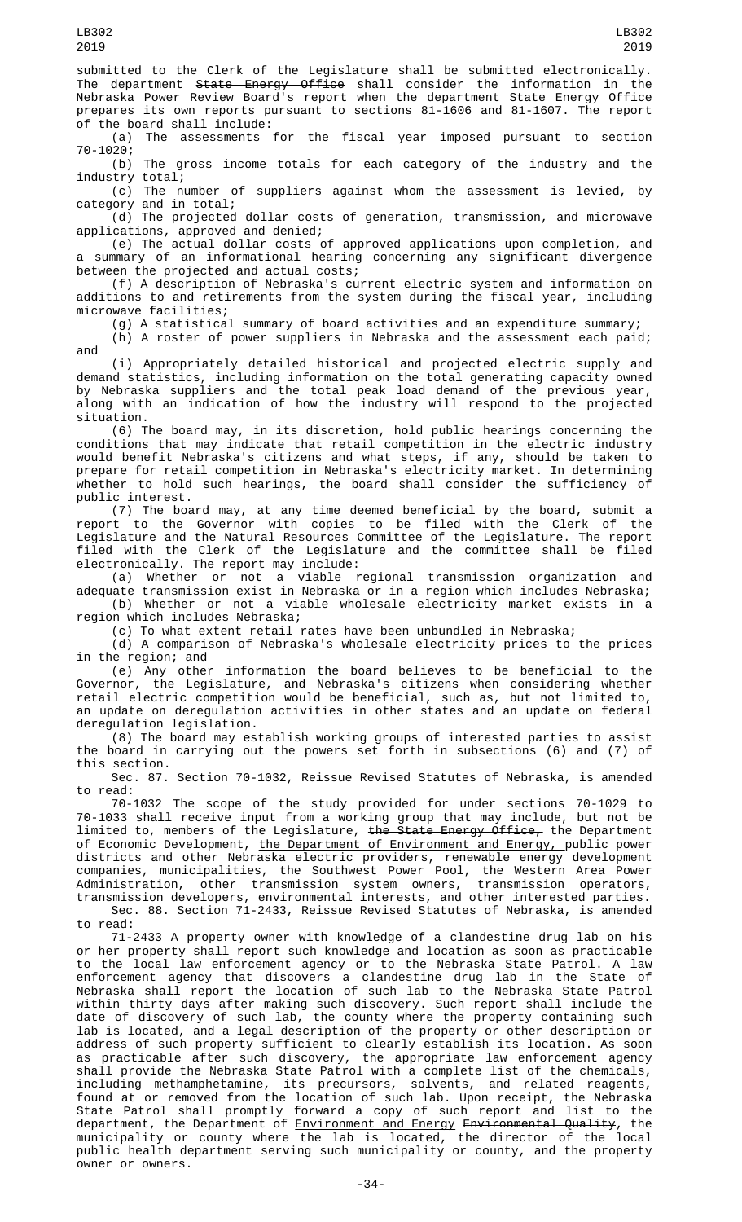submitted to the Clerk of the Legislature shall be submitted electronically. The <u>department</u> <del>State Energy Office</del> shall consider the information in the Nebraska Power Review Board's report when the <u>department</u> S<del>tate Energy Office</del> prepares its own reports pursuant to sections 81-1606 and 81-1607. The report

of the board shall include:<br>(a) The assessments The assessments for the fiscal year imposed pursuant to section

70-1020; The gross income totals for each category of the industry and the industry total;

(c) The number of suppliers against whom the assessment is levied, by category and in total;

(d) The projected dollar costs of generation, transmission, and microwave applications, approved and denied;

(e) The actual dollar costs of approved applications upon completion, and a summary of an informational hearing concerning any significant divergence between the projected and actual costs;

(f) A description of Nebraska's current electric system and information on additions to and retirements from the system during the fiscal year, including microwave facilities;

(g) A statistical summary of board activities and an expenditure summary;

(h) A roster of power suppliers in Nebraska and the assessment each paid; and

(i) Appropriately detailed historical and projected electric supply and demand statistics, including information on the total generating capacity owned by Nebraska suppliers and the total peak load demand of the previous year, along with an indication of how the industry will respond to the projected situation.

(6) The board may, in its discretion, hold public hearings concerning the conditions that may indicate that retail competition in the electric industry would benefit Nebraska's citizens and what steps, if any, should be taken to prepare for retail competition in Nebraska's electricity market. In determining whether to hold such hearings, the board shall consider the sufficiency of public interest.

(7) The board may, at any time deemed beneficial by the board, submit a report to the Governor with copies to be filed with the Clerk of the Legislature and the Natural Resources Committee of the Legislature. The report filed with the Clerk of the Legislature and the committee shall be filed electronically. The report may include:

(a) Whether or not a viable regional transmission organization and adequate transmission exist in Nebraska or in a region which includes Nebraska; (b) Whether or not a viable wholesale electricity market exists in a

region which includes Nebraska;

(c) To what extent retail rates have been unbundled in Nebraska;

(d) A comparison of Nebraska's wholesale electricity prices to the prices in the region; and

(e) Any other information the board believes to be beneficial to the Governor, the Legislature, and Nebraska's citizens when considering whether retail electric competition would be beneficial, such as, but not limited to, an update on deregulation activities in other states and an update on federal deregulation legislation.

(8) The board may establish working groups of interested parties to assist the board in carrying out the powers set forth in subsections (6) and (7) of this section.

Sec. 87. Section 70-1032, Reissue Revised Statutes of Nebraska, is amended to read:

70-1032 The scope of the study provided for under sections 70-1029 to 70-1033 shall receive input from a working group that may include, but not be limited to, members of the Legislature, <del>the State Energy Office,</del> the Department of Economic Development, <u>the Department of Environment and Energy, p</u>ublic power districts and other Nebraska electric providers, renewable energy development companies, municipalities, the Southwest Power Pool, the Western Area Power Administration, other transmission system owners, transmission operators, transmission developers, environmental interests, and other interested parties.

Sec. 88. Section 71-2433, Reissue Revised Statutes of Nebraska, is amended to read:

71-2433 A property owner with knowledge of a clandestine drug lab on his or her property shall report such knowledge and location as soon as practicable to the local law enforcement agency or to the Nebraska State Patrol. A law enforcement agency that discovers a clandestine drug lab in the State of Nebraska shall report the location of such lab to the Nebraska State Patrol within thirty days after making such discovery. Such report shall include the date of discovery of such lab, the county where the property containing such lab is located, and a legal description of the property or other description or address of such property sufficient to clearly establish its location. As soon as practicable after such discovery, the appropriate law enforcement agency shall provide the Nebraska State Patrol with a complete list of the chemicals, including methamphetamine, its precursors, solvents, and related reagents, found at or removed from the location of such lab. Upon receipt, the Nebraska State Patrol shall promptly forward a copy of such report and list to the department, the Department of <u>Environment and Energy</u> <del>Environmental Quality</del>, the municipality or county where the lab is located, the director of the local public health department serving such municipality or county, and the property owner or owners.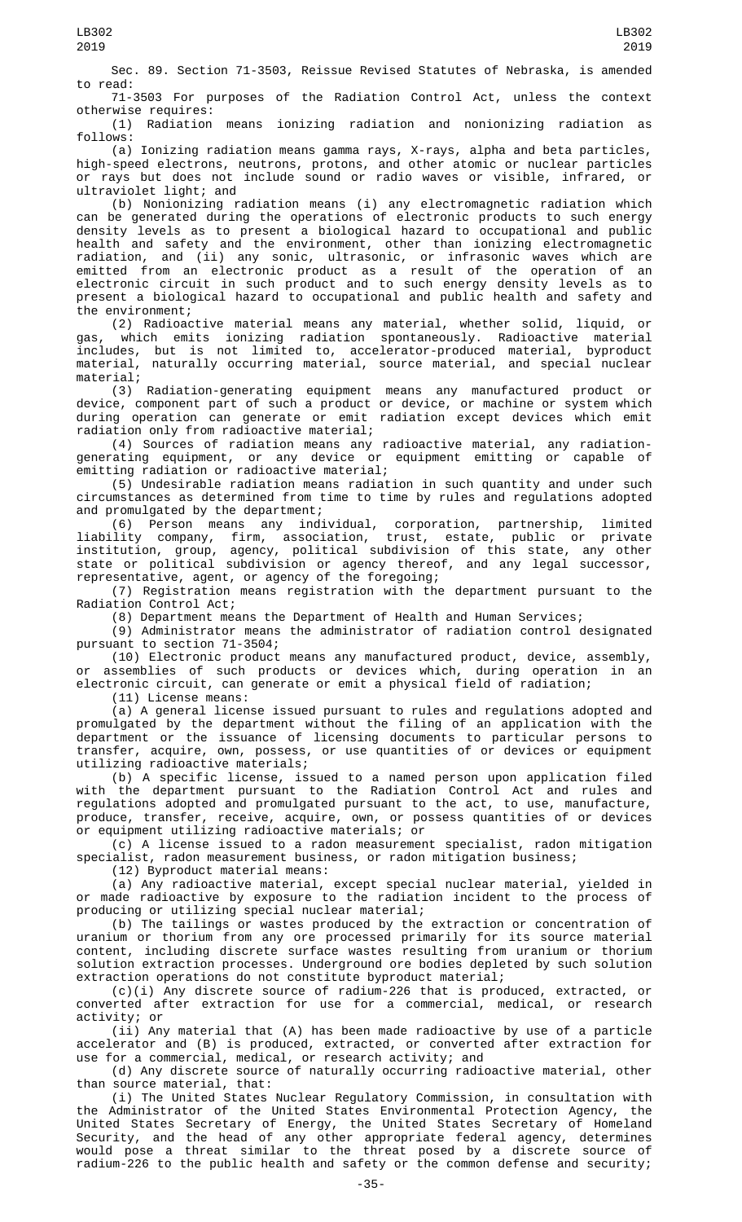Sec. 89. Section 71-3503, Reissue Revised Statutes of Nebraska, is amended to read:

71-3503 For purposes of the Radiation Control Act, unless the context otherwise requires:

(1) Radiation means ionizing radiation and nonionizing radiation as follows:

(a) Ionizing radiation means gamma rays, X-rays, alpha and beta particles, high-speed electrons, neutrons, protons, and other atomic or nuclear particles or rays but does not include sound or radio waves or visible, infrared, or ultraviolet light; and

(b) Nonionizing radiation means (i) any electromagnetic radiation which can be generated during the operations of electronic products to such energy density levels as to present a biological hazard to occupational and public health and safety and the environment, other than ionizing electromagnetic radiation, and (ii) any sonic, ultrasonic, or infrasonic waves which are emitted from an electronic product as a result of the operation of an electronic circuit in such product and to such energy density levels as to present a biological hazard to occupational and public health and safety and the environment;

(2) Radioactive material means any material, whether solid, liquid, or gas, which emits ionizing radiation spontaneously. Radioactive material includes, but is not limited to, accelerator-produced material, byproduct material, naturally occurring material, source material, and special nuclear material;<br>(3)

Radiation-generating equipment means any manufactured product or device, component part of such a product or device, or machine or system which during operation can generate or emit radiation except devices which emit radiation only from radioactive material;

(4) Sources of radiation means any radioactive material, any radiationgenerating equipment, or any device or equipment emitting or capable of emitting radiation or radioactive material;

(5) Undesirable radiation means radiation in such quantity and under such circumstances as determined from time to time by rules and regulations adopted and promulgated by the department;

(6) Person means any individual, corporation, partnership, limited liability company, firm, association, trust, estate, public or private institution, group, agency, political subdivision of this state, any other state or political subdivision or agency thereof, and any legal successor, representative, agent, or agency of the foregoing;

(7) Registration means registration with the department pursuant to the Radiation Control Act;

(8) Department means the Department of Health and Human Services;

(9) Administrator means the administrator of radiation control designated pursuant to section 71-3504;

(10) Electronic product means any manufactured product, device, assembly, or assemblies of such products or devices which, during operation in an electronic circuit, can generate or emit a physical field of radiation;

(11) License means:

(a) A general license issued pursuant to rules and regulations adopted and promulgated by the department without the filing of an application with the department or the issuance of licensing documents to particular persons to transfer, acquire, own, possess, or use quantities of or devices or equipment utilizing radioactive materials;

(b) A specific license, issued to a named person upon application filed with the department pursuant to the Radiation Control Act and rules and regulations adopted and promulgated pursuant to the act, to use, manufacture, produce, transfer, receive, acquire, own, or possess quantities of or devices or equipment utilizing radioactive materials; or

(c) A license issued to a radon measurement specialist, radon mitigation specialist, radon measurement business, or radon mitigation business;

(12) Byproduct material means:

(a) Any radioactive material, except special nuclear material, yielded in or made radioactive by exposure to the radiation incident to the process of producing or utilizing special nuclear material;

(b) The tailings or wastes produced by the extraction or concentration of uranium or thorium from any ore processed primarily for its source material content, including discrete surface wastes resulting from uranium or thorium solution extraction processes. Underground ore bodies depleted by such solution extraction operations do not constitute byproduct material;

(c)(i) Any discrete source of radium-226 that is produced, extracted, or converted after extraction for use for a commercial, medical, or research activity; or

(ii) Any material that (A) has been made radioactive by use of a particle accelerator and (B) is produced, extracted, or converted after extraction for use for a commercial, medical, or research activity; and

(d) Any discrete source of naturally occurring radioactive material, other than source material, that:

(i) The United States Nuclear Regulatory Commission, in consultation with the Administrator of the United States Environmental Protection Agency, the United States Secretary of Energy, the United States Secretary of Homeland Security, and the head of any other appropriate federal agency, determines would pose a threat similar to the threat posed by a discrete source of radium-226 to the public health and safety or the common defense and security;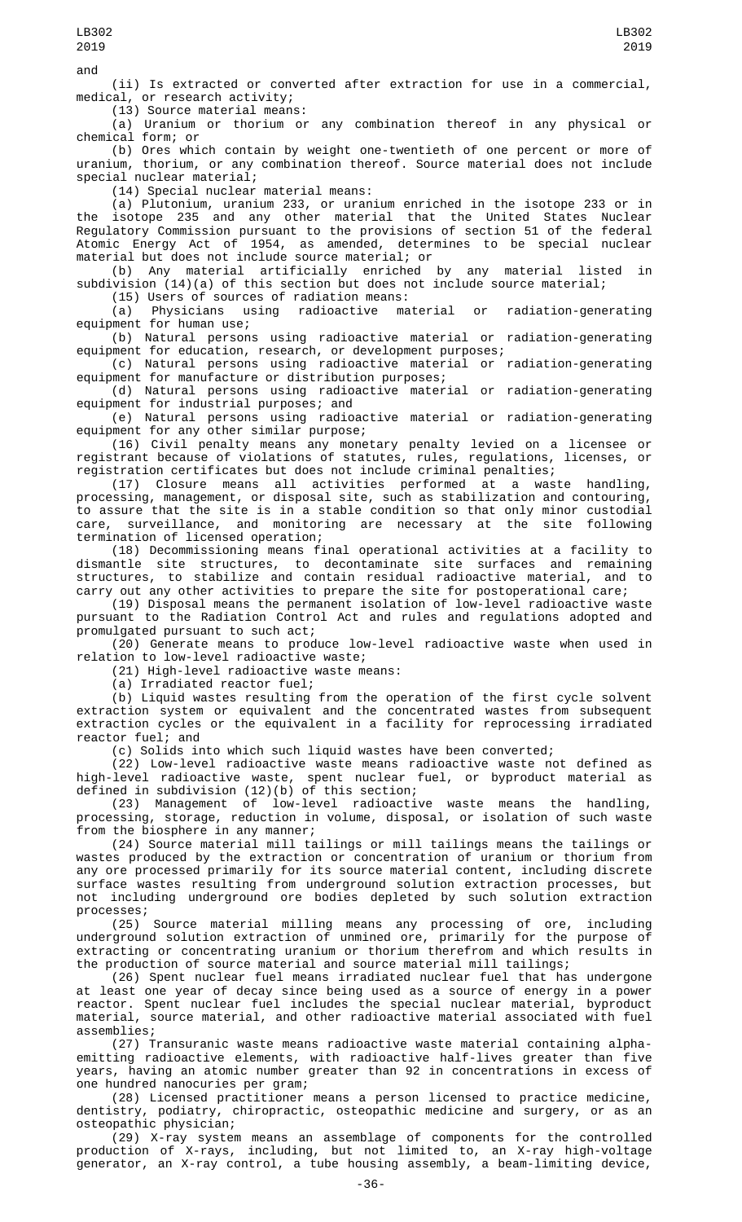(ii) Is extracted or converted after extraction for use in a commercial, medical, or research activity;

LB302 2019

(13) Source material means:

(a) Uranium or thorium or any combination thereof in any physical or chemical form; or

(b) Ores which contain by weight one-twentieth of one percent or more of uranium, thorium, or any combination thereof. Source material does not include special nuclear material;

(14) Special nuclear material means:

(a) Plutonium, uranium 233, or uranium enriched in the isotope 233 or in the isotope 235 and any other material that the United States Nuclear Regulatory Commission pursuant to the provisions of section 51 of the federal Atomic Energy Act of 1954, as amended, determines to be special nuclear material but does not include source material; or

(b) Any material artificially enriched by any material listed in subdivision (14)(a) of this section but does not include source material;

(15) Users of sources of radiation means:<br>(a) Physicians using radioactive material

Physicians using radioactive material or radiation-generating equipment for human use;

(b) Natural persons using radioactive material or radiation-generating equipment for education, research, or development purposes;

(c) Natural persons using radioactive material or radiation-generating equipment for manufacture or distribution purposes;

(d) Natural persons using radioactive material or radiation-generating equipment for industrial purposes; and

(e) Natural persons using radioactive material or radiation-generating equipment for any other similar purpose;

(16) Civil penalty means any monetary penalty levied on a licensee or registrant because of violations of statutes, rules, regulations, licenses, or registration certificates but does not include criminal penalties;

(17) Closure means all activities performed at a waste handling, processing, management, or disposal site, such as stabilization and contouring, to assure that the site is in a stable condition so that only minor custodial care, surveillance, and monitoring are necessary at the site following termination of licensed operation;

(18) Decommissioning means final operational activities at a facility to dismantle site structures, to decontaminate site surfaces and remaining structures, to stabilize and contain residual radioactive material, and to carry out any other activities to prepare the site for postoperational care;

(19) Disposal means the permanent isolation of low-level radioactive waste pursuant to the Radiation Control Act and rules and regulations adopted and promulgated pursuant to such act;

(20) Generate means to produce low-level radioactive waste when used in relation to low-level radioactive waste;

(21) High-level radioactive waste means:

(a) Irradiated reactor fuel;

(b) Liquid wastes resulting from the operation of the first cycle solvent extraction system or equivalent and the concentrated wastes from subsequent extraction cycles or the equivalent in a facility for reprocessing irradiated reactor fuel; and

(c) Solids into which such liquid wastes have been converted;

(22) Low-level radioactive waste means radioactive waste not defined as high-level radioactive waste, spent nuclear fuel, or byproduct material as defined in subdivision (12)(b) of this section;

(23) Management of low-level radioactive waste means the handling, processing, storage, reduction in volume, disposal, or isolation of such waste from the biosphere in any manner;

(24) Source material mill tailings or mill tailings means the tailings or wastes produced by the extraction or concentration of uranium or thorium from any ore processed primarily for its source material content, including discrete surface wastes resulting from underground solution extraction processes, but not including underground ore bodies depleted by such solution extraction processes;

(25) Source material milling means any processing of ore, including underground solution extraction of unmined ore, primarily for the purpose of extracting or concentrating uranium or thorium therefrom and which results in the production of source material and source material mill tailings;

(26) Spent nuclear fuel means irradiated nuclear fuel that has undergone at least one year of decay since being used as a source of energy in a power reactor. Spent nuclear fuel includes the special nuclear material, byproduct material, source material, and other radioactive material associated with fuel assemblies;

(27) Transuranic waste means radioactive waste material containing alphaemitting radioactive elements, with radioactive half-lives greater than five years, having an atomic number greater than 92 in concentrations in excess of one hundred nanocuries per gram;

(28) Licensed practitioner means a person licensed to practice medicine, dentistry, podiatry, chiropractic, osteopathic medicine and surgery, or as an osteopathic physician;

(29) X-ray system means an assemblage of components for the controlled production of X-rays, including, but not limited to, an X-ray high-voltage generator, an X-ray control, a tube housing assembly, a beam-limiting device,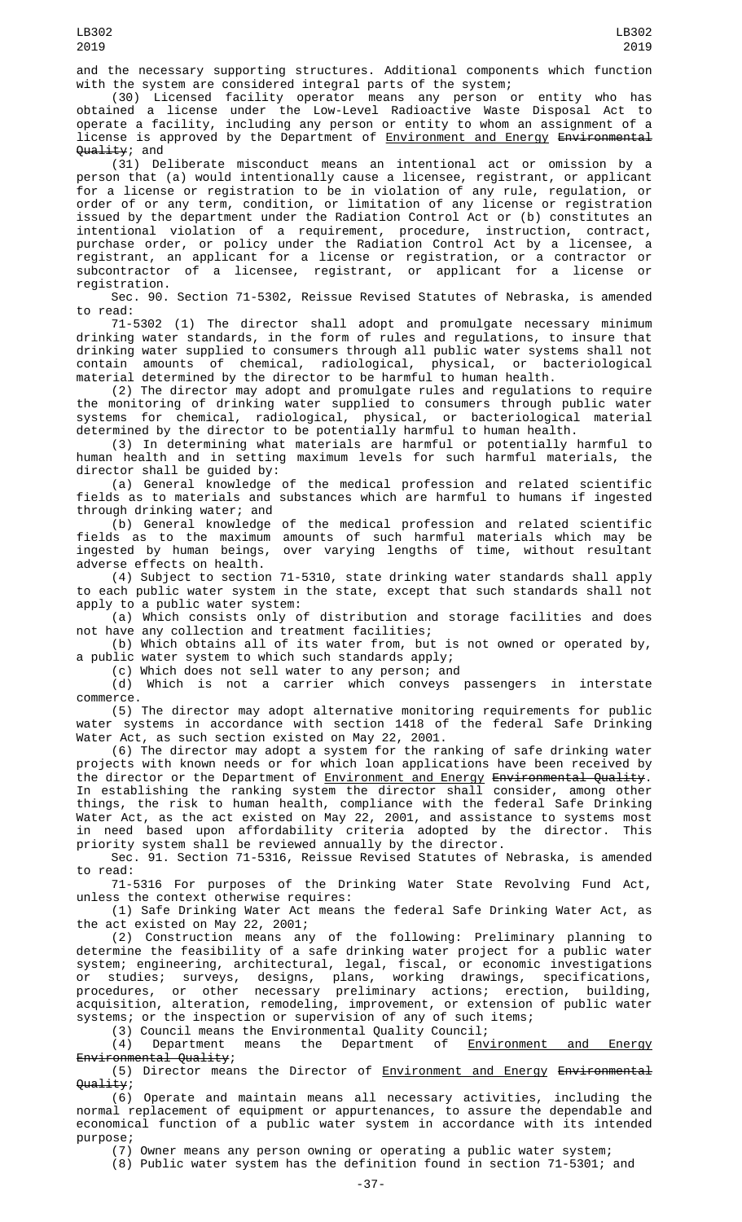and the necessary supporting structures. Additional components which function with the system are considered integral parts of the system;

(30) Licensed facility operator means any person or entity who has obtained a license under the Low-Level Radioactive Waste Disposal Act to operate a facility, including any person or entity to whom an assignment of a license is approved by the Department of <u>Environment and Energy</u> <del>Environmental</del> Quality; and

(31) Deliberate misconduct means an intentional act or omission by a person that (a) would intentionally cause a licensee, registrant, or applicant for a license or registration to be in violation of any rule, regulation, or order of or any term, condition, or limitation of any license or registration issued by the department under the Radiation Control Act or (b) constitutes an intentional violation of a requirement, procedure, instruction, contract, purchase order, or policy under the Radiation Control Act by a licensee, a registrant, an applicant for a license or registration, or a contractor or subcontractor of a licensee, registrant, or applicant for a license or registration.

Sec. 90. Section 71-5302, Reissue Revised Statutes of Nebraska, is amended to read:

71-5302 (1) The director shall adopt and promulgate necessary minimum drinking water standards, in the form of rules and regulations, to insure that drinking water supplied to consumers through all public water systems shall not contain amounts of chemical, radiological, physical, or bacteriological material determined by the director to be harmful to human health.

(2) The director may adopt and promulgate rules and regulations to require the monitoring of drinking water supplied to consumers through public water systems for chemical, radiological, physical, or bacteriological material determined by the director to be potentially harmful to human health.

(3) In determining what materials are harmful or potentially harmful to human health and in setting maximum levels for such harmful materials, the director shall be guided by:

(a) General knowledge of the medical profession and related scientific fields as to materials and substances which are harmful to humans if ingested through drinking water; and

(b) General knowledge of the medical profession and related scientific fields as to the maximum amounts of such harmful materials which may be ingested by human beings, over varying lengths of time, without resultant adverse effects on health.

(4) Subject to section 71-5310, state drinking water standards shall apply to each public water system in the state, except that such standards shall not apply to a public water system:

(a) Which consists only of distribution and storage facilities and does not have any collection and treatment facilities;

(b) Which obtains all of its water from, but is not owned or operated by, a public water system to which such standards apply;

(c) Which does not sell water to any person; and

(d) Which is not a carrier which conveys passengers in interstate commerce.

(5) The director may adopt alternative monitoring requirements for public water systems in accordance with section 1418 of the federal Safe Drinking Water Act, as such section existed on May 22, 2001.

(6) The director may adopt a system for the ranking of safe drinking water projects with known needs or for which loan applications have been received by the director or the Department of <u>Environment and Energy</u> <del>Environmental Quality</del>. In establishing the ranking system the director shall consider, among other things, the risk to human health, compliance with the federal Safe Drinking Water Act, as the act existed on May 22, 2001, and assistance to systems most in need based upon affordability criteria adopted by the director. This priority system shall be reviewed annually by the director.

Sec. 91. Section 71-5316, Reissue Revised Statutes of Nebraska, is amended to read:

71-5316 For purposes of the Drinking Water State Revolving Fund Act, unless the context otherwise requires:

(1) Safe Drinking Water Act means the federal Safe Drinking Water Act, as the act existed on May 22, 2001;

(2) Construction means any of the following: Preliminary planning to determine the feasibility of a safe drinking water project for a public water system; engineering, architectural, legal, fiscal, or economic investigations or studies; surveys, designs, plans, working drawings, specifications, procedures, or other necessary preliminary actions; erection, building, acquisition, alteration, remodeling, improvement, or extension of public water systems; or the inspection or supervision of any of such items;

(3) Council means the Environmental Quality Council;<br>(4) Department means the Department of <u>Env</u> means the Department of Environment and Energy Environmental Quality;

(5) Director means the Director of Environment and Energy Environmental Quality;

(6) Operate and maintain means all necessary activities, including the normal replacement of equipment or appurtenances, to assure the dependable and economical function of a public water system in accordance with its intended purpose;

(7) Owner means any person owning or operating a public water system;

(8) Public water system has the definition found in section 71-5301; and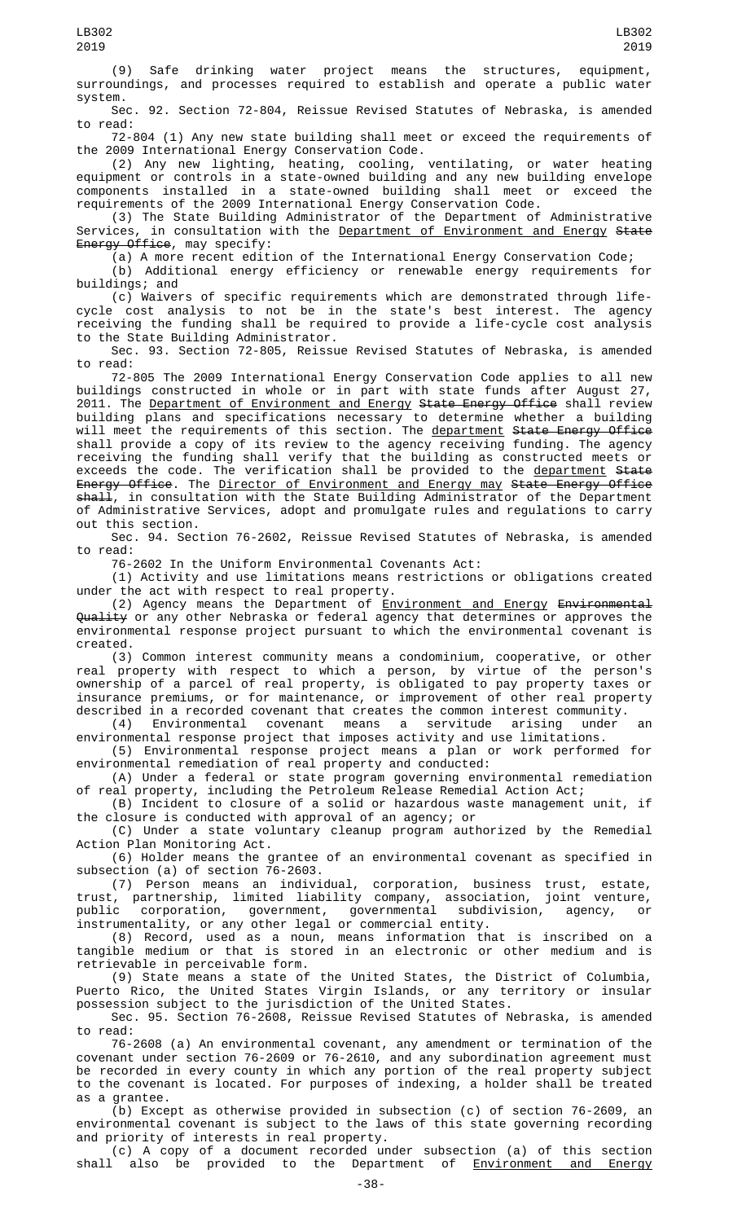(9) Safe drinking water project means the structures, equipment, surroundings, and processes required to establish and operate a public water system.

Sec. 92. Section 72-804, Reissue Revised Statutes of Nebraska, is amended to read:

72-804 (1) Any new state building shall meet or exceed the requirements of the 2009 International Energy Conservation Code.

(2) Any new lighting, heating, cooling, ventilating, or water heating equipment or controls in a state-owned building and any new building envelope components installed in a state-owned building shall meet or exceed the requirements of the 2009 International Energy Conservation Code.

(3) The State Building Administrator of the Department of Administrative Services, in consultation with the Department of Environment and Energy State Energy Office, may specify:

(a) A more recent edition of the International Energy Conservation Code;

(b) Additional energy efficiency or renewable energy requirements for buildings; and

(c) Waivers of specific requirements which are demonstrated through lifecycle cost analysis to not be in the state's best interest. The agency receiving the funding shall be required to provide a life-cycle cost analysis to the State Building Administrator.

Sec. 93. Section 72-805, Reissue Revised Statutes of Nebraska, is amended to read:

72-805 The 2009 International Energy Conservation Code applies to all new buildings constructed in whole or in part with state funds after August 27, 2011. The <u>Department of Environment and Energy</u> <del>State Energy Office</del> shall review building plans and specifications necessary to determine whether a building will meet the requirements of this section. The <u>department</u> <del>State Energy Office</del> shall provide a copy of its review to the agency receiving funding. The agency receiving the funding shall verify that the building as constructed meets or exceeds the code. The verification shall be provided to the <u>department</u> <del>State</del> Energy Office. The Director of Environment and Energy may State Energy Office <del>shall</del>, in consultation with the State Building Administrator of the Department of Administrative Services, adopt and promulgate rules and regulations to carry out this section.

Sec. 94. Section 76-2602, Reissue Revised Statutes of Nebraska, is amended to read:

76-2602 In the Uniform Environmental Covenants Act:

(1) Activity and use limitations means restrictions or obligations created under the act with respect to real property.

(2) Agency means the Department of <u>Environment and Energy</u> <del>Environmental</del> Quality or any other Nebraska or federal agency that determines or approves the environmental response project pursuant to which the environmental covenant is created.

(3) Common interest community means a condominium, cooperative, or other real property with respect to which a person, by virtue of the person's ownership of a parcel of real property, is obligated to pay property taxes or insurance premiums, or for maintenance, or improvement of other real property described in a recorded covenant that creates the common interest community.

(4) Environmental covenant means a servitude arising under an environmental response project that imposes activity and use limitations.

(5) Environmental response project means a plan or work performed for environmental remediation of real property and conducted:

(A) Under a federal or state program governing environmental remediation of real property, including the Petroleum Release Remedial Action Act;

(B) Incident to closure of a solid or hazardous waste management unit, if the closure is conducted with approval of an agency; or

(C) Under a state voluntary cleanup program authorized by the Remedial Action Plan Monitoring Act.

(6) Holder means the grantee of an environmental covenant as specified in subsection (a) of section 76-2603.

(7) Person means an individual, corporation, business trust, estate, trust, partnership, limited liability company, association, joint venture, public corporation, government, governmental subdivision, agency, or instrumentality, or any other legal or commercial entity.

(8) Record, used as a noun, means information that is inscribed on a tangible medium or that is stored in an electronic or other medium and is retrievable in perceivable form.

(9) State means a state of the United States, the District of Columbia, Puerto Rico, the United States Virgin Islands, or any territory or insular possession subject to the jurisdiction of the United States.

Sec. 95. Section 76-2608, Reissue Revised Statutes of Nebraska, is amended to read:

76-2608 (a) An environmental covenant, any amendment or termination of the covenant under section 76-2609 or 76-2610, and any subordination agreement must be recorded in every county in which any portion of the real property subject to the covenant is located. For purposes of indexing, a holder shall be treated as a grantee.

(b) Except as otherwise provided in subsection (c) of section 76-2609, an environmental covenant is subject to the laws of this state governing recording and priority of interests in real property.

(c) A copy of a document recorded under subsection (a) of this section shall also be provided to the Department of Environment and Energy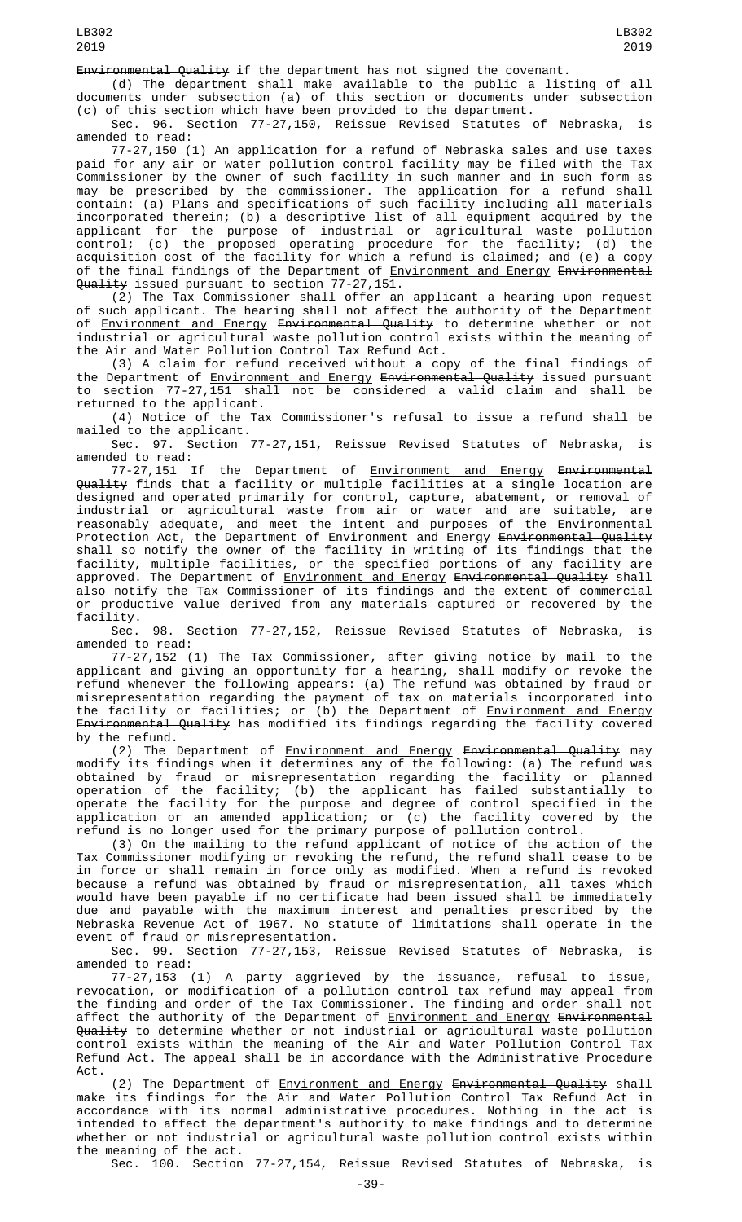Environmental Quality if the department has not signed the covenant.

(d) The department shall make available to the public a listing of all documents under subsection (a) of this section or documents under subsection (c) of this section which have been provided to the department.

Sec. 96. Section 77-27,150, Reissue Revised Statutes of Nebraska, is amended to read:

77-27,150 (1) An application for a refund of Nebraska sales and use taxes paid for any air or water pollution control facility may be filed with the Tax Commissioner by the owner of such facility in such manner and in such form as may be prescribed by the commissioner. The application for a refund shall contain: (a) Plans and specifications of such facility including all materials incorporated therein; (b) a descriptive list of all equipment acquired by the applicant for the purpose of industrial or agricultural waste pollution control; (c) the proposed operating procedure for the facility; (d) the acquisition cost of the facility for which a refund is claimed; and (e) a copy of the final findings of the Department of **Environment and Energy Environmental** Quality issued pursuant to section 77-27,151.

(2) The Tax Commissioner shall offer an applicant a hearing upon request of such applicant. The hearing shall not affect the authority of the Department of <u>Environment and Energy</u> <del>Environmental Quality</del> to determine whether or not industrial or agricultural waste pollution control exists within the meaning of the Air and Water Pollution Control Tax Refund Act.

(3) A claim for refund received without a copy of the final findings of the Department of <u>Environment and Energy</u> <del>Environmental Quality</del> issued pursuant to section 77-27,151 shall not be considered a valid claim and shall be returned to the applicant.

(4) Notice of the Tax Commissioner's refusal to issue a refund shall be mailed to the applicant.

Sec. 97. Section 77-27,151, Reissue Revised Statutes of Nebraska, is

amended to read:<br>77-27,151 If 77-27,151 If the Department of <u>Environment and Energy</u> <del>Environmental</del> Quality finds that a facility or multiple facilities at a single location are designed and operated primarily for control, capture, abatement, or removal of industrial or agricultural waste from air or water and are suitable, are reasonably adequate, and meet the intent and purposes of the Environmental Protection Act, the Department of <u>Environment and Energy</u> <del>Environmental Quality</del> shall so notify the owner of the facility in writing of its findings that the facility, multiple facilities, or the specified portions of any facility are approved. The Department of <u>Environment and Energy</u> <del>Environmental Quality</del> shall also notify the Tax Commissioner of its findings and the extent of commercial or productive value derived from any materials captured or recovered by the

facility. 98. Section 77-27,152, Reissue Revised Statutes of Nebraska, is amended to read:

77-27,152 (1) The Tax Commissioner, after giving notice by mail to the applicant and giving an opportunity for a hearing, shall modify or revoke the refund whenever the following appears: (a) The refund was obtained by fraud or misrepresentation regarding the payment of tax on materials incorporated into the facility or facilities; or (b) the Department of <u>Environment and Energy</u> <del>Environmental Quality</del> has modified its findings regarding the facility covered by the refund.

(2) The Department of <u>Environment and Energy</u> <del>Environmental Quality</del> may modify its findings when it determines any of the following: (a) The refund was obtained by fraud or misrepresentation regarding the facility or planned operation of the facility; (b) the applicant has failed substantially to operate the facility for the purpose and degree of control specified in the application or an amended application; or (c) the facility covered by the refund is no longer used for the primary purpose of pollution control.

(3) On the mailing to the refund applicant of notice of the action of the Tax Commissioner modifying or revoking the refund, the refund shall cease to be in force or shall remain in force only as modified. When a refund is revoked because a refund was obtained by fraud or misrepresentation, all taxes which would have been payable if no certificate had been issued shall be immediately due and payable with the maximum interest and penalties prescribed by the Nebraska Revenue Act of 1967. No statute of limitations shall operate in the event of fraud or misrepresentation.

Sec. 99. Section 77-27,153, Reissue Revised Statutes of Nebraska, is amended to read:

77-27,153 (1) A party aggrieved by the issuance, refusal to issue, revocation, or modification of a pollution control tax refund may appeal from the finding and order of the Tax Commissioner. The finding and order shall not affect the authority of the Department of <u>Environment and Energy</u> <del>Environmental</del> Quality to determine whether or not industrial or agricultural waste pollution control exists within the meaning of the Air and Water Pollution Control Tax Refund Act. The appeal shall be in accordance with the Administrative Procedure Act.

(2) The Department of <u>Environment and Energy</u> <del>Environmental Quality</del> shall make its findings for the Air and Water Pollution Control Tax Refund Act in accordance with its normal administrative procedures. Nothing in the act is intended to affect the department's authority to make findings and to determine whether or not industrial or agricultural waste pollution control exists within the meaning of the act.

Sec. 100. Section 77-27,154, Reissue Revised Statutes of Nebraska, is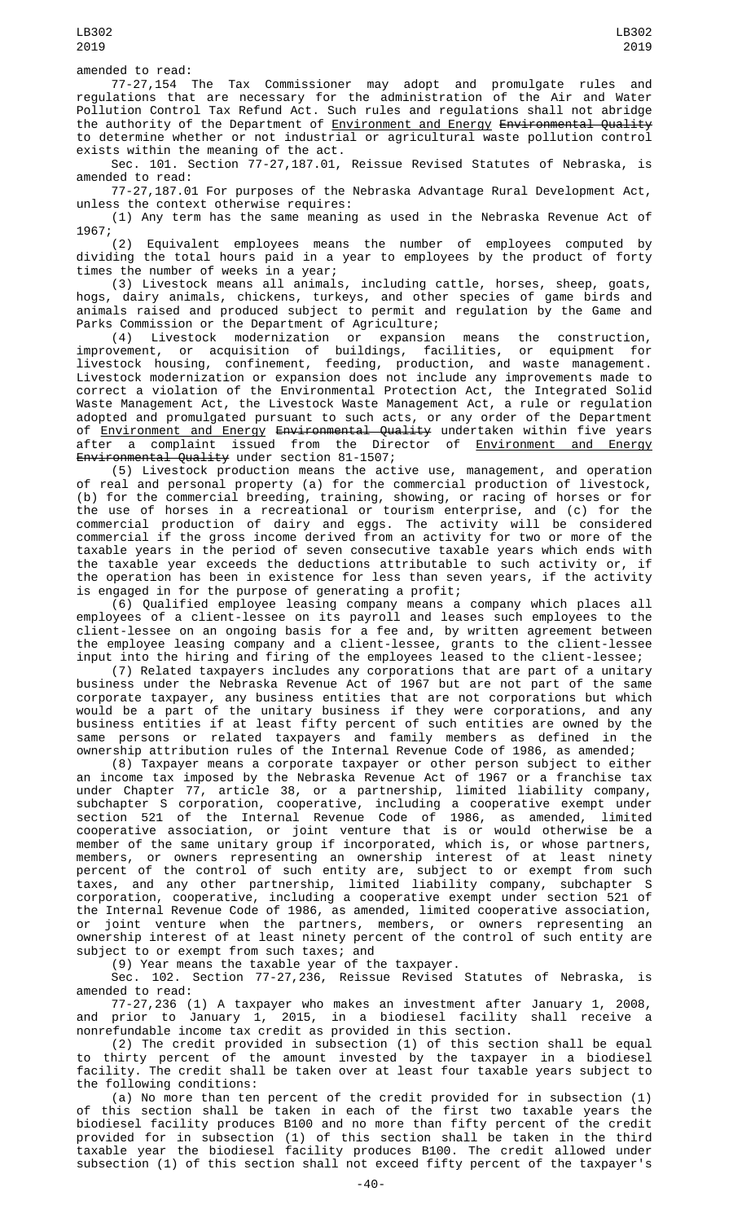77-27,154 The Tax Commissioner may adopt and promulgate rules and regulations that are necessary for the administration of the Air and Water Pollution Control Tax Refund Act. Such rules and regulations shall not abridge the authority of the Department of Environment and Energy Environmental Quality to determine whether or not industrial or agricultural waste pollution control exists within the meaning of the act.

Sec. 101. Section 77-27,187.01, Reissue Revised Statutes of Nebraska, is amended to read:

77-27,187.01 For purposes of the Nebraska Advantage Rural Development Act, unless the context otherwise requires:

(1) Any term has the same meaning as used in the Nebraska Revenue Act of 1967;

(2) Equivalent employees means the number of employees computed by dividing the total hours paid in a year to employees by the product of forty times the number of weeks in a year;

(3) Livestock means all animals, including cattle, horses, sheep, goats, hogs, dairy animals, chickens, turkeys, and other species of game birds and animals raised and produced subject to permit and regulation by the Game and Parks Commission or the Department of Agriculture;

(4) Livestock modernization or expansion means the construction, improvement, or acquisition of buildings, facilities, or equipment for livestock housing, confinement, feeding, production, and waste management. Livestock modernization or expansion does not include any improvements made to correct a violation of the Environmental Protection Act, the Integrated Solid Waste Management Act, the Livestock Waste Management Act, a rule or regulation adopted and promulgated pursuant to such acts, or any order of the Department of <u>Environment and Energy</u> <del>Environmental Quality</del> undertaken within five years after a complaint issued from the Director of <u>Environment and Energy</u> Environmental Quality under section 81-1507;

(5) Livestock production means the active use, management, and operation of real and personal property (a) for the commercial production of livestock, (b) for the commercial breeding, training, showing, or racing of horses or for the use of horses in a recreational or tourism enterprise, and (c) for the commercial production of dairy and eggs. The activity will be considered commercial if the gross income derived from an activity for two or more of the taxable years in the period of seven consecutive taxable years which ends with the taxable year exceeds the deductions attributable to such activity or, if the operation has been in existence for less than seven years, if the activity is engaged in for the purpose of generating a profit;

(6) Qualified employee leasing company means a company which places all employees of a client-lessee on its payroll and leases such employees to the client-lessee on an ongoing basis for a fee and, by written agreement between the employee leasing company and a client-lessee, grants to the client-lessee input into the hiring and firing of the employees leased to the client-lessee;

(7) Related taxpayers includes any corporations that are part of a unitary business under the Nebraska Revenue Act of 1967 but are not part of the same corporate taxpayer, any business entities that are not corporations but which would be a part of the unitary business if they were corporations, and any business entities if at least fifty percent of such entities are owned by the same persons or related taxpayers and family members as defined in the ownership attribution rules of the Internal Revenue Code of 1986, as amended;

(8) Taxpayer means a corporate taxpayer or other person subject to either an income tax imposed by the Nebraska Revenue Act of 1967 or a franchise tax under Chapter 77, article 38, or a partnership, limited liability company, subchapter S corporation, cooperative, including a cooperative exempt under section 521 of the Internal Revenue Code of 1986, as amended, limited cooperative association, or joint venture that is or would otherwise be a member of the same unitary group if incorporated, which is, or whose partners, members, or owners representing an ownership interest of at least ninety percent of the control of such entity are, subject to or exempt from such taxes, and any other partnership, limited liability company, subchapter S corporation, cooperative, including a cooperative exempt under section 521 of the Internal Revenue Code of 1986, as amended, limited cooperative association, or joint venture when the partners, members, or owners representing an ownership interest of at least ninety percent of the control of such entity are subject to or exempt from such taxes; and

(9) Year means the taxable year of the taxpayer.

Sec. 102. Section 77-27,236, Reissue Revised Statutes of Nebraska, is amended to read:

77-27,236 (1) A taxpayer who makes an investment after January 1, 2008, and prior to January 1, 2015, in a biodiesel facility shall receive a nonrefundable income tax credit as provided in this section.

(2) The credit provided in subsection (1) of this section shall be equal to thirty percent of the amount invested by the taxpayer in a biodiesel facility. The credit shall be taken over at least four taxable years subject to the following conditions:

(a) No more than ten percent of the credit provided for in subsection (1) of this section shall be taken in each of the first two taxable years the biodiesel facility produces B100 and no more than fifty percent of the credit provided for in subsection (1) of this section shall be taken in the third taxable year the biodiesel facility produces B100. The credit allowed under subsection (1) of this section shall not exceed fifty percent of the taxpayer's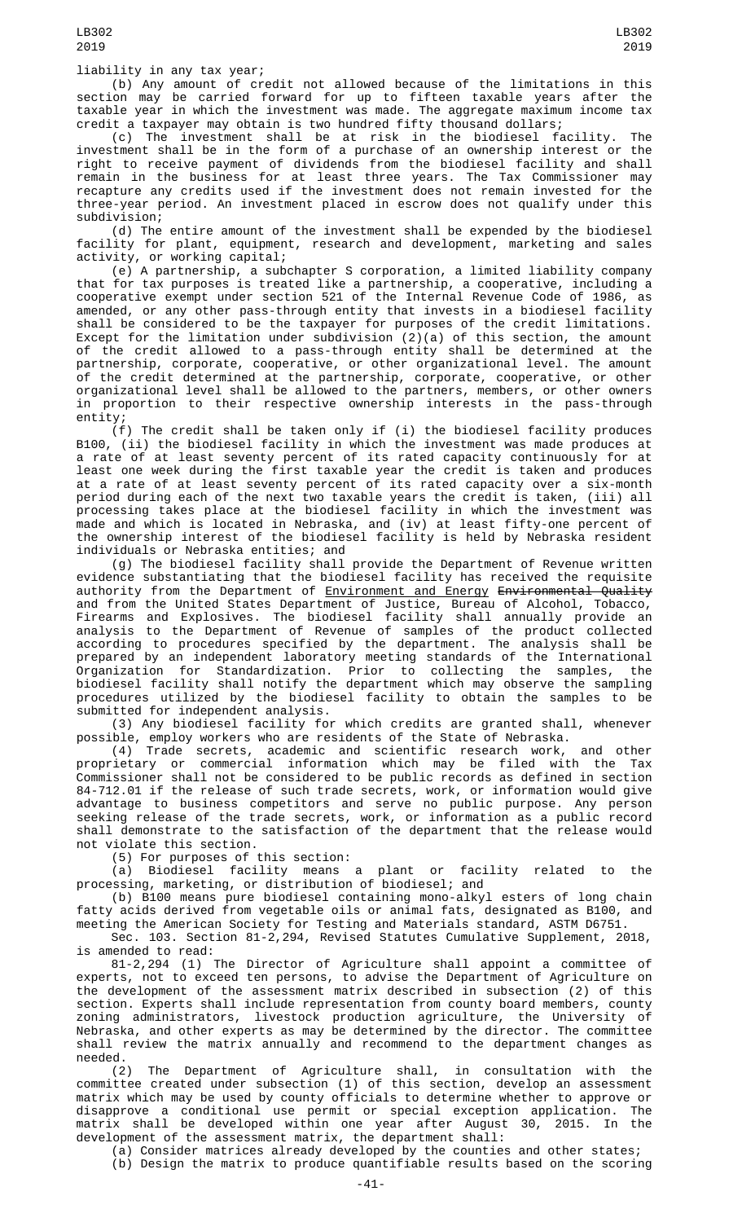liability in any tax year;

(b) Any amount of credit not allowed because of the limitations in this section may be carried forward for up to fifteen taxable years after the taxable year in which the investment was made. The aggregate maximum income tax credit a taxpayer may obtain is two hundred fifty thousand dollars;

(c) The investment shall be at risk in the biodiesel facility. The investment shall be in the form of a purchase of an ownership interest or the right to receive payment of dividends from the biodiesel facility and shall remain in the business for at least three years. The Tax Commissioner may recapture any credits used if the investment does not remain invested for the three-year period. An investment placed in escrow does not qualify under this subdivision;

(d) The entire amount of the investment shall be expended by the biodiesel facility for plant, equipment, research and development, marketing and sales activity, or working capital;

(e) A partnership, a subchapter S corporation, a limited liability company that for tax purposes is treated like a partnership, a cooperative, including a cooperative exempt under section 521 of the Internal Revenue Code of 1986, as amended, or any other pass-through entity that invests in a biodiesel facility shall be considered to be the taxpayer for purposes of the credit limitations. Except for the limitation under subdivision (2)(a) of this section, the amount of the credit allowed to a pass-through entity shall be determined at the partnership, corporate, cooperative, or other organizational level. The amount of the credit determined at the partnership, corporate, cooperative, or other organizational level shall be allowed to the partners, members, or other owners in proportion to their respective ownership interests in the pass-through entity;

(f) The credit shall be taken only if (i) the biodiesel facility produces B100, (ii) the biodiesel facility in which the investment was made produces at a rate of at least seventy percent of its rated capacity continuously for at least one week during the first taxable year the credit is taken and produces at a rate of at least seventy percent of its rated capacity over a six-month period during each of the next two taxable years the credit is taken, (iii) all processing takes place at the biodiesel facility in which the investment was made and which is located in Nebraska, and (iv) at least fifty-one percent of the ownership interest of the biodiesel facility is held by Nebraska resident individuals or Nebraska entities; and

(g) The biodiesel facility shall provide the Department of Revenue written evidence substantiating that the biodiesel facility has received the requisite authority from the Department of Environment and Energy Environmental Quality and from the United States Department of Justice, Bureau of Alcohol, Tobacco, Firearms and Explosives. The biodiesel facility shall annually provide an analysis to the Department of Revenue of samples of the product collected according to procedures specified by the department. The analysis shall be prepared by an independent laboratory meeting standards of the International Organization for Standardization. Prior to collecting the samples, the biodiesel facility shall notify the department which may observe the sampling procedures utilized by the biodiesel facility to obtain the samples to be submitted for independent analysis.

(3) Any biodiesel facility for which credits are granted shall, whenever possible, employ workers who are residents of the State of Nebraska.

(4) Trade secrets, academic and scientific research work, and other proprietary or commercial information which may be filed with the Tax Commissioner shall not be considered to be public records as defined in section 84-712.01 if the release of such trade secrets, work, or information would give advantage to business competitors and serve no public purpose. Any person seeking release of the trade secrets, work, or information as a public record shall demonstrate to the satisfaction of the department that the release would not violate this section.

(5) For purposes of this section:

(a) Biodiesel facility means a plant or facility related to the processing, marketing, or distribution of biodiesel; and

(b) B100 means pure biodiesel containing mono-alkyl esters of long chain fatty acids derived from vegetable oils or animal fats, designated as B100, and meeting the American Society for Testing and Materials standard, ASTM D6751.

Sec. 103. Section 81-2,294, Revised Statutes Cumulative Supplement, 2018, is amended to read:

81-2,294 (1) The Director of Agriculture shall appoint a committee of experts, not to exceed ten persons, to advise the Department of Agriculture on the development of the assessment matrix described in subsection (2) of this section. Experts shall include representation from county board members, county zoning administrators, livestock production agriculture, the University of Nebraska, and other experts as may be determined by the director. The committee shall review the matrix annually and recommend to the department changes as needed.

(2) The Department of Agriculture shall, in consultation with the committee created under subsection (1) of this section, develop an assessment matrix which may be used by county officials to determine whether to approve or disapprove a conditional use permit or special exception application. The matrix shall be developed within one year after August 30, 2015. In the development of the assessment matrix, the department shall:

(a) Consider matrices already developed by the counties and other states; (b) Design the matrix to produce quantifiable results based on the scoring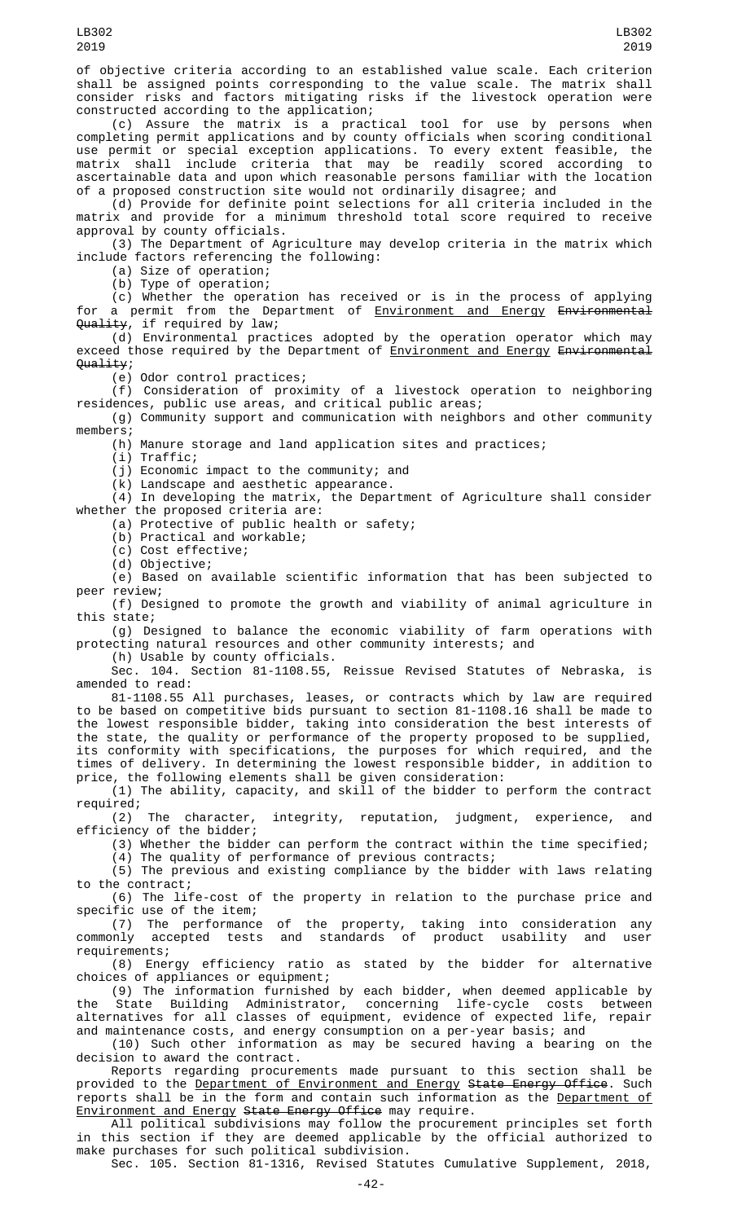of objective criteria according to an established value scale. Each criterion shall be assigned points corresponding to the value scale. The matrix shall consider risks and factors mitigating risks if the livestock operation were constructed according to the application;

(c) Assure the matrix is a practical tool for use by persons when completing permit applications and by county officials when scoring conditional use permit or special exception applications. To every extent feasible, the matrix shall include criteria that may be readily scored according to ascertainable data and upon which reasonable persons familiar with the location of a proposed construction site would not ordinarily disagree; and

(d) Provide for definite point selections for all criteria included in the matrix and provide for a minimum threshold total score required to receive approval by county officials.

(3) The Department of Agriculture may develop criteria in the matrix which include factors referencing the following:

(a) Size of operation;

(b) Type of operation;

(c) Whether the operation has received or is in the process of applying for a permit from the Department of Environment and Energy Environmental <del>Quality</del>, if required by law;

(d) Environmental practices adopted by the operation operator which may exceed those required by the Department of Environment and Energy Environmental Quality;

(e) Odor control practices;

(f) Consideration of proximity of a livestock operation to neighboring residences, public use areas, and critical public areas;

(g) Community support and communication with neighbors and other community members;

(h) Manure storage and land application sites and practices;

(i) Traffic;

(j) Economic impact to the community; and

(k) Landscape and aesthetic appearance.

 $(4)$  In developing the matrix, the Department of Agriculture shall consider whether the proposed criteria are:

(a) Protective of public health or safety;

(b) Practical and workable;

(c) Cost effective;

(d) Objective;

(e) Based on available scientific information that has been subjected to peer review;

(f) Designed to promote the growth and viability of animal agriculture in this state;

(g) Designed to balance the economic viability of farm operations with protecting natural resources and other community interests; and

(h) Usable by county officials.

Sec. 104. Section 81-1108.55, Reissue Revised Statutes of Nebraska, is amended to read:

81-1108.55 All purchases, leases, or contracts which by law are required to be based on competitive bids pursuant to section 81-1108.16 shall be made to the lowest responsible bidder, taking into consideration the best interests of the state, the quality or performance of the property proposed to be supplied, its conformity with specifications, the purposes for which required, and the times of delivery. In determining the lowest responsible bidder, in addition to price, the following elements shall be given consideration:

(1) The ability, capacity, and skill of the bidder to perform the contract required;

character, integrity, reputation, judgment, experience, and (2) The character,<br>efficiency of the bidder;

(3) Whether the bidder can perform the contract within the time specified;

(4) The quality of performance of previous contracts; (5) The previous and existing compliance by the bidder with laws relating to the contract;

(6) The life-cost of the property in relation to the purchase price and specific use of the item;

(7) The performance of the property, taking into consideration any commonly accepted tests and standards of product usability and user requirements;

(8) Energy efficiency ratio as stated by the bidder for alternative choices of appliances or equipment;

(9) The information furnished by each bidder, when deemed applicable by the State Building Administrator, concerning life-cycle costs between alternatives for all classes of equipment, evidence of expected life, repair and maintenance costs, and energy consumption on a per-year basis; and

(10) Such other information as may be secured having a bearing on the decision to award the contract.

Reports regarding procurements made pursuant to this section shall be provided to the <u>Department of Environment and Energy</u> <del>State Energy Office</del>. Such reports shall be in the form and contain such information as the <u>Department of</u> Environment and Energy State Energy Office may require.

All political subdivisions may follow the procurement principles set forth in this section if they are deemed applicable by the official authorized to make purchases for such political subdivision.

Sec. 105. Section 81-1316, Revised Statutes Cumulative Supplement, 2018,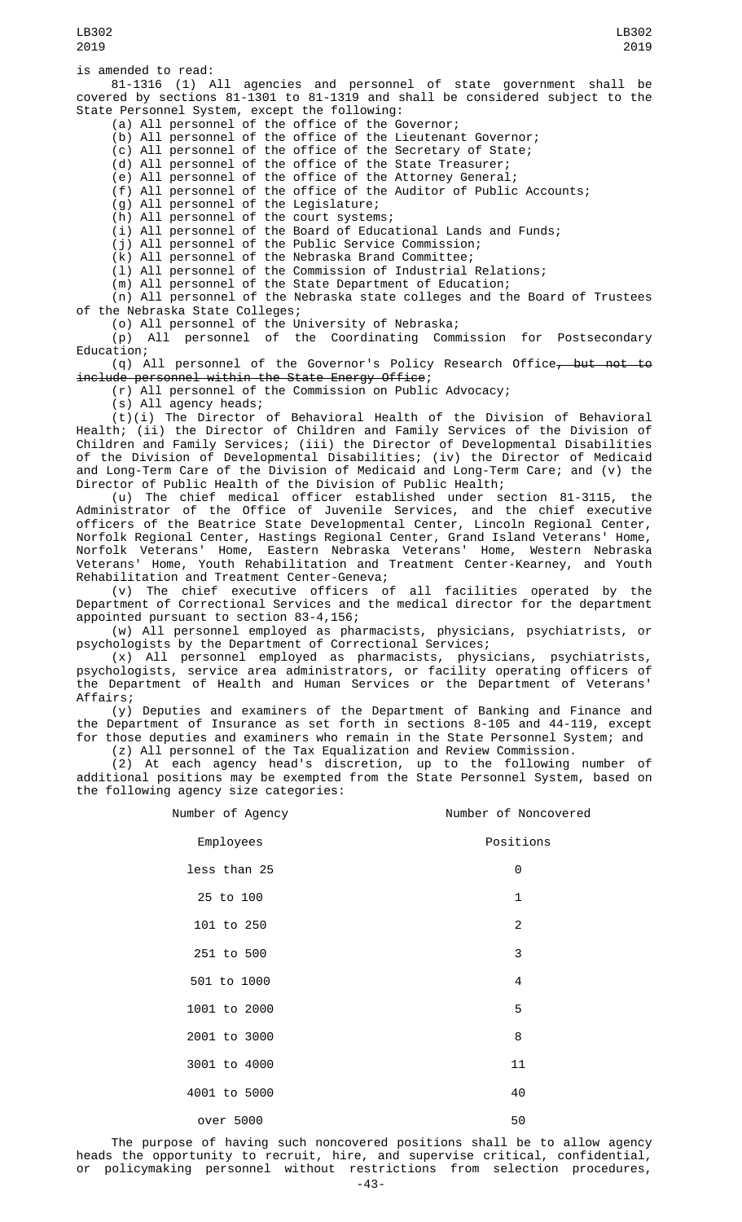is amended to read:

81-1316 (1) All agencies and personnel of state government shall be covered by sections 81-1301 to 81-1319 and shall be considered subject to the State Personnel System, except the following:

(a) All personnel of the office of the Governor;

(b) All personnel of the office of the Lieutenant Governor;

(c) All personnel of the office of the Secretary of State;

(d) All personnel of the office of the State Treasurer;

(e) All personnel of the office of the Attorney General;

(f) All personnel of the office of the Auditor of Public Accounts;

(g) All personnel of the Legislature;

(h) All personnel of the court systems;

(i) All personnel of the Board of Educational Lands and Funds;

(j) All personnel of the Public Service Commission;

(k) All personnel of the Nebraska Brand Committee;

(l) All personnel of the Commission of Industrial Relations;

(m) All personnel of the State Department of Education;

(n) All personnel of the Nebraska state colleges and the Board of Trustees of the Nebraska State Colleges;

(o) All personnel of the University of Nebraska;

(p) All personnel of the Coordinating Commission for Postsecondary Education;

(q) All personnel of the Governor's Policy Research Office, but not to include personnel within the State Energy Office;

(r) All personnel of the Commission on Public Advocacy;

(s) All agency heads;

(t)(i) The Director of Behavioral Health of the Division of Behavioral Health; (ii) the Director of Children and Family Services of the Division of Children and Family Services; (iii) the Director of Developmental Disabilities of the Division of Developmental Disabilities; (iv) the Director of Medicaid and Long-Term Care of the Division of Medicaid and Long-Term Care; and (v) the Director of Public Health of the Division of Public Health;

(u) The chief medical officer established under section 81-3115, the Administrator of the Office of Juvenile Services, and the chief executive officers of the Beatrice State Developmental Center, Lincoln Regional Center, Norfolk Regional Center, Hastings Regional Center, Grand Island Veterans' Home, Norfolk Veterans' Home, Eastern Nebraska Veterans' Home, Western Nebraska Veterans' Home, Youth Rehabilitation and Treatment Center-Kearney, and Youth Rehabilitation and Treatment Center-Geneva;

(v) The chief executive officers of all facilities operated by the Department of Correctional Services and the medical director for the department appointed pursuant to section 83-4,156;

(w) All personnel employed as pharmacists, physicians, psychiatrists, or psychologists by the Department of Correctional Services;

(x) All personnel employed as pharmacists, physicians, psychiatrists, psychologists, service area administrators, or facility operating officers of the Department of Health and Human Services or the Department of Veterans' Affairs;

(y) Deputies and examiners of the Department of Banking and Finance and the Department of Insurance as set forth in sections 8-105 and 44-119, except for those deputies and examiners who remain in the State Personnel System; and

(z) All personnel of the Tax Equalization and Review Commission.

(2) At each agency head's discretion, up to the following number of additional positions may be exempted from the State Personnel System, based on the following agency size categories:

| Number of Agency | Number of Noncovered |
|------------------|----------------------|
| Employees        | Positions            |
| less than 25     | 0                    |
| 25 to 100        | $\mathbf{1}$         |
| 101 to 250       | $\overline{2}$       |
| 251 to 500       | 3                    |
| 501 to 1000      | 4                    |
| 1001 to 2000     | 5                    |
| 2001 to 3000     | 8                    |
| 3001 to 4000     | 11                   |
| 4001 to 5000     | 40                   |
| over 5000        | 50                   |

The purpose of having such noncovered positions shall be to allow agency heads the opportunity to recruit, hire, and supervise critical, confidential, or policymaking personnel without restrictions from selection procedures,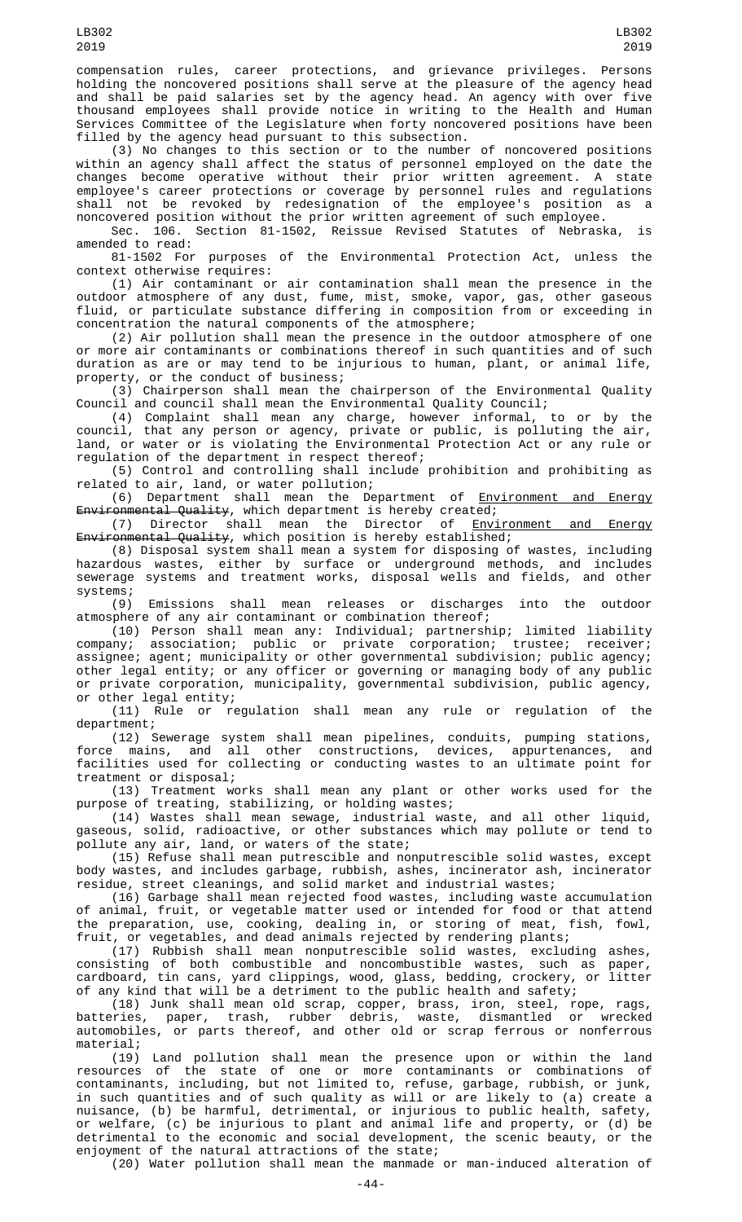compensation rules, career protections, and grievance privileges. Persons holding the noncovered positions shall serve at the pleasure of the agency head and shall be paid salaries set by the agency head. An agency with over five thousand employees shall provide notice in writing to the Health and Human Services Committee of the Legislature when forty noncovered positions have been filled by the agency head pursuant to this subsection.

(3) No changes to this section or to the number of noncovered positions within an agency shall affect the status of personnel employed on the date the changes become operative without their prior written agreement. A state employee's career protections or coverage by personnel rules and regulations shall not be revoked by redesignation of the employee's position as a noncovered position without the prior written agreement of such employee.

Sec. 106. Section 81-1502, Reissue Revised Statutes of Nebraska, is amended to read:

81-1502 For purposes of the Environmental Protection Act, unless the context otherwise requires:

(1) Air contaminant or air contamination shall mean the presence in the outdoor atmosphere of any dust, fume, mist, smoke, vapor, gas, other gaseous fluid, or particulate substance differing in composition from or exceeding in concentration the natural components of the atmosphere;

(2) Air pollution shall mean the presence in the outdoor atmosphere of one or more air contaminants or combinations thereof in such quantities and of such duration as are or may tend to be injurious to human, plant, or animal life, property, or the conduct of business;

(3) Chairperson shall mean the chairperson of the Environmental Quality Council and council shall mean the Environmental Quality Council;

(4) Complaint shall mean any charge, however informal, to or by the council, that any person or agency, private or public, is polluting the air, land, or water or is violating the Environmental Protection Act or any rule or regulation of the department in respect thereof;

(5) Control and controlling shall include prohibition and prohibiting as related to air, land, or water pollution;

(6) Department shall mean the Department of <u>Environment and Energy</u> Environmental Quality, which department is hereby created;

(7) Director shall mean the Director of Environment and Energy Environmental Quality, which position is hereby established;

(8) Disposal system shall mean a system for disposing of wastes, including hazardous wastes, either by surface or underground methods, and includes sewerage systems and treatment works, disposal wells and fields, and other systems;

(9) Emissions shall mean releases or discharges into the outdoor atmosphere of any air contaminant or combination thereof;

(10) Person shall mean any: Individual; partnership; limited liability company; association; public or private corporation; trustee; receiver; assignee; agent; municipality or other governmental subdivision; public agency; other legal entity; or any officer or governing or managing body of any public or private corporation, municipality, governmental subdivision, public agency, or other legal entity;

(11) Rule or regulation shall mean any rule or regulation of the department;

(12) Sewerage system shall mean pipelines, conduits, pumping stations, force mains, and all other constructions, devices, appurtenances, and facilities used for collecting or conducting wastes to an ultimate point for treatment or disposal;

(13) Treatment works shall mean any plant or other works used for the purpose of treating, stabilizing, or holding wastes;

(14) Wastes shall mean sewage, industrial waste, and all other liquid, gaseous, solid, radioactive, or other substances which may pollute or tend to pollute any air, land, or waters of the state;

(15) Refuse shall mean putrescible and nonputrescible solid wastes, except body wastes, and includes garbage, rubbish, ashes, incinerator ash, incinerator residue, street cleanings, and solid market and industrial wastes;

(16) Garbage shall mean rejected food wastes, including waste accumulation of animal, fruit, or vegetable matter used or intended for food or that attend the preparation, use, cooking, dealing in, or storing of meat, fish, fowl, fruit, or vegetables, and dead animals rejected by rendering plants;

(17) Rubbish shall mean nonputrescible solid wastes, excluding ashes, consisting of both combustible and noncombustible wastes, such as paper, cardboard, tin cans, yard clippings, wood, glass, bedding, crockery, or litter of any kind that will be a detriment to the public health and safety;

(18) Junk shall mean old scrap, copper, brass, iron, steel, rope, rags, batteries, paper, trash, rubber debris, waste, dismantled or wrecked automobiles, or parts thereof, and other old or scrap ferrous or nonferrous material;

(19) Land pollution shall mean the presence upon or within the land resources of the state of one or more contaminants or combinations of contaminants, including, but not limited to, refuse, garbage, rubbish, or junk, in such quantities and of such quality as will or are likely to (a) create a nuisance, (b) be harmful, detrimental, or injurious to public health, safety, or welfare, (c) be injurious to plant and animal life and property, or (d) be detrimental to the economic and social development, the scenic beauty, or the enjoyment of the natural attractions of the state;

(20) Water pollution shall mean the manmade or man-induced alteration of

LB302 2019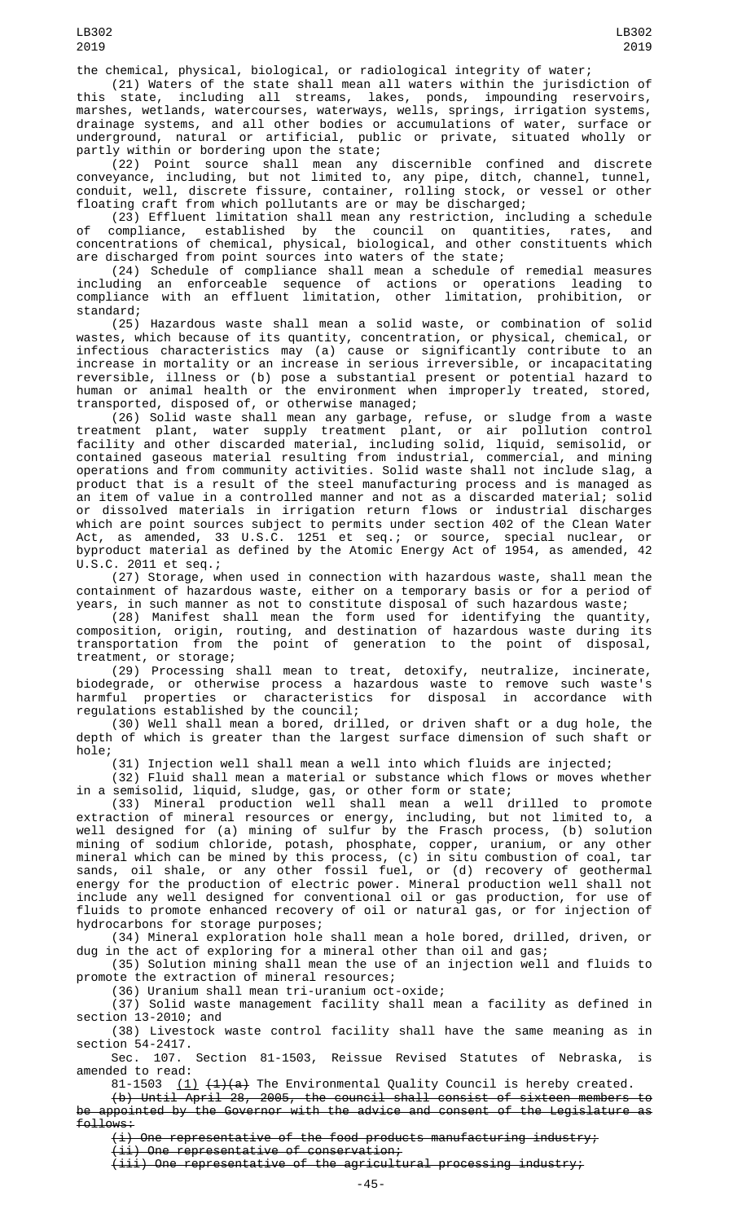the chemical, physical, biological, or radiological integrity of water;

(21) Waters of the state shall mean all waters within the jurisdiction of this state, including all streams, lakes, ponds, impounding reservoirs, marshes, wetlands, watercourses, waterways, wells, springs, irrigation systems, drainage systems, and all other bodies or accumulations of water, surface or underground, natural or artificial, public or private, situated wholly or partly within or bordering upon the state;

(22) Point source shall mean any discernible confined and discrete conveyance, including, but not limited to, any pipe, ditch, channel, tunnel, conduit, well, discrete fissure, container, rolling stock, or vessel or other floating craft from which pollutants are or may be discharged;

(23) Effluent limitation shall mean any restriction, including a schedule of compliance, established by the council on quantities, rates, and concentrations of chemical, physical, biological, and other constituents which are discharged from point sources into waters of the state;

(24) Schedule of compliance shall mean a schedule of remedial measures including an enforceable sequence of actions or operations leading to compliance with an effluent limitation, other limitation, prohibition, or standard;

(25) Hazardous waste shall mean a solid waste, or combination of solid wastes, which because of its quantity, concentration, or physical, chemical, or infectious characteristics may (a) cause or significantly contribute to an increase in mortality or an increase in serious irreversible, or incapacitating reversible, illness or (b) pose a substantial present or potential hazard to human or animal health or the environment when improperly treated, stored, transported, disposed of, or otherwise managed;

(26) Solid waste shall mean any garbage, refuse, or sludge from a waste treatment plant, water supply treatment plant, or air pollution control facility and other discarded material, including solid, liquid, semisolid, or contained gaseous material resulting from industrial, commercial, and mining operations and from community activities. Solid waste shall not include slag, a product that is a result of the steel manufacturing process and is managed as an item of value in a controlled manner and not as a discarded material; solid or dissolved materials in irrigation return flows or industrial discharges which are point sources subject to permits under section 402 of the Clean Water Act, as amended, 33 U.S.C. 1251 et seq.; or source, special nuclear, or byproduct material as defined by the Atomic Energy Act of 1954, as amended, 42 U.S.C. 2011 et seq.;

(27) Storage, when used in connection with hazardous waste, shall mean the containment of hazardous waste, either on a temporary basis or for a period of years, in such manner as not to constitute disposal of such hazardous waste;

(28) Manifest shall mean the form used for identifying the quantity, composition, origin, routing, and destination of hazardous waste during its transportation from the point of generation to the point of disposal, treatment, or storage;

(29) Processing shall mean to treat, detoxify, neutralize, incinerate, biodegrade, or otherwise process a hazardous waste to remove such waste's harmful properties or characteristics for disposal in accordance with regulations established by the council;

(30) Well shall mean a bored, drilled, or driven shaft or a dug hole, the depth of which is greater than the largest surface dimension of such shaft or hole;

(31) Injection well shall mean a well into which fluids are injected;<br>(32) Fluid shall mean a material or substance which flows or moves whether (32) Fluid shall mean a material or substance which flows or moves whether in a semisolid, liquid, sludge, gas, or other form or state;

(33) Mineral production well shall mean a well drilled to promote extraction of mineral resources or energy, including, but not limited to, a well designed for (a) mining of sulfur by the Frasch process, (b) solution mining of sodium chloride, potash, phosphate, copper, uranium, or any other mineral which can be mined by this process, (c) in situ combustion of coal, tar sands, oil shale, or any other fossil fuel, or (d) recovery of geothermal energy for the production of electric power. Mineral production well shall not include any well designed for conventional oil or gas production, for use of fluids to promote enhanced recovery of oil or natural gas, or for injection of hydrocarbons for storage purposes;

(34) Mineral exploration hole shall mean a hole bored, drilled, driven, or dug in the act of exploring for a mineral other than oil and gas;

(35) Solution mining shall mean the use of an injection well and fluids to promote the extraction of mineral resources;

(36) Uranium shall mean tri-uranium oct-oxide;

(37) Solid waste management facility shall mean a facility as defined in section 13-2010; and

(38) Livestock waste control facility shall have the same meaning as in section 54-2417.

Sec. 107. Section 81-1503, Reissue Revised Statutes of Nebraska, is amended to read:

81-1503  $(1)$   $(1)(a)$  The Environmental Quality Council is hereby created.

(b) Until April 28, 2005, the council shall consist of sixteen members to be appointed by the Governor with the advice and consent of the Legislature as follows:

(i) One representative of the food products manufacturing industry;

(ii) One representative of conservation;

(iii) One representative of the agricultural processing industry;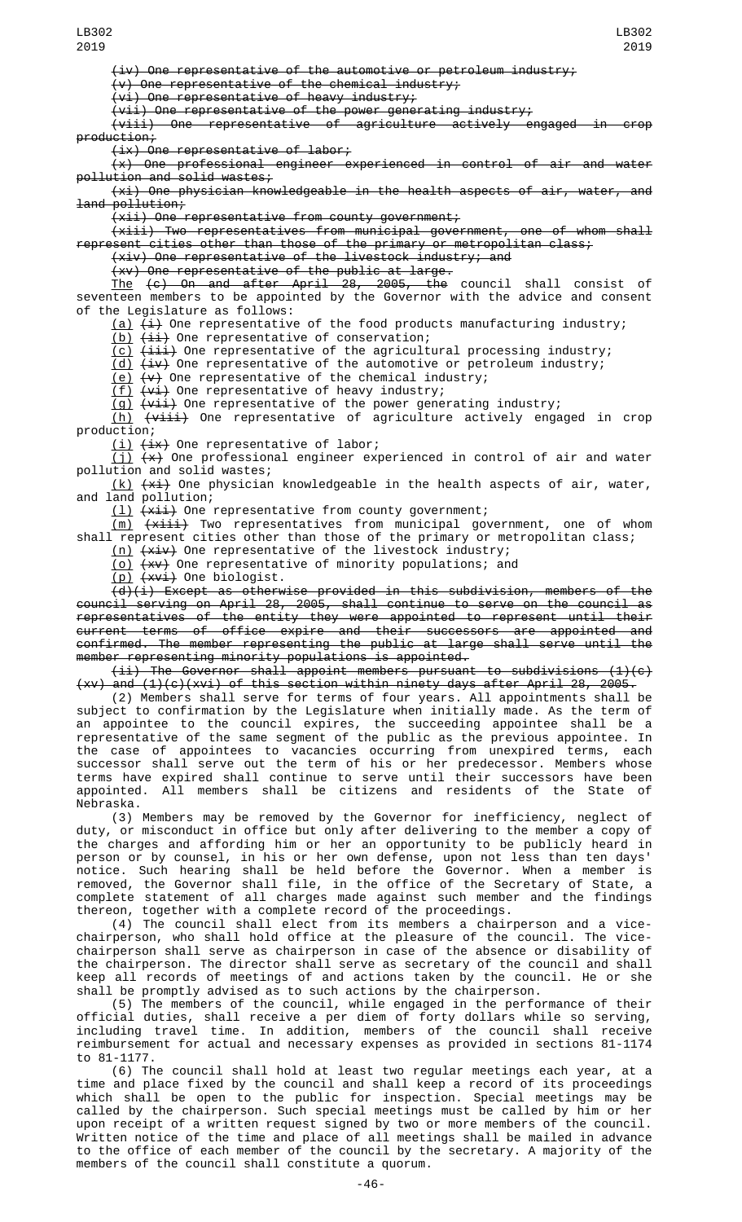LB302 2019

(iv) One representative of the automotive or petroleum industry;

(v) One representative of the chemical industry;

 $(v_i)$  One representative of heavy industry;

(vii) One representative of the power generating industry;

 $\overleftrightarrow{(\textsf{viii})}$  One representative of agriculture actively engaged in crop production;

(ix) One representative of labor;

(x) One professional engineer experienced in control of air and water pollution and solid wastes;

(xi) One physician knowledgeable in the health aspects of air, water, and land pollution;

 $(xii)$  One representative from county government;

 $(xiii)$  Two representatives from municipal government, one of whom shall represent cities other than those of the primary or metropolitan class;

(xiv) One representative of the livestock industry; and

(xv) One representative of the public at large.

The (c) On and after April 28, 2005, the council shall consist of seventeen members to be appointed by the Governor with the advice and consent of the Legislature as follows:

 $(a)$   $(\pm)$  One representative of the food products manufacturing industry;

(b) (ii) One representative of conservation;

 $(c)$   $(iii)$  One representative of the agricultural processing industry;

<u>(d)</u> <del>(iv)</del> One representative of the automotive or petroleum industry;

<u>(e)</u>  $\overline{v}(x)$  One representative of the chemical industry;

 $(f)$   $(vi)$  One representative of heavy industry;

<u>(g)</u> <del>(vii)</del> One representative of the power generating industry;

<u>(h)</u> <del>(viii)</del> One representative of agriculture actively engaged in crop production;

<u>(i)</u> <del>(ix)</del> One representative of labor;

(j)  $\left(\star\right)$  One professional engineer experienced in control of air and water pollution and solid wastes;

(k) (xi) One physician knowledgeable in the health aspects of air, water, and land pollution;

(l) (xii) One representative from county government;

<u>(m)</u> <del>(xiii)</del> Two representatives from municipal government, one of whom shall represent cities other than those of the primary or metropolitan class;

(n) (xiv) One representative of the livestock industry;

<u>(o)</u> <del>(xv)</del> One representative of minority populations; and

(p) <del>(xvi)</del> One biologist.

(d)(i) Except as otherwise provided in this subdivision, members of the council serving on April 28, 2005, shall continue to serve on the council as representatives of the entity they were appointed to represent until their current terms of office expire and their successors are appointed and confirmed. The member representing the public at large shall serve until the member representing minority populations is appointed.

(ii) The Governor shall appoint members pursuant to subdivisions (1)(c) (xv) and (1)(c)(xvi) of this section within ninety days after April 28, 2005.

(2) Members shall serve for terms of four years. All appointments shall be subject to confirmation by the Legislature when initially made. As the term of an appointee to the council expires, the succeeding appointee shall be a representative of the same segment of the public as the previous appointee. In the case of appointees to vacancies occurring from unexpired terms, each successor shall serve out the term of his or her predecessor. Members whose terms have expired shall continue to serve until their successors have been appointed. All members shall be citizens and residents of the State of Nebraska.

(3) Members may be removed by the Governor for inefficiency, neglect of duty, or misconduct in office but only after delivering to the member a copy of the charges and affording him or her an opportunity to be publicly heard in person or by counsel, in his or her own defense, upon not less than ten days' notice. Such hearing shall be held before the Governor. When a member is removed, the Governor shall file, in the office of the Secretary of State, a complete statement of all charges made against such member and the findings thereon, together with a complete record of the proceedings.

(4) The council shall elect from its members a chairperson and a vicechairperson, who shall hold office at the pleasure of the council. The vicechairperson shall serve as chairperson in case of the absence or disability of the chairperson. The director shall serve as secretary of the council and shall keep all records of meetings of and actions taken by the council. He or she shall be promptly advised as to such actions by the chairperson.

(5) The members of the council, while engaged in the performance of their official duties, shall receive a per diem of forty dollars while so serving, including travel time. In addition, members of the council shall receive reimbursement for actual and necessary expenses as provided in sections 81-1174 to 81-1177.

(6) The council shall hold at least two regular meetings each year, at a time and place fixed by the council and shall keep a record of its proceedings which shall be open to the public for inspection. Special meetings may be called by the chairperson. Such special meetings must be called by him or her upon receipt of a written request signed by two or more members of the council. Written notice of the time and place of all meetings shall be mailed in advance to the office of each member of the council by the secretary. A majority of the members of the council shall constitute a quorum.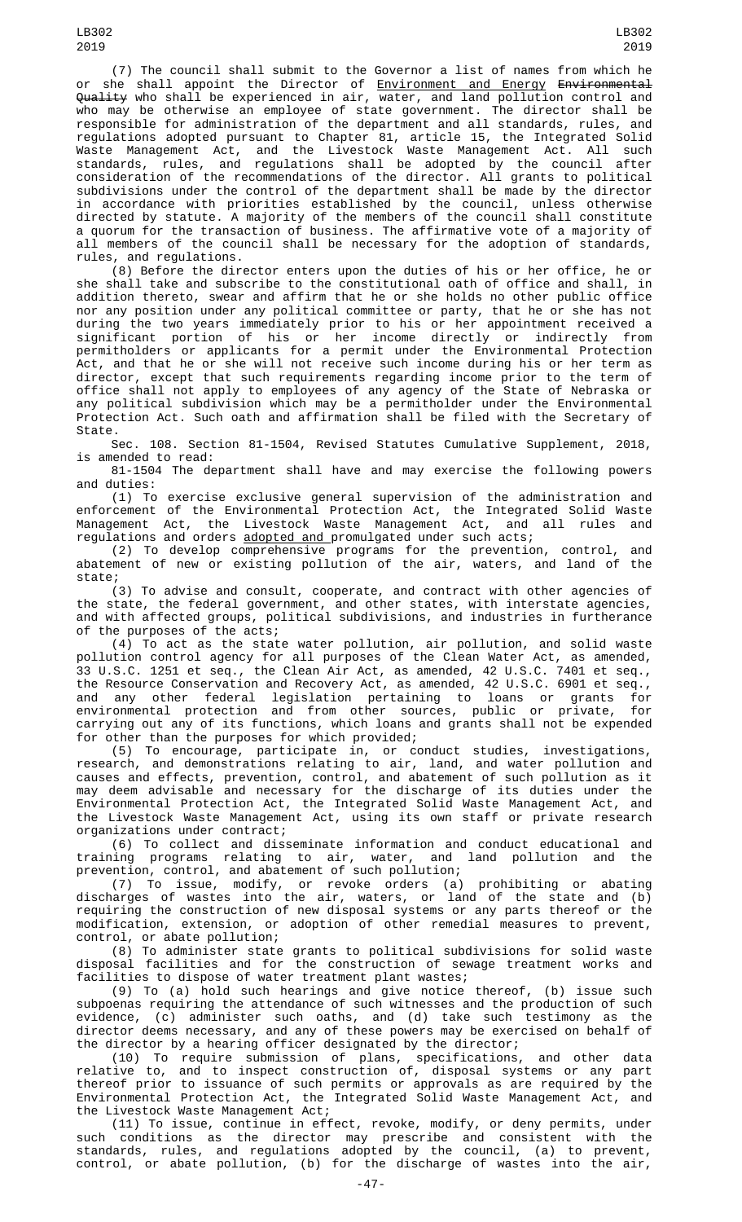(7) The council shall submit to the Governor a list of names from which he or she shall appoint the Director of <u>Environment and Energy</u> <del>Environmental</del> Quality who shall be experienced in air, water, and land pollution control and who may be otherwise an employee of state government. The director shall be responsible for administration of the department and all standards, rules, and regulations adopted pursuant to Chapter 81, article 15, the Integrated Solid Waste Management Act, and the Livestock Waste Management Act. All such standards, rules, and regulations shall be adopted by the council after consideration of the recommendations of the director. All grants to political subdivisions under the control of the department shall be made by the director in accordance with priorities established by the council, unless otherwise directed by statute. A majority of the members of the council shall constitute a quorum for the transaction of business. The affirmative vote of a majority of all members of the council shall be necessary for the adoption of standards, rules, and regulations.

(8) Before the director enters upon the duties of his or her office, he or she shall take and subscribe to the constitutional oath of office and shall, in addition thereto, swear and affirm that he or she holds no other public office nor any position under any political committee or party, that he or she has not during the two years immediately prior to his or her appointment received a significant portion of his or her income directly or indirectly from permitholders or applicants for a permit under the Environmental Protection Act, and that he or she will not receive such income during his or her term as director, except that such requirements regarding income prior to the term of office shall not apply to employees of any agency of the State of Nebraska or any political subdivision which may be a permitholder under the Environmental Protection Act. Such oath and affirmation shall be filed with the Secretary of State.

Sec. 108. Section 81-1504, Revised Statutes Cumulative Supplement, 2018, is amended to read:

81-1504 The department shall have and may exercise the following powers and duties:

(1) To exercise exclusive general supervision of the administration and enforcement of the Environmental Protection Act, the Integrated Solid Waste Management Act, the Livestock Waste Management Act, and all rules and regulations and orders <u>adopted and p</u>romulgated under such acts;

(2) To develop comprehensive programs for the prevention, control, and abatement of new or existing pollution of the air, waters, and land of the state;

(3) To advise and consult, cooperate, and contract with other agencies of the state, the federal government, and other states, with interstate agencies, and with affected groups, political subdivisions, and industries in furtherance of the purposes of the acts;

(4) To act as the state water pollution, air pollution, and solid waste pollution control agency for all purposes of the Clean Water Act, as amended, 33 U.S.C. 1251 et seq., the Clean Air Act, as amended, 42 U.S.C. 7401 et seq., the Resource Conservation and Recovery Act, as amended, 42 U.S.C. 6901 et seq., and any other federal legislation pertaining to loans or grants for environmental protection and from other sources, public or private, for carrying out any of its functions, which loans and grants shall not be expended for other than the purposes for which provided;

(5) To encourage, participate in, or conduct studies, investigations, research, and demonstrations relating to air, land, and water pollution and causes and effects, prevention, control, and abatement of such pollution as it may deem advisable and necessary for the discharge of its duties under the Environmental Protection Act, the Integrated Solid Waste Management Act, and the Livestock Waste Management Act, using its own staff or private research organizations under contract;

(6) To collect and disseminate information and conduct educational and training programs relating to air, water, and land pollution and the prevention, control, and abatement of such pollution;

(7) To issue, modify, or revoke orders (a) prohibiting or abating discharges of wastes into the air, waters, or land of the state and (b) requiring the construction of new disposal systems or any parts thereof or the modification, extension, or adoption of other remedial measures to prevent, control, or abate pollution;

(8) To administer state grants to political subdivisions for solid waste disposal facilities and for the construction of sewage treatment works and facilities to dispose of water treatment plant wastes;

(9) To (a) hold such hearings and give notice thereof, (b) issue such subpoenas requiring the attendance of such witnesses and the production of such evidence, (c) administer such oaths, and (d) take such testimony as the director deems necessary, and any of these powers may be exercised on behalf of the director by a hearing officer designated by the director;

(10) To require submission of plans, specifications, and other data relative to, and to inspect construction of, disposal systems or any part thereof prior to issuance of such permits or approvals as are required by the Environmental Protection Act, the Integrated Solid Waste Management Act, and the Livestock Waste Management Act;

(11) To issue, continue in effect, revoke, modify, or deny permits, under such conditions as the director may prescribe and consistent with the standards, rules, and regulations adopted by the council, (a) to prevent, control, or abate pollution, (b) for the discharge of wastes into the air,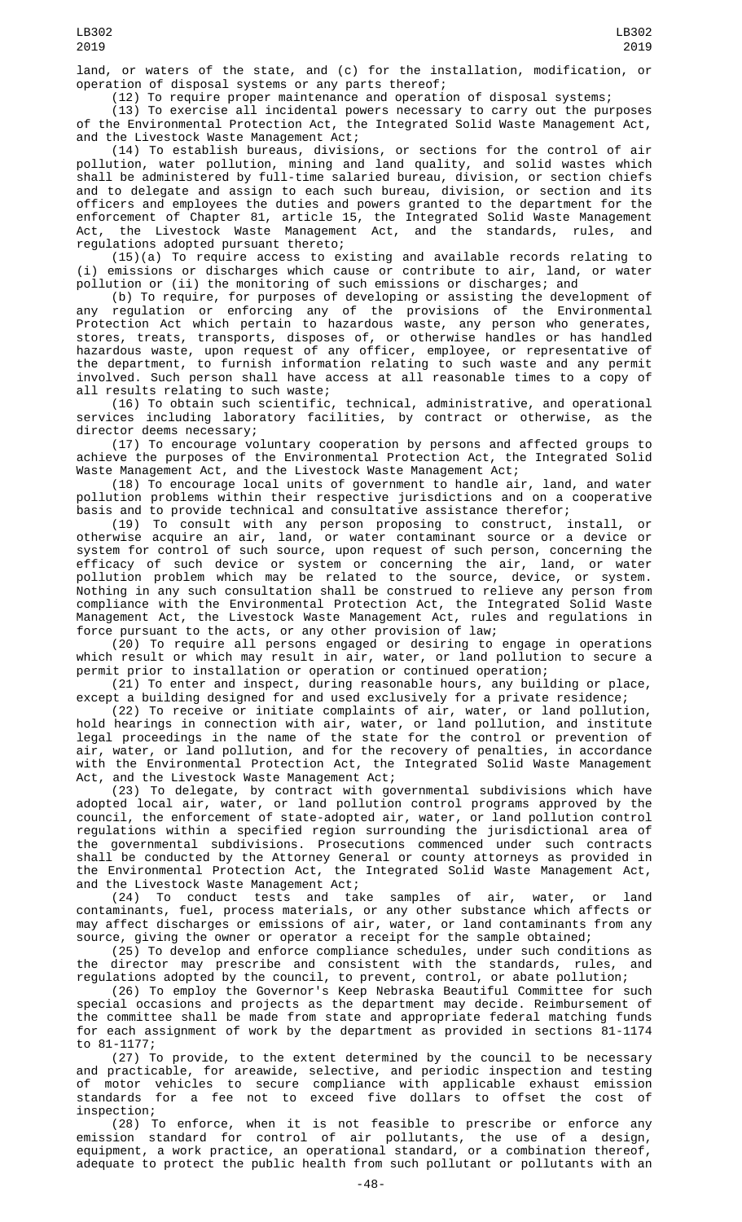land, or waters of the state, and (c) for the installation, modification, or operation of disposal systems or any parts thereof;

(12) To require proper maintenance and operation of disposal systems;

(13) To exercise all incidental powers necessary to carry out the purposes of the Environmental Protection Act, the Integrated Solid Waste Management Act, and the Livestock Waste Management Act;

(14) To establish bureaus, divisions, or sections for the control of air pollution, water pollution, mining and land quality, and solid wastes which shall be administered by full-time salaried bureau, division, or section chiefs and to delegate and assign to each such bureau, division, or section and its officers and employees the duties and powers granted to the department for the enforcement of Chapter 81, article 15, the Integrated Solid Waste Management Act, the Livestock Waste Management Act, and the standards, rules, and regulations adopted pursuant thereto;

(15)(a) To require access to existing and available records relating to (i) emissions or discharges which cause or contribute to air, land, or water pollution or (ii) the monitoring of such emissions or discharges; and

(b) To require, for purposes of developing or assisting the development of any regulation or enforcing any of the provisions of the Environmental Protection Act which pertain to hazardous waste, any person who generates, stores, treats, transports, disposes of, or otherwise handles or has handled hazardous waste, upon request of any officer, employee, or representative of the department, to furnish information relating to such waste and any permit involved. Such person shall have access at all reasonable times to a copy of all results relating to such waste;

(16) To obtain such scientific, technical, administrative, and operational services including laboratory facilities, by contract or otherwise, as the director deems necessary;

(17) To encourage voluntary cooperation by persons and affected groups to achieve the purposes of the Environmental Protection Act, the Integrated Solid Waste Management Act, and the Livestock Waste Management Act;

(18) To encourage local units of government to handle air, land, and water pollution problems within their respective jurisdictions and on a cooperative basis and to provide technical and consultative assistance therefor;

(19) To consult with any person proposing to construct, install, or otherwise acquire an air, land, or water contaminant source or a device or system for control of such source, upon request of such person, concerning the efficacy of such device or system or concerning the air, land, or water pollution problem which may be related to the source, device, or system. Nothing in any such consultation shall be construed to relieve any person from compliance with the Environmental Protection Act, the Integrated Solid Waste Management Act, the Livestock Waste Management Act, rules and regulations in force pursuant to the acts, or any other provision of law;

(20) To require all persons engaged or desiring to engage in operations which result or which may result in air, water, or land pollution to secure a permit prior to installation or operation or continued operation;

(21) To enter and inspect, during reasonable hours, any building or place, except a building designed for and used exclusively for a private residence;

(22) To receive or initiate complaints of air, water, or land pollution, hold hearings in connection with air, water, or land pollution, and institute legal proceedings in the name of the state for the control or prevention of air, water, or land pollution, and for the recovery of penalties, in accordance with the Environmental Protection Act, the Integrated Solid Waste Management Act, and the Livestock Waste Management Act;

(23) To delegate, by contract with governmental subdivisions which have adopted local air, water, or land pollution control programs approved by the council, the enforcement of state-adopted air, water, or land pollution control regulations within a specified region surrounding the jurisdictional area of the governmental subdivisions. Prosecutions commenced under such contracts shall be conducted by the Attorney General or county attorneys as provided in the Environmental Protection Act, the Integrated Solid Waste Management Act, and the Livestock Waste Management Act;

(24) To conduct tests and take samples of air, water, or land contaminants, fuel, process materials, or any other substance which affects or may affect discharges or emissions of air, water, or land contaminants from any source, giving the owner or operator a receipt for the sample obtained;

(25) To develop and enforce compliance schedules, under such conditions as the director may prescribe and consistent with the standards, rules, and regulations adopted by the council, to prevent, control, or abate pollution;

(26) To employ the Governor's Keep Nebraska Beautiful Committee for such special occasions and projects as the department may decide. Reimbursement of the committee shall be made from state and appropriate federal matching funds for each assignment of work by the department as provided in sections  $\frac{81-1174}{2}$ to 81-1177;

(27) To provide, to the extent determined by the council to be necessary and practicable, for areawide, selective, and periodic inspection and testing of motor vehicles to secure compliance with applicable exhaust emission standards for a fee not to exceed five dollars to offset the cost of inspection;

(28) To enforce, when it is not feasible to prescribe or enforce any emission standard for control of air pollutants, the use of a design, equipment, a work practice, an operational standard, or a combination thereof, adequate to protect the public health from such pollutant or pollutants with an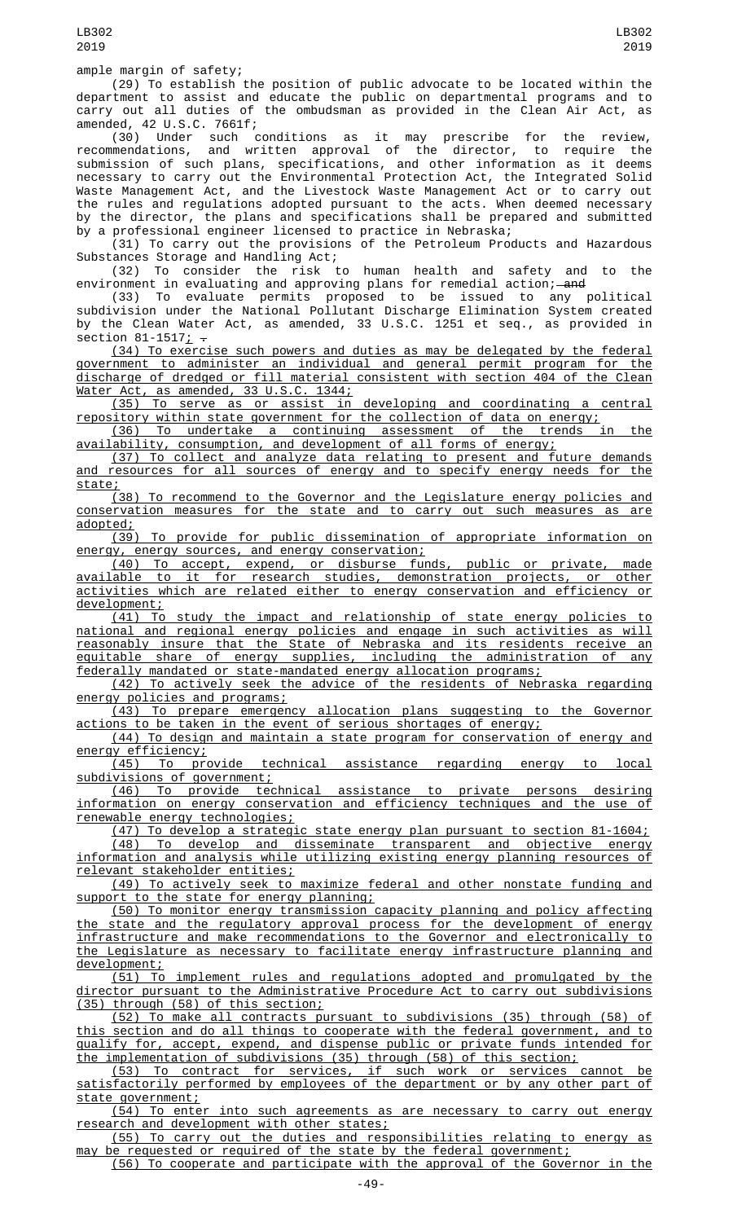(29) To establish the position of public advocate to be located within the department to assist and educate the public on departmental programs and to carry out all duties of the ombudsman as provided in the Clean Air Act, as amended, 42 U.S.C. 7661f;

(30) Under such conditions as it may prescribe for the review, recommendations, and written approval of the director, to require the submission of such plans, specifications, and other information as it deems necessary to carry out the Environmental Protection Act, the Integrated Solid Waste Management Act, and the Livestock Waste Management Act or to carry out the rules and regulations adopted pursuant to the acts. When deemed necessary by the director, the plans and specifications shall be prepared and submitted by a professional engineer licensed to practice in Nebraska;

(31) To carry out the provisions of the Petroleum Products and Hazardous Substances Storage and Handling Act;

(32) To consider the risk to human health and safety and to the environment in evaluating and approving plans for remedial action;—<del>and</del>

(33) To evaluate permits proposed to be issued to any political subdivision under the National Pollutant Discharge Elimination System created by the Clean Water Act, as amended, 33 U.S.C. 1251 et seq., as provided in section  $81-1517$ ;  $-$ 

(34) To exercise such powers and duties as may be delegated by the federal government to administer an individual and general permit program for the discharge of dredged or fill material consistent with section 404 of the Clean Water Act, as amended, 33 U.S.C. 1344;

(35) To serve as or assist in developing and coordinating a central repository within state government for the collection of data on energy;

(36) To undertake a continuing assessment of the trends in the availability, consumption, and development of all forms of energy;

(37) To collect and analyze data relating to present and future demands and resources for all sources of energy and to specify energy needs for the state;

(38) To recommend to the Governor and the Legislature energy policies and conservation measures for the state and to carry out such measures as are adopted;<br><u>(39)</u>

To provide for public dissemination of appropriate information on energy, energy sources, and energy conservation;

(40) To accept, expend, or disburse funds, public or private, made available to it for research studies, demonstration projects, or other activities which are related either to energy conservation and efficiency or development;

(41) To study the impact and relationship of state energy policies national and regional energy policies and engage in such activities as will reasonably insure that the State of Nebraska and its residents receive an equitable share of energy supplies, including the administration of any federally mandated or state-mandated energy allocation programs;

(42) To actively seek the advice of the residents of Nebraska regarding energy policies and programs;

(43) To prepare emergency allocation plans suggesting to the Governor actions to be taken in the event of serious shortages of energy;

(44) To design and maintain a state program for conservation of energy and energy efficiency;

(45) To provide technical assistance regarding energy to local subdivisions of government;

(46) To provide technical assistance to private persons desiring information on energy conservation and efficiency techniques and the use of renewable energy technologies;

(47) To develop a strategic state energy plan pursuant to section 81-1604; (48) To develop and disseminate transparent and objective energy

information and analysis while utilizing existing energy planning resources of relevant stakeholder entities;

(49) To actively seek to maximize federal and other nonstate funding and support to the state for energy planning;

(50) To monitor energy transmission capacity planning and policy affecting the state and the regulatory approval process for the development of energy infrastructure and make recommendations to the Governor and electronically to the Legislature as necessary to facilitate energy infrastructure planning and development;

(51) To implement rules and regulations adopted and promulgated by the director pursuant to the Administrative Procedure Act to carry out subdivisions (35) through (58) of this section;

(52) To make all contracts pursuant to subdivisions (35) through (58) of this section and do all things to cooperate with the federal government, and to qualify for, accept, expend, and dispense public or private funds intended for the implementation of subdivisions (35) through (58) of this section;

(53) To contract for services, if such work or services cannot be satisfactorily performed by employees of the department or by any other part of state government;

(54) To enter into such agreements as are necessary to carry out energy research and development with other states;

(55) To carry out the duties and responsibilities relating to energy as may be requested or required of the state by the federal government;

(56) To cooperate and participate with the approval of the Governor in the

 $-49-$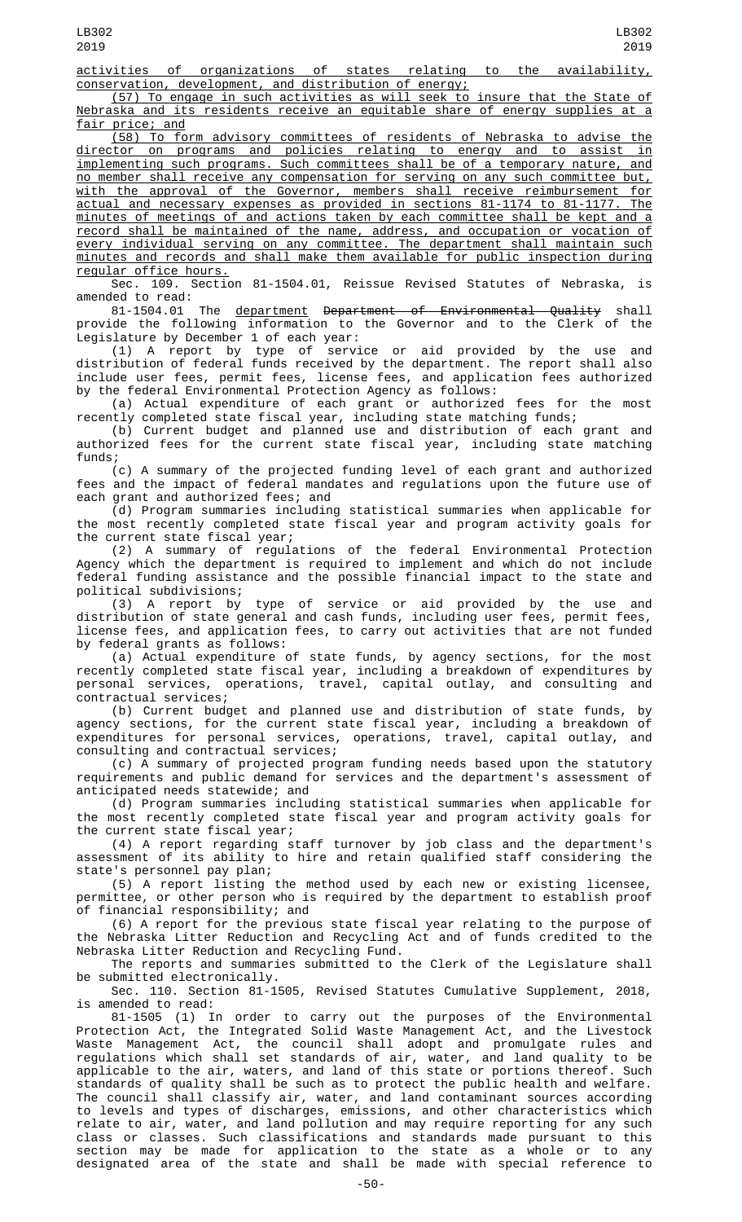activities of organizations of states relating to the availability, conservation, development, and distribution of energy;

(57) To engage in such activities as will seek to insure that the State of Nebraska and its residents receive an equitable share of energy supplies at a fair price; and

(58) To form advisory committees of residents of Nebraska to advise the director on programs and policies relating to energy and to assist in implementing such programs. Such committees shall be of a temporary nature, and no member shall receive any compensation for serving on any such committee but, with the approval of the Governor, members shall receive reimbursement for actual and necessary expenses as provided in sections 81-1174 to 81-1177. The minutes of meetings of and actions taken by each committee shall be kept and a record shall be maintained of the name, address, and occupation or vocation of every individual serving on any committee. The department shall maintain such minutes and records and shall make them available for public inspection during regular office hours.

Sec. 109. Section 81-1504.01, Reissue Revised Statutes of Nebraska, is amended to read:

81-1504.01 The department Department of Environmental Quality shall provide the following information to the Governor and to the Clerk of the Legislature by December 1 of each year:

(1) A report by type of service or aid provided by the use and distribution of federal funds received by the department. The report shall also include user fees, permit fees, license fees, and application fees authorized by the federal Environmental Protection Agency as follows:

(a) Actual expenditure of each grant or authorized fees for the most recently completed state fiscal year, including state matching funds;

(b) Current budget and planned use and distribution of each grant and authorized fees for the current state fiscal year, including state matching funds;

(c) A summary of the projected funding level of each grant and authorized fees and the impact of federal mandates and regulations upon the future use of each grant and authorized fees; and

(d) Program summaries including statistical summaries when applicable for the most recently completed state fiscal year and program activity goals for the current state fiscal year;

(2) A summary of regulations of the federal Environmental Protection Agency which the department is required to implement and which do not include federal funding assistance and the possible financial impact to the state and political subdivisions;

(3) A report by type of service or aid provided by the use and distribution of state general and cash funds, including user fees, permit fees, license fees, and application fees, to carry out activities that are not funded by federal grants as follows:

(a) Actual expenditure of state funds, by agency sections, for the most recently completed state fiscal year, including a breakdown of expenditures by personal services, operations, travel, capital outlay, and consulting and contractual services;

(b) Current budget and planned use and distribution of state funds, by agency sections, for the current state fiscal year, including a breakdown of expenditures for personal services, operations, travel, capital outlay, and consulting and contractual services;

(c) A summary of projected program funding needs based upon the statutory requirements and public demand for services and the department's assessment of anticipated needs statewide; and

(d) Program summaries including statistical summaries when applicable for the most recently completed state fiscal year and program activity goals for the current state fiscal year;

(4) A report regarding staff turnover by job class and the department's assessment of its ability to hire and retain qualified staff considering the state's personnel pay plan;

(5) A report listing the method used by each new or existing licensee, permittee, or other person who is required by the department to establish proof of financial responsibility; and

(6) A report for the previous state fiscal year relating to the purpose of the Nebraska Litter Reduction and Recycling Act and of funds credited to the Nebraska Litter Reduction and Recycling Fund.

The reports and summaries submitted to the Clerk of the Legislature shall be submitted electronically.

Sec. 110. Section 81-1505, Revised Statutes Cumulative Supplement, 2018, is amended to read:

81-1505 (1) In order to carry out the purposes of the Environmental Protection Act, the Integrated Solid Waste Management Act, and the Livestock Waste Management Act, the council shall adopt and promulgate rules and regulations which shall set standards of air, water, and land quality to be applicable to the air, waters, and land of this state or portions thereof. Such standards of quality shall be such as to protect the public health and welfare. The council shall classify air, water, and land contaminant sources according to levels and types of discharges, emissions, and other characteristics which relate to air, water, and land pollution and may require reporting for any such class or classes. Such classifications and standards made pursuant to this section may be made for application to the state as a whole or to any designated area of the state and shall be made with special reference to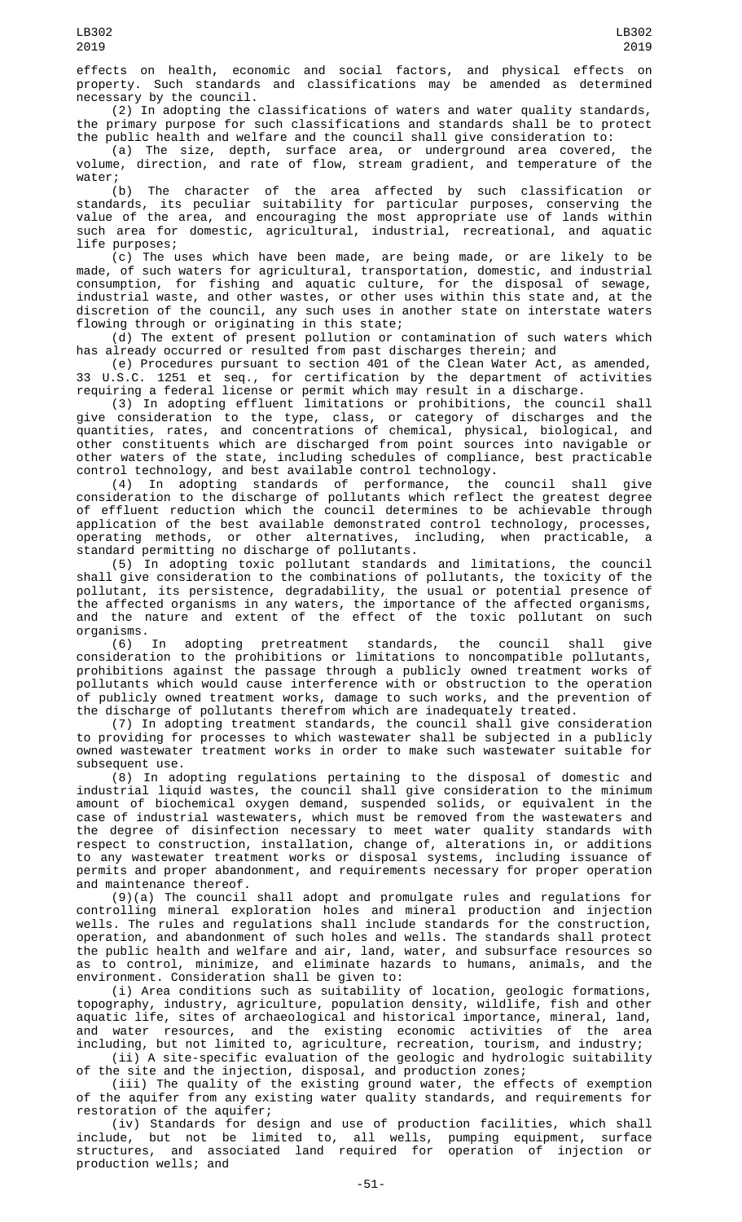effects on health, economic and social factors, and physical effects on property. Such standards and classifications may be amended as determined necessary by the council.

(2) In adopting the classifications of waters and water quality standards, the primary purpose for such classifications and standards shall be to protect the public health and welfare and the council shall give consideration to:

(a) The size, depth, surface area, or underground area covered, the volume, direction, and rate of flow, stream gradient, and temperature of the water;

(b) The character of the area affected by such classification or standards, its peculiar suitability for particular purposes, conserving the value of the area, and encouraging the most appropriate use of lands within such area for domestic, agricultural, industrial, recreational, and aquatic life purposes;

(c) The uses which have been made, are being made, or are likely to be made, of such waters for agricultural, transportation, domestic, and industrial consumption, for fishing and aquatic culture, for the disposal of sewage, industrial waste, and other wastes, or other uses within this state and, at the discretion of the council, any such uses in another state on interstate waters flowing through or originating in this state;

(d) The extent of present pollution or contamination of such waters which has already occurred or resulted from past discharges therein; and

(e) Procedures pursuant to section 401 of the Clean Water Act, as amended, 33 U.S.C. 1251 et seq., for certification by the department of activities requiring a federal license or permit which may result in a discharge.

(3) In adopting effluent limitations or prohibitions, the council shall give consideration to the type, class, or category of discharges and the quantities, rates, and concentrations of chemical, physical, biological, and other constituents which are discharged from point sources into navigable or other waters of the state, including schedules of compliance, best practicable control technology, and best available control technology.

(4) In adopting standards of performance, the council shall give consideration to the discharge of pollutants which reflect the greatest degree of effluent reduction which the council determines to be achievable through application of the best available demonstrated control technology, processes, operating methods, or other alternatives, including, when practicable, standard permitting no discharge of pollutants.

(5) In adopting toxic pollutant standards and limitations, the council shall give consideration to the combinations of pollutants, the toxicity of the pollutant, its persistence, degradability, the usual or potential presence of the affected organisms in any waters, the importance of the affected organisms, and the nature and extent of the effect of the toxic pollutant on such organisms.

(6) In adopting pretreatment standards, the council shall give consideration to the prohibitions or limitations to noncompatible pollutants, prohibitions against the passage through a publicly owned treatment works of pollutants which would cause interference with or obstruction to the operation of publicly owned treatment works, damage to such works, and the prevention of the discharge of pollutants therefrom which are inadequately treated.

(7) In adopting treatment standards, the council shall give consideration to providing for processes to which wastewater shall be subjected in a publicly owned wastewater treatment works in order to make such wastewater suitable for subsequent use.

(8) In adopting regulations pertaining to the disposal of domestic and industrial liquid wastes, the council shall give consideration to the minimum amount of biochemical oxygen demand, suspended solids, or equivalent in the case of industrial wastewaters, which must be removed from the wastewaters and the degree of disinfection necessary to meet water quality standards with respect to construction, installation, change of, alterations in, or additions to any wastewater treatment works or disposal systems, including issuance of permits and proper abandonment, and requirements necessary for proper operation and maintenance thereof.

(9)(a) The council shall adopt and promulgate rules and regulations for controlling mineral exploration holes and mineral production and injection wells. The rules and regulations shall include standards for the construction, operation, and abandonment of such holes and wells. The standards shall protect the public health and welfare and air, land, water, and subsurface resources so as to control, minimize, and eliminate hazards to humans, animals, and the environment. Consideration shall be given to:

(i) Area conditions such as suitability of location, geologic formations, topography, industry, agriculture, population density, wildlife, fish and other aquatic life, sites of archaeological and historical importance, mineral, land, and water resources, and the existing economic activities of the area including, but not limited to, agriculture, recreation, tourism, and industry;

(ii) A site-specific evaluation of the geologic and hydrologic suitability of the site and the injection, disposal, and production zones;

(iii) The quality of the existing ground water, the effects of exemption of the aquifer from any existing water quality standards, and requirements for restoration of the aquifer;

(iv) Standards for design and use of production facilities, which shall include, but not be limited to, all wells, pumping equipment, surface structures, and associated land required for operation of injection or production wells; and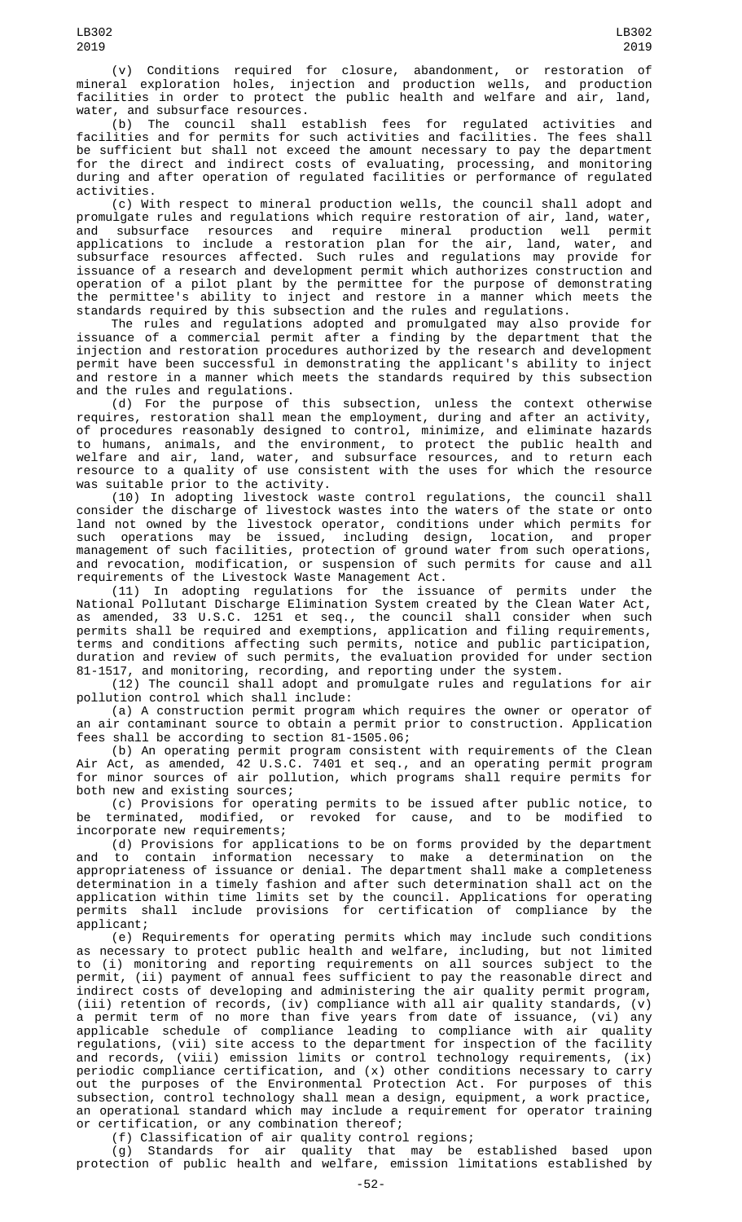(v) Conditions required for closure, abandonment, or restoration of mineral exploration holes, injection and production wells, and production facilities in order to protect the public health and welfare and air, land, water, and subsurface resources.

(b) The council shall establish fees for regulated activities and facilities and for permits for such activities and facilities. The fees shall be sufficient but shall not exceed the amount necessary to pay the department for the direct and indirect costs of evaluating, processing, and monitoring during and after operation of regulated facilities or performance of regulated activities.

(c) With respect to mineral production wells, the council shall adopt and promulgate rules and regulations which require restoration of air, land, water, and subsurface resources and require mineral production well permit applications to include a restoration plan for the air, land, water, and subsurface resources affected. Such rules and regulations may provide for issuance of a research and development permit which authorizes construction and operation of a pilot plant by the permittee for the purpose of demonstrating the permittee's ability to inject and restore in a manner which meets the standards required by this subsection and the rules and regulations.

The rules and regulations adopted and promulgated may also provide for issuance of a commercial permit after a finding by the department that the injection and restoration procedures authorized by the research and development permit have been successful in demonstrating the applicant's ability to inject and restore in a manner which meets the standards required by this subsection and the rules and regulations.

(d) For the purpose of this subsection, unless the context otherwise requires, restoration shall mean the employment, during and after an activity, of procedures reasonably designed to control, minimize, and eliminate hazards to humans, animals, and the environment, to protect the public health and welfare and air, land, water, and subsurface resources, and to return each resource to a quality of use consistent with the uses for which the resource was suitable prior to the activity.

(10) In adopting livestock waste control regulations, the council shall consider the discharge of livestock wastes into the waters of the state or onto land not owned by the livestock operator, conditions under which permits for such operations may be issued, including design, location, and proper management of such facilities, protection of ground water from such operations, and revocation, modification, or suspension of such permits for cause and all requirements of the Livestock Waste Management Act.

(11) In adopting regulations for the issuance of permits under the National Pollutant Discharge Elimination System created by the Clean Water Act, as amended, 33 U.S.C. 1251 et seq., the council shall consider when such permits shall be required and exemptions, application and filing requirements, terms and conditions affecting such permits, notice and public participation, duration and review of such permits, the evaluation provided for under section 81-1517, and monitoring, recording, and reporting under the system.

(12) The council shall adopt and promulgate rules and regulations for air pollution control which shall include:

(a) A construction permit program which requires the owner or operator of an air contaminant source to obtain a permit prior to construction. Application fees shall be according to section 81-1505.06;

(b) An operating permit program consistent with requirements of the Clean Air Act, as amended, 42 U.S.C. 7401 et seq., and an operating permit program for minor sources of air pollution, which programs shall require permits for both new and existing sources;

(c) Provisions for operating permits to be issued after public notice, to be terminated, modified, or revoked for cause, and to be modified to incorporate new requirements;

(d) Provisions for applications to be on forms provided by the department and to contain information necessary to make a determination on the appropriateness of issuance or denial. The department shall make a completeness determination in a timely fashion and after such determination shall act on the application within time limits set by the council. Applications for operating permits shall include provisions for certification of compliance by the applicant;

(e) Requirements for operating permits which may include such conditions as necessary to protect public health and welfare, including, but not limited to (i) monitoring and reporting requirements on all sources subject to the permit, (ii) payment of annual fees sufficient to pay the reasonable direct and indirect costs of developing and administering the air quality permit program, (iii) retention of records, (iv) compliance with all air quality standards, (v) a permit term of no more than five years from date of issuance, (vi) any applicable schedule of compliance leading to compliance with air quality regulations, (vii) site access to the department for inspection of the facility and records, (viii) emission limits or control technology requirements, (ix) periodic compliance certification, and (x) other conditions necessary to carry out the purposes of the Environmental Protection Act. For purposes of this subsection, control technology shall mean a design, equipment, a work practice, an operational standard which may include a requirement for operator training or certification, or any combination thereof;

(f) Classification of air quality control regions;

(g) Standards for air quality that may be established based upon protection of public health and welfare, emission limitations established by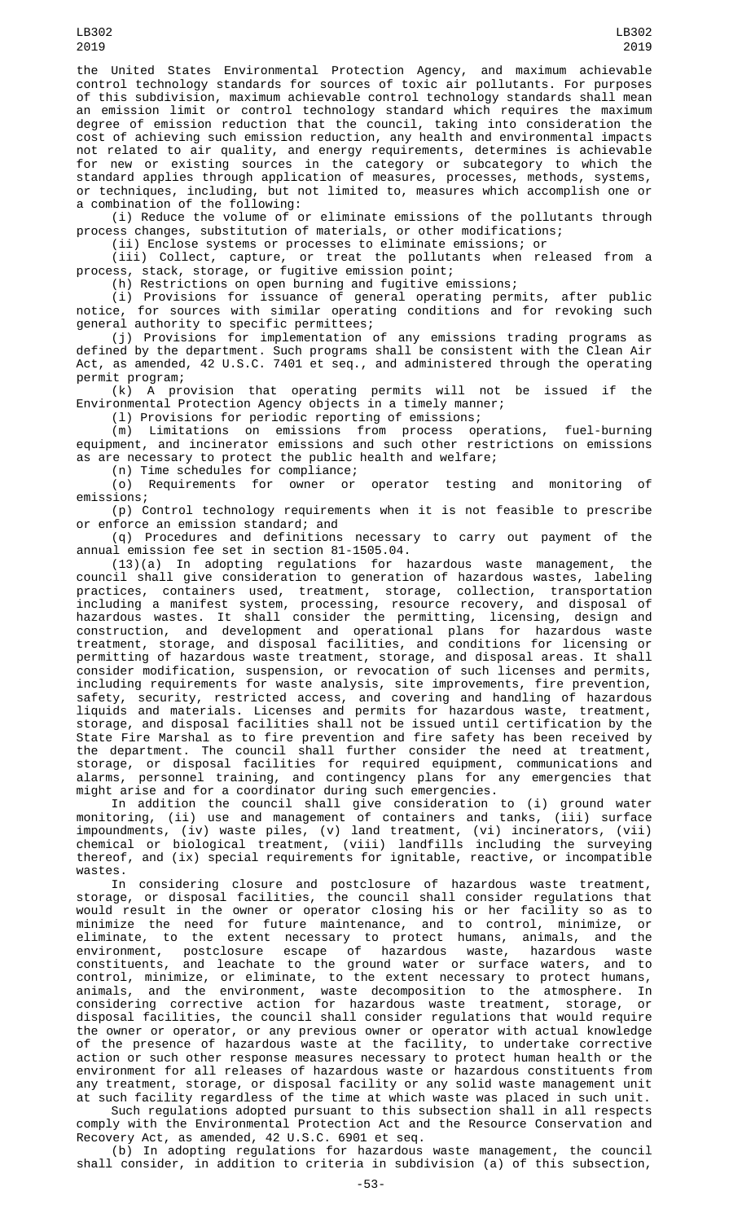the United States Environmental Protection Agency, and maximum achievable control technology standards for sources of toxic air pollutants. For purposes of this subdivision, maximum achievable control technology standards shall mean an emission limit or control technology standard which requires the maximum degree of emission reduction that the council, taking into consideration the cost of achieving such emission reduction, any health and environmental impacts not related to air quality, and energy requirements, determines is achievable for new or existing sources in the category or subcategory to which the standard applies through application of measures, processes, methods, systems, or techniques, including, but not limited to, measures which accomplish one or a combination of the following:

(i) Reduce the volume of or eliminate emissions of the pollutants through process changes, substitution of materials, or other modifications;

(ii) Enclose systems or processes to eliminate emissions; or

(iii) Collect, capture, or treat the pollutants when released from a process, stack, storage, or fugitive emission point;

(h) Restrictions on open burning and fugitive emissions;

(i) Provisions for issuance of general operating permits, after public notice, for sources with similar operating conditions and for revoking such general authority to specific permittees;

(j) Provisions for implementation of any emissions trading programs as defined by the department. Such programs shall be consistent with the Clean Air Act, as amended, 42 U.S.C. 7401 et seq., and administered through the operating permit program;

(k) A provision that operating permits will not be issued if the Environmental Protection Agency objects in a timely manner;

(l) Provisions for periodic reporting of emissions;

(m) Limitations on emissions from process operations, fuel-burning equipment, and incinerator emissions and such other restrictions on emissions as are necessary to protect the public health and welfare;

(n) Time schedules for compliance;

(o) Requirements for owner or operator testing and monitoring of emissions;

(p) Control technology requirements when it is not feasible to prescribe or enforce an emission standard; and

(q) Procedures and definitions necessary to carry out payment of the  $annual$  emission fee set in section 81-1505.04.

(13)(a) In adopting regulations for hazardous waste management, the council shall give consideration to generation of hazardous wastes, labeling practices, containers used, treatment, storage, collection, transportation including a manifest system, processing, resource recovery, and disposal of hazardous wastes. It shall consider the permitting, licensing, design and construction, and development and operational plans for hazardous waste treatment, storage, and disposal facilities, and conditions for licensing or permitting of hazardous waste treatment, storage, and disposal areas. It shall consider modification, suspension, or revocation of such licenses and permits, including requirements for waste analysis, site improvements, fire prevention, safety, security, restricted access, and covering and handling of hazardous liquids and materials. Licenses and permits for hazardous waste, treatment, storage, and disposal facilities shall not be issued until certification by the State Fire Marshal as to fire prevention and fire safety has been received by the department. The council shall further consider the need at treatment, storage, or disposal facilities for required equipment, communications and alarms, personnel training, and contingency plans for any emergencies that might arise and for a coordinator during such emergencies.

In addition the council shall give consideration to (i) ground water monitoring, (ii) use and management of containers and tanks, (iii) surface impoundments, (iv) waste piles, (v) land treatment, (vi) incinerators, (vii) chemical or biological treatment, (viii) landfills including the surveying thereof, and (ix) special requirements for ignitable, reactive, or incompatible wastes.

In considering closure and postclosure of hazardous waste treatment, storage, or disposal facilities, the council shall consider regulations that would result in the owner or operator closing his or her facility so as to minimize the need for future maintenance, and to control, minimize, or eliminate, to the extent necessary to protect humans, animals, and the environment, postclosure escape of hazardous waste, hazardous waste constituents, and leachate to the ground water or surface waters, and to control, minimize, or eliminate, to the extent necessary to protect humans, animals, and the environment, waste decomposition to the atmosphere. In considering corrective action for hazardous waste treatment, storage, or disposal facilities, the council shall consider regulations that would require the owner or operator, or any previous owner or operator with actual knowledge of the presence of hazardous waste at the facility, to undertake corrective action or such other response measures necessary to protect human health or the environment for all releases of hazardous waste or hazardous constituents from any treatment, storage, or disposal facility or any solid waste management unit at such facility regardless of the time at which waste was placed in such unit.

Such regulations adopted pursuant to this subsection shall in all respects comply with the Environmental Protection Act and the Resource Conservation and Recovery Act, as amended, 42 U.S.C. 6901 et seq.

(b) In adopting regulations for hazardous waste management, the council shall consider, in addition to criteria in subdivision (a) of this subsection,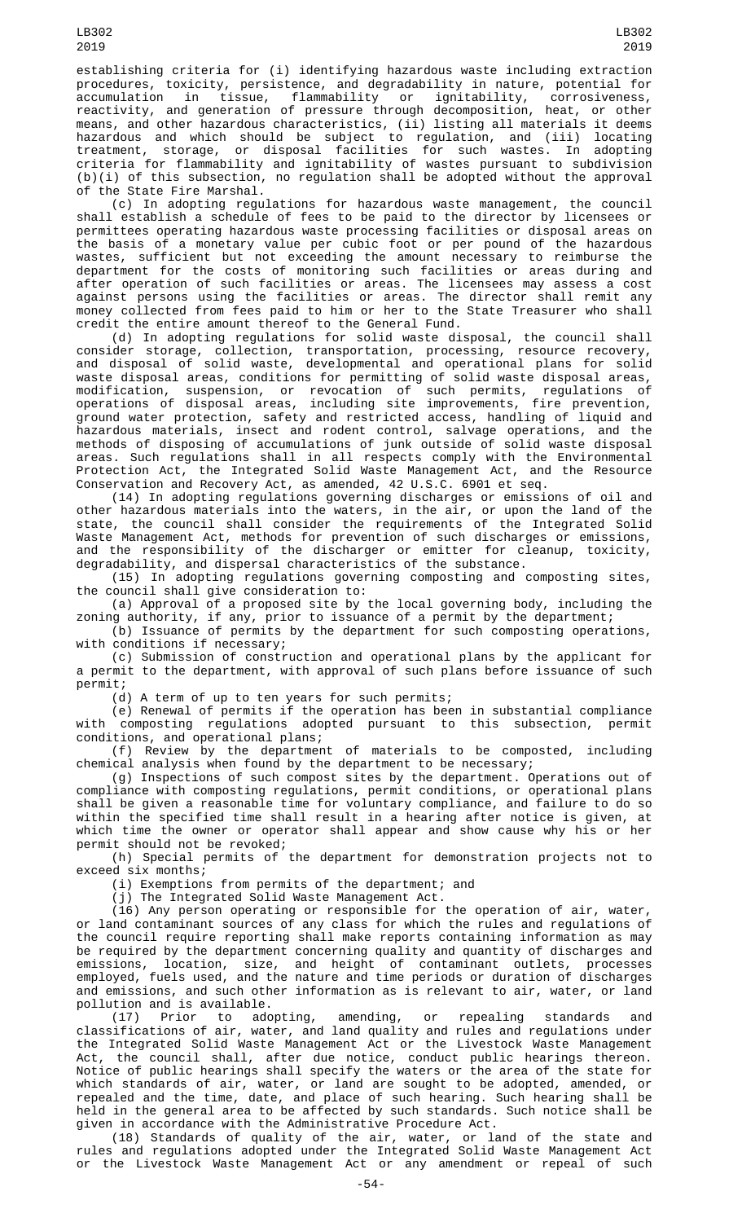establishing criteria for (i) identifying hazardous waste including extraction procedures, toxicity, persistence, and degradability in nature, potential for accumulation in tissue, flammability or ignitability, corrosiveness, reactivity, and generation of pressure through decomposition, heat, or other means, and other hazardous characteristics, (ii) listing all materials it deems hazardous and which should be subject to regulation, and (iii) locating treatment, storage, or disposal facilities for such wastes. In adopting criteria for flammability and ignitability of wastes pursuant to subdivision (b)(i) of this subsection, no regulation shall be adopted without the approval of the State Fire Marshal.

(c) In adopting regulations for hazardous waste management, the council shall establish a schedule of fees to be paid to the director by licensees or permittees operating hazardous waste processing facilities or disposal areas on the basis of a monetary value per cubic foot or per pound of the hazardous wastes, sufficient but not exceeding the amount necessary to reimburse the department for the costs of monitoring such facilities or areas during and after operation of such facilities or areas. The licensees may assess a cost against persons using the facilities or areas. The director shall remit any money collected from fees paid to him or her to the State Treasurer who shall credit the entire amount thereof to the General Fund.

(d) In adopting regulations for solid waste disposal, the council shall consider storage, collection, transportation, processing, resource recovery, and disposal of solid waste, developmental and operational plans for solid waste disposal areas, conditions for permitting of solid waste disposal areas, modification, suspension, or revocation of such permits, regulations of operations of disposal areas, including site improvements, fire prevention, ground water protection, safety and restricted access, handling of liquid and hazardous materials, insect and rodent control, salvage operations, and the methods of disposing of accumulations of junk outside of solid waste disposal areas. Such regulations shall in all respects comply with the Environmental Protection Act, the Integrated Solid Waste Management Act, and the Resource Conservation and Recovery Act, as amended, 42 U.S.C. 6901 et seq.

(14) In adopting regulations governing discharges or emissions of oil and other hazardous materials into the waters, in the air, or upon the land of the state, the council shall consider the requirements of the Integrated Solid Waste Management Act, methods for prevention of such discharges or emissions, and the responsibility of the discharger or emitter for cleanup, toxicity, degradability, and dispersal characteristics of the substance.

(15) In adopting regulations governing composting and composting sites, the council shall give consideration to:

(a) Approval of a proposed site by the local governing body, including the zoning authority, if any, prior to issuance of a permit by the department;

(b) Issuance of permits by the department for such composting operations, with conditions if necessary;

(c) Submission of construction and operational plans by the applicant for a permit to the department, with approval of such plans before issuance of such permit;

 $(d)$  A term of up to ten years for such permits;

(e) Renewal of permits if the operation has been in substantial compliance with composting regulations adopted pursuant to this subsection, permit conditions, and operational plans;

(f) Review by the department of materials to be composted, including chemical analysis when found by the department to be necessary;

(g) Inspections of such compost sites by the department. Operations out of compliance with composting regulations, permit conditions, or operational plans shall be given a reasonable time for voluntary compliance, and failure to do so within the specified time shall result in a hearing after notice is given, at which time the owner or operator shall appear and show cause why his or her permit should not be revoked;

(h) Special permits of the department for demonstration projects not to exceed six months;

(i) Exemptions from permits of the department; and

(j) The Integrated Solid Waste Management Act.

(16) Any person operating or responsible for the operation of air, water, or land contaminant sources of any class for which the rules and regulations of the council require reporting shall make reports containing information as may be required by the department concerning quality and quantity of discharges and emissions, location, size, and height of contaminant outlets, processes employed, fuels used, and the nature and time periods or duration of discharges and emissions, and such other information as is relevant to air, water, or land pollution and is available.

(17) Prior to adopting, amending, or repealing standards and classifications of air, water, and land quality and rules and regulations under the Integrated Solid Waste Management Act or the Livestock Waste Management Act, the council shall, after due notice, conduct public hearings thereon. Notice of public hearings shall specify the waters or the area of the state for which standards of air, water, or land are sought to be adopted, amended, or repealed and the time, date, and place of such hearing. Such hearing shall be held in the general area to be affected by such standards. Such notice shall be given in accordance with the Administrative Procedure Act.

(18) Standards of quality of the air, water, or land of the state and rules and regulations adopted under the Integrated Solid Waste Management Act or the Livestock Waste Management Act or any amendment or repeal of such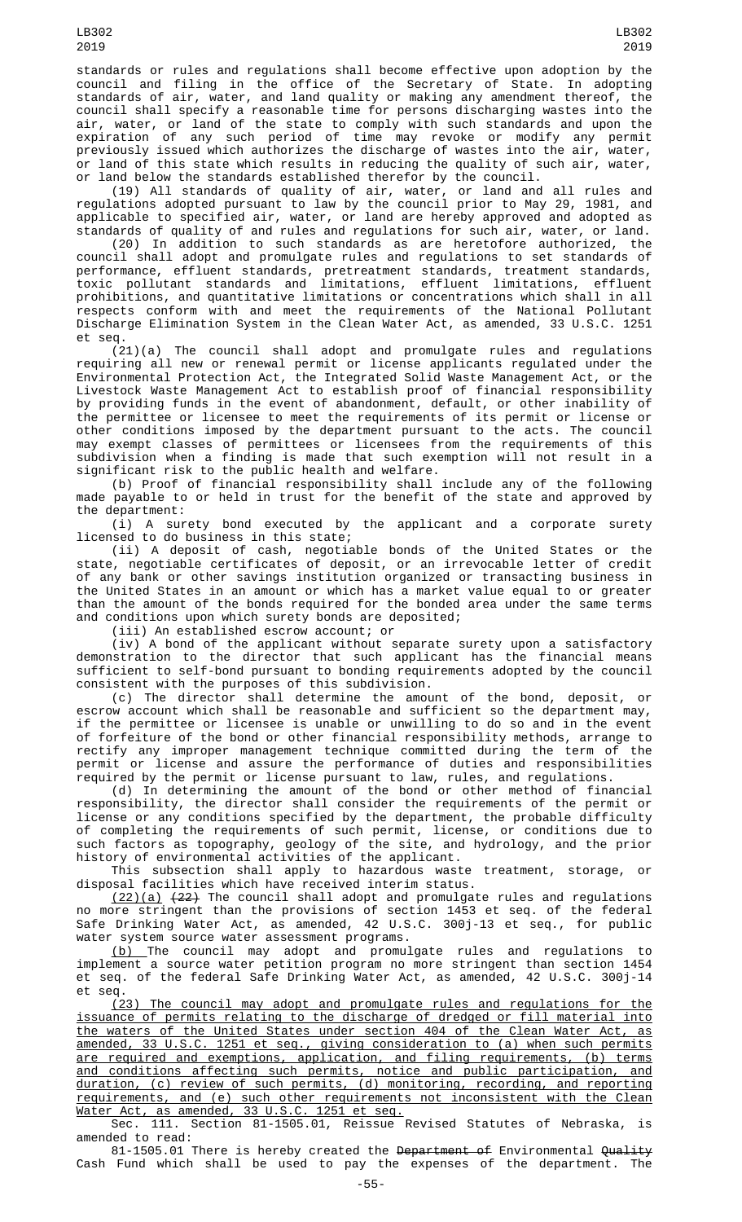standards or rules and regulations shall become effective upon adoption by the council and filing in the office of the Secretary of State. In adopting standards of air, water, and land quality or making any amendment thereof, the council shall specify a reasonable time for persons discharging wastes into the air, water, or land of the state to comply with such standards and upon the expiration of any such period of time may revoke or modify any permit previously issued which authorizes the discharge of wastes into the air, water, or land of this state which results in reducing the quality of such air, water, or land below the standards established therefor by the council.

(19) All standards of quality of air, water, or land and all rules and regulations adopted pursuant to law by the council prior to May 29, 1981, and applicable to specified air, water, or land are hereby approved and adopted as standards of quality of and rules and regulations for such air, water, or land.

(20) In addition to such standards as are heretofore authorized, the council shall adopt and promulgate rules and regulations to set standards of performance, effluent standards, pretreatment standards, treatment standards, toxic pollutant standards and limitations, effluent limitations, effluent prohibitions, and quantitative limitations or concentrations which shall in all respects conform with and meet the requirements of the National Pollutant Discharge Elimination System in the Clean Water Act, as amended, 33 U.S.C. 1251 et seq.

(21)(a) The council shall adopt and promulgate rules and regulations requiring all new or renewal permit or license applicants regulated under the Environmental Protection Act, the Integrated Solid Waste Management Act, or the Livestock Waste Management Act to establish proof of financial responsibility by providing funds in the event of abandonment, default, or other inability of the permittee or licensee to meet the requirements of its permit or license or other conditions imposed by the department pursuant to the acts. The council may exempt classes of permittees or licensees from the requirements of this subdivision when a finding is made that such exemption will not result in a significant risk to the public health and welfare.

(b) Proof of financial responsibility shall include any of the following made payable to or held in trust for the benefit of the state and approved by the department:

(i) A surety bond executed by the applicant and a corporate surety licensed to do business in this state;

(ii) A deposit of cash, negotiable bonds of the United States or the state, negotiable certificates of deposit, or an irrevocable letter of credit of any bank or other savings institution organized or transacting business in the United States in an amount or which has a market value equal to or greater than the amount of the bonds required for the bonded area under the same terms and conditions upon which surety bonds are deposited;

(iii) An established escrow account; or

(iv) A bond of the applicant without separate surety upon a satisfactory demonstration to the director that such applicant has the financial means sufficient to self-bond pursuant to bonding requirements adopted by the council consistent with the purposes of this subdivision.

(c) The director shall determine the amount of the bond, deposit, or escrow account which shall be reasonable and sufficient so the department may, if the permittee or licensee is unable or unwilling to do so and in the event of forfeiture of the bond or other financial responsibility methods, arrange to rectify any improper management technique committed during the term of the permit or license and assure the performance of duties and responsibilities required by the permit or license pursuant to law, rules, and regulations.

(d) In determining the amount of the bond or other method of financial responsibility, the director shall consider the requirements of the permit or license or any conditions specified by the department, the probable difficulty of completing the requirements of such permit, license, or conditions due to such factors as topography, geology of the site, and hydrology, and the prior history of environmental activities of the applicant.

This subsection shall apply to hazardous waste treatment, storage, or disposal facilities which have received interim status.

(22)(a) (22) The council shall adopt and promulgate rules and regulations no more stringent than the provisions of section 1453 et seq. of the federal Safe Drinking Water Act, as amended, 42 U.S.C. 300j-13 et seq., for public water system source water assessment programs.

(b) The council may adopt and promulgate rules and regulations to implement a source water petition program no more stringent than section 1454 et seq. of the federal Safe Drinking Water Act, as amended, 42 U.S.C. 300j-14 et seq.

(23) The council may adopt and promulgate rules and regulations for the issuance of permits relating to the discharge of dredged or fill material into the waters of the United States under section 404 of the Clean Water Act, as amended, 33 U.S.C. 1251 et seq., giving consideration to (a) when such permits are required and exemptions, application, and filing requirements, (b) terms and conditions affecting such permits, notice and public participation, and duration, (c) review of such permits, (d) monitoring, recording, and reporting requirements, and (e) such other requirements not inconsistent with the Clean Water Act, as amended, 33 U.S.C. 1251 et seq.

Sec. 111. Section 81-1505.01, Reissue Revised Statutes of Nebraska, is amended to read:

81-1505.01 There is hereby created the Department of Environmental Quality Cash Fund which shall be used to pay the expenses of the department. The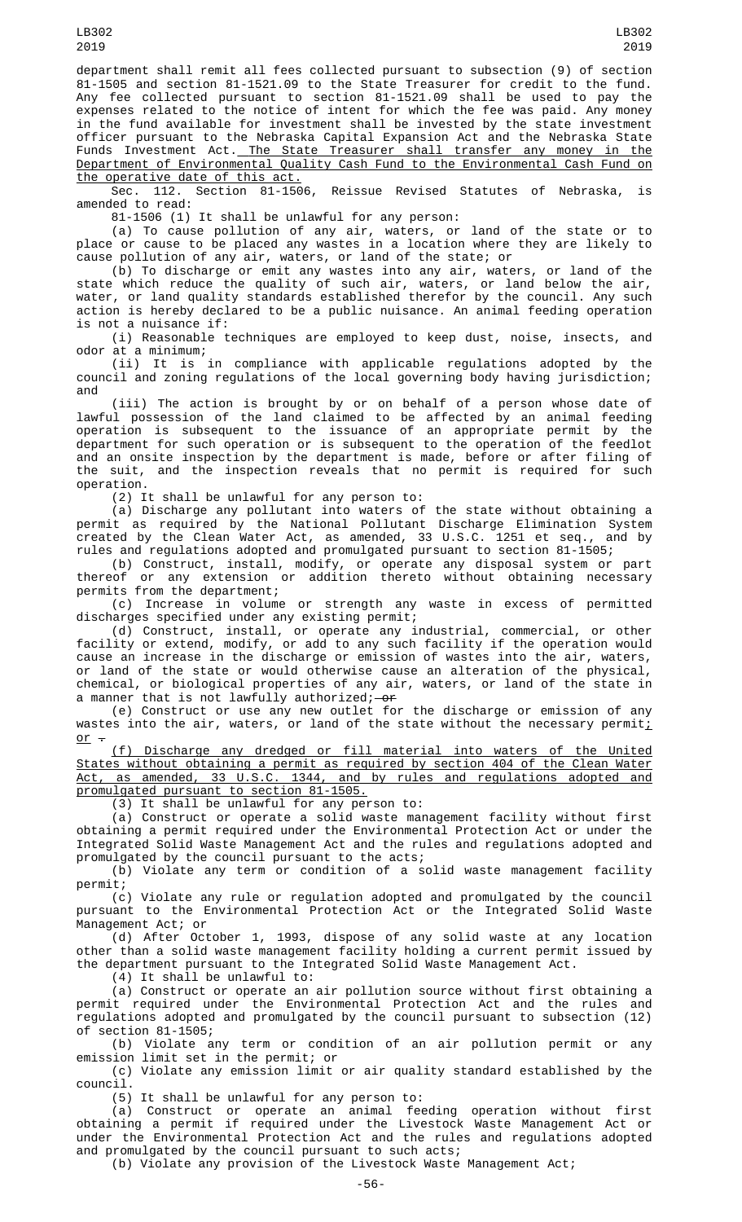Sec. 112. Section 81-1506, Reissue Revised Statutes of Nebraska, is amended to read:

81-1506 (1) It shall be unlawful for any person:

(a) To cause pollution of any air, waters, or land of the state or to place or cause to be placed any wastes in a location where they are likely to cause pollution of any air, waters, or land of the state; or

(b) To discharge or emit any wastes into any air, waters, or land of the state which reduce the quality of such air, waters, or land below the air, water, or land quality standards established therefor by the council. Any such action is hereby declared to be a public nuisance. An animal feeding operation is not a nuisance if:

(i) Reasonable techniques are employed to keep dust, noise, insects, and odor at a minimum;

(ii) It is in compliance with applicable regulations adopted by the council and zoning regulations of the local governing body having jurisdiction; and

(iii) The action is brought by or on behalf of a person whose date of lawful possession of the land claimed to be affected by an animal feeding operation is subsequent to the issuance of an appropriate permit by the department for such operation or is subsequent to the operation of the feedlot and an onsite inspection by the department is made, before or after filing of the suit, and the inspection reveals that no permit is required for such operation.

(2) It shall be unlawful for any person to:

(a) Discharge any pollutant into waters of the state without obtaining a permit as required by the National Pollutant Discharge Elimination System created by the Clean Water Act, as amended, 33 U.S.C. 1251 et seq., and by rules and regulations adopted and promulgated pursuant to section 81-1505;

(b) Construct, install, modify, or operate any disposal system or part thereof or any extension or addition thereto without obtaining necessary permits from the department;

(c) Increase in volume or strength any waste in excess of permitted discharges specified under any existing permit;

(d) Construct, install, or operate any industrial, commercial, or other facility or extend, modify, or add to any such facility if the operation would cause an increase in the discharge or emission of wastes into the air, waters, or land of the state or would otherwise cause an alteration of the physical, chemical, or biological properties of any air, waters, or land of the state in a manner that is not lawfully authorized;—<del>or</del>

(e) Construct or use any new outlet for the discharge or emission of any wastes into the air, waters, or land of the state without the necessary permit; or  $-$ 

(f) Discharge any dredged or fill material into waters of the United States without obtaining a permit as required by section 404 of the Clean Water Act, as amended, 33 U.S.C. 1344, and by rules and regulations adopted and promulgated pursuant to section 81-1505.

(3) It shall be unlawful for any person to:

(a) Construct or operate a solid waste management facility without first obtaining a permit required under the Environmental Protection Act or under the Integrated Solid Waste Management Act and the rules and regulations adopted and promulgated by the council pursuant to the acts;

(b) Violate any term or condition of a solid waste management facility permit;

(c) Violate any rule or regulation adopted and promulgated by the council pursuant to the Environmental Protection Act or the Integrated Solid Waste Management Act; or

(d) After October 1, 1993, dispose of any solid waste at any location other than a solid waste management facility holding a current permit issued by the department pursuant to the Integrated Solid Waste Management Act.

(4) It shall be unlawful to:

(a) Construct or operate an air pollution source without first obtaining a permit required under the Environmental Protection Act and the rules and regulations adopted and promulgated by the council pursuant to subsection (12) of section 81-1505;

(b) Violate any term or condition of an air pollution permit or any emission limit set in the permit; or

(c) Violate any emission limit or air quality standard established by the council.

(5) It shall be unlawful for any person to:

(a) Construct or operate an animal feeding operation without first obtaining a permit if required under the Livestock Waste Management Act or under the Environmental Protection Act and the rules and regulations adopted and promulgated by the council pursuant to such acts;

(b) Violate any provision of the Livestock Waste Management Act;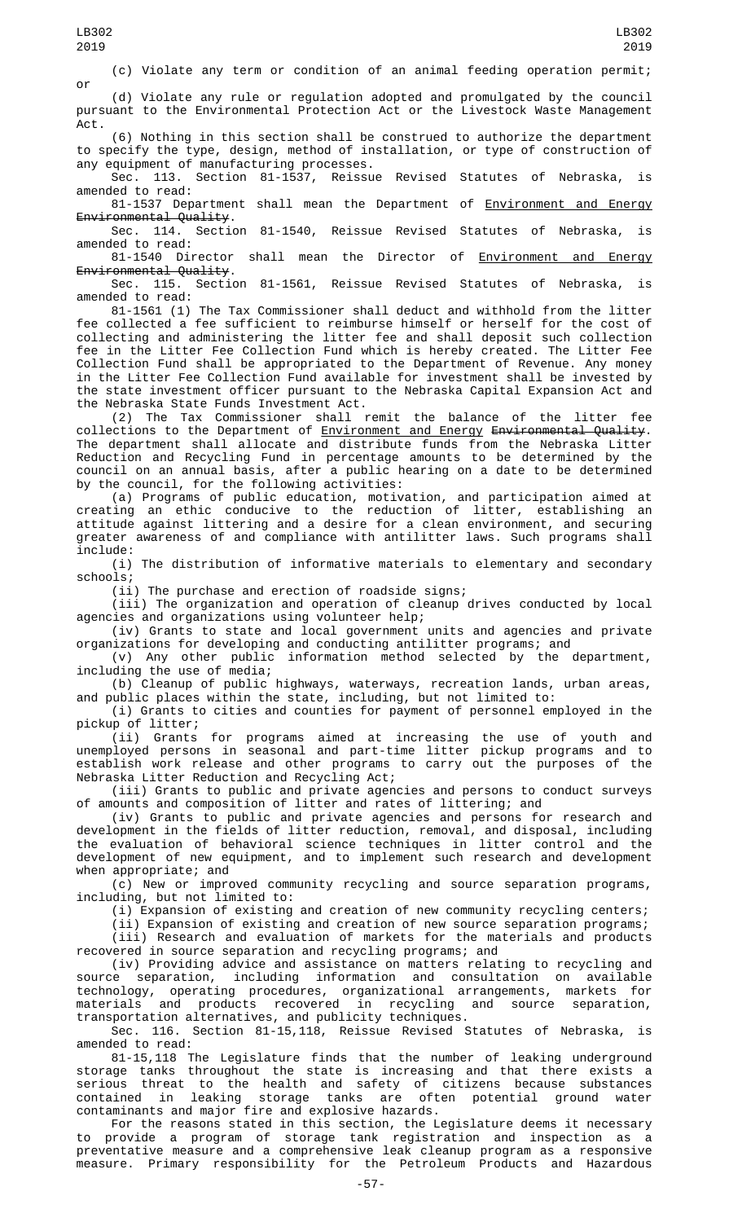(c) Violate any term or condition of an animal feeding operation permit;

or (d) Violate any rule or regulation adopted and promulgated by the council pursuant to the Environmental Protection Act or the Livestock Waste Management Act.

(6) Nothing in this section shall be construed to authorize the department to specify the type, design, method of installation, or type of construction of any equipment of manufacturing processes.

Sec. 113. Section 81-1537, Reissue Revised Statutes of Nebraska, is amended to read:

81-1537 Department shall mean the Department of Environment and Energy Environmental Quality.<br>Sec. 114. Section

Section 81-1540, Reissue Revised Statutes of Nebraska, is amended to read:

81-1540 Director shall mean the Director of Environment and Energy Environmental Quality.

Sec. 115. Section 81-1561, Reissue Revised Statutes of Nebraska, is amended to read:

81-1561 (1) The Tax Commissioner shall deduct and withhold from the litter fee collected a fee sufficient to reimburse himself or herself for the cost of collecting and administering the litter fee and shall deposit such collection fee in the Litter Fee Collection Fund which is hereby created. The Litter Fee Collection Fund shall be appropriated to the Department of Revenue. Any money in the Litter Fee Collection Fund available for investment shall be invested by the state investment officer pursuant to the Nebraska Capital Expansion Act and the Nebraska State Funds Investment Act.

(2) The Tax Commissioner shall remit the balance of the litter fee collections to the Department of <u>Environment and Energy</u> <del>Environmental Quality</del>. The department shall allocate and distribute funds from the Nebraska Litter Reduction and Recycling Fund in percentage amounts to be determined by the council on an annual basis, after a public hearing on a date to be determined by the council, for the following activities:

(a) Programs of public education, motivation, and participation aimed at creating an ethic conducive to the reduction of litter, establishing an attitude against littering and a desire for a clean environment, and securing greater awareness of and compliance with antilitter laws. Such programs shall include:

(i) The distribution of informative materials to elementary and secondary schools;

(ii) The purchase and erection of roadside signs;

(iii) The organization and operation of cleanup drives conducted by local agencies and organizations using volunteer help;

(iv) Grants to state and local government units and agencies and private organizations for developing and conducting antilitter programs; and

(v) Any other public information method selected by the department, including the use of media;

(b) Cleanup of public highways, waterways, recreation lands, urban areas, and public places within the state, including, but not limited to:

(i) Grants to cities and counties for payment of personnel employed in the pickup of litter;

(ii) Grants for programs aimed at increasing the use of youth and unemployed persons in seasonal and part-time litter pickup programs and to establish work release and other programs to carry out the purposes of the Nebraska Litter Reduction and Recycling Act;

(iii) Grants to public and private agencies and persons to conduct surveys of amounts and composition of litter and rates of littering; and

(iv) Grants to public and private agencies and persons for research and development in the fields of litter reduction, removal, and disposal, including the evaluation of behavioral science techniques in litter control and the development of new equipment, and to implement such research and development when appropriate; and

(c) New or improved community recycling and source separation programs, including, but not limited to:

(i) Expansion of existing and creation of new community recycling centers;

(ii) Expansion of existing and creation of new source separation programs; (iii) Research and evaluation of markets for the materials and products recovered in source separation and recycling programs; and

(iv) Providing advice and assistance on matters relating to recycling and source separation, including information and consultation on available technology, operating procedures, organizational arrangements, markets for materials and products recovered in recycling and source separation, transportation alternatives, and publicity techniques.

Sec. 116. Section 81-15,118, Reissue Revised Statutes of Nebraska, is amended to read:

81-15,118 The Legislature finds that the number of leaking underground storage tanks throughout the state is increasing and that there exists a serious threat to the health and safety of citizens because substances contained in leaking storage tanks are often potential ground water contaminants and major fire and explosive hazards.

For the reasons stated in this section, the Legislature deems it necessary to provide a program of storage tank registration and inspection as a preventative measure and a comprehensive leak cleanup program as a responsive measure. Primary responsibility for the Petroleum Products and Hazardous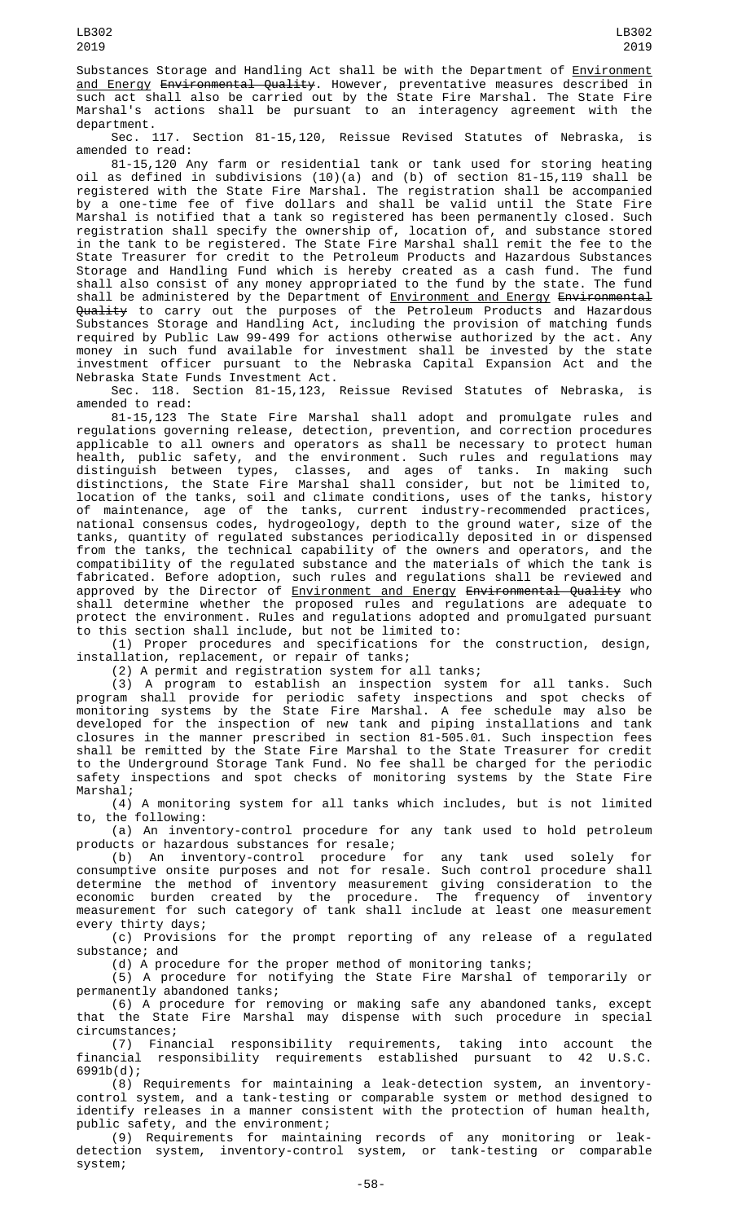Substances Storage and Handling Act shall be with the Department of Environment <u>and Energy</u> <del>Environmental Quality</del>. However, preventative measures described in such act shall also be carried out by the State Fire Marshal. The State Fire Marshal's actions shall be pursuant to an interagency agreement with the department.

Sec. 117. Section 81-15,120, Reissue Revised Statutes of Nebraska, is amended to read:

81-15,120 Any farm or residential tank or tank used for storing heating oil as defined in subdivisions (10)(a) and (b) of section 81-15,119 shall be registered with the State Fire Marshal. The registration shall be accompanied by a one-time fee of five dollars and shall be valid until the State Fire Marshal is notified that a tank so registered has been permanently closed. Such registration shall specify the ownership of, location of, and substance stored in the tank to be registered. The State Fire Marshal shall remit the fee to the State Treasurer for credit to the Petroleum Products and Hazardous Substances Storage and Handling Fund which is hereby created as a cash fund. The fund shall also consist of any money appropriated to the fund by the state. The fund shall be administered by the Department of <u>Environment and Energy</u> <del>Environmental</del> Q<del>uality</del> to carry out the purposes of the Petroleum Products and Hazardous Substances Storage and Handling Act, including the provision of matching funds required by Public Law 99-499 for actions otherwise authorized by the act. Any money in such fund available for investment shall be invested by the state investment officer pursuant to the Nebraska Capital Expansion Act and the Nebraska State Funds Investment Act.

Sec. 118. Section 81-15,123, Reissue Revised Statutes of Nebraska, amended to read:

81-15,123 The State Fire Marshal shall adopt and promulgate rules and regulations governing release, detection, prevention, and correction procedures applicable to all owners and operators as shall be necessary to protect human health, public safety, and the environment. Such rules and regulations may distinguish between types, classes, and ages of tanks. In making such distinctions, the State Fire Marshal shall consider, but not be limited to, location of the tanks, soil and climate conditions, uses of the tanks, history of maintenance, age of the tanks, current industry-recommended practices, national consensus codes, hydrogeology, depth to the ground water, size of the tanks, quantity of regulated substances periodically deposited in or dispensed from the tanks, the technical capability of the owners and operators, and the compatibility of the regulated substance and the materials of which the tank is fabricated. Before adoption, such rules and regulations shall be reviewed and approved by the Director of <u>Environment and Energy</u> <del>Environmental Quality</del> who shall determine whether the proposed rules and regulations are adequate to protect the environment. Rules and regulations adopted and promulgated pursuant to this section shall include, but not be limited to:

(1) Proper procedures and specifications for the construction, design, installation, replacement, or repair of tanks;

(2) A permit and registration system for all tanks;

(3) A program to establish an inspection system for all tanks. Such program shall provide for periodic safety inspections and spot checks of monitoring systems by the State Fire Marshal. A fee schedule may also be developed for the inspection of new tank and piping installations and tank closures in the manner prescribed in section 81-505.01. Such inspection fees shall be remitted by the State Fire Marshal to the State Treasurer for credit to the Underground Storage Tank Fund. No fee shall be charged for the periodic safety inspections and spot checks of monitoring systems by the State Fire Marshal;

(4) A monitoring system for all tanks which includes, but is not limited to, the following:

(a) An inventory-control procedure for any tank used to hold petroleum products or hazardous substances for resale;

(b) An inventory-control procedure for any tank used solely for consumptive onsite purposes and not for resale. Such control procedure shall determine the method of inventory measurement giving consideration to the economic burden created by the procedure. The frequency of inventory measurement for such category of tank shall include at least one measurement every thirty days;

(c) Provisions for the prompt reporting of any release of a regulated substance; and

(d) A procedure for the proper method of monitoring tanks;

(5) A procedure for notifying the State Fire Marshal of temporarily or permanently abandoned tanks;

(6) A procedure for removing or making safe any abandoned tanks, except that the State Fire Marshal may dispense with such procedure in special circumstances;

(7) Financial responsibility requirements, taking into account the financial responsibility requirements established pursuant to 42 U.S.C. 6991b(d);

(8) Requirements for maintaining a leak-detection system, an inventorycontrol system, and a tank-testing or comparable system or method designed to identify releases in a manner consistent with the protection of human health, public safety, and the environment;

(9) Requirements for maintaining records of any monitoring or leakdetection system, inventory-control system, or tank-testing or comparable system;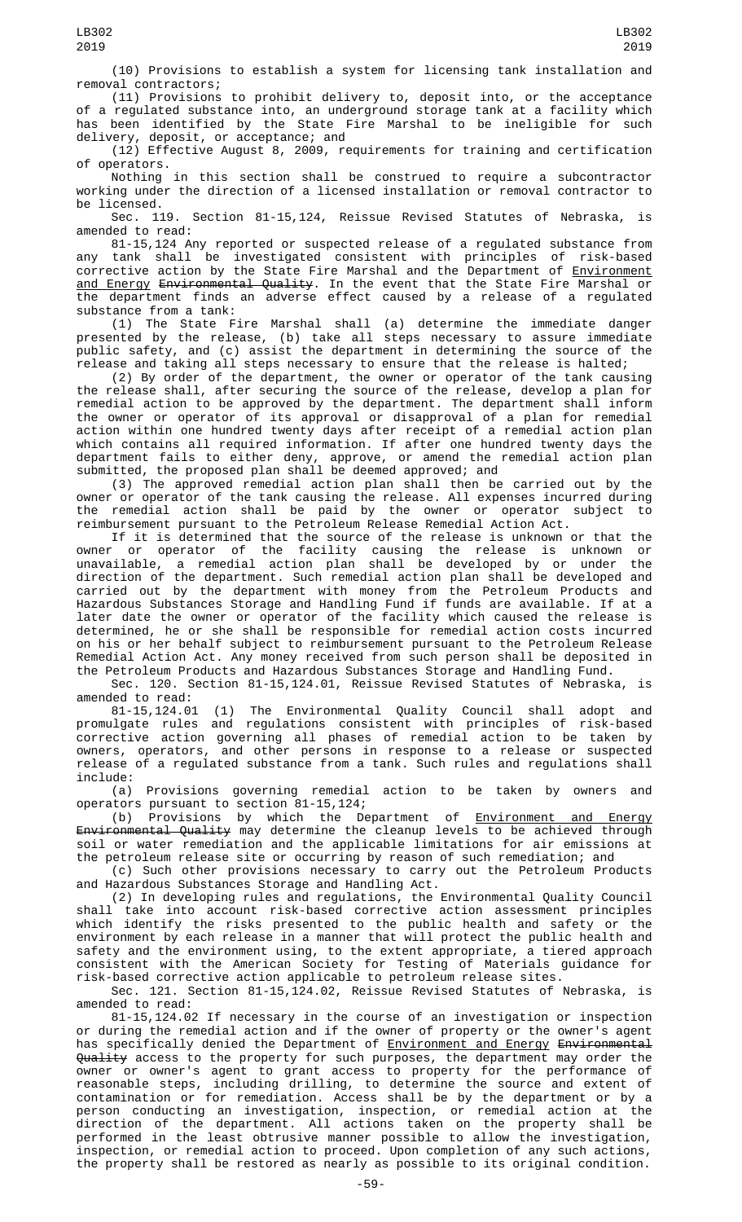(10) Provisions to establish a system for licensing tank installation and removal contractors;

(11) Provisions to prohibit delivery to, deposit into, or the acceptance of a regulated substance into, an underground storage tank at a facility which has been identified by the State Fire Marshal to be ineligible for such delivery, deposit, or acceptance; and

(12) Effective August 8, 2009, requirements for training and certification of operators.

Nothing in this section shall be construed to require a subcontractor working under the direction of a licensed installation or removal contractor to be licensed.

Sec. 119. Section 81-15,124, Reissue Revised Statutes of Nebraska, is amended to read:

81-15,124 Any reported or suspected release of a regulated substance from any tank shall be investigated consistent with principles of risk-based corrective action by the State Fire Marshal and the Department of <u>Environment</u> <u>and Energy</u> <del>Environmental Quality</del>. In the event that the State Fire Marshal or the department finds an adverse effect caused by a release of a regulated substance from a tank:

(1) The State Fire Marshal shall (a) determine the immediate danger presented by the release, (b) take all steps necessary to assure immediate public safety, and (c) assist the department in determining the source of the release and taking all steps necessary to ensure that the release is halted;

(2) By order of the department, the owner or operator of the tank causing the release shall, after securing the source of the release, develop a plan for remedial action to be approved by the department. The department shall inform the owner or operator of its approval or disapproval of a plan for remedial action within one hundred twenty days after receipt of a remedial action plan which contains all required information. If after one hundred twenty days the department fails to either deny, approve, or amend the remedial action plan submitted, the proposed plan shall be deemed approved; and

(3) The approved remedial action plan shall then be carried out by the owner or operator of the tank causing the release. All expenses incurred during the remedial action shall be paid by the owner or operator subject to reimbursement pursuant to the Petroleum Release Remedial Action Act.

If it is determined that the source of the release is unknown or that the owner or operator of the facility causing the release is unknown or unavailable, a remedial action plan shall be developed by or under the direction of the department. Such remedial action plan shall be developed and carried out by the department with money from the Petroleum Products and Hazardous Substances Storage and Handling Fund if funds are available. If at a later date the owner or operator of the facility which caused the release is determined, he or she shall be responsible for remedial action costs incurred on his or her behalf subject to reimbursement pursuant to the Petroleum Release Remedial Action Act. Any money received from such person shall be deposited in the Petroleum Products and Hazardous Substances Storage and Handling Fund.

Sec. 120. Section 81-15,124.01, Reissue Revised Statutes of Nebraska, is amended to read:

81-15,124.01 (1) The Environmental Quality Council shall adopt and promulgate rules and regulations consistent with principles of risk-based corrective action governing all phases of remedial action to be taken by owners, operators, and other persons in response to a release or suspected release of a regulated substance from a tank. Such rules and regulations shall include:

(a) Provisions governing remedial action to be taken by owners and operators pursuant to section 81-15,124;

(b) Provisions by which the Department of **Environment and Energy** Environmental Quality may determine the cleanup levels to be achieved through soil or water remediation and the applicable limitations for air emissions at the petroleum release site or occurring by reason of such remediation; and

(c) Such other provisions necessary to carry out the Petroleum Products and Hazardous Substances Storage and Handling Act.

(2) In developing rules and regulations, the Environmental Quality Council shall take into account risk-based corrective action assessment principles which identify the risks presented to the public health and safety or the environment by each release in a manner that will protect the public health and safety and the environment using, to the extent appropriate, a tiered approach consistent with the American Society for Testing of Materials guidance for risk-based corrective action applicable to petroleum release sites.

Sec. 121. Section 81-15,124.02, Reissue Revised Statutes of Nebraska, is amended to read:

81-15,124.02 If necessary in the course of an investigation or inspection or during the remedial action and if the owner of property or the owner's agent has specifically denied the Department of **Environment and Energy Environmental** Quality access to the property for such purposes, the department may order the owner or owner's agent to grant access to property for the performance of reasonable steps, including drilling, to determine the source and extent of contamination or for remediation. Access shall be by the department or by a person conducting an investigation, inspection, or remedial action at the direction of the department. All actions taken on the property shall be performed in the least obtrusive manner possible to allow the investigation, inspection, or remedial action to proceed. Upon completion of any such actions, the property shall be restored as nearly as possible to its original condition.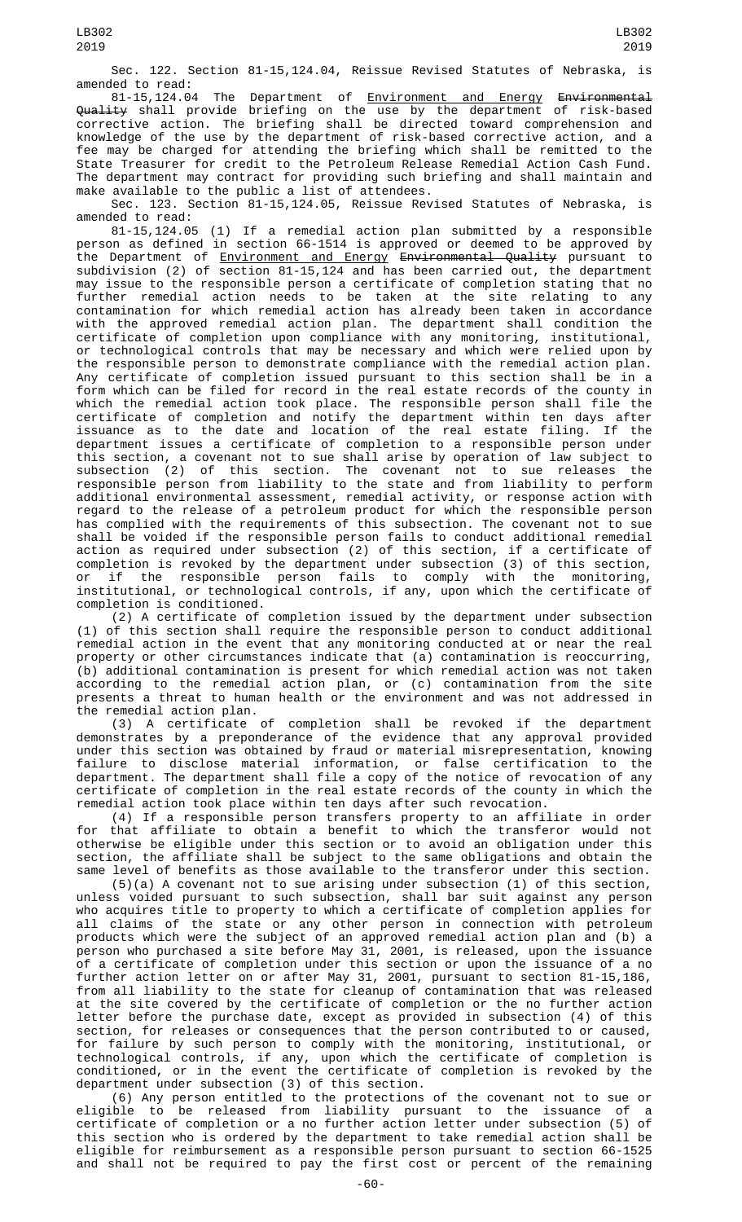Sec. 122. Section 81-15,124.04, Reissue Revised Statutes of Nebraska, is amended to read:

81-15,124.04 The Department of <u>Environment and Energy</u> <del>Environmental</del> Quality shall provide briefing on the use by the department of risk-based corrective action. The briefing shall be directed toward comprehension and knowledge of the use by the department of risk-based corrective action, and a fee may be charged for attending the briefing which shall be remitted to the State Treasurer for credit to the Petroleum Release Remedial Action Cash Fund. The department may contract for providing such briefing and shall maintain and make available to the public a list of attendees.

Sec. 123. Section 81-15,124.05, Reissue Revised Statutes of Nebraska, is amended to read:

81-15,124.05 (1) If a remedial action plan submitted by a responsible person as defined in section 66-1514 is approved or deemed to be approved by the Department of <u>Environment and Energy</u> <del>Environmental Quality</del> pursuant to subdivision (2) of section 81-15,124 and has been carried out, the department may issue to the responsible person a certificate of completion stating that no further remedial action needs to be taken at the site relating to any contamination for which remedial action has already been taken in accordance with the approved remedial action plan. The department shall condition the certificate of completion upon compliance with any monitoring, institutional, or technological controls that may be necessary and which were relied upon by the responsible person to demonstrate compliance with the remedial action plan. Any certificate of completion issued pursuant to this section shall be in a form which can be filed for record in the real estate records of the county in which the remedial action took place. The responsible person shall file the certificate of completion and notify the department within ten days after issuance as to the date and location of the real estate filing. If the department issues a certificate of completion to a responsible person under this section, a covenant not to sue shall arise by operation of law subject to subsection (2) of this section. The covenant not to sue releases the responsible person from liability to the state and from liability to perform additional environmental assessment, remedial activity, or response action with regard to the release of a petroleum product for which the responsible person has complied with the requirements of this subsection. The covenant not to sue shall be voided if the responsible person fails to conduct additional remedial action as required under subsection (2) of this section, if a certificate of completion is revoked by the department under subsection (3) of this section, or if the responsible person fails to comply with the monitoring, institutional, or technological controls, if any, upon which the certificate of completion is conditioned.

(2) A certificate of completion issued by the department under subsection (1) of this section shall require the responsible person to conduct additional remedial action in the event that any monitoring conducted at or near the real property or other circumstances indicate that (a) contamination is reoccurring, (b) additional contamination is present for which remedial action was not taken according to the remedial action plan, or (c) contamination from the site presents a threat to human health or the environment and was not addressed in the remedial action plan.

(3) A certificate of completion shall be revoked if the department demonstrates by a preponderance of the evidence that any approval provided under this section was obtained by fraud or material misrepresentation, knowing failure to disclose material information, or false certification to the department. The department shall file a copy of the notice of revocation of any certificate of completion in the real estate records of the county in which the remedial action took place within ten days after such revocation.

(4) If a responsible person transfers property to an affiliate in order for that affiliate to obtain a benefit to which the transferor would not otherwise be eligible under this section or to avoid an obligation under this section, the affiliate shall be subject to the same obligations and obtain the same level of benefits as those available to the transferor under this section.

(5)(a) A covenant not to sue arising under subsection (1) of this section, unless voided pursuant to such subsection, shall bar suit against any person who acquires title to property to which a certificate of completion applies for all claims of the state or any other person in connection with petroleum products which were the subject of an approved remedial action plan and (b) a person who purchased a site before May 31, 2001, is released, upon the issuance of a certificate of completion under this section or upon the issuance of a no further action letter on or after May 31, 2001, pursuant to section 81-15,186, from all liability to the state for cleanup of contamination that was released at the site covered by the certificate of completion or the no further action letter before the purchase date, except as provided in subsection (4) of this section, for releases or consequences that the person contributed to or caused, for failure by such person to comply with the monitoring, institutional, or technological controls, if any, upon which the certificate of completion is conditioned, or in the event the certificate of completion is revoked by the department under subsection (3) of this section.

(6) Any person entitled to the protections of the covenant not to sue or eligible to be released from liability pursuant to the issuance of a certificate of completion or a no further action letter under subsection (5) of this section who is ordered by the department to take remedial action shall be eligible for reimbursement as a responsible person pursuant to section 66-1525 and shall not be required to pay the first cost or percent of the remaining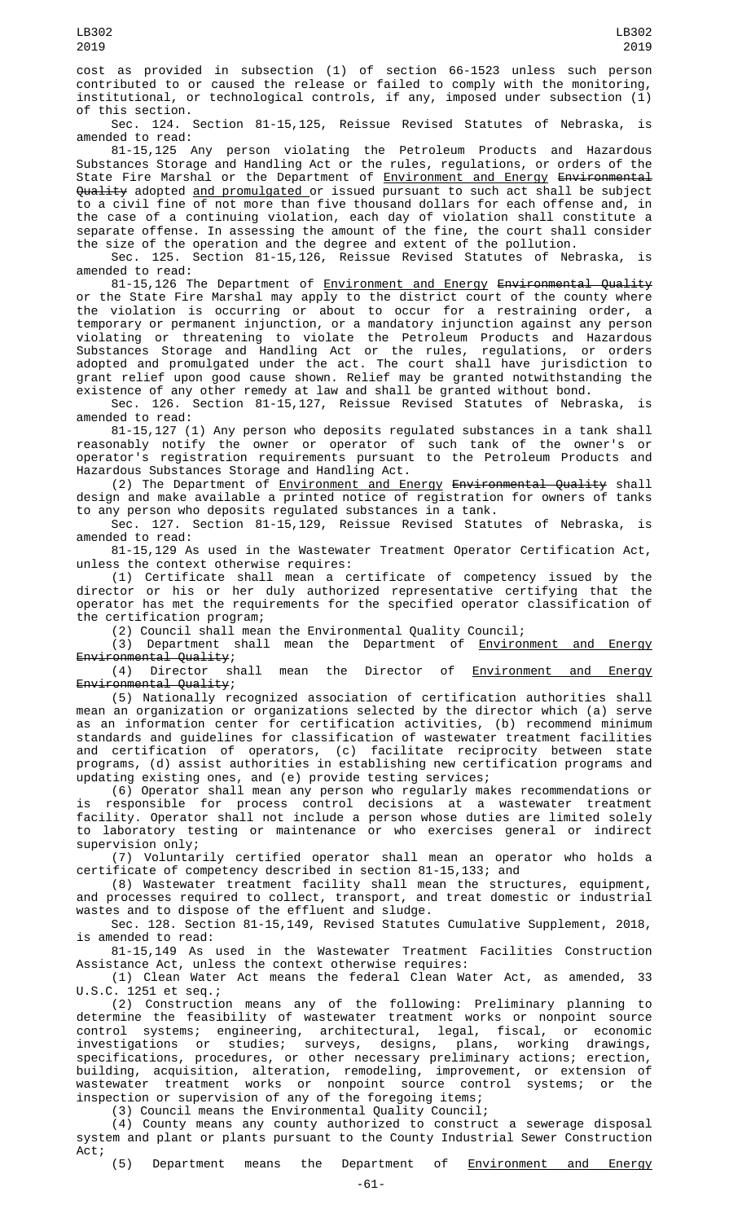cost as provided in subsection (1) of section 66-1523 unless such person contributed to or caused the release or failed to comply with the monitoring, institutional, or technological controls, if any, imposed under subsection (1) of this section.

Sec. 124. Section 81-15,125, Reissue Revised Statutes of Nebraska, is amended to read:

81-15,125 Any person violating the Petroleum Products and Hazardous Substances Storage and Handling Act or the rules, regulations, or orders of the State Fire Marshal or the Department of <u>Environment and Energy</u> <del>Environmental</del> Quality adopted and promulgated or issued pursuant to such act shall be subject to a civil fine of not more than five thousand dollars for each offense and, in the case of a continuing violation, each day of violation shall constitute a separate offense. In assessing the amount of the fine, the court shall consider the size of the operation and the degree and extent of the pollution.

Sec. 125. Section 81-15,126, Reissue Revised Statutes of Nebraska, is amended to read:

81-15,126 The Department of Environment and Energy Environmental Quality or the State Fire Marshal may apply to the district court of the county where the violation is occurring or about to occur for a restraining order, a temporary or permanent injunction, or a mandatory injunction against any person violating or threatening to violate the Petroleum Products and Hazardous Substances Storage and Handling Act or the rules, regulations, or orders adopted and promulgated under the act. The court shall have jurisdiction to grant relief upon good cause shown. Relief may be granted notwithstanding the existence of any other remedy at law and shall be granted without bond.

Sec. 126. Section 81-15,127, Reissue Revised Statutes of Nebraska, is amended to read:

81-15,127 (1) Any person who deposits regulated substances in a tank shall reasonably notify the owner or operator of such tank of the owner's or operator's registration requirements pursuant to the Petroleum Products and Hazardous Substances Storage and Handling Act.

(2) The Department of <u>Environment and Energy</u> <del>Environmental Quality</del> shall design and make available a printed notice of registration for owners of tanks to any person who deposits regulated substances in a tank.

Sec. 127. Section 81-15,129, Reissue Revised Statutes of Nebraska, is amended to read:

81-15,129 As used in the Wastewater Treatment Operator Certification Act, unless the context otherwise requires:

(1) Certificate shall mean a certificate of competency issued by the director or his or her duly authorized representative certifying that the operator has met the requirements for the specified operator classification of the certification program;

(2) Council shall mean the Environmental Quality Council;

(3) Department shall mean the Department of **Environment and Energy** Environmental Quality;<br>(4) Director shall

mean the Director of Environment and Energy Environmental Quality;

(5) Nationally recognized association of certification authorities shall mean an organization or organizations selected by the director which (a) serve as an information center for certification activities, (b) recommend minimum standards and guidelines for classification of wastewater treatment facilities and certification of operators, (c) facilitate reciprocity between state programs, (d) assist authorities in establishing new certification programs and updating existing ones, and (e) provide testing services;

(6) Operator shall mean any person who regularly makes recommendations or is responsible for process control decisions at a wastewater treatment facility. Operator shall not include a person whose duties are limited solely to laboratory testing or maintenance or who exercises general or indirect supervision only;

(7) Voluntarily certified operator shall mean an operator who holds a certificate of competency described in section 81-15,133; and

(8) Wastewater treatment facility shall mean the structures, equipment, and processes required to collect, transport, and treat domestic or industrial wastes and to dispose of the effluent and sludge.

Sec. 128. Section 81-15,149, Revised Statutes Cumulative Supplement, 2018, is amended to read:

81-15,149 As used in the Wastewater Treatment Facilities Construction Assistance Act, unless the context otherwise requires:

(1) Clean Water Act means the federal Clean Water Act, as amended, 33 U.S.C. 1251 et seq.;

(2) Construction means any of the following: Preliminary planning to determine the feasibility of wastewater treatment works or nonpoint source control systems; engineering, architectural, legal, fiscal, or economic investigations or studies; surveys, designs, plans, working drawings, specifications, procedures, or other necessary preliminary actions; erection, building, acquisition, alteration, remodeling, improvement, or extension of wastewater treatment works or nonpoint source control systems; or the inspection or supervision of any of the foregoing items;

(3) Council means the Environmental Quality Council;

(4) County means any county authorized to construct a sewerage disposal system and plant or plants pursuant to the County Industrial Sewer Construction Act;

(5) Department means the Department of Environment and Energy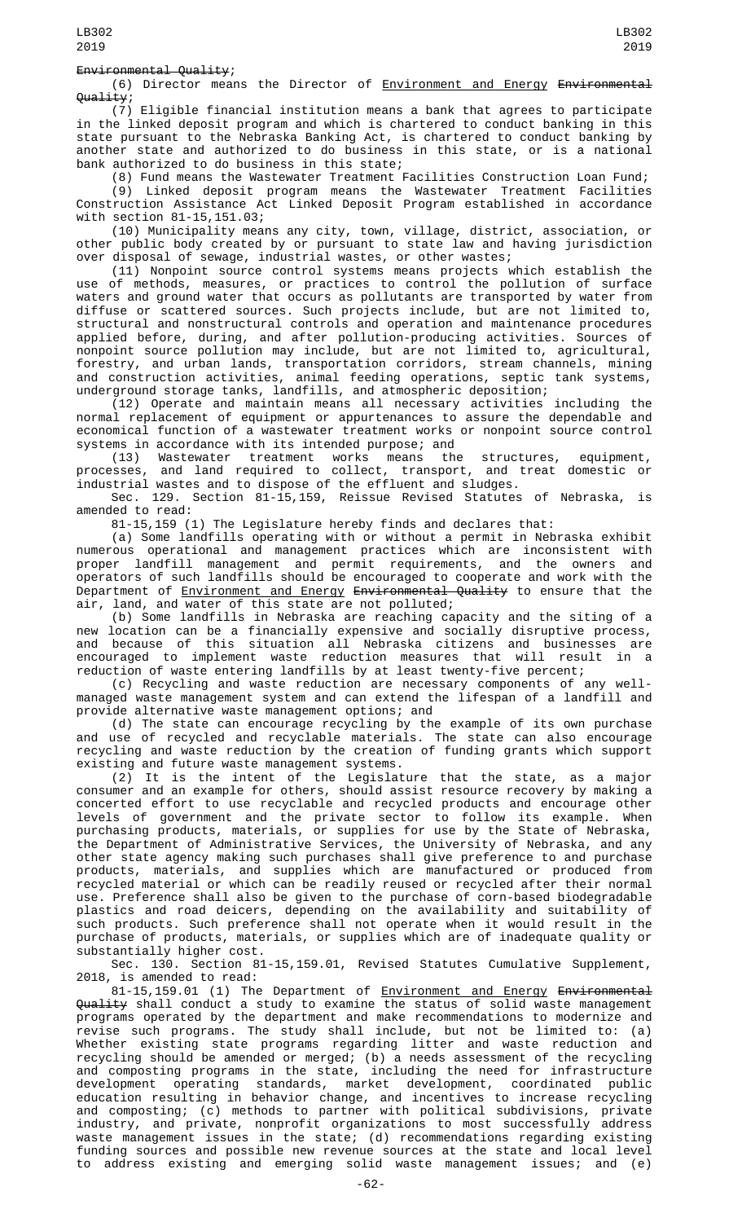(6) Director means the Director of Environment and Energy Environmental Quality;

(7) Eligible financial institution means a bank that agrees to participate in the linked deposit program and which is chartered to conduct banking in this state pursuant to the Nebraska Banking Act, is chartered to conduct banking by another state and authorized to do business in this state, or is a national bank authorized to do business in this state;

(8) Fund means the Wastewater Treatment Facilities Construction Loan Fund;

(9) Linked deposit program means the Wastewater Treatment Facilities Construction Assistance Act Linked Deposit Program established in accordance with section 81-15,151.03;

(10) Municipality means any city, town, village, district, association, or other public body created by or pursuant to state law and having jurisdiction over disposal of sewage, industrial wastes, or other wastes;

(11) Nonpoint source control systems means projects which establish the use of methods, measures, or practices to control the pollution of surface waters and ground water that occurs as pollutants are transported by water from diffuse or scattered sources. Such projects include, but are not limited to, structural and nonstructural controls and operation and maintenance procedures applied before, during, and after pollution-producing activities. Sources of nonpoint source pollution may include, but are not limited to, agricultural, forestry, and urban lands, transportation corridors, stream channels, mining and construction activities, animal feeding operations, septic tank systems, underground storage tanks, landfills, and atmospheric deposition;

(12) Operate and maintain means all necessary activities including the normal replacement of equipment or appurtenances to assure the dependable and economical function of a wastewater treatment works or nonpoint source control systems in accordance with its intended purpose; and

(13) Wastewater treatment works means the structures, equipment, processes, and land required to collect, transport, and treat domestic or industrial wastes and to dispose of the effluent and sludges.

Sec. 129. Section 81-15,159, Reissue Revised Statutes of Nebraska, is amended to read:

81-15,159 (1) The Legislature hereby finds and declares that:

(a) Some landfills operating with or without a permit in Nebraska exhibit numerous operational and management practices which are inconsistent with proper landfill management and permit requirements, and the owners and operators of such landfills should be encouraged to cooperate and work with the Department of Environment and Energy Environmental Quality to ensure that the air, land, and water of this state are not polluted;

(b) Some landfills in Nebraska are reaching capacity and the siting of a new location can be a financially expensive and socially disruptive process, and because of this situation all Nebraska citizens and businesses are encouraged to implement waste reduction measures that will result in a reduction of waste entering landfills by at least twenty-five percent;

(c) Recycling and waste reduction are necessary components of any wellmanaged waste management system and can extend the lifespan of a landfill and provide alternative waste management options; and

(d) The state can encourage recycling by the example of its own purchase and use of recycled and recyclable materials. The state can also encourage recycling and waste reduction by the creation of funding grants which support existing and future waste management systems.

(2) It is the intent of the Legislature that the state, as a major consumer and an example for others, should assist resource recovery by making a concerted effort to use recyclable and recycled products and encourage other levels of government and the private sector to follow its example. When purchasing products, materials, or supplies for use by the State of Nebraska, the Department of Administrative Services, the University of Nebraska, and any other state agency making such purchases shall give preference to and purchase products, materials, and supplies which are manufactured or produced from recycled material or which can be readily reused or recycled after their normal use. Preference shall also be given to the purchase of corn-based biodegradable plastics and road deicers, depending on the availability and suitability of such products. Such preference shall not operate when it would result in the purchase of products, materials, or supplies which are of inadequate quality or substantially higher cost.

Sec. 130. Section 81-15,159.01, Revised Statutes Cumulative Supplement, 2018, is amended to read:

81-15,159.01 (1) The Department of **Environment and Energy Environmental** Quality shall conduct a study to examine the status of solid waste management programs operated by the department and make recommendations to modernize and revise such programs. The study shall include, but not be limited to: (a) Whether existing state programs regarding litter and waste reduction and recycling should be amended or merged; (b) a needs assessment of the recycling and composting programs in the state, including the need for infrastructure development operating standards, market development, coordinated public education resulting in behavior change, and incentives to increase recycling and composting; (c) methods to partner with political subdivisions, private industry, and private, nonprofit organizations to most successfully address waste management issues in the state; (d) recommendations regarding existing funding sources and possible new revenue sources at the state and local level to address existing and emerging solid waste management issues; and (e)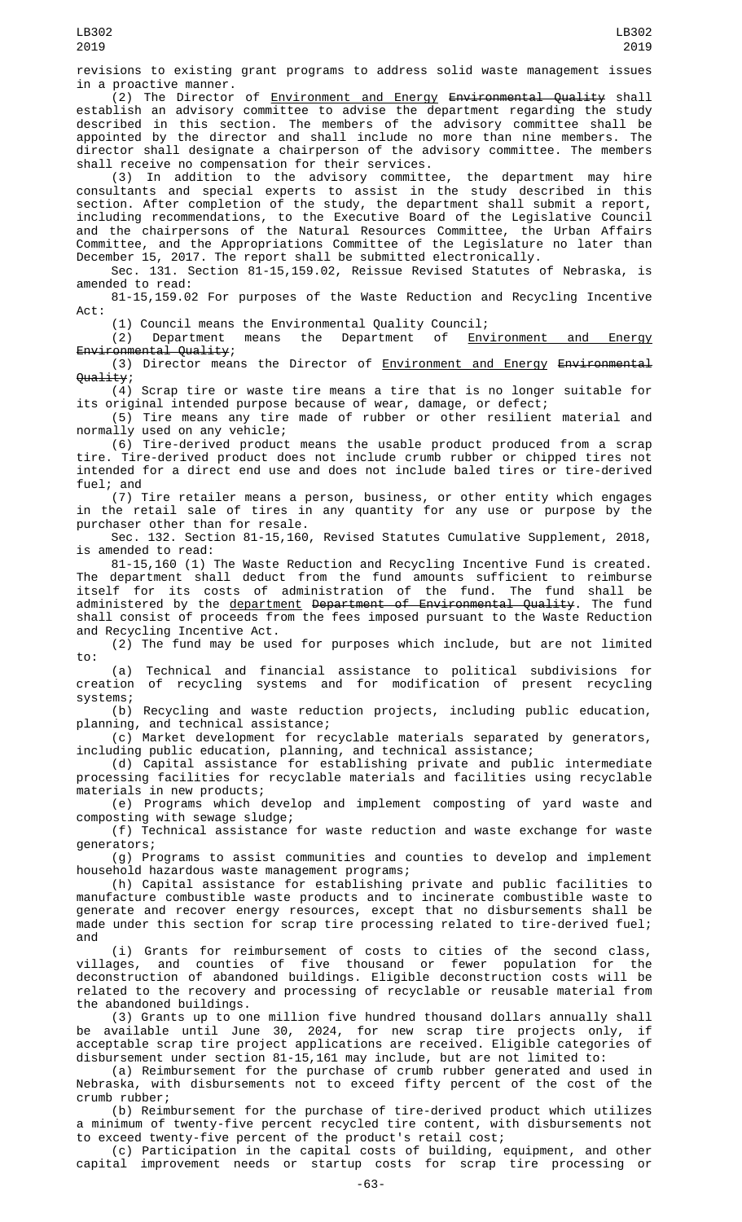revisions to existing grant programs to address solid waste management issues in a proactive manner.

.<br>(2) The Director of <u>Environment and Energy</u> <del>Environmental Quality</del> shall establish an advisory committee to advise the department regarding the study described in this section. The members of the advisory committee shall be appointed by the director and shall include no more than nine members. The director shall designate a chairperson of the advisory committee. The members shall receive no compensation for their services.<br>(3) In addition to the advisory committee,

(3) In addition to the advisory committee, the department may hire consultants and special experts to assist in the study described in this section. After completion of the study, the department shall submit a report, including recommendations, to the Executive Board of the Legislative Council and the chairpersons of the Natural Resources Committee, the Urban Affairs Committee, and the Appropriations Committee of the Legislature no later than December 15, 2017. The report shall be submitted electronically.

Sec. 131. Section 81-15,159.02, Reissue Revised Statutes of Nebraska, is amended to read:

81-15,159.02 For purposes of the Waste Reduction and Recycling Incentive Act:

(1) Council means the Environmental Quality Council;<br>(2) Department means the Department of Environment and (2) Department means the Department of Environment and Energy Environmental Quality;

(3) Director means the Director of Environment and Energy Environmental Quality;

(4) Scrap tire or waste tire means a tire that is no longer suitable for its original intended purpose because of wear, damage, or defect;

(5) Tire means any tire made of rubber or other resilient material and normally used on any vehicle;

(6) Tire-derived product means the usable product produced from a scrap tire. Tire-derived product does not include crumb rubber or chipped tires not intended for a direct end use and does not include baled tires or tire-derived fuel; and

(7) Tire retailer means a person, business, or other entity which engages in the retail sale of tires in any quantity for any use or purpose by the purchaser other than for resale.

Sec. 132. Section 81-15,160, Revised Statutes Cumulative Supplement, 2018, is amended to read:

81-15,160 (1) The Waste Reduction and Recycling Incentive Fund is created. The department shall deduct from the fund amounts sufficient to reimburse itself for its costs of administration of the fund. The fund shall be administered by the <u>department</u> <del>Department of Environmental Quality</del>. The fund shall consist of proceeds from the fees imposed pursuant to the Waste Reduction and Recycling Incentive Act.

(2) The fund may be used for purposes which include, but are not limited to:

(a) Technical and financial assistance to political subdivisions for<br>creation of recycling systems and for modification of present recycling of recycling systems and for modification of present recycling systems;

(b) Recycling and waste reduction projects, including public education, planning, and technical assistance;

(c) Market development for recyclable materials separated by generators, including public education, planning, and technical assistance;

(d) Capital assistance for establishing private and public intermediate processing facilities for recyclable materials and facilities using recyclable materials in new products;

(e) Programs which develop and implement composting of yard waste and composting with sewage sludge;

(f) Technical assistance for waste reduction and waste exchange for waste generators;

(g) Programs to assist communities and counties to develop and implement household hazardous waste management programs;

(h) Capital assistance for establishing private and public facilities to manufacture combustible waste products and to incinerate combustible waste to generate and recover energy resources, except that no disbursements shall be made under this section for scrap tire processing related to tire-derived fuel; and

(i) Grants for reimbursement of costs to cities of the second class, villages, and counties of five thousand or fewer population for the deconstruction of abandoned buildings. Eligible deconstruction costs will be related to the recovery and processing of recyclable or reusable material from the abandoned buildings.

(3) Grants up to one million five hundred thousand dollars annually shall be available until June 30, 2024, for new scrap tire projects only, if acceptable scrap tire project applications are received. Eligible categories of disbursement under section 81-15,161 may include, but are not limited to:

(a) Reimbursement for the purchase of crumb rubber generated and used in Nebraska, with disbursements not to exceed fifty percent of the cost of the crumb rubber;

(b) Reimbursement for the purchase of tire-derived product which utilizes a minimum of twenty-five percent recycled tire content, with disbursements not to exceed twenty-five percent of the product's retail cost;

(c) Participation in the capital costs of building, equipment, and other capital improvement needs or startup costs for scrap tire processing or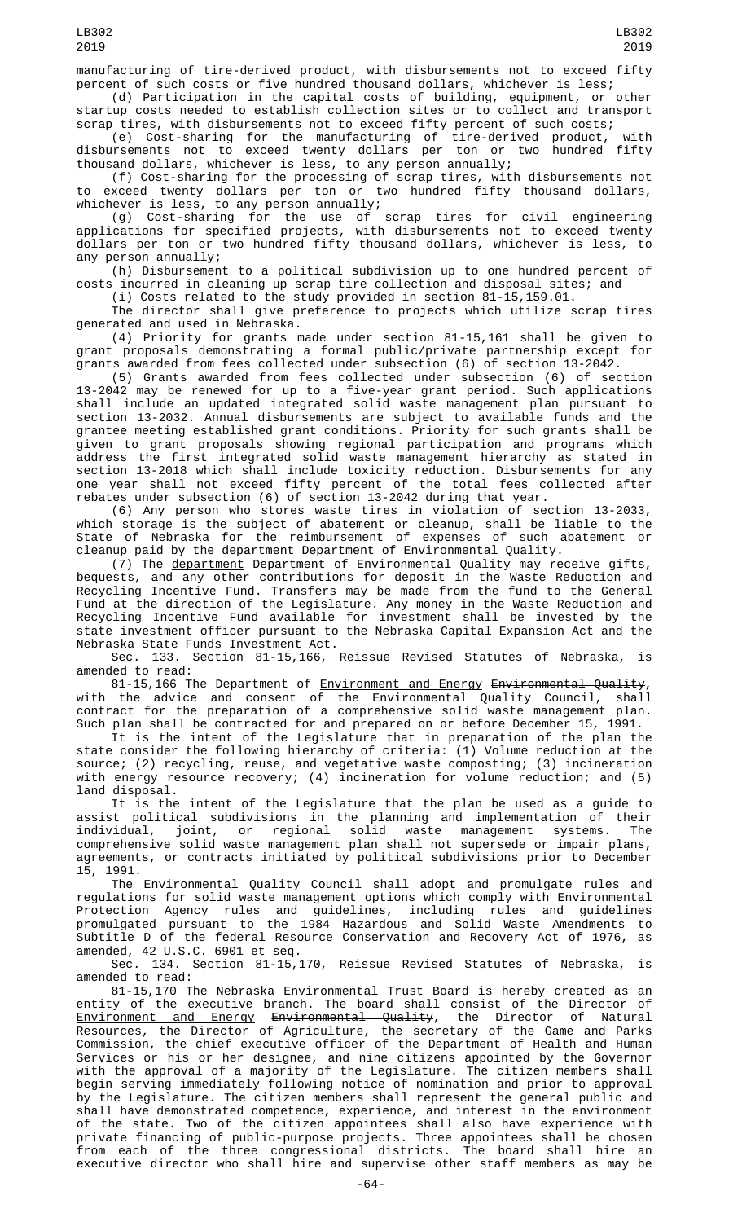manufacturing of tire-derived product, with disbursements not to exceed fifty percent of such costs or five hundred thousand dollars, whichever is less;<br>(d) Participation in the capital costs of building, equipment, or other

(d) Participation in the capital costs of building, equipment, or startup costs needed to establish collection sites or to collect and transport scrap tires, with disbursements not to exceed fifty percent of such costs;

(e) Cost-sharing for the manufacturing of tire-derived product, with disbursements not to exceed twenty dollars per ton or two hundred fifty thousand dollars, whichever is less, to any person annually;

(f) Cost-sharing for the processing of scrap tires, with disbursements not to exceed twenty dollars per ton or two hundred fifty thousand dollars, whichever is less, to any person annually;

(g) Cost-sharing for the use of scrap tires for civil engineering applications for specified projects, with disbursements not to exceed twenty dollars per ton or two hundred fifty thousand dollars, whichever is less, to any person annually;

(h) Disbursement to a political subdivision up to one hundred percent of costs incurred in cleaning up scrap tire collection and disposal sites; and

(i) Costs related to the study provided in section 81-15,159.01.

The director shall give preference to projects which utilize scrap tires generated and used in Nebraska.

(4) Priority for grants made under section 81-15,161 shall be given to grant proposals demonstrating a formal public/private partnership except for grants awarded from fees collected under subsection (6) of section 13-2042.

(5) Grants awarded from fees collected under subsection (6) of section 13-2042 may be renewed for up to a five-year grant period. Such applications shall include an updated integrated solid waste management plan pursuant to section 13-2032. Annual disbursements are subject to available funds and the grantee meeting established grant conditions. Priority for such grants shall be given to grant proposals showing regional participation and programs which address the first integrated solid waste management hierarchy as stated in section 13-2018 which shall include toxicity reduction. Disbursements for any one year shall not exceed fifty percent of the total fees collected after rebates under subsection (6) of section 13-2042 during that year.

(6) Any person who stores waste tires in violation of section 13-2033, which storage is the subject of abatement or cleanup, shall be liable to the State of Nebraska for the reimbursement of expenses of such abatement or cleanup paid by the department Department of Environmental Quality.

(7) The <u>department</u> <del>Department of Environmental Quality</del> may receive gifts, bequests, and any other contributions for deposit in the Waste Reduction and Recycling Incentive Fund. Transfers may be made from the fund to the General Fund at the direction of the Legislature. Any money in the Waste Reduction and Recycling Incentive Fund available for investment shall be invested by the state investment officer pursuant to the Nebraska Capital Expansion Act and the Nebraska State Funds Investment Act.

Sec. 133. Section 81-15,166, Reissue Revised Statutes of Nebraska, is amended to read:

81-15,166 The Department of <u>Environment and Energy</u> <del>Environmental Quality</del>, with the advice and consent of the Environmental Quality Council, shall contract for the preparation of a comprehensive solid waste management plan. Such plan shall be contracted for and prepared on or before December 15, 1991.

It is the intent of the Legislature that in preparation of the plan the state consider the following hierarchy of criteria: (1) Volume reduction at the source; (2) recycling, reuse, and vegetative waste composting; (3) incineration with energy resource recovery; (4) incineration for volume reduction; and (5) land disposal.

It is the intent of the Legislature that the plan be used as a guide to assist political subdivisions in the planning and implementation of their individual, joint, or regional solid waste management systems. The comprehensive solid waste management plan shall not supersede or impair plans, agreements, or contracts initiated by political subdivisions prior to December 15, 1991.

The Environmental Quality Council shall adopt and promulgate rules and regulations for solid waste management options which comply with Environmental Protection Agency rules and guidelines, including rules and guidelines promulgated pursuant to the 1984 Hazardous and Solid Waste Amendments to Subtitle D of the federal Resource Conservation and Recovery Act of 1976, as amended, 42 U.S.C. 6901 et seq.

Sec. 134. Section 81-15,170, Reissue Revised Statutes of Nebraska, is amended to read:

81-15,170 The Nebraska Environmental Trust Board is hereby created as an entity of the executive branch. The board shall consist of the Director of Environment and Energy Environmental Quality, the Director of Natural Resources, the Director of Agriculture, the secretary of the Game and Parks Commission, the chief executive officer of the Department of Health and Human Services or his or her designee, and nine citizens appointed by the Governor with the approval of a majority of the Legislature. The citizen members shall begin serving immediately following notice of nomination and prior to approval by the Legislature. The citizen members shall represent the general public and shall have demonstrated competence, experience, and interest in the environment of the state. Two of the citizen appointees shall also have experience with private financing of public-purpose projects. Three appointees shall be chosen from each of the three congressional districts. The board shall hire an executive director who shall hire and supervise other staff members as may be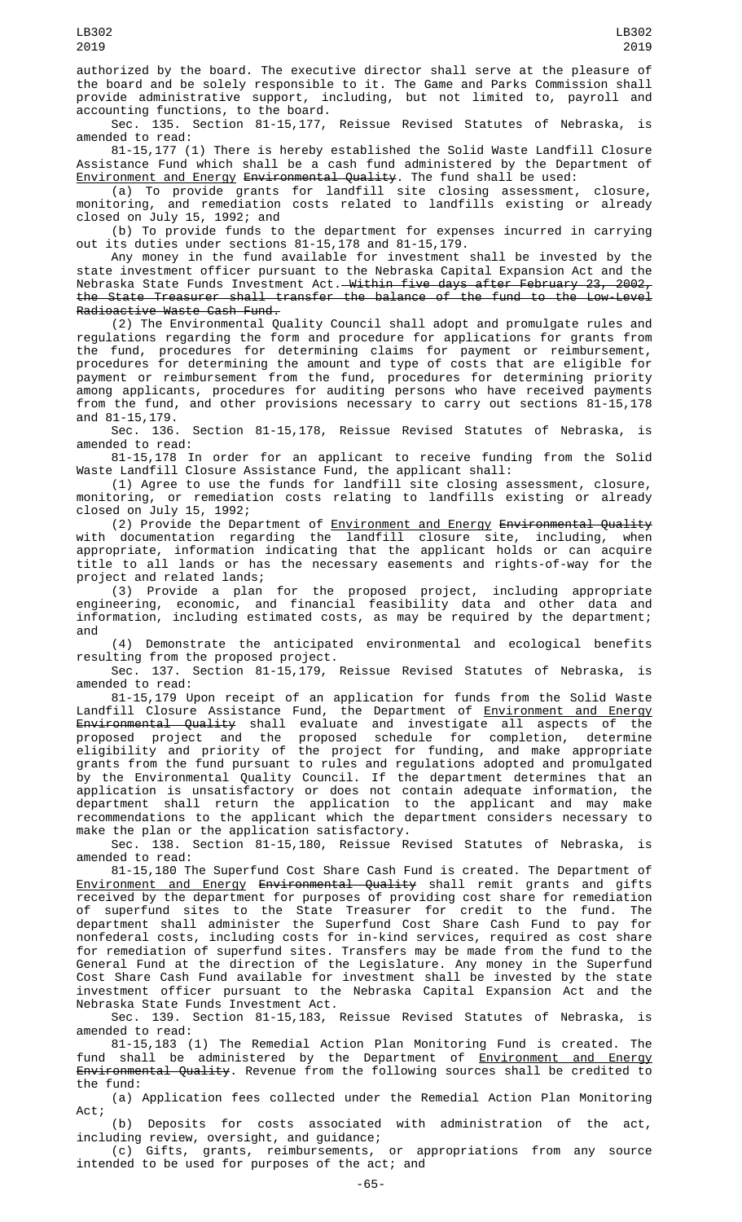authorized by the board. The executive director shall serve at the pleasure of the board and be solely responsible to it. The Game and Parks Commission shall provide administrative support, including, but not limited to, payroll and accounting functions, to the board.

Sec. 135. Section 81-15,177, Reissue Revised Statutes of Nebraska, is amended to read:

81-15,177 (1) There is hereby established the Solid Waste Landfill Closure Assistance Fund which shall be a cash fund administered by the Department of Environment and Energy Environmental Quality. The fund shall be used:

(a) To provide grants for landfill site closing assessment, closure, monitoring, and remediation costs related to landfills existing or already closed on July 15, 1992; and

(b) To provide funds to the department for expenses incurred in carrying out its duties under sections 81-15,178 and 81-15,179.

Any money in the fund available for investment shall be invested by the state investment officer pursuant to the Nebraska Capital Expansion Act and the Nebraska State Funds Investment Act.—<del>Within five days after February 23, 2002,</del> the State Treasurer shall transfer the balance of the fund to the Low-Level Radioactive Waste Cash Fund.

(2) The Environmental Quality Council shall adopt and promulgate rules and regulations regarding the form and procedure for applications for grants from the fund, procedures for determining claims for payment or reimbursement, procedures for determining the amount and type of costs that are eligible for payment or reimbursement from the fund, procedures for determining priority among applicants, procedures for auditing persons who have received payments from the fund, and other provisions necessary to carry out sections 81-15,178 and 81-15,179.

Sec. 136. Section 81-15,178, Reissue Revised Statutes of Nebraska, is amended to read:

81-15,178 In order for an applicant to receive funding from the Solid Waste Landfill Closure Assistance Fund, the applicant shall:

(1) Agree to use the funds for landfill site closing assessment, closure, monitoring, or remediation costs relating to landfills existing or already closed on July 15, 1992;

(2) Provide the Department of <u>Environment and Energy</u> <del>Environmental Quality</del> with documentation regarding the landfill closure site, including, when appropriate, information indicating that the applicant holds or can acquire title to all lands or has the necessary easements and rights-of-way for the project and related lands;

(3) Provide a plan for the proposed project, including appropriate engineering, economic, and financial feasibility data and other data and information, including estimated costs, as may be required by the department; and

(4) Demonstrate the anticipated environmental and ecological benefits resulting from the proposed project.

Sec. 137. Section 81-15,179, Reissue Revised Statutes of Nebraska, is amended to read:

81-15,179 Upon receipt of an application for funds from the Solid Waste Landfill Closure Assistance Fund, the Department of <u>Environment and Energy</u> <del>Environmental Quality</del> shall evaluate and investigate all aspects of the proposed project and the proposed schedule for completion, determine eligibility and priority of the project for funding, and make appropriate grants from the fund pursuant to rules and regulations adopted and promulgated by the Environmental Quality Council. If the department determines that an application is unsatisfactory or does not contain adequate information, the department shall return the application to the applicant and may make recommendations to the applicant which the department considers necessary to make the plan or the application satisfactory.

Sec. 138. Section 81-15,180, Reissue Revised Statutes of Nebraska, is amended to read:

81-15,180 The Superfund Cost Share Cash Fund is created. The Department of Environment and Energy Environmental Quality shall remit grants and gifts received by the department for purposes of providing cost share for remediation of superfund sites to the State Treasurer for credit to the fund. The department shall administer the Superfund Cost Share Cash Fund to pay for nonfederal costs, including costs for in-kind services, required as cost share for remediation of superfund sites. Transfers may be made from the fund to the General Fund at the direction of the Legislature. Any money in the Superfund Cost Share Cash Fund available for investment shall be invested by the state investment officer pursuant to the Nebraska Capital Expansion Act and the Nebraska State Funds Investment Act.

Sec. 139. Section 81-15,183, Reissue Revised Statutes of Nebraska, is amended to read:

81-15,183 (1) The Remedial Action Plan Monitoring Fund is created. The fund shall be administered by the Department of <u>Environment and Energy</u> Environmental Quality. Revenue from the following sources shall be credited to the fund:

(a) Application fees collected under the Remedial Action Plan Monitoring Act;

(b) Deposits for costs associated with administration of the act, including review, oversight, and guidance;

(c) Gifts, grants, reimbursements, or appropriations from any source intended to be used for purposes of the act; and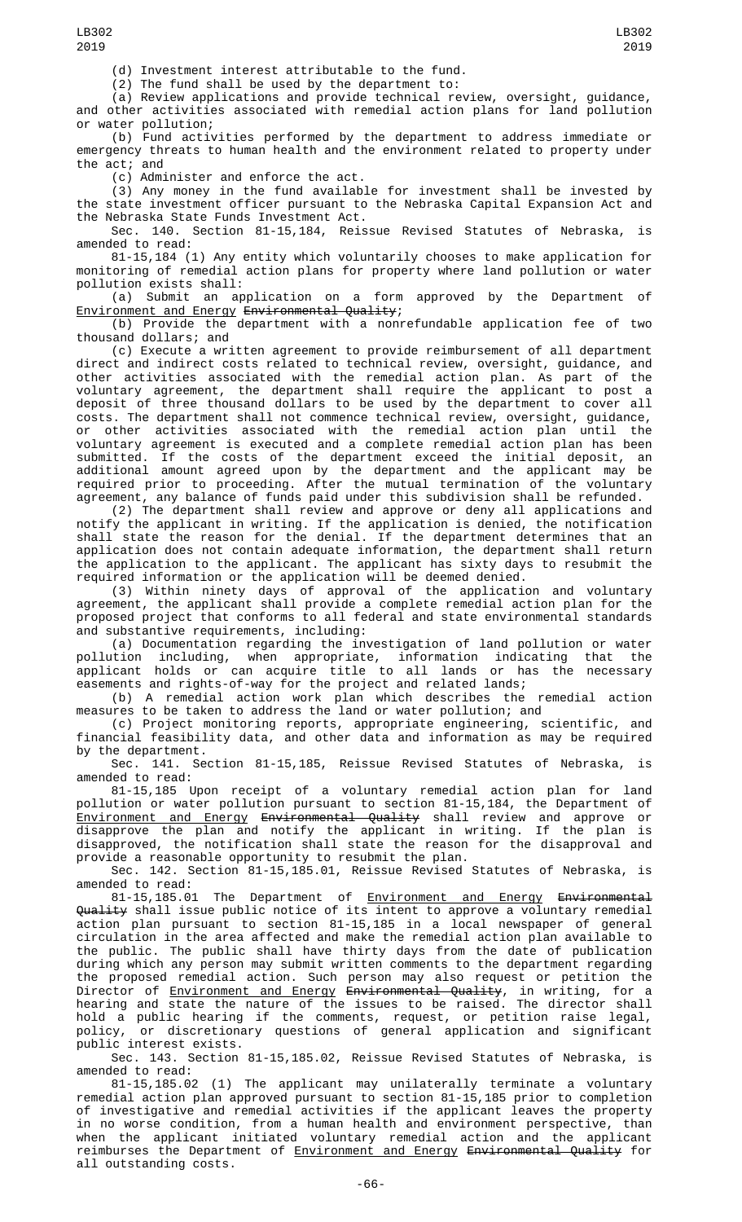(d) Investment interest attributable to the fund.

(2) The fund shall be used by the department to:

(a) Review applications and provide technical review, oversight, guidance, and other activities associated with remedial action plans for land pollution or water pollution;

(b) Fund activities performed by the department to address immediate or emergency threats to human health and the environment related to property under the act; and

(c) Administer and enforce the act.

(3) Any money in the fund available for investment shall be invested by the state investment officer pursuant to the Nebraska Capital Expansion Act and the Nebraska State Funds Investment Act.

Sec. 140. Section 81-15,184, Reissue Revised Statutes of Nebraska, is amended to read:

81-15,184 (1) Any entity which voluntarily chooses to make application for monitoring of remedial action plans for property where land pollution or water pollution exists shall:

(a) Submit an application on a form approved by the Department of Environment and Energy Environmental Quality;

(b) Provide the department with a nonrefundable application fee of two thousand dollars; and

(c) Execute a written agreement to provide reimbursement of all department direct and indirect costs related to technical review, oversight, guidance, and other activities associated with the remedial action plan. As part of the voluntary agreement, the department shall require the applicant to post a deposit of three thousand dollars to be used by the department to cover all costs. The department shall not commence technical review, oversight, guidance, or other activities associated with the remedial action plan until the voluntary agreement is executed and a complete remedial action plan has been submitted. If the costs of the department exceed the initial deposit, an additional amount agreed upon by the department and the applicant may be required prior to proceeding. After the mutual termination of the voluntary agreement, any balance of funds paid under this subdivision shall be refunded.

(2) The department shall review and approve or deny all applications and notify the applicant in writing. If the application is denied, the notification shall state the reason for the denial. If the department determines that an application does not contain adequate information, the department shall return the application to the applicant. The applicant has sixty days to resubmit the required information or the application will be deemed denied.

(3) Within ninety days of approval of the application and voluntary agreement, the applicant shall provide a complete remedial action plan for the proposed project that conforms to all federal and state environmental standards and substantive requirements, including:

(a) Documentation regarding the investigation of land pollution or water pollution including, when appropriate, information indicating that the applicant holds or can acquire title to all lands or has the necessary easements and rights-of-way for the project and related lands;

(b) A remedial action work plan which describes the remedial action measures to be taken to address the land or water pollution; and

(c) Project monitoring reports, appropriate engineering, scientific, and financial feasibility data, and other data and information as may be required by the department.

Sec. 141. Section 81-15,185, Reissue Revised Statutes of Nebraska, is amended to read:

81-15,185 Upon receipt of a voluntary remedial action plan for land pollution or water pollution pursuant to section 81-15,184, the Department of Environment and Energy Environmental Quality shall review and approve or disapprove the plan and notify the applicant in writing. If the plan is disapproved, the notification shall state the reason for the disapproval and provide a reasonable opportunity to resubmit the plan.

Sec. 142. Section 81-15,185.01, Reissue Revised Statutes of Nebraska, is amended to read:

81-15,185.01 The Department of Environment and Energy Environmental Quality shall issue public notice of its intent to approve a voluntary remedial action plan pursuant to section 81-15,185 in a local newspaper of general circulation in the area affected and make the remedial action plan available to the public. The public shall have thirty days from the date of publication during which any person may submit written comments to the department regarding the proposed remedial action. Such person may also request or petition the Director of <u>Environment and Energy</u> <del>Environmental Quality</del>, in writing, for a hearing and state the nature of the issues to be raised. The director shall hold a public hearing if the comments, request, or petition raise legal, policy, or discretionary questions of general application and significant public interest exists.

Sec. 143. Section 81-15,185.02, Reissue Revised Statutes of Nebraska, is amended to read:

81-15,185.02 (1) The applicant may unilaterally terminate a voluntary remedial action plan approved pursuant to section 81-15,185 prior to completion of investigative and remedial activities if the applicant leaves the property in no worse condition, from a human health and environment perspective, than when the applicant initiated voluntary remedial action and the applicant reimburses the Department of <u>Environment and Energy</u> <del>Environmental Quality</del> for all outstanding costs.

LB302 2019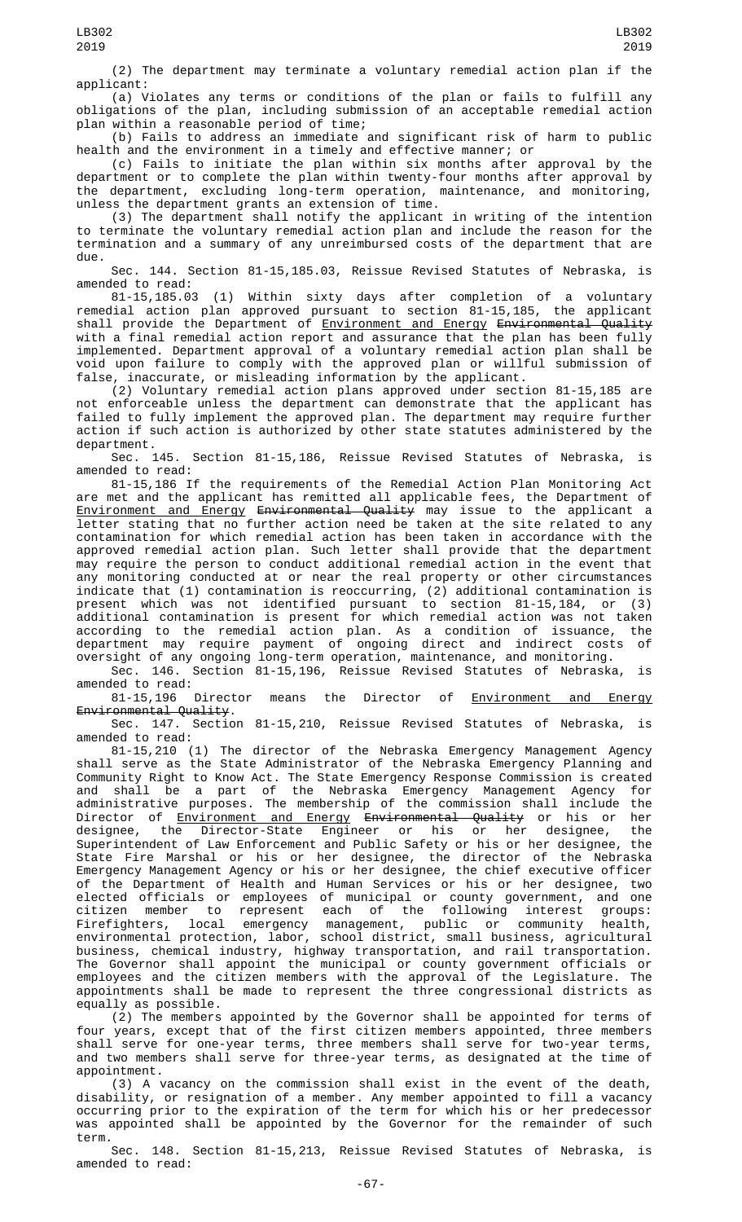(2) The department may terminate a voluntary remedial action plan if the applicant:

(a) Violates any terms or conditions of the plan or fails to fulfill any obligations of the plan, including submission of an acceptable remedial action plan within a reasonable period of time;

(b) Fails to address an immediate and significant risk of harm to public health and the environment in a timely and effective manner; or

(c) Fails to initiate the plan within six months after approval by the department or to complete the plan within twenty-four months after approval by the department, excluding long-term operation, maintenance, and monitoring, unless the department grants an extension of time.

(3) The department shall notify the applicant in writing of the intention to terminate the voluntary remedial action plan and include the reason for the termination and a summary of any unreimbursed costs of the department that are due.

Sec. 144. Section 81-15,185.03, Reissue Revised Statutes of Nebraska, is amended to read:

81-15,185.03 (1) Within sixty days after completion of a voluntary remedial action plan approved pursuant to section 81-15,185, the applicant shall provide the Department of <u>Environment and Energy</u> <del>Environmental Quality</del> with a final remedial action report and assurance that the plan has been fully implemented. Department approval of a voluntary remedial action plan shall be void upon failure to comply with the approved plan or willful submission of false, inaccurate, or misleading information by the applicant.

(2) Voluntary remedial action plans approved under section 81-15,185 are not enforceable unless the department can demonstrate that the applicant has failed to fully implement the approved plan. The department may require further action if such action is authorized by other state statutes administered by the

department.<br>Sec. 145. Section 81-15,186, Reissue Revised Statutes of Nebraska, is amended to read:

81-15,186 If the requirements of the Remedial Action Plan Monitoring Act are met and the applicant has remitted all applicable fees, the Department of Environment and Energy Environmental Quality may issue to the applicant a letter stating that no further action need be taken at the site related to any contamination for which remedial action has been taken in accordance with the approved remedial action plan. Such letter shall provide that the department may require the person to conduct additional remedial action in the event that any monitoring conducted at or near the real property or other circumstances indicate that (1) contamination is reoccurring, (2) additional contamination is present which was not identified pursuant to section 81-15,184, or (3) additional contamination is present for which remedial action was not taken according to the remedial action plan. As a condition of issuance, the department may require payment of ongoing direct and indirect costs of oversight of any ongoing long-term operation, maintenance, and monitoring.

Sec. 146. Section 81-15,196, Reissue Revised Statutes of Nebraska, is amended to read:

81-15,196 Director means the Director of Environment and Energy Environmental Quality.

Sec. 147. Section 81-15,210, Reissue Revised Statutes of Nebraska, is amended to read:

81-15,210 (1) The director of the Nebraska Emergency Management Agency shall serve as the State Administrator of the Nebraska Emergency Planning and Community Right to Know Act. The State Emergency Response Commission is created and shall be a part of the Nebraska Emergency Management Agency for administrative purposes. The membership of the commission shall include the Director of <u>Environment and Energy</u> <del>Environmental Quality</del> or his or her designee, the Director-State Engineer or his or her designee, the Superintendent of Law Enforcement and Public Safety or his or her designee, the State Fire Marshal or his or her designee, the director of the Nebraska Emergency Management Agency or his or her designee, the chief executive officer of the Department of Health and Human Services or his or her designee, two elected officials or employees of municipal or county government, and one citizen member to represent each of the following interest groups: Firefighters, local emergency management, public or community health, environmental protection, labor, school district, small business, agricultural business, chemical industry, highway transportation, and rail transportation. The Governor shall appoint the municipal or county government officials or employees and the citizen members with the approval of the Legislature. The appointments shall be made to represent the three congressional districts as equally as possible.

(2) The members appointed by the Governor shall be appointed for terms of four years, except that of the first citizen members appointed, three members shall serve for one-year terms, three members shall serve for two-year terms, and two members shall serve for three-year terms, as designated at the time of appointment.

(3) A vacancy on the commission shall exist in the event of the death, disability, or resignation of a member. Any member appointed to fill a vacancy occurring prior to the expiration of the term for which his or her predecessor was appointed shall be appointed by the Governor for the remainder of such term.

Sec. 148. Section 81-15,213, Reissue Revised Statutes of Nebraska, is amended to read: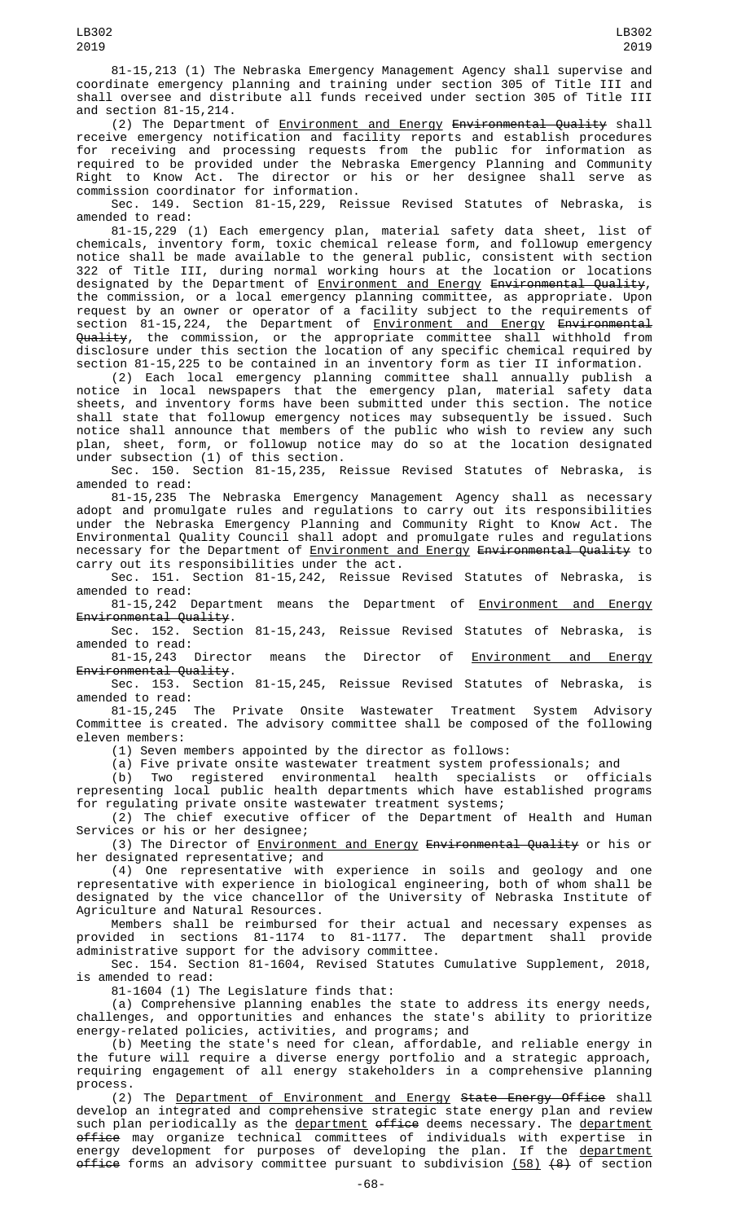and section 81-15,214. (2) The Department of <u>Environment and Energy</u> <del>Environmental Quality</del> shall receive emergency notification and facility reports and establish procedures for receiving and processing requests from the public for information as required to be provided under the Nebraska Emergency Planning and Community Right to Know Act. The director or his or her designee shall serve as commission coordinator for information.

Sec. 149. Section 81-15,229, Reissue Revised Statutes of Nebraska, is amended to read:

81-15,229 (1) Each emergency plan, material safety data sheet, list of chemicals, inventory form, toxic chemical release form, and followup emergency notice shall be made available to the general public, consistent with section 322 of Title III, during normal working hours at the location or locations designated by the Department of <u>Environment and Energy</u> <del>Environmental Quality</del>, the commission, or a local emergency planning committee, as appropriate. Upon request by an owner or operator of a facility subject to the requirements of section 81-15,224, the Department of <u>Environment and Energy</u> <del>Environmental</del> Quality, the commission, or the appropriate committee shall withhold from disclosure under this section the location of any specific chemical required by section 81-15,225 to be contained in an inventory form as tier II information.

(2) Each local emergency planning committee shall annually publish a notice in local newspapers that the emergency plan, material safety data sheets, and inventory forms have been submitted under this section. The notice shall state that followup emergency notices may subsequently be issued. Such notice shall announce that members of the public who wish to review any such plan, sheet, form, or followup notice may do so at the location designated under subsection (1) of this section.

Sec. 150. Section 81-15,235, Reissue Revised Statutes of Nebraska, is amended to read:

81-15,235 The Nebraska Emergency Management Agency shall as necessary adopt and promulgate rules and regulations to carry out its responsibilities under the Nebraska Emergency Planning and Community Right to Know Act. The Environmental Quality Council shall adopt and promulgate rules and regulations necessary for the Department of Environment and Energy Environmental Quality to carry out its responsibilities under the act.

Sec. 151. Section 81-15,242, Reissue Revised Statutes of Nebraska, is amended to read:

81-15,242 Department means the Department of **Environment and Energy** Environmental Quality.

Sec. 152. Section 81-15,243, Reissue Revised Statutes of Nebraska, is amended to read:<br>81-15,243

Director means the Director of Environment and Energy Environmental Quality.

Sec. 153. Section 81-15,245, Reissue Revised Statutes of Nebraska, is amended to read:

81-15,245 The Private Onsite Wastewater Treatment System Advisory Committee is created. The advisory committee shall be composed of the following eleven members:

(1) Seven members appointed by the director as follows:

(a) Five private onsite wastewater treatment system professionals; and

(b) Two registered environmental health specialists or officials representing local public health departments which have established programs for regulating private onsite wastewater treatment systems;

(2) The chief executive officer of the Department of Health and Human Services or his or her designee;

(3) The Director of Environment and Energy Environmental Quality or his or her designated representative; and

(4) One representative with experience in soils and geology and one representative with experience in biological engineering, both of whom shall be designated by the vice chancellor of the University of Nebraska Institute of Agriculture and Natural Resources.

Members shall be reimbursed for their actual and necessary expenses as provided in sections 81-1174 to 81-1177. The department shall provide administrative support for the advisory committee.

Sec. 154. Section 81-1604, Revised Statutes Cumulative Supplement, 2018, is amended to read:

81-1604 (1) The Legislature finds that:

(a) Comprehensive planning enables the state to address its energy needs, challenges, and opportunities and enhances the state's ability to prioritize energy-related policies, activities, and programs; and

(b) Meeting the state's need for clean, affordable, and reliable energy in the future will require a diverse energy portfolio and a strategic approach, requiring engagement of all energy stakeholders in a comprehensive planning process.

(2) The Department of Environment and Energy State Energy Office shall develop an integrated and comprehensive strategic state energy plan and review such plan periodically as the <u>department</u> <del>office</del> deems necessary. The <u>department</u> <del>office</del> may organize technical committees of individuals with expertise in energy development for purposes of developing the plan. If the <u>department</u> <del>office</del> forms an advisory committee pursuant to subdivision <u>(58)</u> <del>(8)</del> of section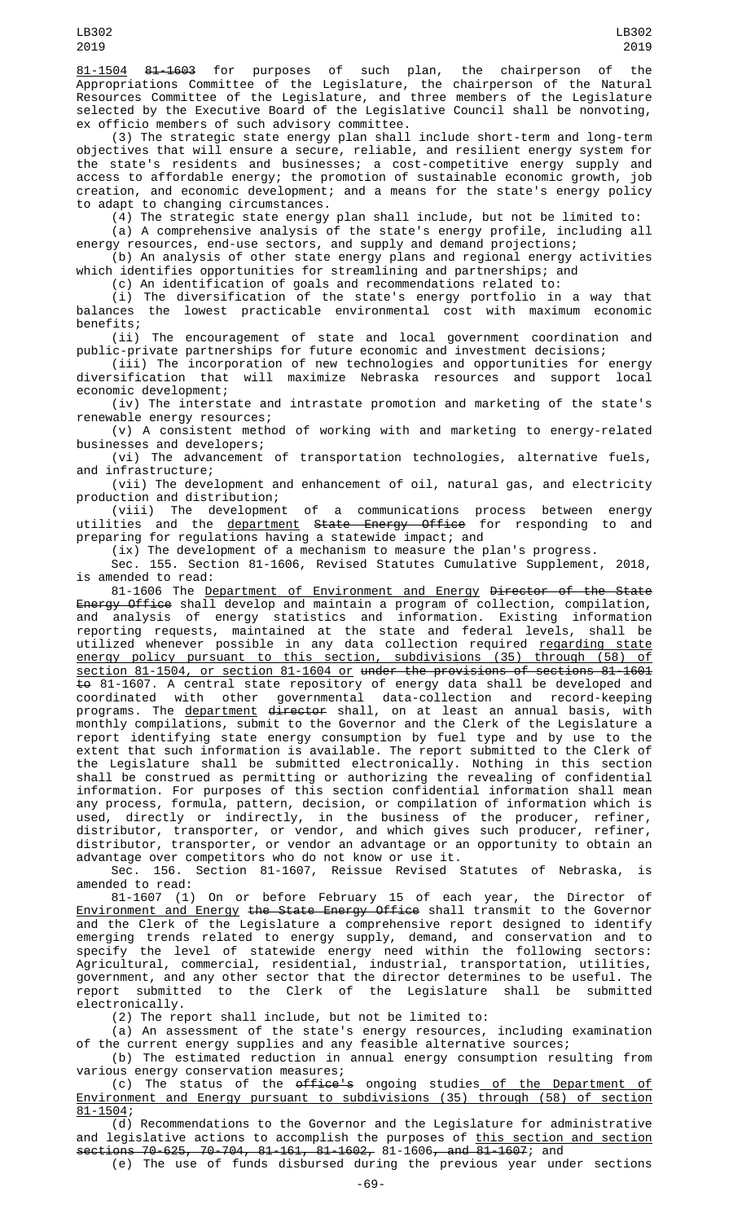81-1504 81-1603 for purposes of such plan, the chairperson of the Appropriations Committee of the Legislature, the chairperson of the Natural Resources Committee of the Legislature, and three members of the Legislature selected by the Executive Board of the Legislative Council shall be nonvoting, ex officio members of such advisory committee.

(3) The strategic state energy plan shall include short-term and long-term objectives that will ensure a secure, reliable, and resilient energy system for the state's residents and businesses; a cost-competitive energy supply and access to affordable energy; the promotion of sustainable economic growth, job creation, and economic development; and a means for the state's energy policy to adapt to changing circumstances.

(4) The strategic state energy plan shall include, but not be limited to:

(a) A comprehensive analysis of the state's energy profile, including all energy resources, end-use sectors, and supply and demand projections; (b) An analysis of other state energy plans and regional energy activities

which identifies opportunities for streamlining and partnerships; and

(c) An identification of goals and recommendations related to:

(i) The diversification of the state's energy portfolio in a way that balances the lowest practicable environmental cost with maximum economic benefits;

(ii) The encouragement of state and local government coordination and public-private partnerships for future economic and investment decisions;

(iii) The incorporation of new technologies and opportunities for energy diversification that will maximize Nebraska resources and support local economic development;

(iv) The interstate and intrastate promotion and marketing of the state's renewable energy resources;

(v) A consistent method of working with and marketing to energy-related businesses and developers;

(vi) The advancement of transportation technologies, alternative fuels, and infrastructure;

(vii) The development and enhancement of oil, natural gas, and electricity production and distribution;<br>(viii) The development of

a communications process between energy utilities and the department State Energy Office for responding to and preparing for regulations having a statewide impact; and

(ix) The development of a mechanism to measure the plan's progress.

Sec. 155. Section 81-1606, Revised Statutes Cumulative Supplement, 2018, is amended to read:

81-1606 The Department of Environment and Energy Director of the State Energy Office shall develop and maintain a program of collection, compilation, and analysis of energy statistics and information. Existing information reporting requests, maintained at the state and federal levels, shall be utilized whenever possible in any data collection required <u>regarding state</u> energy policy pursuant to this section, subdivisions (35) through (58) of section 81-1504, or section 81-1604 or under the provisions of sections 81-1601 <del>to</del> 81-1607. A central state repository of energy data shall be developed and coordinated with other governmental data-collection and record-keeping programs. The <u>department</u> <del>director</del> shall, on at least an annual basis, with monthly compilations, submit to the Governor and the Clerk of the Legislature a report identifying state energy consumption by fuel type and by use to the extent that such information is available. The report submitted to the Clerk of the Legislature shall be submitted electronically. Nothing in this section shall be construed as permitting or authorizing the revealing of confidential information. For purposes of this section confidential information shall mean any process, formula, pattern, decision, or compilation of information which is used, directly or indirectly, in the business of the producer, refiner, distributor, transporter, or vendor, and which gives such producer, refiner, distributor, transporter, or vendor an advantage or an opportunity to obtain an advantage over competitors who do not know or use it.

Sec. 156. Section 81-1607, Reissue Revised Statutes of Nebraska, is amended to read:

81-1607 (1) On or before February 15 of each year, the Director of Environment and Energy the State Energy Office shall transmit to the Governor and the Clerk of the Legislature a comprehensive report designed to identify emerging trends related to energy supply, demand, and conservation and to specify the level of statewide energy need within the following sectors: Agricultural, commercial, residential, industrial, transportation, utilities, government, and any other sector that the director determines to be useful. The report submitted to the Clerk of the Legislature shall be submitted electronically.

(2) The report shall include, but not be limited to:

(a) An assessment of the state's energy resources, including examination of the current energy supplies and any feasible alternative sources;

(b) The estimated reduction in annual energy consumption resulting from various energy conservation measures;

(c) The status of the office's ongoing studies of the Department of Environment and Energy pursuant to subdivisions (35) through (58) of section 81-1504;

(d) Recommendations to the Governor and the Legislature for administrative and legislative actions to accomplish the purposes of this section and section sections 70-625, 70-704, 81-161, 81-1602, 81-1606, and 81-1607; and

(e) The use of funds disbursed during the previous year under sections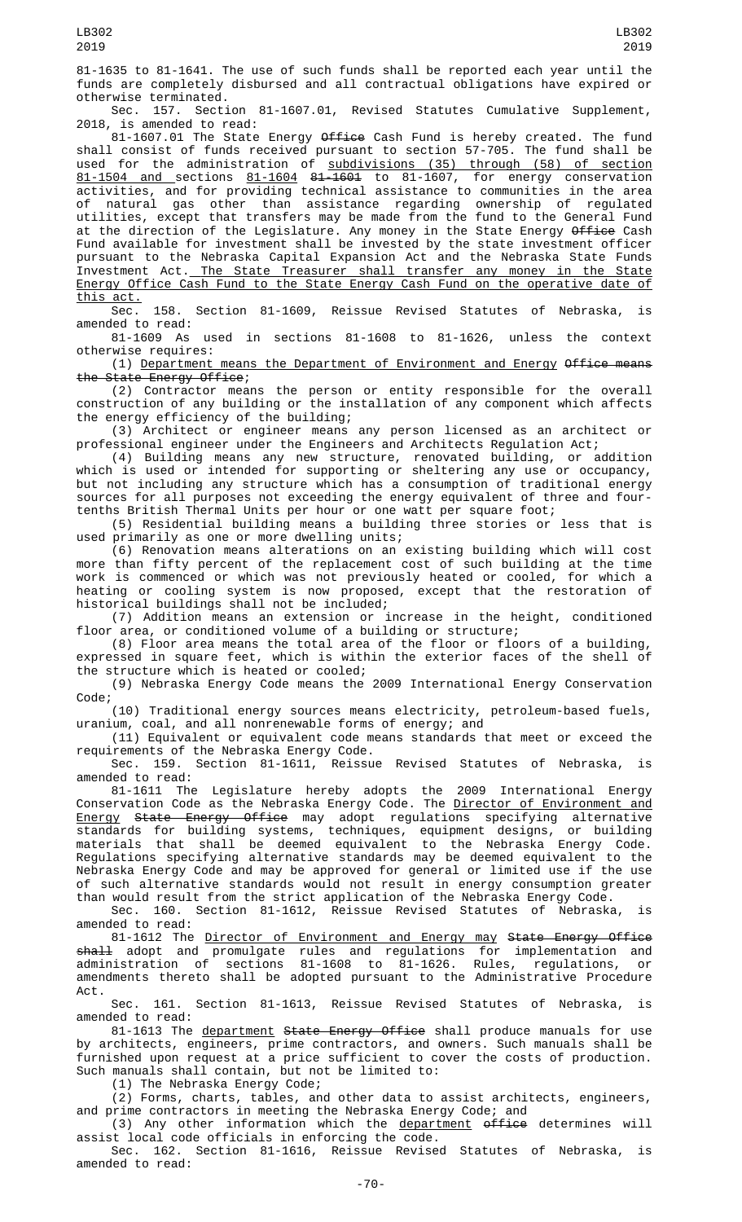81-1635 to 81-1641. The use of such funds shall be reported each year until the funds are completely disbursed and all contractual obligations have expired or otherwise terminated.

Sec. 157. Section 81-1607.01, Revised Statutes Cumulative Supplement, 2018, is amended to read:

81-1607.01 The State Energy <del>Office</del> Cash Fund is hereby created. The fund shall consist of funds received pursuant to section 57-705. The fund shall be used for the administration of <u>subdivisions (35) through (58) of section</u> 81-1504 and sections 81-1604 81-1601 to 81-1607, for energy conservation activities, and for providing technical assistance to communities in the area of natural gas other than assistance regarding ownership of regulated utilities, except that transfers may be made from the fund to the General Fund at the direction of the Legislature. Any money in the State Energy Office Cash Fund available for investment shall be invested by the state investment officer pursuant to the Nebraska Capital Expansion Act and the Nebraska State Funds Investment Act. The State Treasurer shall transfer any money in the State Energy Office Cash Fund to the State Energy Cash Fund on the operative date of this act.<br>Sec.

158. Section 81-1609, Reissue Revised Statutes of Nebraska, is amended to read:

81-1609 As used in sections 81-1608 to 81-1626, unless the context otherwise requires:

(1) Department means the Department of Environment and Energy Office means the State Energy Office;

(2) Contractor means the person or entity responsible for the overall construction of any building or the installation of any component which affects the energy efficiency of the building;

(3) Architect or engineer means any person licensed as an architect or professional engineer under the Engineers and Architects Regulation Act;

(4) Building means any new structure, renovated building, or addition which is used or intended for supporting or sheltering any use or occupancy, but not including any structure which has a consumption of traditional energy sources for all purposes not exceeding the energy equivalent of three and fourtenths British Thermal Units per hour or one watt per square foot;

(5) Residential building means a building three stories or less that is used primarily as one or more dwelling units;

(6) Renovation means alterations on an existing building which will cost more than fifty percent of the replacement cost of such building at the time work is commenced or which was not previously heated or cooled, for which a heating or cooling system is now proposed, except that the restoration of historical buildings shall not be included;

(7) Addition means an extension or increase in the height, conditioned floor area, or conditioned volume of a building or structure;

(8) Floor area means the total area of the floor or floors of a building, expressed in square feet, which is within the exterior faces of the shell of the structure which is heated or cooled;

(9) Nebraska Energy Code means the 2009 International Energy Conservation Code;

(10) Traditional energy sources means electricity, petroleum-based fuels, uranium, coal, and all nonrenewable forms of energy; and

(11) Equivalent or equivalent code means standards that meet or exceed the requirements of the Nebraska Energy Code.<br>Sec. 159. Section 81-1611, Reissu

Reissue Revised Statutes of Nebraska, is amended to read:

81-1611 The Legislature hereby adopts the 2009 International Energy Conservation Code as the Nebraska Energy Code. The <u>Director of Environment and</u> Energy State Energy Office may adopt regulations specifying alternative standards for building systems, techniques, equipment designs, or building materials that shall be deemed equivalent to the Nebraska Energy Code. Regulations specifying alternative standards may be deemed equivalent to the Nebraska Energy Code and may be approved for general or limited use if the use of such alternative standards would not result in energy consumption greater than would result from the strict application of the Nebraska Energy Code.

Sec. 160. Section 81-1612, Reissue Revised Statutes of Nebraska, is amended to read:

81-1612 The <u>Director of Environment and Energy may</u> S<del>tate Energy Office</del> <del>shall</del> adopt and promulgate rules and regulations for implementation and administration of sections 81-1608 to 81-1626. Rules, regulations, or amendments thereto shall be adopted pursuant to the Administrative Procedure Act.

Sec. 161. Section 81-1613, Reissue Revised Statutes of Nebraska, is amended to read:

81-1613 The department State Energy Office shall produce manuals for use by architects, engineers, prime contractors, and owners. Such manuals shall be furnished upon request at a price sufficient to cover the costs of production. Such manuals shall contain, but not be limited to:

(1) The Nebraska Energy Code;

(2) Forms, charts, tables, and other data to assist architects, engineers, and prime contractors in meeting the Nebraska Energy Code; and

(3) Any other information which the <u>department</u> <del>office</del> determines will assist local code officials in enforcing the code.

Sec. 162. Section 81-1616, Reissue Revised Statutes of Nebraska, is amended to read:

LB302 2019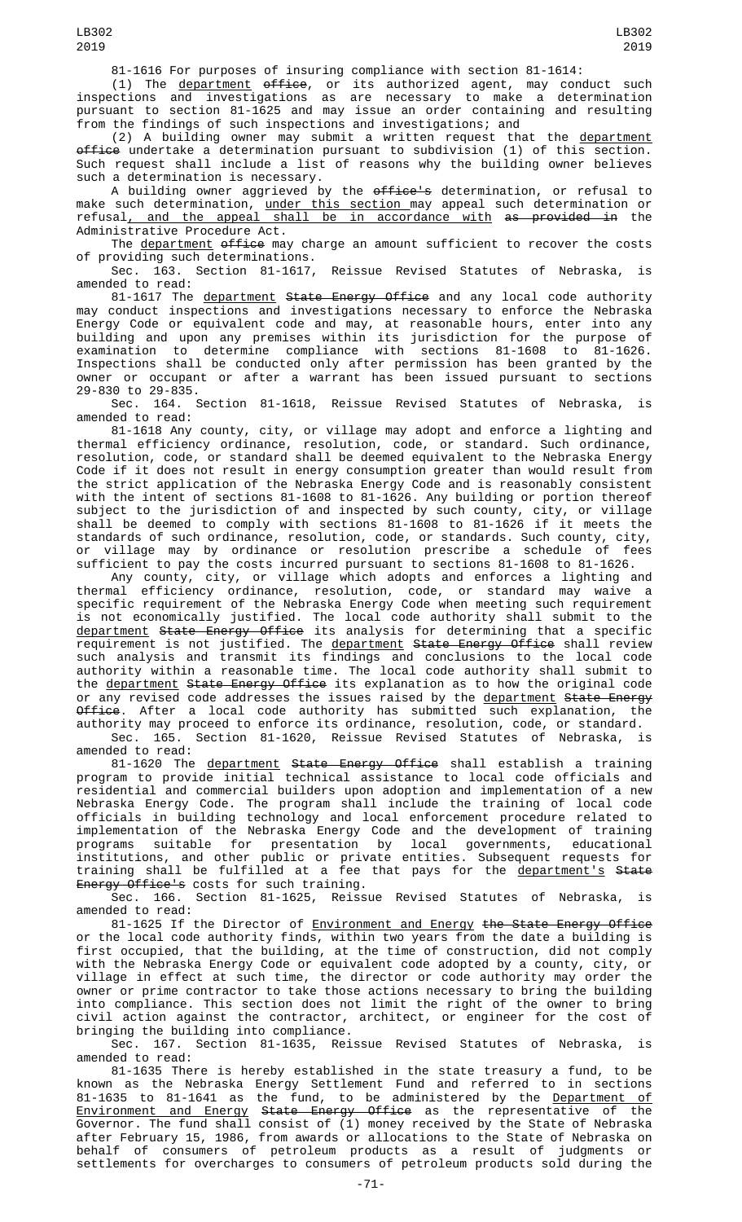(1) The <u>department</u> <del>office</del>, or its authorized agent, may conduct such inspections and investigations as are necessary to make a determination pursuant to section 81-1625 and may issue an order containing and resulting from the findings of such inspections and investigations; and

(2) A building owner may submit a written request that the department office undertake a determination pursuant to subdivision (1) of this section. Such request shall include a list of reasons why the building owner believes such a determination is necessary.

A building owner aggrieved by the office's determination, or refusal to make such determination, <u>under this section </u>may appeal such determination or refusal<u>, and the appeal shall be in accordance with</u> <del>as provided in</del> the Administrative Procedure Act.

The department office may charge an amount sufficient to recover the costs providing such determinations.

Reissue Revised Statutes of Nebraska, is Sec. 163. Section 81-1617,<br>amended to read:

81-1617 The <u>department</u> S<del>tate Energy Office</del> and any local code authority may conduct inspections and investigations necessary to enforce the Nebraska Energy Code or equivalent code and may, at reasonable hours, enter into any building and upon any premises within its jurisdiction for the purpose of examination to determine compliance with sections 81-1608 to 81-1626. Inspections shall be conducted only after permission has been granted by the owner or occupant or after a warrant has been issued pursuant to sections 29-830 to 29-835.

Sec. 164. Section 81-1618, Reissue Revised Statutes of Nebraska, is amended to read:

81-1618 Any county, city, or village may adopt and enforce a lighting and thermal efficiency ordinance, resolution, code, or standard. Such ordinance, resolution, code, or standard shall be deemed equivalent to the Nebraska Energy Code if it does not result in energy consumption greater than would result from the strict application of the Nebraska Energy Code and is reasonably consistent with the intent of sections 81-1608 to 81-1626. Any building or portion thereof subject to the jurisdiction of and inspected by such county, city, or village shall be deemed to comply with sections 81-1608 to 81-1626 if it meets the standards of such ordinance, resolution, code, or standards. Such county, city, or village may by ordinance or resolution prescribe a schedule of fees sufficient to pay the costs incurred pursuant to sections 81-1608 to 81-1626.

Any county, city, or village which adopts and enforces a lighting and thermal efficiency ordinance, resolution, code, or standard may waive a specific requirement of the Nebraska Energy Code when meeting such requirement is not economically justified. The local code authority shall submit to the <u>department</u> <del>State Energy Office</del> its analysis for determining that a specific requirement is not justified. The <u>department</u> <del>State Energy Office</del> shall review such analysis and transmit its findings and conclusions to the local code authority within a reasonable time. The local code authority shall submit to the <u>department</u> <del>State Energy Office</del> its explanation as to how the original code or any revised code addresses the issues raised by the <u>department</u> <del>State Energy</del> <del>Office</del>. After a local code authority has submitted such explanation, the authority may proceed to enforce its ordinance, resolution, code, or standard. Sec. 165. Section 81-1620, Reissue Revised Statutes of Nebraska, is amended to read:

81-1620 The <u>department</u> <del>State Energy Office</del> shall establish a training program to provide initial technical assistance to local code officials and residential and commercial builders upon adoption and implementation of a new Nebraska Energy Code. The program shall include the training of local code officials in building technology and local enforcement procedure related to implementation of the Nebraska Energy Code and the development of training programs suitable for presentation by local governments, educational institutions, and other public or private entities. Subsequent requests for training shall be fulfilled at a fee that pays for the <u>department's</u> S<del>tate</del> Energy Office's costs for such training.<br>Sec. 166. Section 81-1625, Reiss

Section 81-1625, Reissue Revised Statutes of Nebraska, is amended to read:

81-1625 If the Director of Environment and Energy the State Energy Office or the local code authority finds, within two years from the date a building is first occupied, that the building, at the time of construction, did not comply with the Nebraska Energy Code or equivalent code adopted by a county, city, or village in effect at such time, the director or code authority may order the owner or prime contractor to take those actions necessary to bring the building into compliance. This section does not limit the right of the owner to bring civil action against the contractor, architect, or engineer for the cost of bringing the building into compliance.

Sec. 167. Section 81-1635, Reissue Revised Statutes of Nebraska, is amended to read:

81-1635 There is hereby established in the state treasury a fund, to be known as the Nebraska Energy Settlement Fund and referred to in sections 81-1635 to 81-1641 as the fund, to be administered by the <u>Department of</u> Environment and Energy State Energy Office as the representative of the Governor. The fund shall consist of (1) money received by the State of Nebraska after February 15, 1986, from awards or allocations to the State of Nebraska on behalf of consumers of petroleum products as a result of judgments or settlements for overcharges to consumers of petroleum products sold during the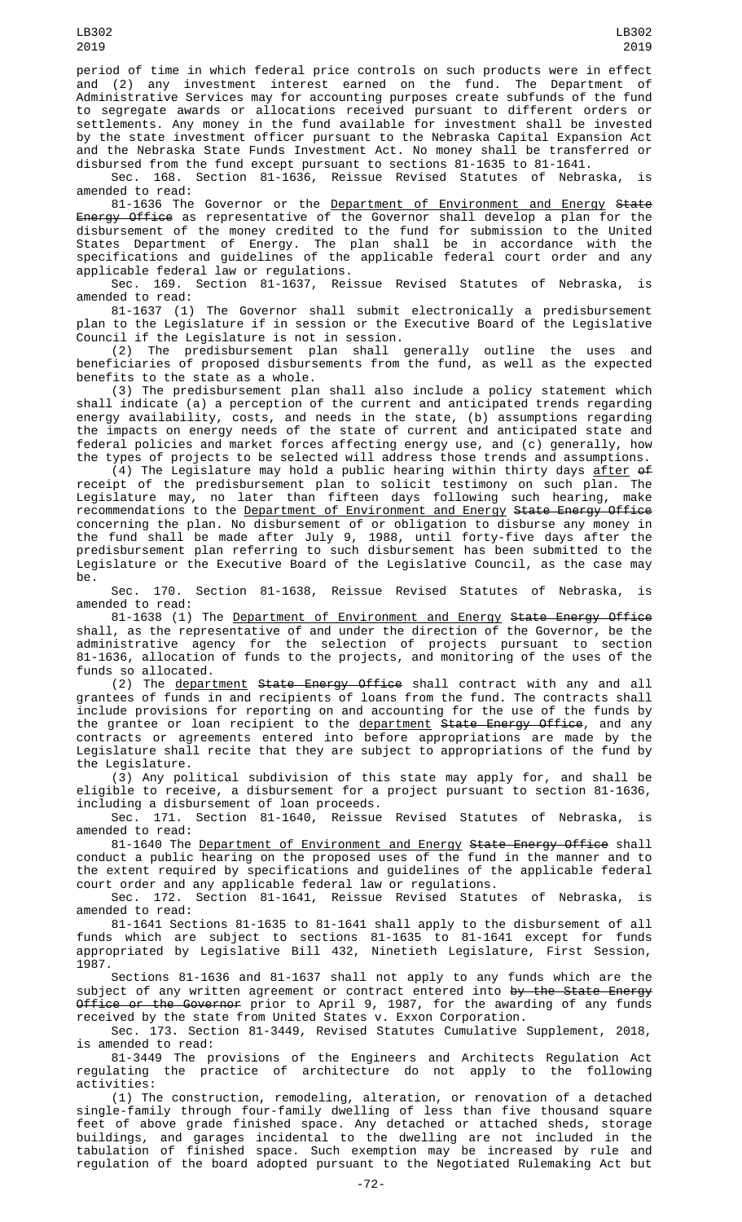period of time in which federal price controls on such products were in effect and (2) any investment interest earned on the fund. The Department of Administrative Services may for accounting purposes create subfunds of the fund to segregate awards or allocations received pursuant to different orders or settlements. Any money in the fund available for investment shall be invested by the state investment officer pursuant to the Nebraska Capital Expansion Act and the Nebraska State Funds Investment Act. No money shall be transferred or disbursed from the fund except pursuant to sections 81-1635 to 81-1641.

Sec. 168. Section 81-1636, Reissue Revised Statutes of Nebraska, is amended to read:

81-1636 The Governor or the <u>Department of Environment and Energy</u> <del>State</del> Energy Office as representative of the Governor shall develop a plan for the disbursement of the money credited to the fund for submission to the United States Department of Energy. The plan shall be in accordance with the specifications and guidelines of the applicable federal court order and any applicable federal law or regulations.

Sec. 169. Section 81-1637, Reissue Revised Statutes of Nebraska, is amended to read:

81-1637 (1) The Governor shall submit electronically a predisbursement plan to the Legislature if in session or the Executive Board of the Legislative Council if the Legislature is not in session.

(2) The predisbursement plan shall generally outline the uses and beneficiaries of proposed disbursements from the fund, as well as the expected benefits to the state as a whole.

(3) The predisbursement plan shall also include a policy statement which shall indicate (a) a perception of the current and anticipated trends regarding energy availability, costs, and needs in the state, (b) assumptions regarding the impacts on energy needs of the state of current and anticipated state and federal policies and market forces affecting energy use, and (c) generally, how the types of projects to be selected will address those trends and assumptions.

(4) The Legislature may hold a public hearing within thirty days  $\frac{after}{d}$  of receipt of the predisbursement plan to solicit testimony on such plan. The Legislature may, no later than fifteen days following such hearing, make recommendations to the Department of Environment and Energy State Energy Office concerning the plan. No disbursement of or obligation to disburse any money in the fund shall be made after July 9, 1988, until forty-five days after the predisbursement plan referring to such disbursement has been submitted to the Legislature or the Executive Board of the Legislative Council, as the case may be.

Sec. 170. Section 81-1638, Reissue Revised Statutes of Nebraska, is amended to read:

81-1638 (1) The <u>Department of Environment and Energy</u> S<del>tate Energy Office</del> shall, as the representative of and under the direction of the Governor, be the administrative agency for the selection of projects pursuant to section 81-1636, allocation of funds to the projects, and monitoring of the uses of the funds so allocated.

(2) The <u>department</u> <del>State Energy Office</del> shall contract with any and all grantees of funds in and recipients of loans from the fund. The contracts shall include provisions for reporting on and accounting for the use of the funds by the grantee or loan recipient to the <u>department</u> <del>State Energy Office</del>, and any contracts or agreements entered into before appropriations are made by the Legislature shall recite that they are subject to appropriations of the fund by the Legislature.

(3) Any political subdivision of this state may apply for, and shall be eligible to receive, a disbursement for a project pursuant to section 81-1636, including a disbursement of loan proceeds.

Sec. 171. Section 81-1640, Reissue Revised Statutes of Nebraska, is amended to read:

81-1640 The <u>Department of Environment and Energy</u> S<del>tate Energy Office</del> shall conduct a public hearing on the proposed uses of the fund in the manner and to the extent required by specifications and guidelines of the applicable federal court order and any applicable federal law or regulations.

Sec. 172. Section 81-1641, Reissue Revised Statutes of Nebraska, is amended to read:

81-1641 Sections 81-1635 to 81-1641 shall apply to the disbursement of all funds which are subject to sections 81-1635 to 81-1641 except for funds appropriated by Legislative Bill 432, Ninetieth Legislature, First Session, 1987.

Sections 81-1636 and 81-1637 shall not apply to any funds which are the subject of any written agreement or contract entered into by the State Energy <del>Office or the Governor</del> prior to April 9, 1987, for the awarding of any funds received by the state from United States v. Exxon Corporation.

Sec. 173. Section 81-3449, Revised Statutes Cumulative Supplement, 2018, is amended to read:

81-3449 The provisions of the Engineers and Architects Regulation Act regulating the practice of architecture do not apply to the following activities:

(1) The construction, remodeling, alteration, or renovation of a detached single-family through four-family dwelling of less than five thousand square feet of above grade finished space. Any detached or attached sheds, storage buildings, and garages incidental to the dwelling are not included in the tabulation of finished space. Such exemption may be increased by rule and regulation of the board adopted pursuant to the Negotiated Rulemaking Act but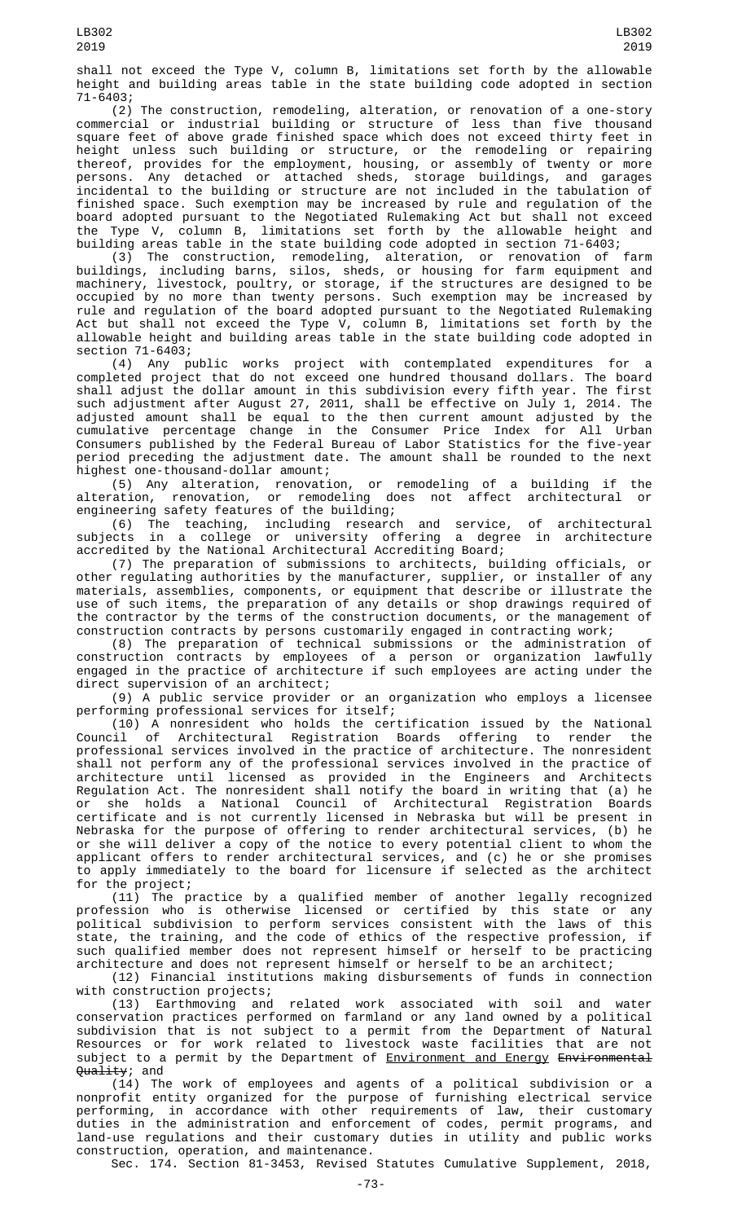shall not exceed the Type V, column B, limitations set forth by the allowable height and building areas table in the state building code adopted in section 71-6403;

(2) The construction, remodeling, alteration, or renovation of a one-story commercial or industrial building or structure of less than five thousand square feet of above grade finished space which does not exceed thirty feet in height unless such building or structure, or the remodeling or repairing thereof, provides for the employment, housing, or assembly of twenty or more persons. Any detached or attached sheds, storage buildings, and garages incidental to the building or structure are not included in the tabulation of finished space. Such exemption may be increased by rule and regulation of the board adopted pursuant to the Negotiated Rulemaking Act but shall not exceed the Type V, column B, limitations set forth by the allowable height and building areas table in the state building code adopted in section 71-6403;

(3) The construction, remodeling, alteration, or renovation of farm buildings, including barns, silos, sheds, or housing for farm equipment and machinery, livestock, poultry, or storage, if the structures are designed to be occupied by no more than twenty persons. Such exemption may be increased by rule and regulation of the board adopted pursuant to the Negotiated Rulemaking Act but shall not exceed the Type V, column B, limitations set forth by the allowable height and building areas table in the state building code adopted in section 71-6403;

(4) Any public works project with contemplated expenditures for a completed project that do not exceed one hundred thousand dollars. The board shall adjust the dollar amount in this subdivision every fifth year. The first such adjustment after August 27, 2011, shall be effective on July 1, 2014. The adjusted amount shall be equal to the then current amount adjusted by the cumulative percentage change in the Consumer Price Index for All Urban Consumers published by the Federal Bureau of Labor Statistics for the five-year period preceding the adjustment date. The amount shall be rounded to the next highest one-thousand-dollar amount;

(5) Any alteration, renovation, or remodeling of a building if the alteration, renovation, or remodeling does not affect architectural or engineering safety features of the building;

(6) The teaching, including research and service, of architectural subjects in a college or university offering a degree in architecture accredited by the National Architectural Accrediting Board;

(7) The preparation of submissions to architects, building officials, or other regulating authorities by the manufacturer, supplier, or installer of any materials, assemblies, components, or equipment that describe or illustrate the use of such items, the preparation of any details or shop drawings required of the contractor by the terms of the construction documents, or the management of construction contracts by persons customarily engaged in contracting work;

(8) The preparation of technical submissions or the administration of construction contracts by employees of a person or organization lawfully engaged in the practice of architecture if such employees are acting under the direct supervision of an architect;

(9) A public service provider or an organization who employs a licensee performing professional services for itself;

(10) A nonresident who holds the certification issued by the National Council of Architectural Registration Boards offering to render the professional services involved in the practice of architecture. The nonresident shall not perform any of the professional services involved in the practice of architecture until licensed as provided in the Engineers and Architects Regulation Act. The nonresident shall notify the board in writing that (a) he or she holds a National Council of Architectural Registration Boards certificate and is not currently licensed in Nebraska but will be present in Nebraska for the purpose of offering to render architectural services, (b) he or she will deliver a copy of the notice to every potential client to whom the applicant offers to render architectural services, and (c) he or she promises to apply immediately to the board for licensure if selected as the architect for the project;

(11) The practice by a qualified member of another legally recognized profession who is otherwise licensed or certified by this state or any political subdivision to perform services consistent with the laws of this state, the training, and the code of ethics of the respective profession, if such qualified member does not represent himself or herself to be practicing architecture and does not represent himself or herself to be an architect;

(12) Financial institutions making disbursements of funds in connection with construction projects;

(13) Earthmoving and related work associated with soil and water conservation practices performed on farmland or any land owned by a political subdivision that is not subject to a permit from the Department of Natural Resources or for work related to livestock waste facilities that are not subject to a permit by the Department of <u>Environment and Energy</u> <del>Environmental</del> Quality; and

(14) The work of employees and agents of a political subdivision or a nonprofit entity organized for the purpose of furnishing electrical service performing, in accordance with other requirements of law, their customary duties in the administration and enforcement of codes, permit programs, and land-use regulations and their customary duties in utility and public works construction, operation, and maintenance.

Sec. 174. Section 81-3453, Revised Statutes Cumulative Supplement, 2018,

LB302 2019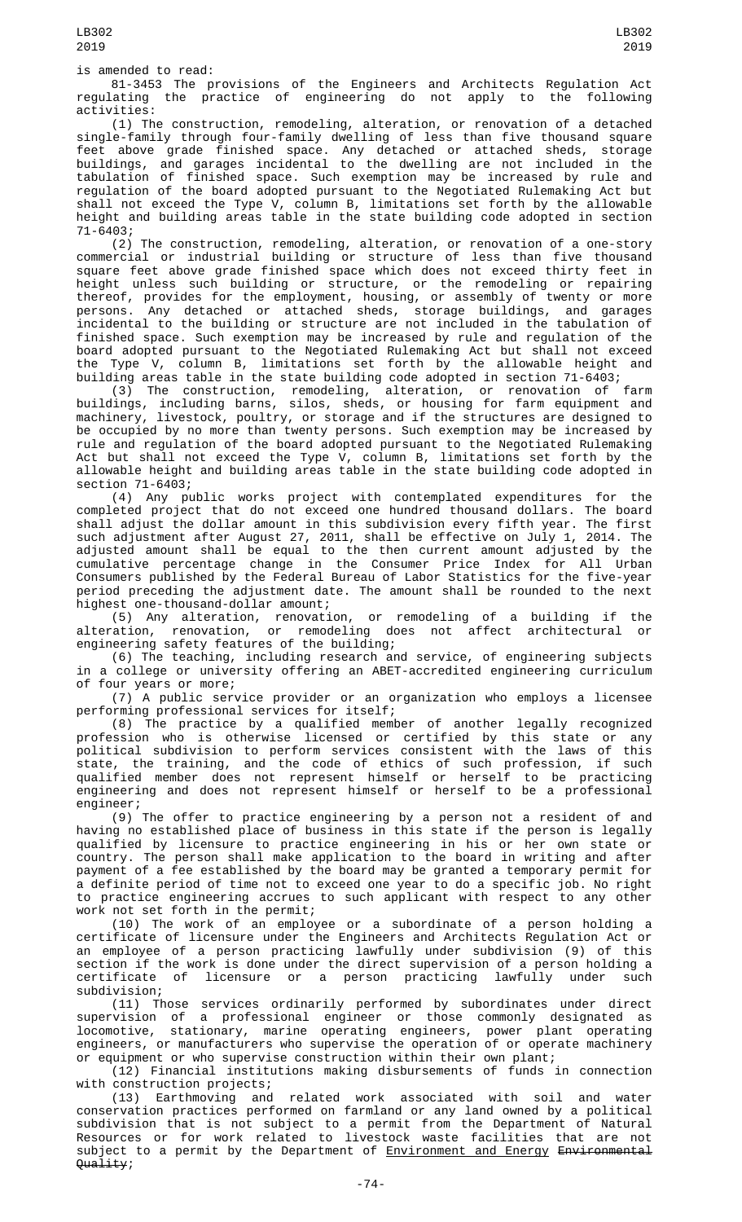is amended to read:

81-3453 The provisions of the Engineers and Architects Regulation Act regulating the practice of engineering do not apply to the following activities:

(1) The construction, remodeling, alteration, or renovation of a detached single-family through four-family dwelling of less than five thousand square feet above grade finished space. Any detached or attached sheds, storage buildings, and garages incidental to the dwelling are not included in the tabulation of finished space. Such exemption may be increased by rule and regulation of the board adopted pursuant to the Negotiated Rulemaking Act but shall not exceed the Type V, column B, limitations set forth by the allowable height and building areas table in the state building code adopted in section 71-6403;

(2) The construction, remodeling, alteration, or renovation of a one-story commercial or industrial building or structure of less than five thousand square feet above grade finished space which does not exceed thirty feet in height unless such building or structure, or the remodeling or repairing thereof, provides for the employment, housing, or assembly of twenty or more persons. Any detached or attached sheds, storage buildings, and garages incidental to the building or structure are not included in the tabulation of finished space. Such exemption may be increased by rule and regulation of the board adopted pursuant to the Negotiated Rulemaking Act but shall not exceed the Type V, column B, limitations set forth by the allowable height and building areas table in the state building code adopted in section 71-6403;

(3) The construction, remodeling, alteration, or renovation of farm buildings, including barns, silos, sheds, or housing for farm equipment and machinery, livestock, poultry, or storage and if the structures are designed to be occupied by no more than twenty persons. Such exemption may be increased by rule and regulation of the board adopted pursuant to the Negotiated Rulemaking Act but shall not exceed the Type V, column B, limitations set forth by the allowable height and building areas table in the state building code adopted in section 71-6403;

(4) Any public works project with contemplated expenditures for the completed project that do not exceed one hundred thousand dollars. The board shall adjust the dollar amount in this subdivision every fifth year. The first such adjustment after August 27, 2011, shall be effective on July 1, 2014. The adjusted amount shall be equal to the then current amount adjusted by the cumulative percentage change in the Consumer Price Index for All Urban Consumers published by the Federal Bureau of Labor Statistics for the five-year period preceding the adjustment date. The amount shall be rounded to the next highest one-thousand-dollar amount;

(5) Any alteration, renovation, or remodeling of a building if the alteration, renovation, or remodeling does not affect architectural or engineering safety features of the building;

(6) The teaching, including research and service, of engineering subjects in a college or university offering an ABET-accredited engineering curriculum of four years or more;

(7) A public service provider or an organization who employs a licensee performing professional services for itself;

(8) The practice by a qualified member of another legally recognized profession who is otherwise licensed or certified by this state or any political subdivision to perform services consistent with the laws of this state, the training, and the code of ethics of such profession, if such qualified member does not represent himself or herself to be practicing engineering and does not represent himself or herself to be a professional engineer;

(9) The offer to practice engineering by a person not a resident of and having no established place of business in this state if the person is legally qualified by licensure to practice engineering in his or her own state or country. The person shall make application to the board in writing and after payment of a fee established by the board may be granted a temporary permit for a definite period of time not to exceed one year to do a specific job. No right to practice engineering accrues to such applicant with respect to any other work not set forth in the permit;

(10) The work of an employee or a subordinate of a person holding a certificate of licensure under the Engineers and Architects Regulation Act or an employee of a person practicing lawfully under subdivision (9) of this section if the work is done under the direct supervision of a person holding a certificate of licensure or a person practicing lawfully under such subdivision;

(11) Those services ordinarily performed by subordinates under direct supervision of a professional engineer or those commonly designated as locomotive, stationary, marine operating engineers, power plant operating engineers, or manufacturers who supervise the operation of or operate machinery or equipment or who supervise construction within their own plant;

(12) Financial institutions making disbursements of funds in connection

with construction projects;<br>(13) Earthmoving and (13) Earthmoving and related work associated with soil and water conservation practices performed on farmland or any land owned by a political subdivision that is not subject to a permit from the Department of Natural Resources or for work related to livestock waste facilities that are not subject to a permit by the Department of Environment and Energy Environmental Quality;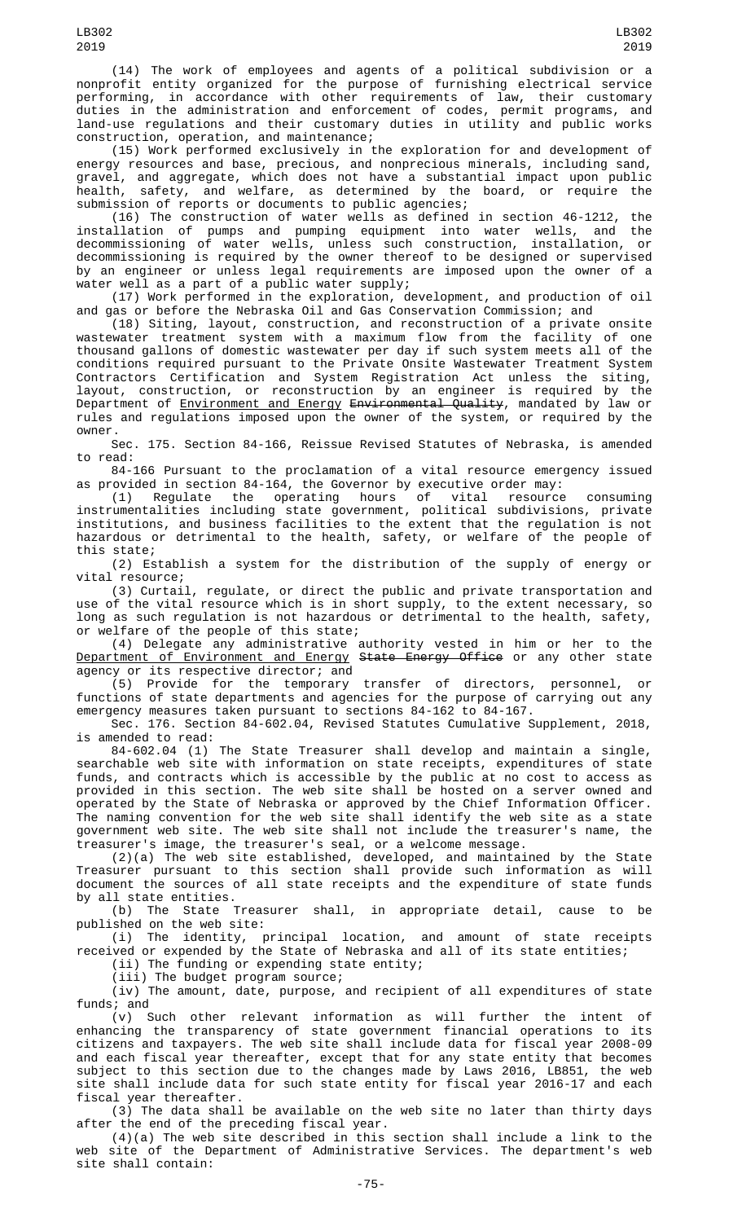(14) The work of employees and agents of a political subdivision or a nonprofit entity organized for the purpose of furnishing electrical service performing, in accordance with other requirements of law, their customary duties in the administration and enforcement of codes, permit programs, and land-use regulations and their customary duties in utility and public works construction, operation, and maintenance;

(15) Work performed exclusively in the exploration for and development of energy resources and base, precious, and nonprecious minerals, including sand, gravel, and aggregate, which does not have a substantial impact upon public health, safety, and welfare, as determined by the board, or require the submission of reports or documents to public agencies;

(16) The construction of water wells as defined in section 46-1212, the installation of pumps and pumping equipment into water wells, and the decommissioning of water wells, unless such construction, installation, or decommissioning is required by the owner thereof to be designed or supervised by an engineer or unless legal requirements are imposed upon the owner of a water well as a part of a public water supply;

(17) Work performed in the exploration, development, and production of oil and gas or before the Nebraska Oil and Gas Conservation Commission; and

(18) Siting, layout, construction, and reconstruction of a private onsite wastewater treatment system with a maximum flow from the facility of one thousand gallons of domestic wastewater per day if such system meets all of the conditions required pursuant to the Private Onsite Wastewater Treatment System Contractors Certification and System Registration Act unless the siting, layout, construction, or reconstruction by an engineer is required by the Department of <u>Environment and Energy</u> <del>Environmental Quality</del>, mandated by law or rules and regulations imposed upon the owner of the system, or required by the owner.

Sec. 175. Section 84-166, Reissue Revised Statutes of Nebraska, is amended to read:

84-166 Pursuant to the proclamation of a vital resource emergency issued as provided in section 84-164, the Governor by executive order may:

(1) Regulate the operating hours of vital resource consuming instrumentalities including state government, political subdivisions, private institutions, and business facilities to the extent that the regulation is not hazardous or detrimental to the health, safety, or welfare of the people of this state;

(2) Establish a system for the distribution of the supply of energy or vital resource;

(3) Curtail, regulate, or direct the public and private transportation and use of the vital resource which is in short supply, to the extent necessary, so long as such regulation is not hazardous or detrimental to the health, safety, or welfare of the people of this state;

(4) Delegate any administrative authority vested in him or her to the <u>Department of Environment and Energy</u> <del>State Energy Office</del> or any other state agency or its respective director; and

(5) Provide for the temporary transfer of directors, personnel, or functions of state departments and agencies for the purpose of carrying out any emergency measures taken pursuant to sections 84-162 to 84-167.

Sec. 176. Section 84-602.04, Revised Statutes Cumulative Supplement, 2018, is amended to read:

84-602.04 (1) The State Treasurer shall develop and maintain a single, searchable web site with information on state receipts, expenditures of state funds, and contracts which is accessible by the public at no cost to access as provided in this section. The web site shall be hosted on a server owned and operated by the State of Nebraska or approved by the Chief Information Officer. The naming convention for the web site shall identify the web site as a state government web site. The web site shall not include the treasurer's name, the treasurer's image, the treasurer's seal, or a welcome message.

(2)(a) The web site established, developed, and maintained by the State Treasurer pursuant to this section shall provide such information as will document the sources of all state receipts and the expenditure of state funds

by all state entities.<br>(b) The State 1 The State Treasurer shall, in appropriate detail, cause to be published on the web site:

(i) The identity, principal location, and amount of state receipts received or expended by the State of Nebraska and all of its state entities;

(ii) The funding or expending state entity;

(iii) The budget program source;

(iv) The amount, date, purpose, and recipient of all expenditures of state funds; and

(v) Such other relevant information as will further the intent of enhancing the transparency of state government financial operations to its citizens and taxpayers. The web site shall include data for fiscal year 2008-09 and each fiscal year thereafter, except that for any state entity that becomes subject to this section due to the changes made by Laws 2016, LB851, the web site shall include data for such state entity for fiscal year 2016-17 and each fiscal year thereafter.

(3) The data shall be available on the web site no later than thirty days after the end of the preceding fiscal year.

(4)(a) The web site described in this section shall include a link to the web site of the Department of Administrative Services. The department's web site shall contain: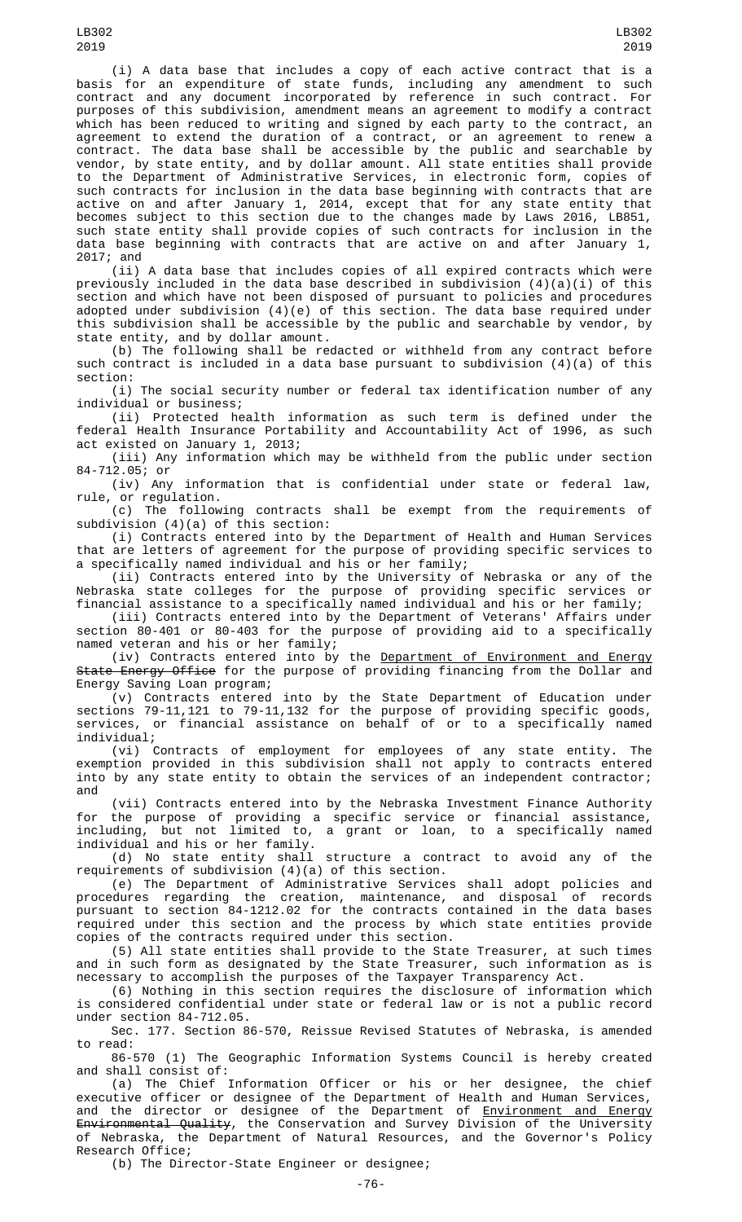(i) A data base that includes a copy of each active contract that is a basis for an expenditure of state funds, including any amendment to such contract and any document incorporated by reference in such contract. For purposes of this subdivision, amendment means an agreement to modify a contract which has been reduced to writing and signed by each party to the contract, an agreement to extend the duration of a contract, or an agreement to renew a contract. The data base shall be accessible by the public and searchable by vendor, by state entity, and by dollar amount. All state entities shall provide to the Department of Administrative Services, in electronic form, copies of such contracts for inclusion in the data base beginning with contracts that are active on and after January 1, 2014, except that for any state entity that becomes subject to this section due to the changes made by Laws 2016, LB851, such state entity shall provide copies of such contracts for inclusion in the data base beginning with contracts that are active on and after January 1, 2017; and

(ii) A data base that includes copies of all expired contracts which were previously included in the data base described in subdivision  $(4)(a)(i)$  of this section and which have not been disposed of pursuant to policies and procedures adopted under subdivision (4)(e) of this section. The data base required under this subdivision shall be accessible by the public and searchable by vendor, by state entity, and by dollar amount.

(b) The following shall be redacted or withheld from any contract before such contract is included in a data base pursuant to subdivision (4)(a) of this section:

(i) The social security number or federal tax identification number of any individual or business;

(ii) Protected health information as such term is defined under the federal Health Insurance Portability and Accountability Act of 1996, as such act existed on January 1, 2013;

(iii) Any information which may be withheld from the public under section 84-712.05; or

(iv) Any information that is confidential under state or federal law, rule, or regulation.

(c) The following contracts shall be exempt from the requirements of subdivision (4)(a) of this section:

(i) Contracts entered into by the Department of Health and Human Services that are letters of agreement for the purpose of providing specific services to a specifically named individual and his or her family;

(ii) Contracts entered into by the University of Nebraska or any of the Nebraska state colleges for the purpose of providing specific services or financial assistance to a specifically named individual and his or her family;

(iii) Contracts entered into by the Department of Veterans' Affairs under section 80-401 or 80-403 for the purpose of providing aid to a specifically named veteran and his or her family;

(iv) Contracts entered into by the Department of Environment and Energy State Energy Office for the purpose of providing financing from the Dollar and Energy Saving Loan program;

(v) Contracts entered into by the State Department of Education under sections 79-11,121 to 79-11,132 for the purpose of providing specific goods, services, or financial assistance on behalf of or to a specifically named individual;

(vi) Contracts of employment for employees of any state entity. The exemption provided in this subdivision shall not apply to contracts entered into by any state entity to obtain the services of an independent contractor; and

(vii) Contracts entered into by the Nebraska Investment Finance Authority for the purpose of providing a specific service or financial assistance, including, but not limited to, a grant or loan, to a specifically named individual and his or her family.

(d) No state entity shall structure a contract to avoid any of the requirements of subdivision (4)(a) of this section.

(e) The Department of Administrative Services shall adopt policies and procedures regarding the creation, maintenance, and disposal of records pursuant to section 84-1212.02 for the contracts contained in the data bases required under this section and the process by which state entities provide copies of the contracts required under this section.

(5) All state entities shall provide to the State Treasurer, at such times and in such form as designated by the State Treasurer, such information as is necessary to accomplish the purposes of the Taxpayer Transparency Act.

(6) Nothing in this section requires the disclosure of information which is considered confidential under state or federal law or is not a public record under section 84-712.05.

Sec. 177. Section 86-570, Reissue Revised Statutes of Nebraska, is amended to read:

86-570 (1) The Geographic Information Systems Council is hereby created and shall consist of:

(a) The Chief Information Officer or his or her designee, the chief executive officer or designee of the Department of Health and Human Services, and the director or designee of the Department of <u>Environment and Energy</u> <del>Environmental Quality</del>, the Conservation and Survey Division of the University of Nebraska, the Department of Natural Resources, and the Governor's Policy Research Office;

(b) The Director-State Engineer or designee;